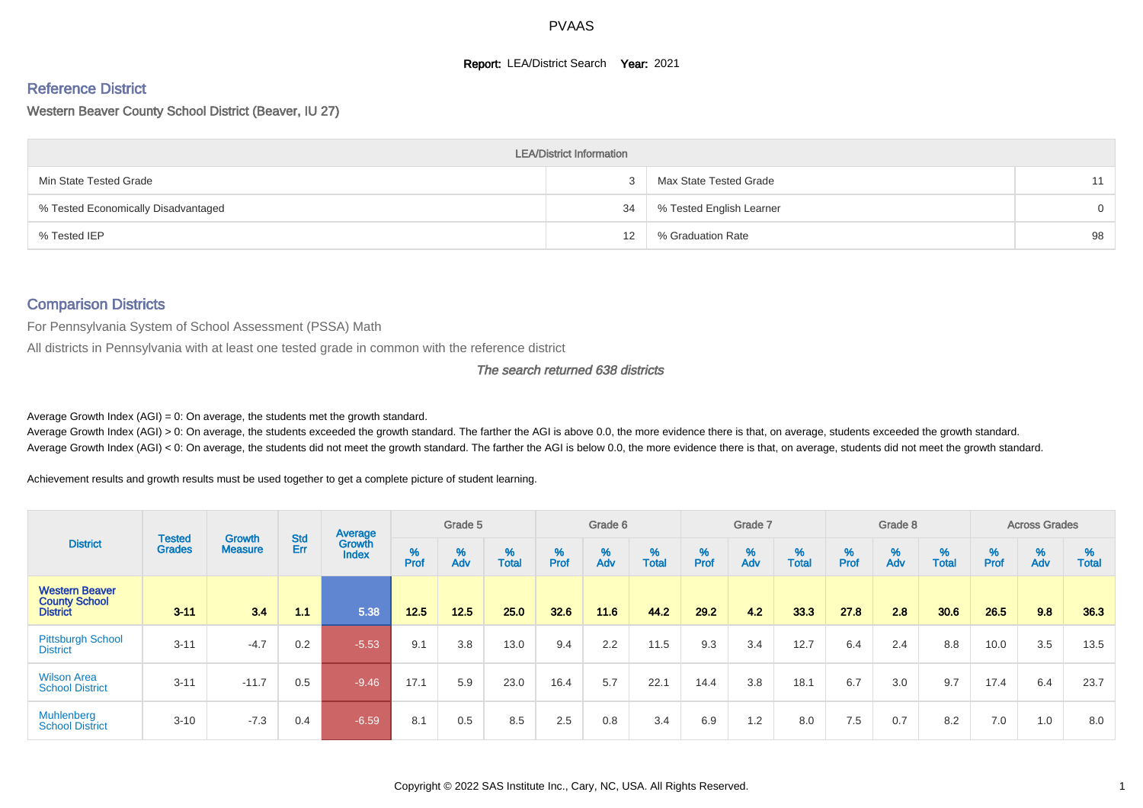#### **Report: LEA/District Search Year: 2021**

# Reference District

Western Beaver County School District (Beaver, IU 27)

|                                     | <b>LEA/District Information</b> |                          |                |
|-------------------------------------|---------------------------------|--------------------------|----------------|
| Min State Tested Grade              |                                 | Max State Tested Grade   | 11             |
| % Tested Economically Disadvantaged | 34                              | % Tested English Learner | $\overline{0}$ |
| % Tested IEP                        | 12                              | % Graduation Rate        | 98             |

#### Comparison Districts

For Pennsylvania System of School Assessment (PSSA) Math

All districts in Pennsylvania with at least one tested grade in common with the reference district

The search returned 638 districts

Average Growth Index  $(AGI) = 0$ : On average, the students met the growth standard.

Average Growth Index (AGI) > 0: On average, the students exceeded the growth standard. The farther the AGI is above 0.0, the more evidence there is that, on average, students exceeded the growth standard. Average Growth Index (AGI) < 0: On average, the students did not meet the growth standard. The farther the AGI is below 0.0, the more evidence there is that, on average, students did not meet the growth standard.

Achievement results and growth results must be used together to get a complete picture of student learning.

|                                                                  |                                |                                 |            | Average                |           | Grade 5  |                   |           | Grade 6  |                   |           | Grade 7  |                   |           | Grade 8  |                   |           | <b>Across Grades</b> |                   |
|------------------------------------------------------------------|--------------------------------|---------------------------------|------------|------------------------|-----------|----------|-------------------|-----------|----------|-------------------|-----------|----------|-------------------|-----------|----------|-------------------|-----------|----------------------|-------------------|
| <b>District</b>                                                  | <b>Tested</b><br><b>Grades</b> | <b>Growth</b><br><b>Measure</b> | Std<br>Err | Growth<br><b>Index</b> | %<br>Prof | %<br>Adv | %<br><b>Total</b> | %<br>Prof | %<br>Adv | %<br><b>Total</b> | %<br>Prof | %<br>Adv | %<br><b>Total</b> | %<br>Prof | %<br>Adv | %<br><b>Total</b> | %<br>Prof | %<br>Adv             | %<br><b>Total</b> |
| <b>Western Beaver</b><br><b>County School</b><br><b>District</b> | $3 - 11$                       | 3.4                             | 1.1        | 5.38                   | 12.5      | 12.5     | 25.0              | 32.6      | 11.6     | 44.2              | 29.2      | 4.2      | 33.3              | 27.8      | 2.8      | 30.6              | 26.5      | 9.8                  | 36.3              |
| <b>Pittsburgh School</b><br><b>District</b>                      | $3 - 11$                       | $-4.7$                          | 0.2        | $-5.53$                | 9.1       | 3.8      | 13.0              | 9.4       | 2.2      | 11.5              | 9.3       | 3.4      | 12.7              | 6.4       | 2.4      | 8.8               | 10.0      | 3.5                  | 13.5              |
| <b>Wilson Area</b><br><b>School District</b>                     | $3 - 11$                       | $-11.7$                         | 0.5        | $-9.46$                | 17.1      | 5.9      | 23.0              | 16.4      | 5.7      | 22.1              | 14.4      | 3.8      | 18.1              | 6.7       | 3.0      | 9.7               | 17.4      | 6.4                  | 23.7              |
| <b>Muhlenberg</b><br><b>School District</b>                      | $3 - 10$                       | $-7.3$                          | 0.4        | $-6.59$                | 8.1       | 0.5      | 8.5               | 2.5       | 0.8      | 3.4               | 6.9       | 1.2      | 8.0               | 7.5       | 0.7      | 8.2               | 7.0       | 1.0                  | 8.0               |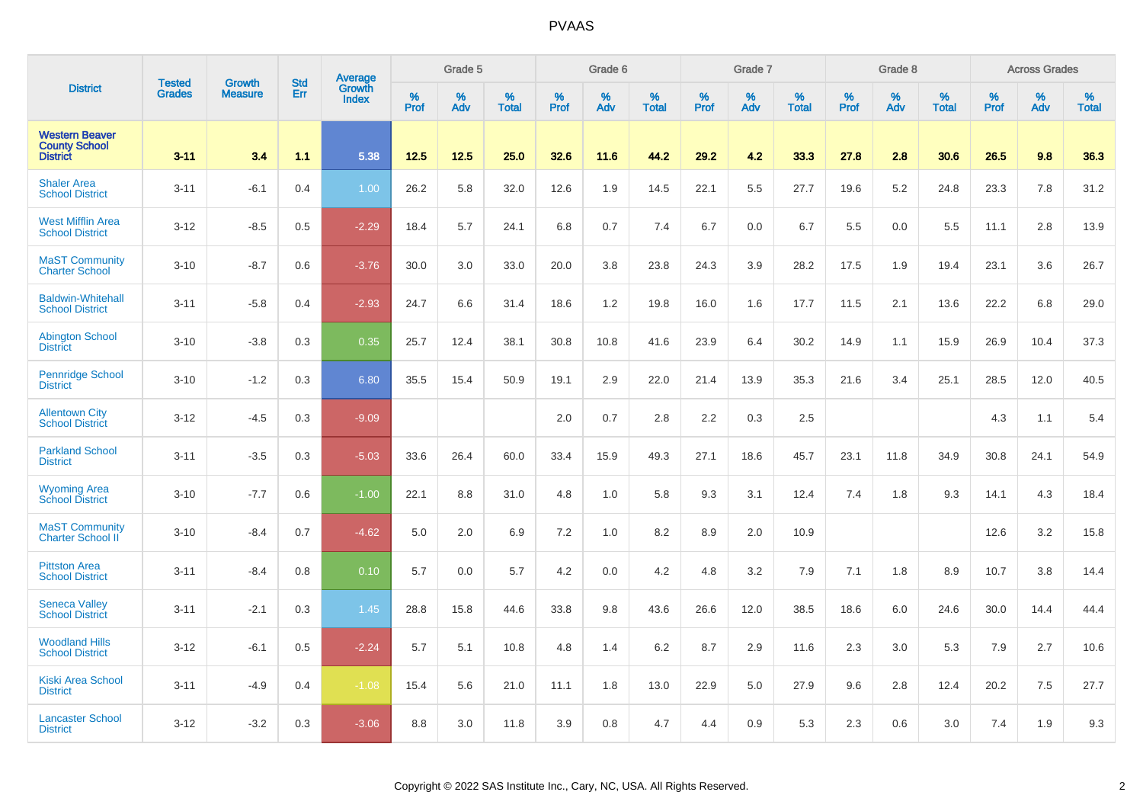|                                                                  |                         | <b>Growth</b>  | <b>Std</b> | Average                |                     | Grade 5  |                      |                     | Grade 6  |                      |                     | Grade 7     |                      |                     | Grade 8     |                   |              | <b>Across Grades</b> |                      |
|------------------------------------------------------------------|-------------------------|----------------|------------|------------------------|---------------------|----------|----------------------|---------------------|----------|----------------------|---------------------|-------------|----------------------|---------------------|-------------|-------------------|--------------|----------------------|----------------------|
| <b>District</b>                                                  | <b>Tested</b><br>Grades | <b>Measure</b> | Err        | Growth<br><b>Index</b> | $\%$<br><b>Prof</b> | %<br>Adv | $\%$<br><b>Total</b> | $\%$<br><b>Prof</b> | %<br>Adv | $\%$<br><b>Total</b> | $\%$<br><b>Prof</b> | $\%$<br>Adv | $\%$<br><b>Total</b> | $\%$<br><b>Prof</b> | $\%$<br>Adv | %<br><b>Total</b> | $\%$<br>Prof | %<br>Adv             | $\%$<br><b>Total</b> |
| <b>Western Beaver</b><br><b>County School</b><br><b>District</b> | $3 - 11$                | 3.4            | 1.1        | 5.38                   | 12.5                | 12.5     | 25.0                 | 32.6                | 11.6     | 44.2                 | 29.2                | 4.2         | 33.3                 | 27.8                | 2.8         | 30.6              | 26.5         | 9.8                  | 36.3                 |
| <b>Shaler Area</b><br><b>School District</b>                     | $3 - 11$                | $-6.1$         | 0.4        | 1.00                   | 26.2                | 5.8      | 32.0                 | 12.6                | 1.9      | 14.5                 | 22.1                | 5.5         | 27.7                 | 19.6                | 5.2         | 24.8              | 23.3         | 7.8                  | 31.2                 |
| <b>West Mifflin Area</b><br><b>School District</b>               | $3 - 12$                | $-8.5$         | 0.5        | $-2.29$                | 18.4                | 5.7      | 24.1                 | 6.8                 | 0.7      | 7.4                  | 6.7                 | 0.0         | 6.7                  | 5.5                 | 0.0         | 5.5               | 11.1         | 2.8                  | 13.9                 |
| <b>MaST Community</b><br><b>Charter School</b>                   | $3 - 10$                | $-8.7$         | 0.6        | $-3.76$                | 30.0                | 3.0      | 33.0                 | 20.0                | 3.8      | 23.8                 | 24.3                | 3.9         | 28.2                 | 17.5                | 1.9         | 19.4              | 23.1         | 3.6                  | 26.7                 |
| <b>Baldwin-Whitehall</b><br><b>School District</b>               | $3 - 11$                | $-5.8$         | 0.4        | $-2.93$                | 24.7                | 6.6      | 31.4                 | 18.6                | 1.2      | 19.8                 | 16.0                | 1.6         | 17.7                 | 11.5                | 2.1         | 13.6              | 22.2         | 6.8                  | 29.0                 |
| <b>Abington School</b><br><b>District</b>                        | $3 - 10$                | $-3.8$         | 0.3        | 0.35                   | 25.7                | 12.4     | 38.1                 | 30.8                | 10.8     | 41.6                 | 23.9                | 6.4         | 30.2                 | 14.9                | 1.1         | 15.9              | 26.9         | 10.4                 | 37.3                 |
| <b>Pennridge School</b><br><b>District</b>                       | $3 - 10$                | $-1.2$         | 0.3        | 6.80                   | 35.5                | 15.4     | 50.9                 | 19.1                | 2.9      | 22.0                 | 21.4                | 13.9        | 35.3                 | 21.6                | 3.4         | 25.1              | 28.5         | 12.0                 | 40.5                 |
| <b>Allentown City</b><br><b>School District</b>                  | $3 - 12$                | $-4.5$         | 0.3        | $-9.09$                |                     |          |                      | 2.0                 | 0.7      | 2.8                  | 2.2                 | 0.3         | 2.5                  |                     |             |                   | 4.3          | 1.1                  | 5.4                  |
| <b>Parkland School</b><br><b>District</b>                        | $3 - 11$                | $-3.5$         | 0.3        | $-5.03$                | 33.6                | 26.4     | 60.0                 | 33.4                | 15.9     | 49.3                 | 27.1                | 18.6        | 45.7                 | 23.1                | 11.8        | 34.9              | 30.8         | 24.1                 | 54.9                 |
| <b>Wyoming Area</b><br><b>School District</b>                    | $3 - 10$                | $-7.7$         | 0.6        | $-1.00$                | 22.1                | 8.8      | 31.0                 | 4.8                 | 1.0      | 5.8                  | 9.3                 | 3.1         | 12.4                 | 7.4                 | 1.8         | 9.3               | 14.1         | 4.3                  | 18.4                 |
| <b>MaST Community</b><br>Charter School II                       | $3 - 10$                | $-8.4$         | 0.7        | $-4.62$                | 5.0                 | 2.0      | 6.9                  | 7.2                 | 1.0      | 8.2                  | 8.9                 | 2.0         | 10.9                 |                     |             |                   | 12.6         | 3.2                  | 15.8                 |
| <b>Pittston Area</b><br><b>School District</b>                   | $3 - 11$                | $-8.4$         | 0.8        | 0.10                   | 5.7                 | 0.0      | 5.7                  | 4.2                 | 0.0      | 4.2                  | 4.8                 | 3.2         | 7.9                  | 7.1                 | 1.8         | 8.9               | 10.7         | 3.8                  | 14.4                 |
| <b>Seneca Valley</b><br><b>School District</b>                   | $3 - 11$                | $-2.1$         | 0.3        | 1.45                   | 28.8                | 15.8     | 44.6                 | 33.8                | 9.8      | 43.6                 | 26.6                | 12.0        | 38.5                 | 18.6                | 6.0         | 24.6              | 30.0         | 14.4                 | 44.4                 |
| <b>Woodland Hills</b><br><b>School District</b>                  | $3 - 12$                | $-6.1$         | 0.5        | $-2.24$                | 5.7                 | 5.1      | 10.8                 | 4.8                 | 1.4      | 6.2                  | 8.7                 | 2.9         | 11.6                 | 2.3                 | 3.0         | 5.3               | 7.9          | 2.7                  | 10.6                 |
| <b>Kiski Area School</b><br><b>District</b>                      | $3 - 11$                | $-4.9$         | 0.4        | $-1.08$                | 15.4                | 5.6      | 21.0                 | 11.1                | 1.8      | 13.0                 | 22.9                | 5.0         | 27.9                 | 9.6                 | 2.8         | 12.4              | 20.2         | 7.5                  | 27.7                 |
| <b>Lancaster School</b><br><b>District</b>                       | $3 - 12$                | $-3.2$         | 0.3        | $-3.06$                | 8.8                 | 3.0      | 11.8                 | 3.9                 | 0.8      | 4.7                  | 4.4                 | 0.9         | 5.3                  | 2.3                 | 0.6         | 3.0               | 7.4          | 1.9                  | 9.3                  |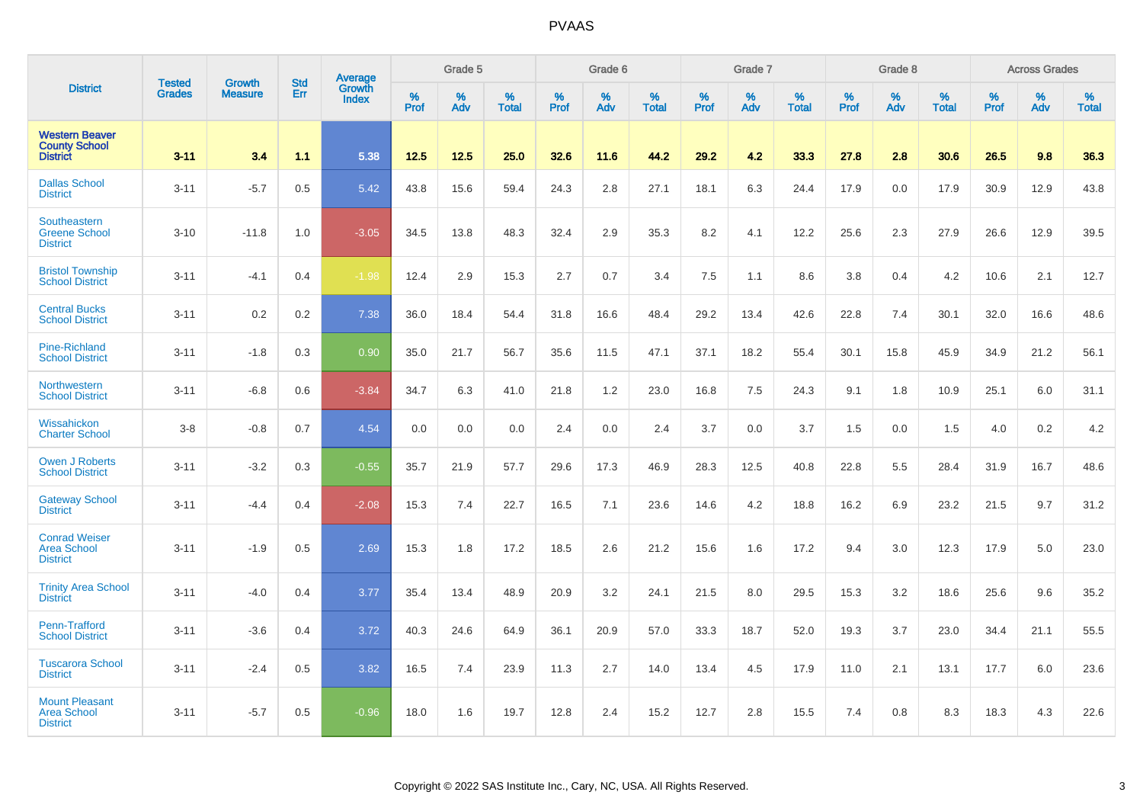| <b>District</b>                                                  | <b>Tested</b> |                                 | <b>Std</b> | Average                |                     | Grade 5  |                   |                  | Grade 6  |                   |                  | Grade 7  |                   |           | Grade 8  |                   |           | <b>Across Grades</b> |                   |
|------------------------------------------------------------------|---------------|---------------------------------|------------|------------------------|---------------------|----------|-------------------|------------------|----------|-------------------|------------------|----------|-------------------|-----------|----------|-------------------|-----------|----------------------|-------------------|
|                                                                  | <b>Grades</b> | <b>Growth</b><br><b>Measure</b> | Err        | Growth<br><b>Index</b> | $\%$<br><b>Prof</b> | %<br>Adv | %<br><b>Total</b> | %<br><b>Prof</b> | %<br>Adv | %<br><b>Total</b> | %<br><b>Prof</b> | %<br>Adv | %<br><b>Total</b> | %<br>Prof | %<br>Adv | %<br><b>Total</b> | %<br>Prof | %<br>Adv             | %<br><b>Total</b> |
| <b>Western Beaver</b><br><b>County School</b><br><b>District</b> | $3 - 11$      | 3.4                             | 1.1        | 5.38                   | 12.5                | 12.5     | 25.0              | 32.6             | 11.6     | 44.2              | 29.2             | 4.2      | 33.3              | 27.8      | 2.8      | 30.6              | 26.5      | 9.8                  | 36.3              |
| <b>Dallas School</b><br><b>District</b>                          | $3 - 11$      | $-5.7$                          | 0.5        | 5.42                   | 43.8                | 15.6     | 59.4              | 24.3             | 2.8      | 27.1              | 18.1             | 6.3      | 24.4              | 17.9      | 0.0      | 17.9              | 30.9      | 12.9                 | 43.8              |
| Southeastern<br><b>Greene School</b><br><b>District</b>          | $3 - 10$      | $-11.8$                         | 1.0        | $-3.05$                | 34.5                | 13.8     | 48.3              | 32.4             | 2.9      | 35.3              | 8.2              | 4.1      | 12.2              | 25.6      | 2.3      | 27.9              | 26.6      | 12.9                 | 39.5              |
| <b>Bristol Township</b><br><b>School District</b>                | $3 - 11$      | $-4.1$                          | 0.4        | $-1.98$                | 12.4                | 2.9      | 15.3              | 2.7              | 0.7      | 3.4               | 7.5              | 1.1      | 8.6               | 3.8       | 0.4      | 4.2               | 10.6      | 2.1                  | 12.7              |
| <b>Central Bucks</b><br><b>School District</b>                   | $3 - 11$      | 0.2                             | 0.2        | 7.38                   | 36.0                | 18.4     | 54.4              | 31.8             | 16.6     | 48.4              | 29.2             | 13.4     | 42.6              | 22.8      | 7.4      | 30.1              | 32.0      | 16.6                 | 48.6              |
| <b>Pine-Richland</b><br><b>School District</b>                   | $3 - 11$      | $-1.8$                          | 0.3        | 0.90                   | 35.0                | 21.7     | 56.7              | 35.6             | 11.5     | 47.1              | 37.1             | 18.2     | 55.4              | 30.1      | 15.8     | 45.9              | 34.9      | 21.2                 | 56.1              |
| Northwestern<br><b>School District</b>                           | $3 - 11$      | $-6.8$                          | 0.6        | $-3.84$                | 34.7                | 6.3      | 41.0              | 21.8             | 1.2      | 23.0              | 16.8             | 7.5      | 24.3              | 9.1       | 1.8      | 10.9              | 25.1      | 6.0                  | 31.1              |
| Wissahickon<br><b>Charter School</b>                             | $3 - 8$       | $-0.8$                          | 0.7        | 4.54                   | 0.0                 | 0.0      | 0.0               | 2.4              | 0.0      | 2.4               | 3.7              | 0.0      | 3.7               | 1.5       | 0.0      | 1.5               | 4.0       | 0.2                  | 4.2               |
| <b>Owen J Roberts</b><br><b>School District</b>                  | $3 - 11$      | $-3.2$                          | 0.3        | $-0.55$                | 35.7                | 21.9     | 57.7              | 29.6             | 17.3     | 46.9              | 28.3             | 12.5     | 40.8              | 22.8      | 5.5      | 28.4              | 31.9      | 16.7                 | 48.6              |
| <b>Gateway School</b><br><b>District</b>                         | $3 - 11$      | $-4.4$                          | 0.4        | $-2.08$                | 15.3                | 7.4      | 22.7              | 16.5             | 7.1      | 23.6              | 14.6             | 4.2      | 18.8              | 16.2      | 6.9      | 23.2              | 21.5      | 9.7                  | 31.2              |
| <b>Conrad Weiser</b><br><b>Area School</b><br><b>District</b>    | $3 - 11$      | $-1.9$                          | 0.5        | 2.69                   | 15.3                | 1.8      | 17.2              | 18.5             | 2.6      | 21.2              | 15.6             | 1.6      | 17.2              | 9.4       | 3.0      | 12.3              | 17.9      | 5.0                  | 23.0              |
| <b>Trinity Area School</b><br><b>District</b>                    | $3 - 11$      | $-4.0$                          | 0.4        | 3.77                   | 35.4                | 13.4     | 48.9              | 20.9             | 3.2      | 24.1              | 21.5             | 8.0      | 29.5              | 15.3      | 3.2      | 18.6              | 25.6      | 9.6                  | 35.2              |
| Penn-Trafford<br><b>School District</b>                          | $3 - 11$      | $-3.6$                          | 0.4        | 3.72                   | 40.3                | 24.6     | 64.9              | 36.1             | 20.9     | 57.0              | 33.3             | 18.7     | 52.0              | 19.3      | 3.7      | 23.0              | 34.4      | 21.1                 | 55.5              |
| <b>Tuscarora School</b><br><b>District</b>                       | $3 - 11$      | $-2.4$                          | 0.5        | 3.82                   | 16.5                | 7.4      | 23.9              | 11.3             | 2.7      | 14.0              | 13.4             | 4.5      | 17.9              | 11.0      | 2.1      | 13.1              | 17.7      | 6.0                  | 23.6              |
| <b>Mount Pleasant</b><br><b>Area School</b><br><b>District</b>   | $3 - 11$      | $-5.7$                          | 0.5        | $-0.96$                | 18.0                | 1.6      | 19.7              | 12.8             | 2.4      | 15.2              | 12.7             | 2.8      | 15.5              | 7.4       | 0.8      | 8.3               | 18.3      | 4.3                  | 22.6              |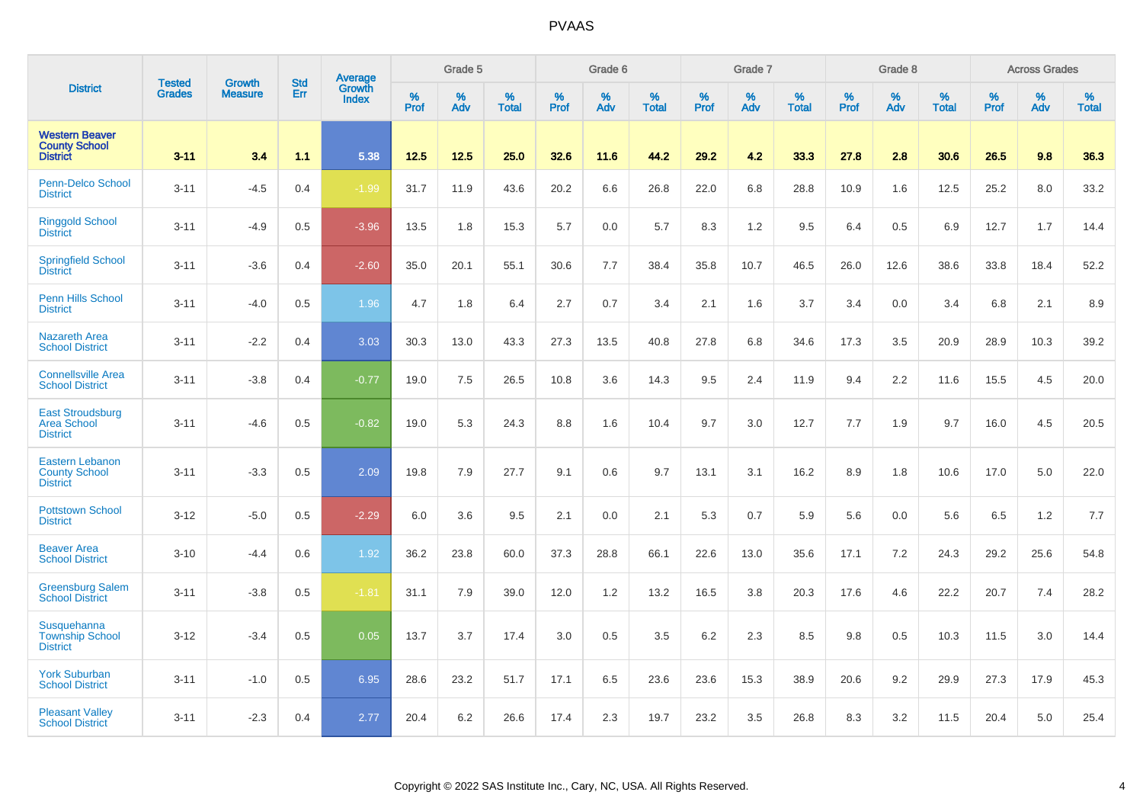|                                                                   |                                | <b>Growth</b>  | <b>Std</b> | Average                |              | Grade 5  |                   |           | Grade 6  |                   |           | Grade 7  |                   |           | Grade 8  |                   |           | <b>Across Grades</b> |                   |
|-------------------------------------------------------------------|--------------------------------|----------------|------------|------------------------|--------------|----------|-------------------|-----------|----------|-------------------|-----------|----------|-------------------|-----------|----------|-------------------|-----------|----------------------|-------------------|
| <b>District</b>                                                   | <b>Tested</b><br><b>Grades</b> | <b>Measure</b> | Err        | Growth<br><b>Index</b> | $\%$<br>Prof | %<br>Adv | %<br><b>Total</b> | %<br>Prof | %<br>Adv | %<br><b>Total</b> | %<br>Prof | %<br>Adv | %<br><b>Total</b> | %<br>Prof | %<br>Adv | %<br><b>Total</b> | %<br>Prof | %<br>Adv             | %<br><b>Total</b> |
| <b>Western Beaver</b><br><b>County School</b><br><b>District</b>  | $3 - 11$                       | 3.4            | 1.1        | 5.38                   | 12.5         | 12.5     | 25.0              | 32.6      | 11.6     | 44.2              | 29.2      | 4.2      | 33.3              | 27.8      | 2.8      | 30.6              | 26.5      | 9.8                  | 36.3              |
| Penn-Delco School<br><b>District</b>                              | $3 - 11$                       | $-4.5$         | 0.4        | $-1.99$                | 31.7         | 11.9     | 43.6              | 20.2      | 6.6      | 26.8              | 22.0      | 6.8      | 28.8              | 10.9      | 1.6      | 12.5              | 25.2      | 8.0                  | 33.2              |
| <b>Ringgold School</b><br><b>District</b>                         | $3 - 11$                       | $-4.9$         | 0.5        | $-3.96$                | 13.5         | 1.8      | 15.3              | 5.7       | 0.0      | 5.7               | 8.3       | 1.2      | 9.5               | 6.4       | 0.5      | 6.9               | 12.7      | 1.7                  | 14.4              |
| <b>Springfield School</b><br><b>District</b>                      | $3 - 11$                       | $-3.6$         | 0.4        | $-2.60$                | 35.0         | 20.1     | 55.1              | 30.6      | 7.7      | 38.4              | 35.8      | 10.7     | 46.5              | 26.0      | 12.6     | 38.6              | 33.8      | 18.4                 | 52.2              |
| <b>Penn Hills School</b><br><b>District</b>                       | $3 - 11$                       | $-4.0$         | 0.5        | 1.96                   | 4.7          | 1.8      | 6.4               | 2.7       | 0.7      | 3.4               | 2.1       | 1.6      | 3.7               | 3.4       | 0.0      | 3.4               | 6.8       | 2.1                  | 8.9               |
| <b>Nazareth Area</b><br><b>School District</b>                    | $3 - 11$                       | $-2.2$         | 0.4        | 3.03                   | 30.3         | 13.0     | 43.3              | 27.3      | 13.5     | 40.8              | 27.8      | 6.8      | 34.6              | 17.3      | 3.5      | 20.9              | 28.9      | 10.3                 | 39.2              |
| <b>Connellsville Area</b><br><b>School District</b>               | $3 - 11$                       | $-3.8$         | 0.4        | $-0.77$                | 19.0         | 7.5      | 26.5              | 10.8      | 3.6      | 14.3              | 9.5       | 2.4      | 11.9              | 9.4       | 2.2      | 11.6              | 15.5      | 4.5                  | 20.0              |
| <b>East Stroudsburg</b><br><b>Area School</b><br><b>District</b>  | $3 - 11$                       | $-4.6$         | 0.5        | $-0.82$                | 19.0         | 5.3      | 24.3              | 8.8       | 1.6      | 10.4              | 9.7       | 3.0      | 12.7              | 7.7       | 1.9      | 9.7               | 16.0      | 4.5                  | 20.5              |
| <b>Eastern Lebanon</b><br><b>County School</b><br><b>District</b> | $3 - 11$                       | $-3.3$         | 0.5        | 2.09                   | 19.8         | 7.9      | 27.7              | 9.1       | 0.6      | 9.7               | 13.1      | 3.1      | 16.2              | 8.9       | 1.8      | 10.6              | 17.0      | 5.0                  | 22.0              |
| <b>Pottstown School</b><br><b>District</b>                        | $3 - 12$                       | $-5.0$         | 0.5        | $-2.29$                | 6.0          | 3.6      | 9.5               | 2.1       | 0.0      | 2.1               | 5.3       | 0.7      | 5.9               | 5.6       | 0.0      | 5.6               | 6.5       | 1.2                  | 7.7               |
| <b>Beaver Area</b><br><b>School District</b>                      | $3 - 10$                       | $-4.4$         | 0.6        | 1.92                   | 36.2         | 23.8     | 60.0              | 37.3      | 28.8     | 66.1              | 22.6      | 13.0     | 35.6              | 17.1      | 7.2      | 24.3              | 29.2      | 25.6                 | 54.8              |
| <b>Greensburg Salem</b><br><b>School District</b>                 | $3 - 11$                       | $-3.8$         | 0.5        | $-1.81$                | 31.1         | 7.9      | 39.0              | 12.0      | $1.2$    | 13.2              | 16.5      | 3.8      | 20.3              | 17.6      | 4.6      | 22.2              | 20.7      | 7.4                  | 28.2              |
| Susquehanna<br><b>Township School</b><br><b>District</b>          | $3 - 12$                       | $-3.4$         | 0.5        | 0.05                   | 13.7         | 3.7      | 17.4              | 3.0       | 0.5      | 3.5               | 6.2       | 2.3      | 8.5               | 9.8       | 0.5      | 10.3              | 11.5      | 3.0                  | 14.4              |
| <b>York Suburban</b><br><b>School District</b>                    | $3 - 11$                       | $-1.0$         | 0.5        | 6.95                   | 28.6         | 23.2     | 51.7              | 17.1      | 6.5      | 23.6              | 23.6      | 15.3     | 38.9              | 20.6      | 9.2      | 29.9              | 27.3      | 17.9                 | 45.3              |
| <b>Pleasant Valley</b><br><b>School District</b>                  | $3 - 11$                       | $-2.3$         | 0.4        | 2.77                   | 20.4         | 6.2      | 26.6              | 17.4      | 2.3      | 19.7              | 23.2      | 3.5      | 26.8              | 8.3       | 3.2      | 11.5              | 20.4      | 5.0                  | 25.4              |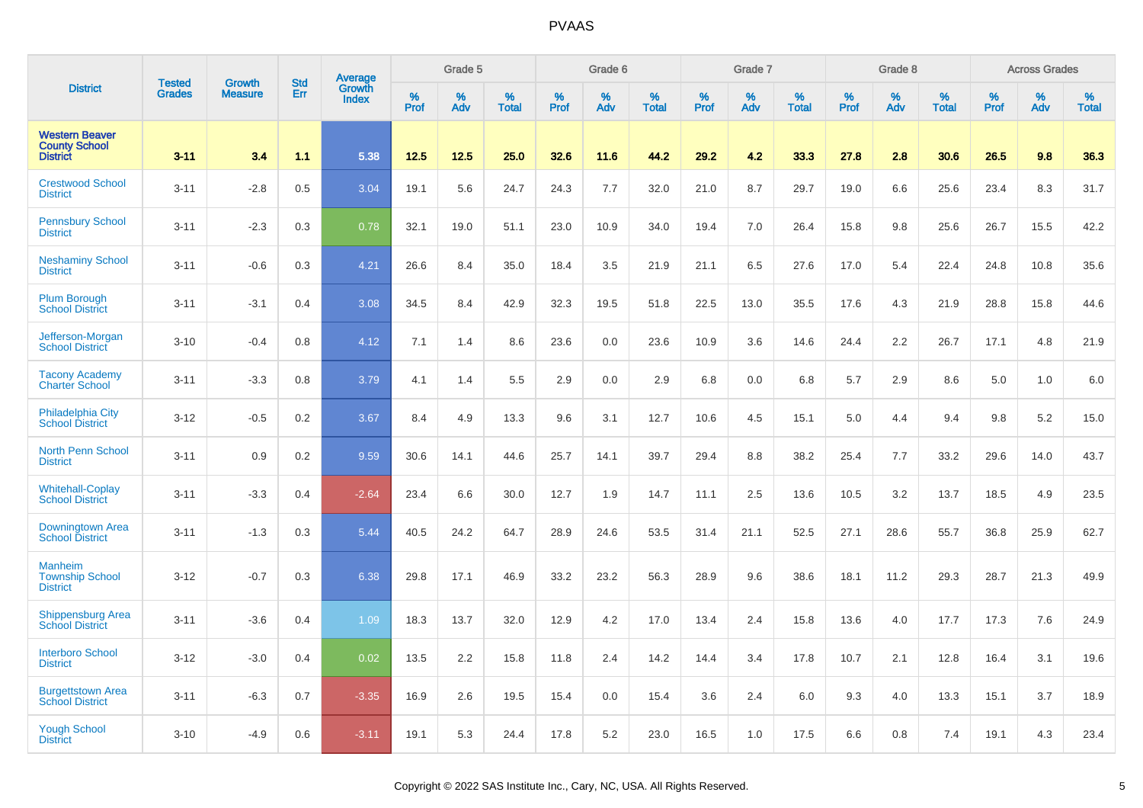|                                                                  | <b>Tested</b> | <b>Growth</b>  | <b>Std</b> | Average                |              | Grade 5  |                   |              | Grade 6  |                   |              | Grade 7  |                   |              | Grade 8  |                   |                     | <b>Across Grades</b> |                   |
|------------------------------------------------------------------|---------------|----------------|------------|------------------------|--------------|----------|-------------------|--------------|----------|-------------------|--------------|----------|-------------------|--------------|----------|-------------------|---------------------|----------------------|-------------------|
| <b>District</b>                                                  | <b>Grades</b> | <b>Measure</b> | Err        | Growth<br><b>Index</b> | $\%$<br>Prof | %<br>Adv | %<br><b>Total</b> | $\%$<br>Prof | %<br>Adv | %<br><b>Total</b> | $\%$<br>Prof | %<br>Adv | %<br><b>Total</b> | $\%$<br>Prof | %<br>Adv | %<br><b>Total</b> | $\%$<br><b>Prof</b> | %<br>Adv             | %<br><b>Total</b> |
| <b>Western Beaver</b><br><b>County School</b><br><b>District</b> | $3 - 11$      | 3.4            | 1.1        | 5.38                   | 12.5         | 12.5     | 25.0              | 32.6         | 11.6     | 44.2              | 29.2         | 4.2      | 33.3              | 27.8         | 2.8      | 30.6              | 26.5                | 9.8                  | 36.3              |
| <b>Crestwood School</b><br><b>District</b>                       | $3 - 11$      | $-2.8$         | 0.5        | 3.04                   | 19.1         | 5.6      | 24.7              | 24.3         | 7.7      | 32.0              | 21.0         | 8.7      | 29.7              | 19.0         | 6.6      | 25.6              | 23.4                | 8.3                  | 31.7              |
| <b>Pennsbury School</b><br><b>District</b>                       | $3 - 11$      | $-2.3$         | 0.3        | 0.78                   | 32.1         | 19.0     | 51.1              | 23.0         | 10.9     | 34.0              | 19.4         | 7.0      | 26.4              | 15.8         | 9.8      | 25.6              | 26.7                | 15.5                 | 42.2              |
| <b>Neshaminy School</b><br><b>District</b>                       | $3 - 11$      | $-0.6$         | 0.3        | 4.21                   | 26.6         | 8.4      | 35.0              | 18.4         | 3.5      | 21.9              | 21.1         | 6.5      | 27.6              | 17.0         | 5.4      | 22.4              | 24.8                | 10.8                 | 35.6              |
| <b>Plum Borough</b><br><b>School District</b>                    | $3 - 11$      | $-3.1$         | 0.4        | 3.08                   | 34.5         | 8.4      | 42.9              | 32.3         | 19.5     | 51.8              | 22.5         | 13.0     | 35.5              | 17.6         | 4.3      | 21.9              | 28.8                | 15.8                 | 44.6              |
| Jefferson-Morgan<br><b>School District</b>                       | $3 - 10$      | $-0.4$         | 0.8        | 4.12                   | 7.1          | 1.4      | 8.6               | 23.6         | 0.0      | 23.6              | 10.9         | 3.6      | 14.6              | 24.4         | 2.2      | 26.7              | 17.1                | 4.8                  | 21.9              |
| <b>Tacony Academy</b><br><b>Charter School</b>                   | $3 - 11$      | $-3.3$         | 0.8        | 3.79                   | 4.1          | 1.4      | 5.5               | 2.9          | 0.0      | 2.9               | 6.8          | 0.0      | 6.8               | 5.7          | 2.9      | 8.6               | 5.0                 | 1.0                  | 6.0               |
| <b>Philadelphia City</b><br><b>School District</b>               | $3 - 12$      | $-0.5$         | 0.2        | 3.67                   | 8.4          | 4.9      | 13.3              | 9.6          | 3.1      | 12.7              | 10.6         | 4.5      | 15.1              | 5.0          | 4.4      | 9.4               | 9.8                 | 5.2                  | 15.0              |
| <b>North Penn School</b><br><b>District</b>                      | $3 - 11$      | 0.9            | 0.2        | 9.59                   | 30.6         | 14.1     | 44.6              | 25.7         | 14.1     | 39.7              | 29.4         | 8.8      | 38.2              | 25.4         | 7.7      | 33.2              | 29.6                | 14.0                 | 43.7              |
| <b>Whitehall-Coplay</b><br><b>School District</b>                | $3 - 11$      | $-3.3$         | 0.4        | $-2.64$                | 23.4         | 6.6      | 30.0              | 12.7         | 1.9      | 14.7              | 11.1         | 2.5      | 13.6              | 10.5         | 3.2      | 13.7              | 18.5                | 4.9                  | 23.5              |
| Downingtown Area<br><b>School District</b>                       | $3 - 11$      | $-1.3$         | 0.3        | 5.44                   | 40.5         | 24.2     | 64.7              | 28.9         | 24.6     | 53.5              | 31.4         | 21.1     | 52.5              | 27.1         | 28.6     | 55.7              | 36.8                | 25.9                 | 62.7              |
| <b>Manheim</b><br><b>Township School</b><br><b>District</b>      | $3 - 12$      | $-0.7$         | 0.3        | 6.38                   | 29.8         | 17.1     | 46.9              | 33.2         | 23.2     | 56.3              | 28.9         | 9.6      | 38.6              | 18.1         | 11.2     | 29.3              | 28.7                | 21.3                 | 49.9              |
| <b>Shippensburg Area</b><br><b>School District</b>               | $3 - 11$      | $-3.6$         | 0.4        | 1.09                   | 18.3         | 13.7     | 32.0              | 12.9         | 4.2      | 17.0              | 13.4         | 2.4      | 15.8              | 13.6         | 4.0      | 17.7              | 17.3                | 7.6                  | 24.9              |
| <b>Interboro School</b><br><b>District</b>                       | $3 - 12$      | $-3.0$         | 0.4        | 0.02                   | 13.5         | 2.2      | 15.8              | 11.8         | 2.4      | 14.2              | 14.4         | 3.4      | 17.8              | 10.7         | 2.1      | 12.8              | 16.4                | 3.1                  | 19.6              |
| <b>Burgettstown Area</b><br><b>School District</b>               | $3 - 11$      | $-6.3$         | 0.7        | $-3.35$                | 16.9         | 2.6      | 19.5              | 15.4         | 0.0      | 15.4              | 3.6          | 2.4      | 6.0               | 9.3          | 4.0      | 13.3              | 15.1                | 3.7                  | 18.9              |
| <b>Yough School</b><br><b>District</b>                           | $3 - 10$      | $-4.9$         | 0.6        | $-3.11$                | 19.1         | 5.3      | 24.4              | 17.8         | 5.2      | 23.0              | 16.5         | 1.0      | 17.5              | 6.6          | 0.8      | 7.4               | 19.1                | 4.3                  | 23.4              |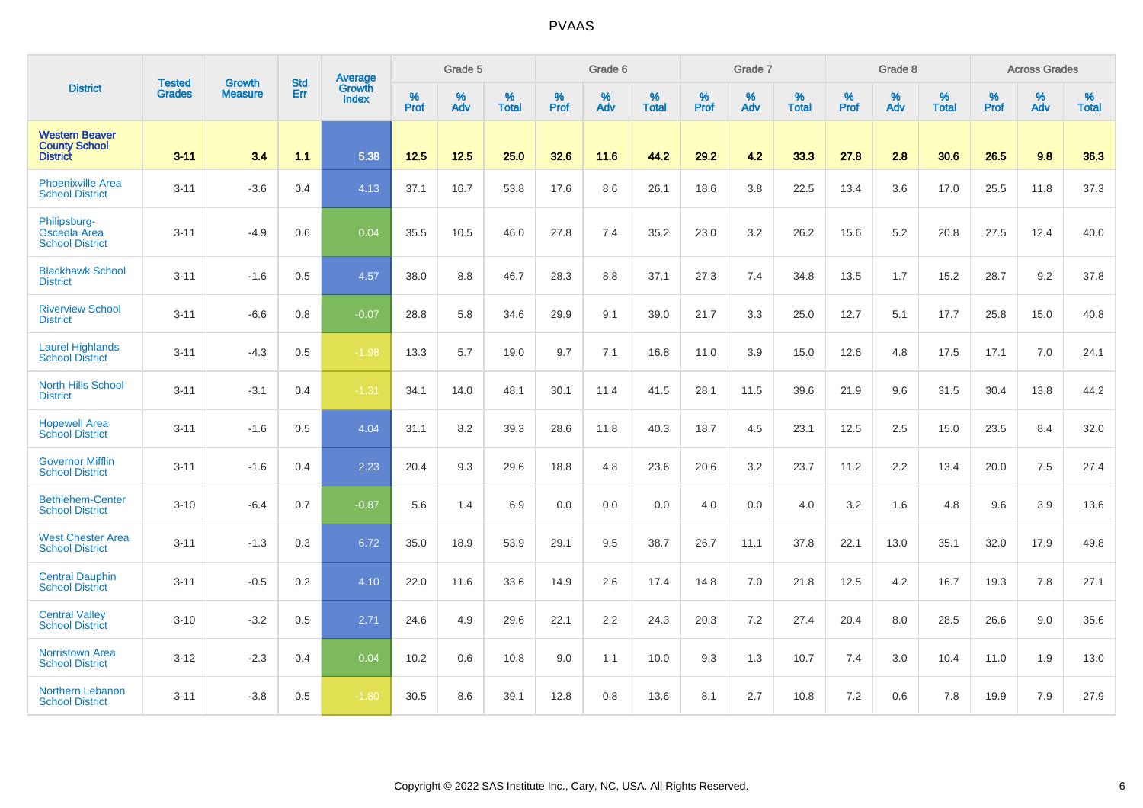|                                                                  |                                |                                 | <b>Std</b> | Average                |           | Grade 5  |                   |           | Grade 6  |                   |           | Grade 7  |                   |           | Grade 8  |                   |           | <b>Across Grades</b> |                   |
|------------------------------------------------------------------|--------------------------------|---------------------------------|------------|------------------------|-----------|----------|-------------------|-----------|----------|-------------------|-----------|----------|-------------------|-----------|----------|-------------------|-----------|----------------------|-------------------|
| <b>District</b>                                                  | <b>Tested</b><br><b>Grades</b> | <b>Growth</b><br><b>Measure</b> | Err        | Growth<br><b>Index</b> | %<br>Prof | %<br>Adv | %<br><b>Total</b> | %<br>Prof | %<br>Adv | %<br><b>Total</b> | %<br>Prof | %<br>Adv | %<br><b>Total</b> | %<br>Prof | %<br>Adv | %<br><b>Total</b> | %<br>Prof | %<br>Adv             | %<br><b>Total</b> |
| <b>Western Beaver</b><br><b>County School</b><br><b>District</b> | $3 - 11$                       | 3.4                             | 1.1        | 5.38                   | 12.5      | 12.5     | 25.0              | 32.6      | 11.6     | 44.2              | 29.2      | 4.2      | 33.3              | 27.8      | 2.8      | 30.6              | 26.5      | 9.8                  | 36.3              |
| <b>Phoenixville Area</b><br><b>School District</b>               | $3 - 11$                       | $-3.6$                          | 0.4        | 4.13                   | 37.1      | 16.7     | 53.8              | 17.6      | 8.6      | 26.1              | 18.6      | 3.8      | 22.5              | 13.4      | 3.6      | 17.0              | 25.5      | 11.8                 | 37.3              |
| Philipsburg-<br>Osceola Area<br><b>School District</b>           | $3 - 11$                       | $-4.9$                          | 0.6        | 0.04                   | 35.5      | 10.5     | 46.0              | 27.8      | 7.4      | 35.2              | 23.0      | 3.2      | 26.2              | 15.6      | 5.2      | 20.8              | 27.5      | 12.4                 | 40.0              |
| <b>Blackhawk School</b><br><b>District</b>                       | $3 - 11$                       | $-1.6$                          | 0.5        | 4.57                   | 38.0      | 8.8      | 46.7              | 28.3      | 8.8      | 37.1              | 27.3      | 7.4      | 34.8              | 13.5      | 1.7      | 15.2              | 28.7      | 9.2                  | 37.8              |
| <b>Riverview School</b><br><b>District</b>                       | $3 - 11$                       | $-6.6$                          | 0.8        | $-0.07$                | 28.8      | 5.8      | 34.6              | 29.9      | 9.1      | 39.0              | 21.7      | 3.3      | 25.0              | 12.7      | 5.1      | 17.7              | 25.8      | 15.0                 | 40.8              |
| <b>Laurel Highlands</b><br><b>School District</b>                | $3 - 11$                       | $-4.3$                          | 0.5        | $-1.98$                | 13.3      | 5.7      | 19.0              | 9.7       | 7.1      | 16.8              | 11.0      | 3.9      | 15.0              | 12.6      | 4.8      | 17.5              | 17.1      | 7.0                  | 24.1              |
| North Hills School<br><b>District</b>                            | $3 - 11$                       | $-3.1$                          | 0.4        | $-1.31$                | 34.1      | 14.0     | 48.1              | 30.1      | 11.4     | 41.5              | 28.1      | 11.5     | 39.6              | 21.9      | 9.6      | 31.5              | 30.4      | 13.8                 | 44.2              |
| <b>Hopewell Area</b><br><b>School District</b>                   | $3 - 11$                       | $-1.6$                          | 0.5        | 4.04                   | 31.1      | 8.2      | 39.3              | 28.6      | 11.8     | 40.3              | 18.7      | 4.5      | 23.1              | 12.5      | 2.5      | 15.0              | 23.5      | 8.4                  | 32.0              |
| <b>Governor Mifflin</b><br><b>School District</b>                | $3 - 11$                       | $-1.6$                          | 0.4        | 2.23                   | 20.4      | 9.3      | 29.6              | 18.8      | 4.8      | 23.6              | 20.6      | 3.2      | 23.7              | 11.2      | 2.2      | 13.4              | 20.0      | 7.5                  | 27.4              |
| <b>Bethlehem-Center</b><br><b>School District</b>                | $3 - 10$                       | $-6.4$                          | 0.7        | $-0.87$                | 5.6       | 1.4      | 6.9               | 0.0       | 0.0      | 0.0               | 4.0       | 0.0      | 4.0               | 3.2       | 1.6      | 4.8               | 9.6       | 3.9                  | 13.6              |
| <b>West Chester Area</b><br><b>School District</b>               | $3 - 11$                       | $-1.3$                          | 0.3        | 6.72                   | 35.0      | 18.9     | 53.9              | 29.1      | 9.5      | 38.7              | 26.7      | 11.1     | 37.8              | 22.1      | 13.0     | 35.1              | 32.0      | 17.9                 | 49.8              |
| <b>Central Dauphin</b><br><b>School District</b>                 | $3 - 11$                       | $-0.5$                          | 0.2        | 4.10                   | 22.0      | 11.6     | 33.6              | 14.9      | 2.6      | 17.4              | 14.8      | 7.0      | 21.8              | 12.5      | 4.2      | 16.7              | 19.3      | 7.8                  | 27.1              |
| <b>Central Valley</b><br><b>School District</b>                  | $3 - 10$                       | $-3.2$                          | 0.5        | 2.71                   | 24.6      | 4.9      | 29.6              | 22.1      | 2.2      | 24.3              | 20.3      | 7.2      | 27.4              | 20.4      | 8.0      | 28.5              | 26.6      | 9.0                  | 35.6              |
| <b>Norristown Area</b><br><b>School District</b>                 | $3 - 12$                       | $-2.3$                          | 0.4        | 0.04                   | 10.2      | 0.6      | 10.8              | 9.0       | 1.1      | 10.0              | 9.3       | 1.3      | 10.7              | 7.4       | 3.0      | 10.4              | 11.0      | 1.9                  | 13.0              |
| Northern Lebanon<br><b>School District</b>                       | $3 - 11$                       | $-3.8$                          | 0.5        | $-1.80$                | 30.5      | 8.6      | 39.1              | 12.8      | 0.8      | 13.6              | 8.1       | 2.7      | 10.8              | 7.2       | 0.6      | 7.8               | 19.9      | 7.9                  | 27.9              |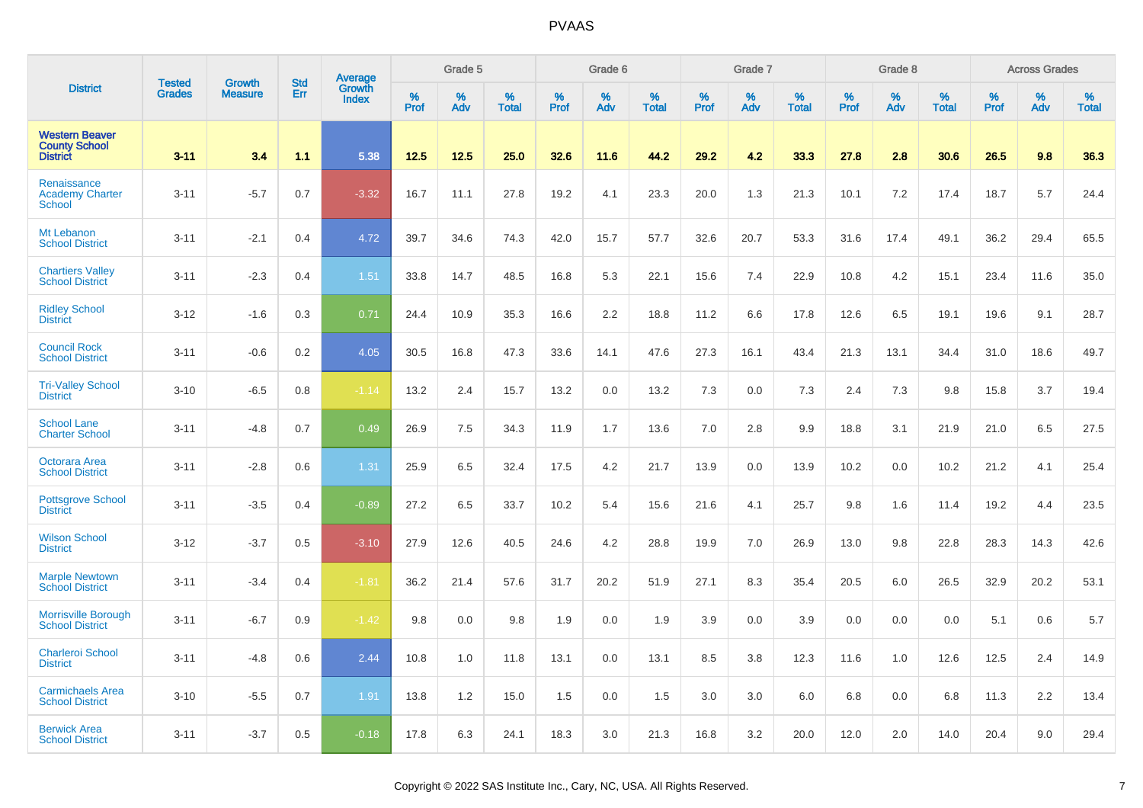| <b>District</b>                                                  | <b>Tested</b> | <b>Growth</b>  | <b>Std</b> |                                   |           | Grade 5  |                   |           | Grade 6  |                   |           | Grade 7  |                   |           | Grade 8  |                   |           | <b>Across Grades</b> |                   |
|------------------------------------------------------------------|---------------|----------------|------------|-----------------------------------|-----------|----------|-------------------|-----------|----------|-------------------|-----------|----------|-------------------|-----------|----------|-------------------|-----------|----------------------|-------------------|
|                                                                  | <b>Grades</b> | <b>Measure</b> | Err        | Average<br>Growth<br><b>Index</b> | %<br>Prof | %<br>Adv | %<br><b>Total</b> | %<br>Prof | %<br>Adv | %<br><b>Total</b> | %<br>Prof | %<br>Adv | %<br><b>Total</b> | %<br>Prof | %<br>Adv | %<br><b>Total</b> | %<br>Prof | %<br>Adv             | %<br><b>Total</b> |
| <b>Western Beaver</b><br><b>County School</b><br><b>District</b> | $3 - 11$      | 3.4            | 1.1        | 5.38                              | 12.5      | 12.5     | 25.0              | 32.6      | 11.6     | 44.2              | 29.2      | 4.2      | 33.3              | 27.8      | 2.8      | 30.6              | 26.5      | 9.8                  | 36.3              |
| Renaissance<br><b>Academy Charter</b><br><b>School</b>           | $3 - 11$      | $-5.7$         | 0.7        | $-3.32$                           | 16.7      | 11.1     | 27.8              | 19.2      | 4.1      | 23.3              | 20.0      | 1.3      | 21.3              | 10.1      | 7.2      | 17.4              | 18.7      | 5.7                  | 24.4              |
| Mt Lebanon<br><b>School District</b>                             | $3 - 11$      | $-2.1$         | 0.4        | 4.72                              | 39.7      | 34.6     | 74.3              | 42.0      | 15.7     | 57.7              | 32.6      | 20.7     | 53.3              | 31.6      | 17.4     | 49.1              | 36.2      | 29.4                 | 65.5              |
| <b>Chartiers Valley</b><br><b>School District</b>                | $3 - 11$      | $-2.3$         | 0.4        | 1.51                              | 33.8      | 14.7     | 48.5              | 16.8      | 5.3      | 22.1              | 15.6      | 7.4      | 22.9              | 10.8      | 4.2      | 15.1              | 23.4      | 11.6                 | 35.0              |
| <b>Ridley School</b><br><b>District</b>                          | $3 - 12$      | $-1.6$         | 0.3        | 0.71                              | 24.4      | 10.9     | 35.3              | 16.6      | 2.2      | 18.8              | 11.2      | 6.6      | 17.8              | 12.6      | 6.5      | 19.1              | 19.6      | 9.1                  | 28.7              |
| <b>Council Rock</b><br><b>School District</b>                    | $3 - 11$      | $-0.6$         | 0.2        | 4.05                              | 30.5      | 16.8     | 47.3              | 33.6      | 14.1     | 47.6              | 27.3      | 16.1     | 43.4              | 21.3      | 13.1     | 34.4              | 31.0      | 18.6                 | 49.7              |
| <b>Tri-Valley School</b><br><b>District</b>                      | $3 - 10$      | $-6.5$         | 0.8        | $-1.14$                           | 13.2      | 2.4      | 15.7              | 13.2      | 0.0      | 13.2              | 7.3       | 0.0      | 7.3               | 2.4       | 7.3      | 9.8               | 15.8      | 3.7                  | 19.4              |
| <b>School Lane</b><br><b>Charter School</b>                      | $3 - 11$      | $-4.8$         | 0.7        | 0.49                              | 26.9      | 7.5      | 34.3              | 11.9      | 1.7      | 13.6              | 7.0       | 2.8      | 9.9               | 18.8      | 3.1      | 21.9              | 21.0      | 6.5                  | 27.5              |
| <b>Octorara Area</b><br><b>School District</b>                   | $3 - 11$      | $-2.8$         | 0.6        | 1.31                              | 25.9      | 6.5      | 32.4              | 17.5      | 4.2      | 21.7              | 13.9      | 0.0      | 13.9              | 10.2      | 0.0      | 10.2              | 21.2      | 4.1                  | 25.4              |
| <b>Pottsgrove School</b><br><b>District</b>                      | $3 - 11$      | $-3.5$         | 0.4        | $-0.89$                           | 27.2      | 6.5      | 33.7              | 10.2      | 5.4      | 15.6              | 21.6      | 4.1      | 25.7              | 9.8       | 1.6      | 11.4              | 19.2      | 4.4                  | 23.5              |
| <b>Wilson School</b><br><b>District</b>                          | $3 - 12$      | $-3.7$         | 0.5        | $-3.10$                           | 27.9      | 12.6     | 40.5              | 24.6      | 4.2      | 28.8              | 19.9      | 7.0      | 26.9              | 13.0      | 9.8      | 22.8              | 28.3      | 14.3                 | 42.6              |
| <b>Marple Newtown</b><br><b>School District</b>                  | $3 - 11$      | $-3.4$         | 0.4        | $-1.81$                           | 36.2      | 21.4     | 57.6              | 31.7      | 20.2     | 51.9              | 27.1      | 8.3      | 35.4              | 20.5      | 6.0      | 26.5              | 32.9      | 20.2                 | 53.1              |
| <b>Morrisville Borough</b><br><b>School District</b>             | $3 - 11$      | $-6.7$         | 0.9        | $-1.42$                           | 9.8       | 0.0      | 9.8               | 1.9       | 0.0      | 1.9               | 3.9       | 0.0      | 3.9               | 0.0       | 0.0      | 0.0               | 5.1       | 0.6                  | 5.7               |
| <b>Charleroi School</b><br><b>District</b>                       | $3 - 11$      | $-4.8$         | 0.6        | 2.44                              | 10.8      | 1.0      | 11.8              | 13.1      | 0.0      | 13.1              | 8.5       | 3.8      | 12.3              | 11.6      | 1.0      | 12.6              | 12.5      | 2.4                  | 14.9              |
| <b>Carmichaels Area</b><br><b>School District</b>                | $3 - 10$      | $-5.5$         | 0.7        | 1.91                              | 13.8      | 1.2      | 15.0              | 1.5       | 0.0      | 1.5               | 3.0       | 3.0      | 6.0               | 6.8       | 0.0      | 6.8               | 11.3      | 2.2                  | 13.4              |
| <b>Berwick Area</b><br><b>School District</b>                    | $3 - 11$      | $-3.7$         | 0.5        | $-0.18$                           | 17.8      | 6.3      | 24.1              | 18.3      | 3.0      | 21.3              | 16.8      | 3.2      | 20.0              | 12.0      | 2.0      | 14.0              | 20.4      | 9.0                  | 29.4              |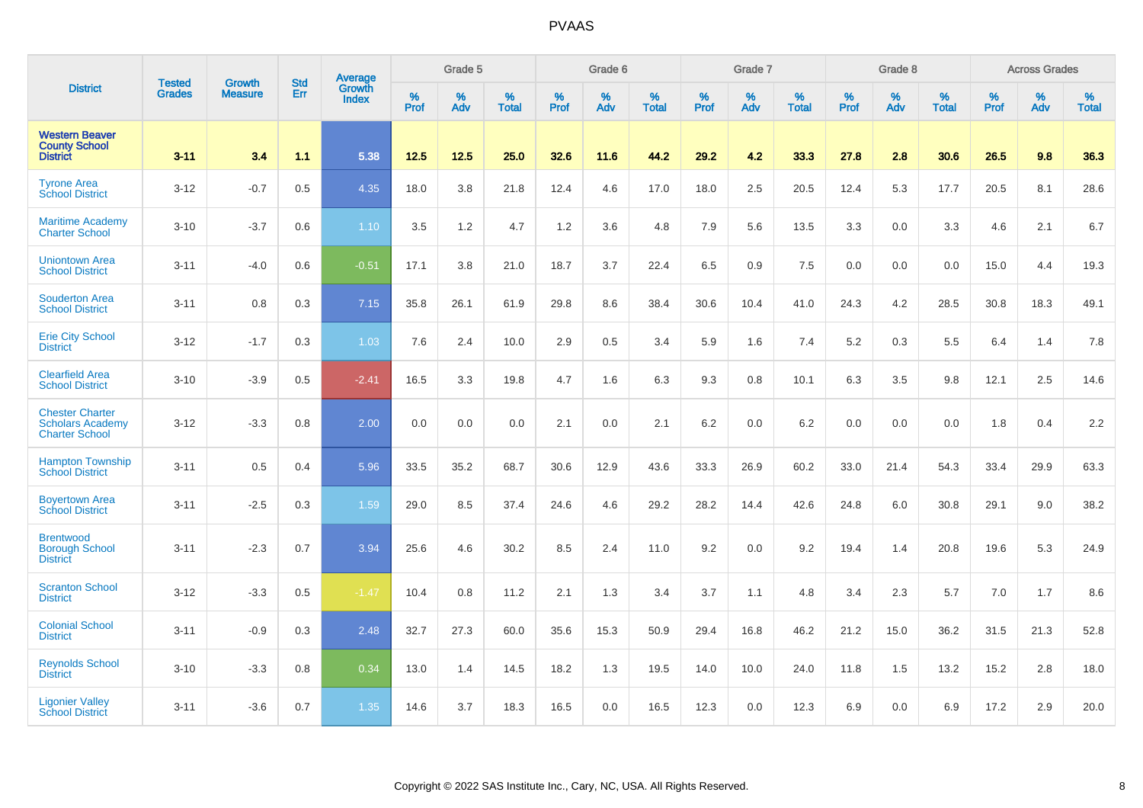|                                                                            | <b>Tested</b> | <b>Growth</b>  | <b>Std</b> | Average                |           | Grade 5  |                   |           | Grade 6  |                   |           | Grade 7  |                   |           | Grade 8  |                   |           | <b>Across Grades</b> |                   |
|----------------------------------------------------------------------------|---------------|----------------|------------|------------------------|-----------|----------|-------------------|-----------|----------|-------------------|-----------|----------|-------------------|-----------|----------|-------------------|-----------|----------------------|-------------------|
| <b>District</b>                                                            | <b>Grades</b> | <b>Measure</b> | Err        | <b>Growth</b><br>Index | %<br>Prof | %<br>Adv | %<br><b>Total</b> | %<br>Prof | %<br>Adv | %<br><b>Total</b> | %<br>Prof | %<br>Adv | %<br><b>Total</b> | %<br>Prof | %<br>Adv | %<br><b>Total</b> | %<br>Prof | %<br>Adv             | %<br><b>Total</b> |
| <b>Western Beaver</b><br><b>County School</b><br><b>District</b>           | $3 - 11$      | 3.4            | 1.1        | 5.38                   | 12.5      | 12.5     | 25.0              | 32.6      | 11.6     | 44.2              | 29.2      | 4.2      | 33.3              | 27.8      | 2.8      | 30.6              | 26.5      | 9.8                  | 36.3              |
| <b>Tyrone Area</b><br><b>School District</b>                               | $3 - 12$      | $-0.7$         | 0.5        | 4.35                   | 18.0      | 3.8      | 21.8              | 12.4      | 4.6      | 17.0              | 18.0      | 2.5      | 20.5              | 12.4      | 5.3      | 17.7              | 20.5      | 8.1                  | 28.6              |
| <b>Maritime Academy</b><br><b>Charter School</b>                           | $3 - 10$      | $-3.7$         | 0.6        | 1.10                   | 3.5       | 1.2      | 4.7               | 1.2       | 3.6      | 4.8               | 7.9       | 5.6      | 13.5              | 3.3       | 0.0      | 3.3               | 4.6       | 2.1                  | 6.7               |
| <b>Uniontown Area</b><br><b>School District</b>                            | $3 - 11$      | $-4.0$         | 0.6        | $-0.51$                | 17.1      | 3.8      | 21.0              | 18.7      | 3.7      | 22.4              | 6.5       | 0.9      | 7.5               | 0.0       | 0.0      | 0.0               | 15.0      | 4.4                  | 19.3              |
| <b>Souderton Area</b><br><b>School District</b>                            | $3 - 11$      | 0.8            | 0.3        | 7.15                   | 35.8      | 26.1     | 61.9              | 29.8      | 8.6      | 38.4              | 30.6      | 10.4     | 41.0              | 24.3      | 4.2      | 28.5              | 30.8      | 18.3                 | 49.1              |
| <b>Erie City School</b><br><b>District</b>                                 | $3 - 12$      | $-1.7$         | 0.3        | 1.03                   | 7.6       | 2.4      | 10.0              | 2.9       | 0.5      | 3.4               | 5.9       | 1.6      | 7.4               | 5.2       | 0.3      | 5.5               | 6.4       | 1.4                  | 7.8               |
| <b>Clearfield Area</b><br><b>School District</b>                           | $3 - 10$      | $-3.9$         | 0.5        | $-2.41$                | 16.5      | 3.3      | 19.8              | 4.7       | 1.6      | 6.3               | 9.3       | 0.8      | 10.1              | 6.3       | 3.5      | 9.8               | 12.1      | 2.5                  | 14.6              |
| <b>Chester Charter</b><br><b>Scholars Academy</b><br><b>Charter School</b> | $3 - 12$      | $-3.3$         | 0.8        | 2.00                   | 0.0       | 0.0      | 0.0               | 2.1       | 0.0      | 2.1               | 6.2       | 0.0      | 6.2               | 0.0       | 0.0      | 0.0               | 1.8       | 0.4                  | 2.2               |
| <b>Hampton Township</b><br><b>School District</b>                          | $3 - 11$      | 0.5            | 0.4        | 5.96                   | 33.5      | 35.2     | 68.7              | 30.6      | 12.9     | 43.6              | 33.3      | 26.9     | 60.2              | 33.0      | 21.4     | 54.3              | 33.4      | 29.9                 | 63.3              |
| <b>Boyertown Area</b><br><b>School District</b>                            | $3 - 11$      | $-2.5$         | 0.3        | 1.59                   | 29.0      | 8.5      | 37.4              | 24.6      | 4.6      | 29.2              | 28.2      | 14.4     | 42.6              | 24.8      | 6.0      | 30.8              | 29.1      | 9.0                  | 38.2              |
| <b>Brentwood</b><br><b>Borough School</b><br><b>District</b>               | $3 - 11$      | $-2.3$         | 0.7        | 3.94                   | 25.6      | 4.6      | 30.2              | 8.5       | 2.4      | 11.0              | 9.2       | 0.0      | 9.2               | 19.4      | 1.4      | 20.8              | 19.6      | 5.3                  | 24.9              |
| <b>Scranton School</b><br><b>District</b>                                  | $3 - 12$      | $-3.3$         | 0.5        | $-1.47$                | 10.4      | 0.8      | 11.2              | 2.1       | 1.3      | 3.4               | 3.7       | 1.1      | 4.8               | 3.4       | 2.3      | 5.7               | 7.0       | 1.7                  | 8.6               |
| <b>Colonial School</b><br><b>District</b>                                  | $3 - 11$      | $-0.9$         | 0.3        | 2.48                   | 32.7      | 27.3     | 60.0              | 35.6      | 15.3     | 50.9              | 29.4      | 16.8     | 46.2              | 21.2      | 15.0     | 36.2              | 31.5      | 21.3                 | 52.8              |
| <b>Reynolds School</b><br><b>District</b>                                  | $3 - 10$      | $-3.3$         | 0.8        | 0.34                   | 13.0      | 1.4      | 14.5              | 18.2      | 1.3      | 19.5              | 14.0      | 10.0     | 24.0              | 11.8      | 1.5      | 13.2              | 15.2      | 2.8                  | 18.0              |
| <b>Ligonier Valley</b><br><b>School District</b>                           | $3 - 11$      | $-3.6$         | 0.7        | 1.35                   | 14.6      | 3.7      | 18.3              | 16.5      | 0.0      | 16.5              | 12.3      | 0.0      | 12.3              | 6.9       | 0.0      | 6.9               | 17.2      | 2.9                  | 20.0              |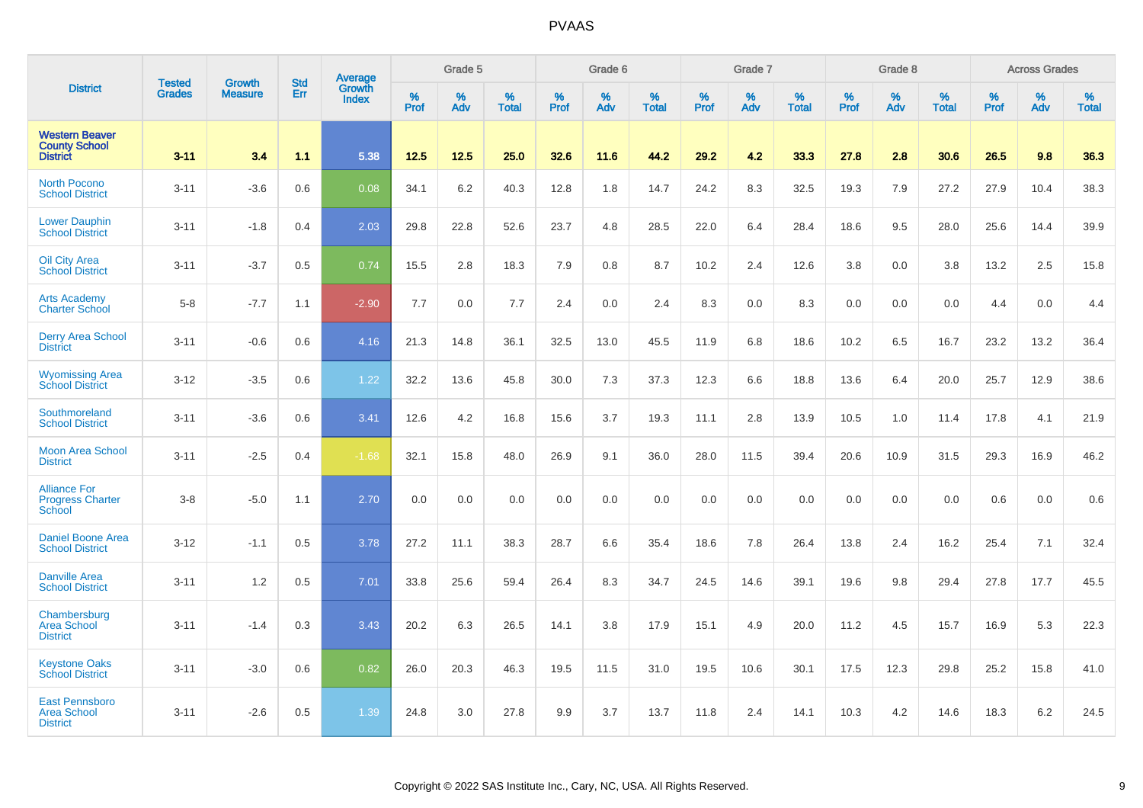| <b>District</b>                                                  |                                |                                 |                   | Average                |           | Grade 5  |                   |           | Grade 6  |                   |           | Grade 7  |                   |                  | Grade 8  |                   |           | <b>Across Grades</b> |                   |
|------------------------------------------------------------------|--------------------------------|---------------------------------|-------------------|------------------------|-----------|----------|-------------------|-----------|----------|-------------------|-----------|----------|-------------------|------------------|----------|-------------------|-----------|----------------------|-------------------|
|                                                                  | <b>Tested</b><br><b>Grades</b> | <b>Growth</b><br><b>Measure</b> | <b>Std</b><br>Err | Growth<br><b>Index</b> | %<br>Prof | %<br>Adv | %<br><b>Total</b> | %<br>Prof | %<br>Adv | %<br><b>Total</b> | %<br>Prof | %<br>Adv | %<br><b>Total</b> | %<br><b>Prof</b> | %<br>Adv | %<br><b>Total</b> | %<br>Prof | %<br>Adv             | %<br><b>Total</b> |
| <b>Western Beaver</b><br><b>County School</b><br><b>District</b> | $3 - 11$                       | 3.4                             | 1.1               | 5.38                   | 12.5      | 12.5     | 25.0              | 32.6      | 11.6     | 44.2              | 29.2      | 4.2      | 33.3              | 27.8             | 2.8      | 30.6              | 26.5      | 9.8                  | 36.3              |
| <b>North Pocono</b><br><b>School District</b>                    | $3 - 11$                       | $-3.6$                          | 0.6               | 0.08                   | 34.1      | 6.2      | 40.3              | 12.8      | 1.8      | 14.7              | 24.2      | 8.3      | 32.5              | 19.3             | 7.9      | 27.2              | 27.9      | 10.4                 | 38.3              |
| <b>Lower Dauphin</b><br><b>School District</b>                   | $3 - 11$                       | $-1.8$                          | 0.4               | 2.03                   | 29.8      | 22.8     | 52.6              | 23.7      | 4.8      | 28.5              | 22.0      | 6.4      | 28.4              | 18.6             | 9.5      | 28.0              | 25.6      | 14.4                 | 39.9              |
| Oil City Area<br><b>School District</b>                          | $3 - 11$                       | $-3.7$                          | 0.5               | 0.74                   | 15.5      | 2.8      | 18.3              | 7.9       | 0.8      | 8.7               | 10.2      | 2.4      | 12.6              | 3.8              | 0.0      | 3.8               | 13.2      | 2.5                  | 15.8              |
| <b>Arts Academy</b><br><b>Charter School</b>                     | $5-8$                          | $-7.7$                          | 1.1               | $-2.90$                | 7.7       | 0.0      | 7.7               | 2.4       | 0.0      | 2.4               | 8.3       | 0.0      | 8.3               | 0.0              | 0.0      | 0.0               | 4.4       | 0.0                  | 4.4               |
| <b>Derry Area School</b><br><b>District</b>                      | $3 - 11$                       | $-0.6$                          | 0.6               | 4.16                   | 21.3      | 14.8     | 36.1              | 32.5      | 13.0     | 45.5              | 11.9      | 6.8      | 18.6              | 10.2             | 6.5      | 16.7              | 23.2      | 13.2                 | 36.4              |
| <b>Wyomissing Area</b><br><b>School District</b>                 | $3 - 12$                       | $-3.5$                          | 0.6               | 1.22                   | 32.2      | 13.6     | 45.8              | 30.0      | 7.3      | 37.3              | 12.3      | 6.6      | 18.8              | 13.6             | 6.4      | 20.0              | 25.7      | 12.9                 | 38.6              |
| Southmoreland<br><b>School District</b>                          | $3 - 11$                       | $-3.6$                          | 0.6               | 3.41                   | 12.6      | 4.2      | 16.8              | 15.6      | 3.7      | 19.3              | 11.1      | 2.8      | 13.9              | 10.5             | 1.0      | 11.4              | 17.8      | 4.1                  | 21.9              |
| <b>Moon Area School</b><br><b>District</b>                       | $3 - 11$                       | $-2.5$                          | 0.4               | $-1.68$                | 32.1      | 15.8     | 48.0              | 26.9      | 9.1      | 36.0              | 28.0      | 11.5     | 39.4              | 20.6             | 10.9     | 31.5              | 29.3      | 16.9                 | 46.2              |
| <b>Alliance For</b><br><b>Progress Charter</b><br>School         | $3 - 8$                        | $-5.0$                          | 1.1               | 2.70                   | 0.0       | 0.0      | 0.0               | 0.0       | 0.0      | 0.0               | 0.0       | 0.0      | 0.0               | 0.0              | 0.0      | 0.0               | 0.6       | 0.0                  | 0.6               |
| <b>Daniel Boone Area</b><br><b>School District</b>               | $3 - 12$                       | $-1.1$                          | 0.5               | 3.78                   | 27.2      | 11.1     | 38.3              | 28.7      | 6.6      | 35.4              | 18.6      | 7.8      | 26.4              | 13.8             | 2.4      | 16.2              | 25.4      | 7.1                  | 32.4              |
| <b>Danville Area</b><br><b>School District</b>                   | $3 - 11$                       | 1.2                             | 0.5               | 7.01                   | 33.8      | 25.6     | 59.4              | 26.4      | 8.3      | 34.7              | 24.5      | 14.6     | 39.1              | 19.6             | 9.8      | 29.4              | 27.8      | 17.7                 | 45.5              |
| Chambersburg<br><b>Area School</b><br><b>District</b>            | $3 - 11$                       | $-1.4$                          | 0.3               | 3.43                   | 20.2      | 6.3      | 26.5              | 14.1      | 3.8      | 17.9              | 15.1      | 4.9      | 20.0              | 11.2             | 4.5      | 15.7              | 16.9      | 5.3                  | 22.3              |
| <b>Keystone Oaks</b><br><b>School District</b>                   | $3 - 11$                       | $-3.0$                          | 0.6               | 0.82                   | 26.0      | 20.3     | 46.3              | 19.5      | 11.5     | 31.0              | 19.5      | 10.6     | 30.1              | 17.5             | 12.3     | 29.8              | 25.2      | 15.8                 | 41.0              |
| <b>East Pennsboro</b><br><b>Area School</b><br><b>District</b>   | $3 - 11$                       | $-2.6$                          | 0.5               | 1.39                   | 24.8      | 3.0      | 27.8              | 9.9       | 3.7      | 13.7              | 11.8      | 2.4      | 14.1              | 10.3             | 4.2      | 14.6              | 18.3      | 6.2                  | 24.5              |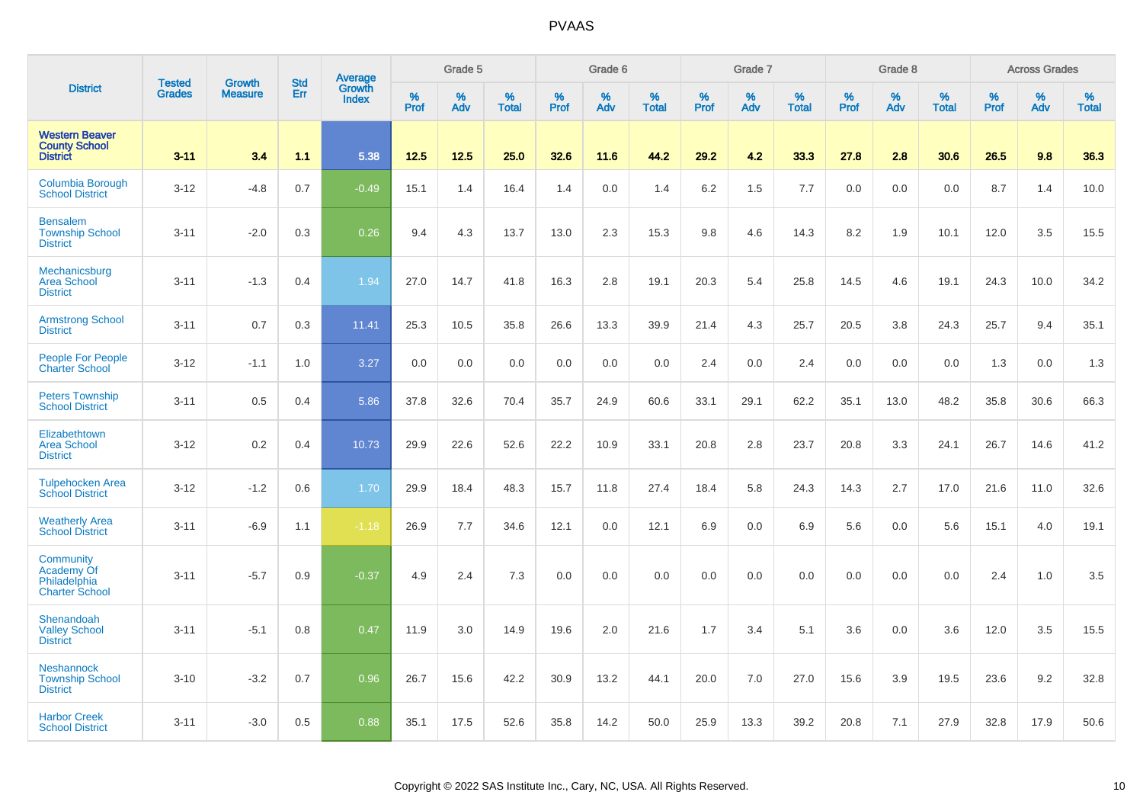| <b>District</b>                                                  |                         | <b>Growth</b>  | <b>Std</b> | Average                |                     | Grade 5  |                      |              | Grade 6  |                      |                     | Grade 7     |                      |                     | Grade 8     |                      |              | <b>Across Grades</b> |                   |
|------------------------------------------------------------------|-------------------------|----------------|------------|------------------------|---------------------|----------|----------------------|--------------|----------|----------------------|---------------------|-------------|----------------------|---------------------|-------------|----------------------|--------------|----------------------|-------------------|
|                                                                  | <b>Tested</b><br>Grades | <b>Measure</b> | Err        | Growth<br><b>Index</b> | $\%$<br><b>Prof</b> | %<br>Adv | $\%$<br><b>Total</b> | $\%$<br>Prof | %<br>Adv | $\%$<br><b>Total</b> | $\%$<br><b>Prof</b> | $\%$<br>Adv | $\%$<br><b>Total</b> | $\%$<br><b>Prof</b> | $\%$<br>Adv | $\%$<br><b>Total</b> | $\%$<br>Prof | %<br>Adv             | %<br><b>Total</b> |
| <b>Western Beaver</b><br><b>County School</b><br><b>District</b> | $3 - 11$                | 3.4            | 1.1        | 5.38                   | 12.5                | 12.5     | 25.0                 | 32.6         | 11.6     | 44.2                 | 29.2                | 4.2         | 33.3                 | 27.8                | 2.8         | 30.6                 | 26.5         | 9.8                  | 36.3              |
| <b>Columbia Borough</b><br><b>School District</b>                | $3-12$                  | $-4.8$         | 0.7        | $-0.49$                | 15.1                | 1.4      | 16.4                 | 1.4          | 0.0      | 1.4                  | 6.2                 | 1.5         | 7.7                  | 0.0                 | 0.0         | 0.0                  | 8.7          | 1.4                  | 10.0              |
| <b>Bensalem</b><br><b>Township School</b><br><b>District</b>     | $3 - 11$                | $-2.0$         | 0.3        | 0.26                   | 9.4                 | 4.3      | 13.7                 | 13.0         | 2.3      | 15.3                 | 9.8                 | 4.6         | 14.3                 | 8.2                 | 1.9         | 10.1                 | 12.0         | 3.5                  | 15.5              |
| Mechanicsburg<br><b>Area School</b><br><b>District</b>           | $3 - 11$                | $-1.3$         | 0.4        | 1.94                   | 27.0                | 14.7     | 41.8                 | 16.3         | 2.8      | 19.1                 | 20.3                | 5.4         | 25.8                 | 14.5                | 4.6         | 19.1                 | 24.3         | 10.0                 | 34.2              |
| <b>Armstrong School</b><br><b>District</b>                       | $3 - 11$                | 0.7            | 0.3        | 11.41                  | 25.3                | 10.5     | 35.8                 | 26.6         | 13.3     | 39.9                 | 21.4                | 4.3         | 25.7                 | 20.5                | 3.8         | 24.3                 | 25.7         | 9.4                  | 35.1              |
| People For People<br><b>Charter School</b>                       | $3 - 12$                | $-1.1$         | 1.0        | 3.27                   | 0.0                 | 0.0      | 0.0                  | 0.0          | 0.0      | 0.0                  | 2.4                 | 0.0         | 2.4                  | 0.0                 | 0.0         | 0.0                  | 1.3          | 0.0                  | 1.3               |
| <b>Peters Township</b><br><b>School District</b>                 | $3 - 11$                | 0.5            | 0.4        | 5.86                   | 37.8                | 32.6     | 70.4                 | 35.7         | 24.9     | 60.6                 | 33.1                | 29.1        | 62.2                 | 35.1                | 13.0        | 48.2                 | 35.8         | 30.6                 | 66.3              |
| Elizabethtown<br><b>Area School</b><br><b>District</b>           | $3 - 12$                | 0.2            | 0.4        | 10.73                  | 29.9                | 22.6     | 52.6                 | 22.2         | 10.9     | 33.1                 | 20.8                | 2.8         | 23.7                 | 20.8                | 3.3         | 24.1                 | 26.7         | 14.6                 | 41.2              |
| <b>Tulpehocken Area</b><br><b>School District</b>                | $3 - 12$                | $-1.2$         | 0.6        | 1.70                   | 29.9                | 18.4     | 48.3                 | 15.7         | 11.8     | 27.4                 | 18.4                | 5.8         | 24.3                 | 14.3                | 2.7         | 17.0                 | 21.6         | 11.0                 | 32.6              |
| <b>Weatherly Area</b><br><b>School District</b>                  | $3 - 11$                | $-6.9$         | 1.1        | $-1.18$                | 26.9                | 7.7      | 34.6                 | 12.1         | 0.0      | 12.1                 | 6.9                 | 0.0         | 6.9                  | 5.6                 | 0.0         | 5.6                  | 15.1         | 4.0                  | 19.1              |
| Community<br>Academy Of<br>Philadelphia<br><b>Charter School</b> | $3 - 11$                | $-5.7$         | 0.9        | $-0.37$                | 4.9                 | 2.4      | 7.3                  | 0.0          | 0.0      | 0.0                  | 0.0                 | 0.0         | 0.0                  | 0.0                 | 0.0         | 0.0                  | 2.4          | 1.0                  | 3.5               |
| Shenandoah<br><b>Valley School</b><br><b>District</b>            | $3 - 11$                | $-5.1$         | 0.8        | 0.47                   | 11.9                | 3.0      | 14.9                 | 19.6         | 2.0      | 21.6                 | 1.7                 | 3.4         | 5.1                  | 3.6                 | 0.0         | 3.6                  | 12.0         | 3.5                  | 15.5              |
| <b>Neshannock</b><br><b>Township School</b><br><b>District</b>   | $3 - 10$                | $-3.2$         | 0.7        | 0.96                   | 26.7                | 15.6     | 42.2                 | 30.9         | 13.2     | 44.1                 | 20.0                | 7.0         | 27.0                 | 15.6                | 3.9         | 19.5                 | 23.6         | 9.2                  | 32.8              |
| <b>Harbor Creek</b><br><b>School District</b>                    | $3 - 11$                | $-3.0$         | 0.5        | 0.88                   | 35.1                | 17.5     | 52.6                 | 35.8         | 14.2     | 50.0                 | 25.9                | 13.3        | 39.2                 | 20.8                | 7.1         | 27.9                 | 32.8         | 17.9                 | 50.6              |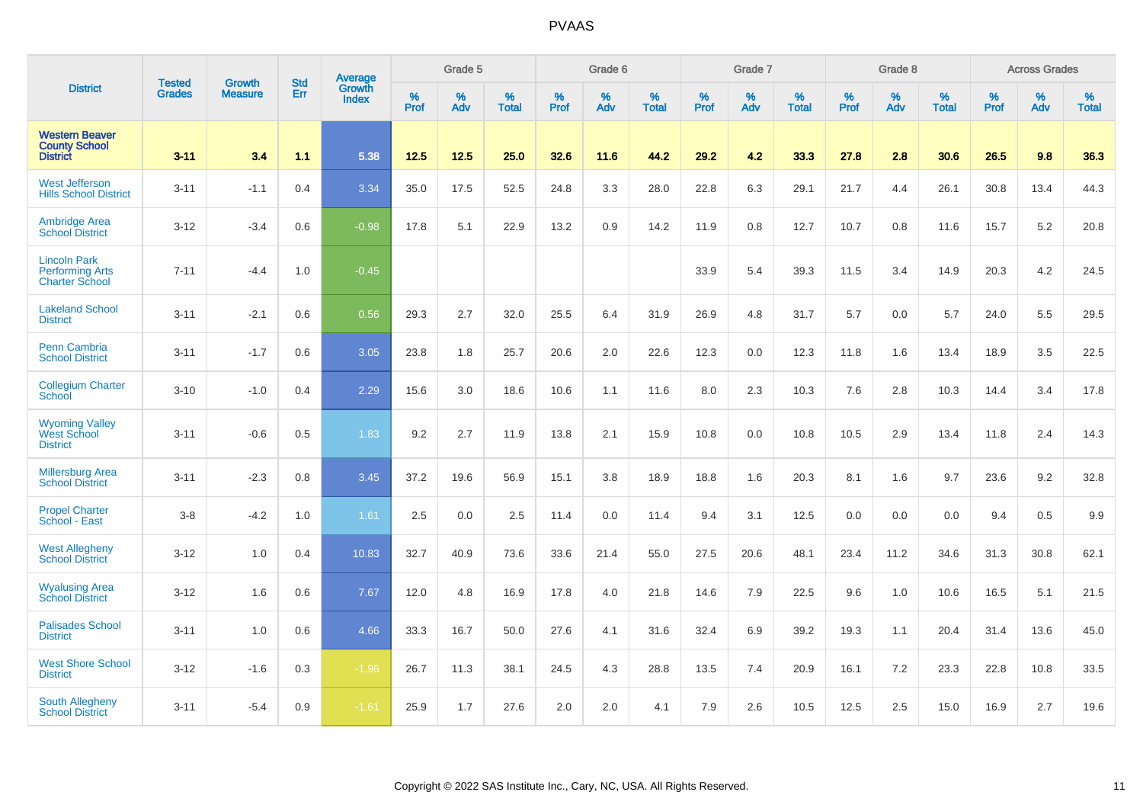| <b>District</b>                                                        |                                |                                 | <b>Std</b> | Average                |           | Grade 5  |                   |           | Grade 6  |                   |           | Grade 7  |                   |           | Grade 8  |                   |           | <b>Across Grades</b> |                   |
|------------------------------------------------------------------------|--------------------------------|---------------------------------|------------|------------------------|-----------|----------|-------------------|-----------|----------|-------------------|-----------|----------|-------------------|-----------|----------|-------------------|-----------|----------------------|-------------------|
|                                                                        | <b>Tested</b><br><b>Grades</b> | <b>Growth</b><br><b>Measure</b> | Err        | <b>Growth</b><br>Index | %<br>Prof | %<br>Adv | %<br><b>Total</b> | %<br>Prof | %<br>Adv | %<br><b>Total</b> | %<br>Prof | %<br>Adv | %<br><b>Total</b> | %<br>Prof | %<br>Adv | %<br><b>Total</b> | %<br>Prof | %<br>Adv             | %<br><b>Total</b> |
| <b>Western Beaver</b><br><b>County School</b><br><b>District</b>       | $3 - 11$                       | 3.4                             | 1.1        | 5.38                   | 12.5      | 12.5     | 25.0              | 32.6      | 11.6     | 44.2              | 29.2      | 4.2      | 33.3              | 27.8      | 2.8      | 30.6              | 26.5      | 9.8                  | 36.3              |
| <b>West Jefferson</b><br><b>Hills School District</b>                  | $3 - 11$                       | $-1.1$                          | 0.4        | 3.34                   | 35.0      | 17.5     | 52.5              | 24.8      | 3.3      | 28.0              | 22.8      | 6.3      | 29.1              | 21.7      | 4.4      | 26.1              | 30.8      | 13.4                 | 44.3              |
| <b>Ambridge Area</b><br><b>School District</b>                         | $3 - 12$                       | $-3.4$                          | 0.6        | $-0.98$                | 17.8      | 5.1      | 22.9              | 13.2      | 0.9      | 14.2              | 11.9      | 0.8      | 12.7              | 10.7      | 0.8      | 11.6              | 15.7      | 5.2                  | 20.8              |
| <b>Lincoln Park</b><br><b>Performing Arts</b><br><b>Charter School</b> | $7 - 11$                       | $-4.4$                          | 1.0        | $-0.45$                |           |          |                   |           |          |                   | 33.9      | 5.4      | 39.3              | 11.5      | 3.4      | 14.9              | 20.3      | 4.2                  | 24.5              |
| <b>Lakeland School</b><br><b>District</b>                              | $3 - 11$                       | $-2.1$                          | 0.6        | 0.56                   | 29.3      | 2.7      | 32.0              | 25.5      | 6.4      | 31.9              | 26.9      | 4.8      | 31.7              | 5.7       | 0.0      | 5.7               | 24.0      | 5.5                  | 29.5              |
| Penn Cambria<br><b>School District</b>                                 | $3 - 11$                       | $-1.7$                          | 0.6        | 3.05                   | 23.8      | 1.8      | 25.7              | 20.6      | 2.0      | 22.6              | 12.3      | 0.0      | 12.3              | 11.8      | 1.6      | 13.4              | 18.9      | 3.5                  | 22.5              |
| <b>Collegium Charter</b><br>School                                     | $3 - 10$                       | $-1.0$                          | 0.4        | 2.29                   | 15.6      | 3.0      | 18.6              | 10.6      | 1.1      | 11.6              | 8.0       | 2.3      | 10.3              | 7.6       | 2.8      | 10.3              | 14.4      | 3.4                  | 17.8              |
| <b>Wyoming Valley</b><br>West School<br><b>District</b>                | $3 - 11$                       | $-0.6$                          | 0.5        | 1.83                   | 9.2       | 2.7      | 11.9              | 13.8      | 2.1      | 15.9              | 10.8      | 0.0      | 10.8              | 10.5      | 2.9      | 13.4              | 11.8      | 2.4                  | 14.3              |
| <b>Millersburg Area</b><br><b>School District</b>                      | $3 - 11$                       | $-2.3$                          | 0.8        | 3.45                   | 37.2      | 19.6     | 56.9              | 15.1      | 3.8      | 18.9              | 18.8      | 1.6      | 20.3              | 8.1       | 1.6      | 9.7               | 23.6      | 9.2                  | 32.8              |
| <b>Propel Charter</b><br>School - East                                 | $3 - 8$                        | $-4.2$                          | 1.0        | 1.61                   | 2.5       | 0.0      | 2.5               | 11.4      | 0.0      | 11.4              | 9.4       | 3.1      | 12.5              | 0.0       | 0.0      | 0.0               | 9.4       | 0.5                  | 9.9               |
| <b>West Allegheny</b><br><b>School District</b>                        | $3 - 12$                       | 1.0                             | 0.4        | 10.83                  | 32.7      | 40.9     | 73.6              | 33.6      | 21.4     | 55.0              | 27.5      | 20.6     | 48.1              | 23.4      | 11.2     | 34.6              | 31.3      | 30.8                 | 62.1              |
| <b>Wyalusing Area</b><br><b>School District</b>                        | $3 - 12$                       | 1.6                             | 0.6        | 7.67                   | 12.0      | 4.8      | 16.9              | 17.8      | 4.0      | 21.8              | 14.6      | 7.9      | 22.5              | 9.6       | 1.0      | 10.6              | 16.5      | 5.1                  | 21.5              |
| <b>Palisades School</b><br><b>District</b>                             | $3 - 11$                       | 1.0                             | 0.6        | 4.66                   | 33.3      | 16.7     | 50.0              | 27.6      | 4.1      | 31.6              | 32.4      | 6.9      | 39.2              | 19.3      | 1.1      | 20.4              | 31.4      | 13.6                 | 45.0              |
| <b>West Shore School</b><br><b>District</b>                            | $3 - 12$                       | $-1.6$                          | 0.3        | $-1.96$                | 26.7      | 11.3     | 38.1              | 24.5      | 4.3      | 28.8              | 13.5      | 7.4      | 20.9              | 16.1      | 7.2      | 23.3              | 22.8      | 10.8                 | 33.5              |
| South Allegheny<br><b>School District</b>                              | $3 - 11$                       | $-5.4$                          | 0.9        | $-1.61$                | 25.9      | 1.7      | 27.6              | 2.0       | 2.0      | 4.1               | 7.9       | 2.6      | 10.5              | 12.5      | 2.5      | 15.0              | 16.9      | 2.7                  | 19.6              |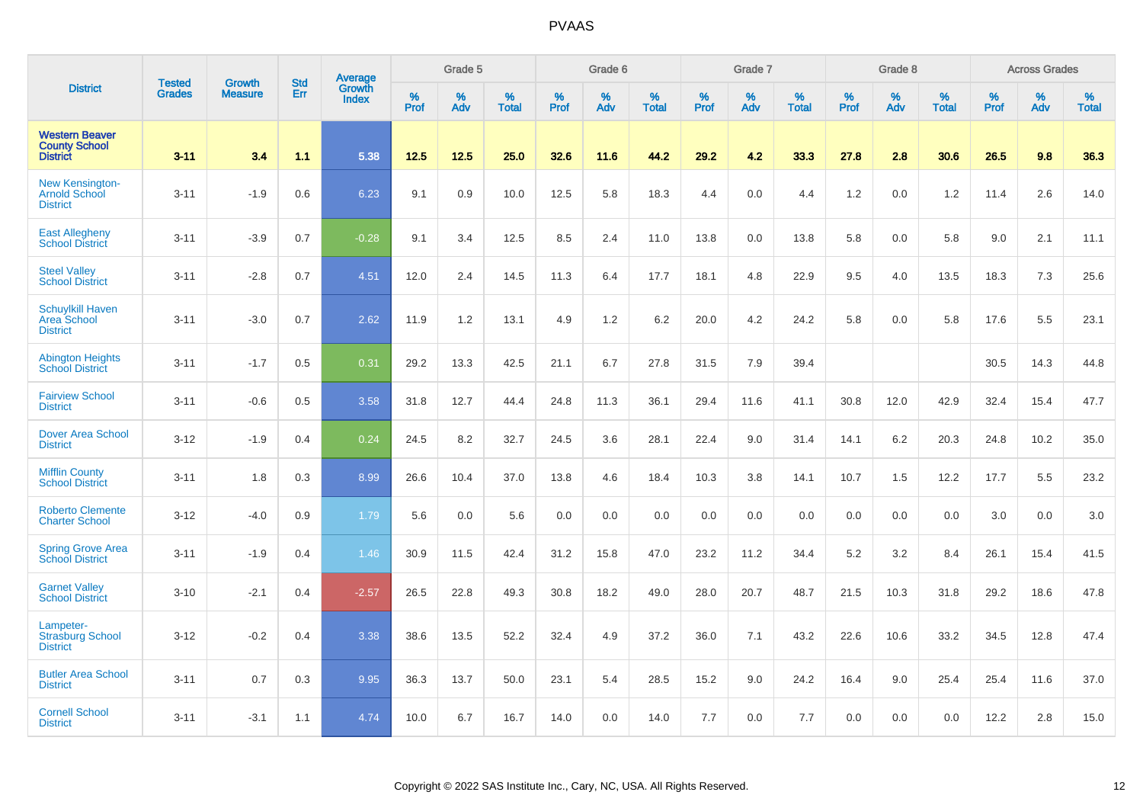|                                                                   |                                | <b>Growth</b>  | <b>Std</b> | Average                |              | Grade 5  |                   |           | Grade 6  |                   |           | Grade 7  |                   |           | Grade 8  |                   |           | <b>Across Grades</b> |                   |
|-------------------------------------------------------------------|--------------------------------|----------------|------------|------------------------|--------------|----------|-------------------|-----------|----------|-------------------|-----------|----------|-------------------|-----------|----------|-------------------|-----------|----------------------|-------------------|
| <b>District</b>                                                   | <b>Tested</b><br><b>Grades</b> | <b>Measure</b> | Err        | Growth<br><b>Index</b> | $\%$<br>Prof | %<br>Adv | %<br><b>Total</b> | %<br>Prof | %<br>Adv | %<br><b>Total</b> | %<br>Prof | %<br>Adv | %<br><b>Total</b> | %<br>Prof | %<br>Adv | %<br><b>Total</b> | %<br>Prof | %<br>Adv             | %<br><b>Total</b> |
| <b>Western Beaver</b><br><b>County School</b><br><b>District</b>  | $3 - 11$                       | 3.4            | 1.1        | 5.38                   | 12.5         | 12.5     | 25.0              | 32.6      | 11.6     | 44.2              | 29.2      | 4.2      | 33.3              | 27.8      | 2.8      | 30.6              | 26.5      | 9.8                  | 36.3              |
| <b>New Kensington-</b><br><b>Arnold School</b><br><b>District</b> | $3 - 11$                       | $-1.9$         | 0.6        | 6.23                   | 9.1          | 0.9      | 10.0              | 12.5      | 5.8      | 18.3              | 4.4       | 0.0      | 4.4               | $1.2$     | 0.0      | 1.2               | 11.4      | 2.6                  | 14.0              |
| <b>East Allegheny</b><br><b>School District</b>                   | $3 - 11$                       | $-3.9$         | 0.7        | $-0.28$                | 9.1          | 3.4      | 12.5              | 8.5       | 2.4      | 11.0              | 13.8      | 0.0      | 13.8              | 5.8       | 0.0      | 5.8               | 9.0       | 2.1                  | 11.1              |
| <b>Steel Valley</b><br><b>School District</b>                     | $3 - 11$                       | $-2.8$         | 0.7        | 4.51                   | 12.0         | 2.4      | 14.5              | 11.3      | 6.4      | 17.7              | 18.1      | 4.8      | 22.9              | 9.5       | 4.0      | 13.5              | 18.3      | 7.3                  | 25.6              |
| <b>Schuylkill Haven</b><br>Area School<br><b>District</b>         | $3 - 11$                       | $-3.0$         | 0.7        | 2.62                   | 11.9         | 1.2      | 13.1              | 4.9       | 1.2      | 6.2               | 20.0      | 4.2      | 24.2              | 5.8       | 0.0      | 5.8               | 17.6      | 5.5                  | 23.1              |
| <b>Abington Heights</b><br><b>School District</b>                 | $3 - 11$                       | $-1.7$         | 0.5        | 0.31                   | 29.2         | 13.3     | 42.5              | 21.1      | 6.7      | 27.8              | 31.5      | 7.9      | 39.4              |           |          |                   | 30.5      | 14.3                 | 44.8              |
| <b>Fairview School</b><br><b>District</b>                         | $3 - 11$                       | $-0.6$         | 0.5        | 3.58                   | 31.8         | 12.7     | 44.4              | 24.8      | 11.3     | 36.1              | 29.4      | 11.6     | 41.1              | 30.8      | 12.0     | 42.9              | 32.4      | 15.4                 | 47.7              |
| <b>Dover Area School</b><br><b>District</b>                       | $3 - 12$                       | $-1.9$         | 0.4        | 0.24                   | 24.5         | 8.2      | 32.7              | 24.5      | 3.6      | 28.1              | 22.4      | 9.0      | 31.4              | 14.1      | 6.2      | 20.3              | 24.8      | 10.2                 | 35.0              |
| <b>Mifflin County</b><br><b>School District</b>                   | $3 - 11$                       | 1.8            | 0.3        | 8.99                   | 26.6         | 10.4     | 37.0              | 13.8      | 4.6      | 18.4              | 10.3      | 3.8      | 14.1              | 10.7      | 1.5      | 12.2              | 17.7      | 5.5                  | 23.2              |
| <b>Roberto Clemente</b><br><b>Charter School</b>                  | $3 - 12$                       | $-4.0$         | 0.9        | 1.79                   | 5.6          | 0.0      | 5.6               | 0.0       | 0.0      | 0.0               | 0.0       | 0.0      | 0.0               | 0.0       | 0.0      | 0.0               | 3.0       | 0.0                  | 3.0               |
| <b>Spring Grove Area</b><br><b>School District</b>                | $3 - 11$                       | $-1.9$         | 0.4        | 1.46                   | 30.9         | 11.5     | 42.4              | 31.2      | 15.8     | 47.0              | 23.2      | 11.2     | 34.4              | 5.2       | 3.2      | 8.4               | 26.1      | 15.4                 | 41.5              |
| <b>Garnet Valley</b><br><b>School District</b>                    | $3 - 10$                       | $-2.1$         | 0.4        | $-2.57$                | 26.5         | 22.8     | 49.3              | 30.8      | 18.2     | 49.0              | 28.0      | 20.7     | 48.7              | 21.5      | 10.3     | 31.8              | 29.2      | 18.6                 | 47.8              |
| Lampeter-<br><b>Strasburg School</b><br><b>District</b>           | $3 - 12$                       | $-0.2$         | 0.4        | 3.38                   | 38.6         | 13.5     | 52.2              | 32.4      | 4.9      | 37.2              | 36.0      | 7.1      | 43.2              | 22.6      | 10.6     | 33.2              | 34.5      | 12.8                 | 47.4              |
| <b>Butler Area School</b><br><b>District</b>                      | $3 - 11$                       | 0.7            | 0.3        | 9.95                   | 36.3         | 13.7     | 50.0              | 23.1      | 5.4      | 28.5              | 15.2      | 9.0      | 24.2              | 16.4      | 9.0      | 25.4              | 25.4      | 11.6                 | 37.0              |
| <b>Cornell School</b><br><b>District</b>                          | $3 - 11$                       | $-3.1$         | 1.1        | 4.74                   | 10.0         | 6.7      | 16.7              | 14.0      | 0.0      | 14.0              | 7.7       | 0.0      | 7.7               | 0.0       | 0.0      | 0.0               | 12.2      | 2.8                  | 15.0              |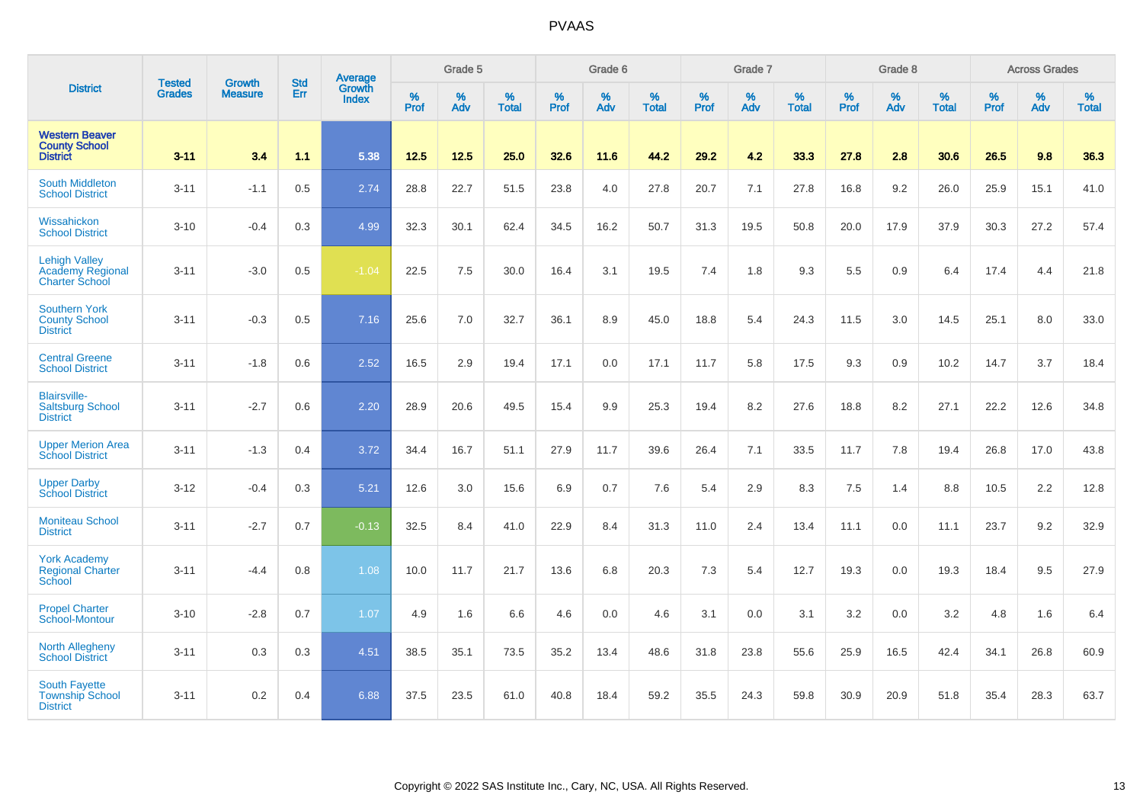|                                                                          |                                |                                 | <b>Std</b> | Average                       |              | Grade 5  |                   |           | Grade 6  |                   |           | Grade 7  |                   |           | Grade 8  |                   |           | <b>Across Grades</b> |                   |
|--------------------------------------------------------------------------|--------------------------------|---------------------------------|------------|-------------------------------|--------------|----------|-------------------|-----------|----------|-------------------|-----------|----------|-------------------|-----------|----------|-------------------|-----------|----------------------|-------------------|
| <b>District</b>                                                          | <b>Tested</b><br><b>Grades</b> | <b>Growth</b><br><b>Measure</b> | Err        | <b>Growth</b><br><b>Index</b> | $\%$<br>Prof | %<br>Adv | %<br><b>Total</b> | %<br>Prof | %<br>Adv | %<br><b>Total</b> | %<br>Prof | %<br>Adv | %<br><b>Total</b> | %<br>Prof | %<br>Adv | %<br><b>Total</b> | %<br>Prof | %<br>Adv             | %<br><b>Total</b> |
| <b>Western Beaver</b><br><b>County School</b><br><b>District</b>         | $3 - 11$                       | 3.4                             | 1.1        | 5.38                          | $12.5$       | 12.5     | 25.0              | 32.6      | 11.6     | 44.2              | 29.2      | 4.2      | 33.3              | 27.8      | 2.8      | 30.6              | 26.5      | 9.8                  | 36.3              |
| <b>South Middleton</b><br><b>School District</b>                         | $3 - 11$                       | $-1.1$                          | 0.5        | 2.74                          | 28.8         | 22.7     | 51.5              | 23.8      | 4.0      | 27.8              | 20.7      | 7.1      | 27.8              | 16.8      | 9.2      | 26.0              | 25.9      | 15.1                 | 41.0              |
| Wissahickon<br><b>School District</b>                                    | $3 - 10$                       | $-0.4$                          | 0.3        | 4.99                          | 32.3         | 30.1     | 62.4              | 34.5      | 16.2     | 50.7              | 31.3      | 19.5     | 50.8              | 20.0      | 17.9     | 37.9              | 30.3      | 27.2                 | 57.4              |
| <b>Lehigh Valley</b><br><b>Academy Regional</b><br><b>Charter School</b> | $3 - 11$                       | $-3.0$                          | 0.5        | $-1.04$                       | 22.5         | 7.5      | 30.0              | 16.4      | 3.1      | 19.5              | 7.4       | 1.8      | 9.3               | 5.5       | 0.9      | 6.4               | 17.4      | 4.4                  | 21.8              |
| <b>Southern York</b><br><b>County School</b><br><b>District</b>          | $3 - 11$                       | $-0.3$                          | 0.5        | 7.16                          | 25.6         | 7.0      | 32.7              | 36.1      | 8.9      | 45.0              | 18.8      | 5.4      | 24.3              | 11.5      | 3.0      | 14.5              | 25.1      | 8.0                  | 33.0              |
| <b>Central Greene</b><br><b>School District</b>                          | $3 - 11$                       | $-1.8$                          | 0.6        | 2.52                          | 16.5         | 2.9      | 19.4              | 17.1      | 0.0      | 17.1              | 11.7      | 5.8      | 17.5              | 9.3       | 0.9      | 10.2              | 14.7      | 3.7                  | 18.4              |
| <b>Blairsville-</b><br><b>Saltsburg School</b><br><b>District</b>        | $3 - 11$                       | $-2.7$                          | 0.6        | 2.20                          | 28.9         | 20.6     | 49.5              | 15.4      | 9.9      | 25.3              | 19.4      | 8.2      | 27.6              | 18.8      | 8.2      | 27.1              | 22.2      | 12.6                 | 34.8              |
| <b>Upper Merion Area</b><br><b>School District</b>                       | $3 - 11$                       | $-1.3$                          | 0.4        | 3.72                          | 34.4         | 16.7     | 51.1              | 27.9      | 11.7     | 39.6              | 26.4      | 7.1      | 33.5              | 11.7      | 7.8      | 19.4              | 26.8      | 17.0                 | 43.8              |
| <b>Upper Darby</b><br><b>School District</b>                             | $3 - 12$                       | $-0.4$                          | 0.3        | 5.21                          | 12.6         | 3.0      | 15.6              | 6.9       | 0.7      | 7.6               | 5.4       | 2.9      | 8.3               | 7.5       | 1.4      | 8.8               | 10.5      | 2.2                  | 12.8              |
| <b>Moniteau School</b><br><b>District</b>                                | $3 - 11$                       | $-2.7$                          | 0.7        | $-0.13$                       | 32.5         | 8.4      | 41.0              | 22.9      | 8.4      | 31.3              | 11.0      | 2.4      | 13.4              | 11.1      | 0.0      | 11.1              | 23.7      | 9.2                  | 32.9              |
| <b>York Academy</b><br><b>Regional Charter</b><br>School                 | $3 - 11$                       | $-4.4$                          | 0.8        | 1.08                          | 10.0         | 11.7     | 21.7              | 13.6      | 6.8      | 20.3              | 7.3       | 5.4      | 12.7              | 19.3      | 0.0      | 19.3              | 18.4      | 9.5                  | 27.9              |
| <b>Propel Charter</b><br>School-Montour                                  | $3 - 10$                       | $-2.8$                          | 0.7        | 1.07                          | 4.9          | 1.6      | 6.6               | 4.6       | 0.0      | 4.6               | 3.1       | 0.0      | 3.1               | 3.2       | 0.0      | 3.2               | 4.8       | 1.6                  | 6.4               |
| <b>North Allegheny</b><br><b>School District</b>                         | $3 - 11$                       | 0.3                             | 0.3        | 4.51                          | 38.5         | 35.1     | 73.5              | 35.2      | 13.4     | 48.6              | 31.8      | 23.8     | 55.6              | 25.9      | 16.5     | 42.4              | 34.1      | 26.8                 | 60.9              |
| <b>South Fayette</b><br><b>Township School</b><br><b>District</b>        | $3 - 11$                       | 0.2                             | 0.4        | 6.88                          | 37.5         | 23.5     | 61.0              | 40.8      | 18.4     | 59.2              | 35.5      | 24.3     | 59.8              | 30.9      | 20.9     | 51.8              | 35.4      | 28.3                 | 63.7              |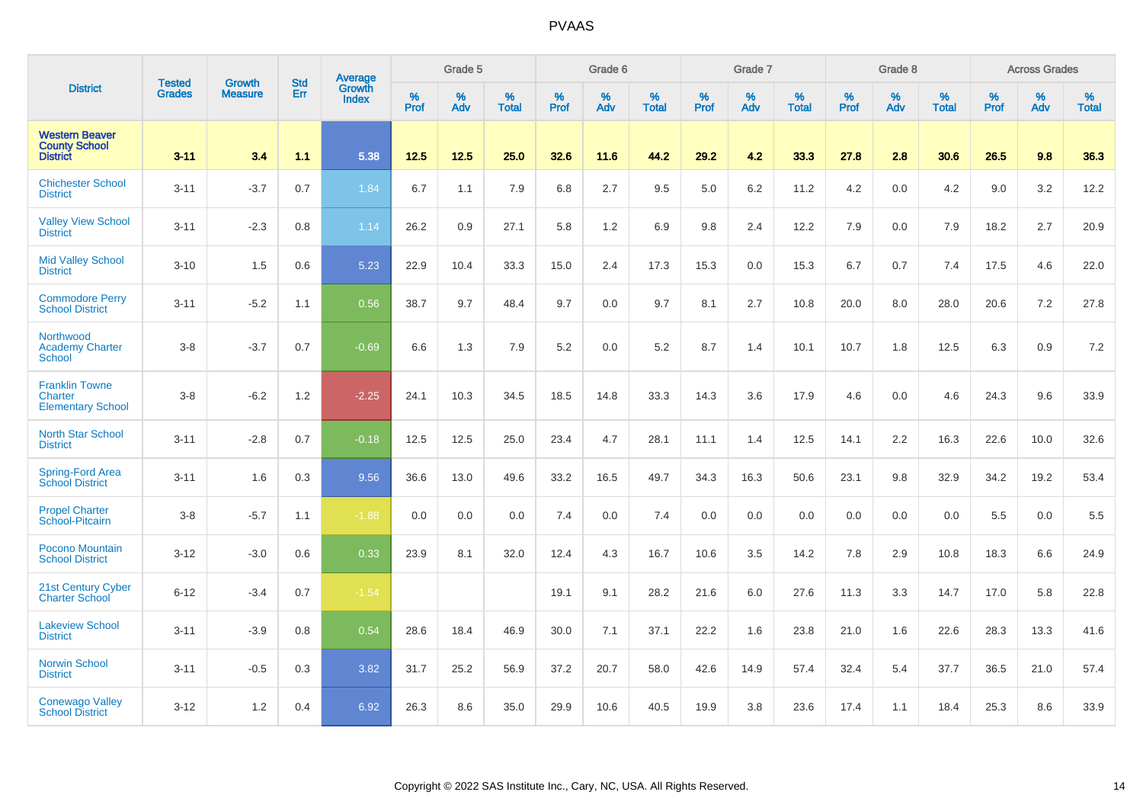|                                                                  | <b>Tested</b> | <b>Growth</b>  | <b>Std</b> | Average                |           | Grade 5  |                   |           | Grade 6  |                   |           | Grade 7  |                   |           | Grade 8  |                   |           | <b>Across Grades</b> |                   |
|------------------------------------------------------------------|---------------|----------------|------------|------------------------|-----------|----------|-------------------|-----------|----------|-------------------|-----------|----------|-------------------|-----------|----------|-------------------|-----------|----------------------|-------------------|
| <b>District</b>                                                  | <b>Grades</b> | <b>Measure</b> | Err        | <b>Growth</b><br>Index | %<br>Prof | %<br>Adv | %<br><b>Total</b> | %<br>Prof | %<br>Adv | %<br><b>Total</b> | %<br>Prof | %<br>Adv | %<br><b>Total</b> | %<br>Prof | %<br>Adv | %<br><b>Total</b> | %<br>Prof | %<br>Adv             | %<br><b>Total</b> |
| <b>Western Beaver</b><br><b>County School</b><br><b>District</b> | $3 - 11$      | 3.4            | 1.1        | 5.38                   | 12.5      | $12.5$   | 25.0              | 32.6      | 11.6     | 44.2              | 29.2      | 4.2      | 33.3              | 27.8      | 2.8      | 30.6              | 26.5      | 9.8                  | 36.3              |
| <b>Chichester School</b><br><b>District</b>                      | $3 - 11$      | $-3.7$         | 0.7        | 1.84                   | 6.7       | 1.1      | 7.9               | 6.8       | 2.7      | 9.5               | 5.0       | 6.2      | 11.2              | 4.2       | 0.0      | 4.2               | 9.0       | 3.2                  | 12.2              |
| <b>Valley View School</b><br><b>District</b>                     | $3 - 11$      | $-2.3$         | 0.8        | 1.14                   | 26.2      | 0.9      | 27.1              | 5.8       | 1.2      | 6.9               | 9.8       | 2.4      | 12.2              | 7.9       | 0.0      | 7.9               | 18.2      | 2.7                  | 20.9              |
| <b>Mid Valley School</b><br><b>District</b>                      | $3 - 10$      | 1.5            | 0.6        | 5.23                   | 22.9      | 10.4     | 33.3              | 15.0      | 2.4      | 17.3              | 15.3      | 0.0      | 15.3              | 6.7       | 0.7      | 7.4               | 17.5      | 4.6                  | 22.0              |
| <b>Commodore Perry</b><br><b>School District</b>                 | $3 - 11$      | $-5.2$         | 1.1        | 0.56                   | 38.7      | 9.7      | 48.4              | 9.7       | 0.0      | 9.7               | 8.1       | 2.7      | 10.8              | 20.0      | 8.0      | 28.0              | 20.6      | 7.2                  | 27.8              |
| Northwood<br><b>Academy Charter</b><br><b>School</b>             | $3-8$         | $-3.7$         | 0.7        | $-0.69$                | 6.6       | 1.3      | 7.9               | 5.2       | 0.0      | 5.2               | 8.7       | 1.4      | 10.1              | 10.7      | 1.8      | 12.5              | 6.3       | 0.9                  | $7.2\,$           |
| <b>Franklin Towne</b><br>Charter<br><b>Elementary School</b>     | $3-8$         | $-6.2$         | 1.2        | $-2.25$                | 24.1      | 10.3     | 34.5              | 18.5      | 14.8     | 33.3              | 14.3      | 3.6      | 17.9              | 4.6       | 0.0      | 4.6               | 24.3      | 9.6                  | 33.9              |
| <b>North Star School</b><br><b>District</b>                      | $3 - 11$      | $-2.8$         | 0.7        | $-0.18$                | 12.5      | 12.5     | 25.0              | 23.4      | 4.7      | 28.1              | 11.1      | 1.4      | 12.5              | 14.1      | 2.2      | 16.3              | 22.6      | 10.0                 | 32.6              |
| Spring-Ford Area<br><b>School District</b>                       | $3 - 11$      | 1.6            | 0.3        | 9.56                   | 36.6      | 13.0     | 49.6              | 33.2      | 16.5     | 49.7              | 34.3      | 16.3     | 50.6              | 23.1      | 9.8      | 32.9              | 34.2      | 19.2                 | 53.4              |
| <b>Propel Charter</b><br>School-Pitcairn                         | $3 - 8$       | $-5.7$         | 1.1        | $-1.88$                | 0.0       | 0.0      | 0.0               | 7.4       | 0.0      | 7.4               | 0.0       | 0.0      | 0.0               | 0.0       | 0.0      | 0.0               | 5.5       | 0.0                  | 5.5               |
| Pocono Mountain<br><b>School District</b>                        | $3 - 12$      | $-3.0$         | 0.6        | 0.33                   | 23.9      | 8.1      | 32.0              | 12.4      | 4.3      | 16.7              | 10.6      | 3.5      | 14.2              | 7.8       | 2.9      | 10.8              | 18.3      | 6.6                  | 24.9              |
| 21st Century Cyber<br><b>Charter School</b>                      | $6 - 12$      | $-3.4$         | 0.7        | $-1.54$                |           |          |                   | 19.1      | 9.1      | 28.2              | 21.6      | 6.0      | 27.6              | 11.3      | 3.3      | 14.7              | 17.0      | 5.8                  | 22.8              |
| <b>Lakeview School</b><br><b>District</b>                        | $3 - 11$      | $-3.9$         | 0.8        | 0.54                   | 28.6      | 18.4     | 46.9              | 30.0      | 7.1      | 37.1              | 22.2      | 1.6      | 23.8              | 21.0      | 1.6      | 22.6              | 28.3      | 13.3                 | 41.6              |
| <b>Norwin School</b><br><b>District</b>                          | $3 - 11$      | $-0.5$         | 0.3        | 3.82                   | 31.7      | 25.2     | 56.9              | 37.2      | 20.7     | 58.0              | 42.6      | 14.9     | 57.4              | 32.4      | 5.4      | 37.7              | 36.5      | 21.0                 | 57.4              |
| <b>Conewago Valley</b><br><b>School District</b>                 | $3 - 12$      | 1.2            | 0.4        | 6.92                   | 26.3      | 8.6      | 35.0              | 29.9      | 10.6     | 40.5              | 19.9      | 3.8      | 23.6              | 17.4      | 1.1      | 18.4              | 25.3      | 8.6                  | 33.9              |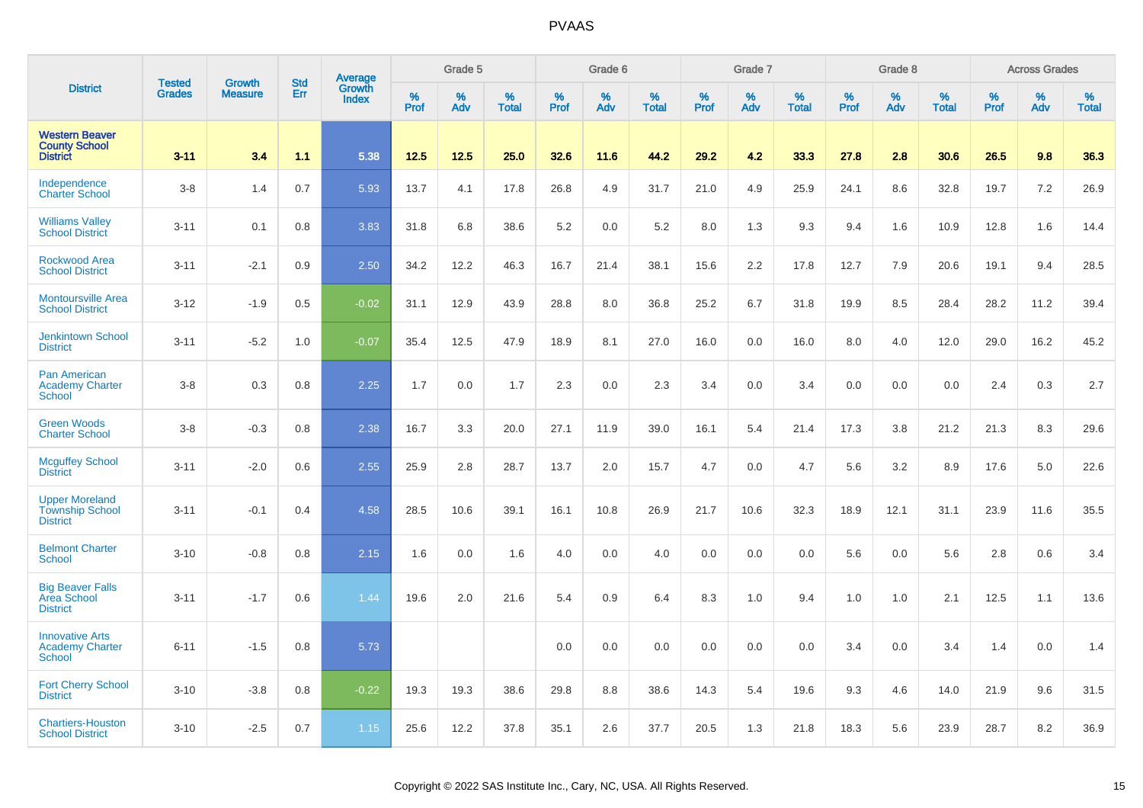|                                                                    | <b>Tested</b> | <b>Growth</b>  | <b>Std</b> |                                          |              | Grade 5  |                   |           | Grade 6  |                   |           | Grade 7  |                   |           | Grade 8  |                   |              | <b>Across Grades</b> |                   |
|--------------------------------------------------------------------|---------------|----------------|------------|------------------------------------------|--------------|----------|-------------------|-----------|----------|-------------------|-----------|----------|-------------------|-----------|----------|-------------------|--------------|----------------------|-------------------|
| <b>District</b>                                                    | <b>Grades</b> | <b>Measure</b> | Err        | <b>Average</b><br>Growth<br><b>Index</b> | $\%$<br>Prof | %<br>Adv | %<br><b>Total</b> | %<br>Prof | %<br>Adv | %<br><b>Total</b> | %<br>Prof | %<br>Adv | %<br><b>Total</b> | %<br>Prof | %<br>Adv | %<br><b>Total</b> | $\%$<br>Prof | %<br>Adv             | %<br><b>Total</b> |
| <b>Western Beaver</b><br><b>County School</b><br><b>District</b>   | $3 - 11$      | 3.4            | 1.1        | 5.38                                     | 12.5         | 12.5     | 25.0              | 32.6      | 11.6     | 44.2              | 29.2      | 4.2      | 33.3              | 27.8      | 2.8      | 30.6              | 26.5         | 9.8                  | 36.3              |
| Independence<br><b>Charter School</b>                              | $3 - 8$       | 1.4            | 0.7        | 5.93                                     | 13.7         | 4.1      | 17.8              | 26.8      | 4.9      | 31.7              | 21.0      | 4.9      | 25.9              | 24.1      | 8.6      | 32.8              | 19.7         | 7.2                  | 26.9              |
| <b>Williams Valley</b><br><b>School District</b>                   | $3 - 11$      | 0.1            | 0.8        | 3.83                                     | 31.8         | 6.8      | 38.6              | 5.2       | 0.0      | 5.2               | 8.0       | 1.3      | 9.3               | 9.4       | 1.6      | 10.9              | 12.8         | 1.6                  | 14.4              |
| <b>Rockwood Area</b><br><b>School District</b>                     | $3 - 11$      | $-2.1$         | 0.9        | 2.50                                     | 34.2         | 12.2     | 46.3              | 16.7      | 21.4     | 38.1              | 15.6      | 2.2      | 17.8              | 12.7      | 7.9      | 20.6              | 19.1         | 9.4                  | 28.5              |
| <b>Montoursville Area</b><br><b>School District</b>                | $3 - 12$      | $-1.9$         | 0.5        | $-0.02$                                  | 31.1         | 12.9     | 43.9              | 28.8      | 8.0      | 36.8              | 25.2      | 6.7      | 31.8              | 19.9      | 8.5      | 28.4              | 28.2         | 11.2                 | 39.4              |
| <b>Jenkintown School</b><br><b>District</b>                        | $3 - 11$      | $-5.2$         | 1.0        | $-0.07$                                  | 35.4         | 12.5     | 47.9              | 18.9      | 8.1      | 27.0              | 16.0      | 0.0      | 16.0              | 8.0       | 4.0      | 12.0              | 29.0         | 16.2                 | 45.2              |
| <b>Pan American</b><br><b>Academy Charter</b><br><b>School</b>     | $3 - 8$       | 0.3            | 0.8        | 2.25                                     | 1.7          | 0.0      | 1.7               | 2.3       | 0.0      | 2.3               | 3.4       | 0.0      | 3.4               | 0.0       | 0.0      | 0.0               | 2.4          | 0.3                  | 2.7               |
| <b>Green Woods</b><br><b>Charter School</b>                        | $3 - 8$       | $-0.3$         | 0.8        | 2.38                                     | 16.7         | 3.3      | 20.0              | 27.1      | 11.9     | 39.0              | 16.1      | 5.4      | 21.4              | 17.3      | 3.8      | 21.2              | 21.3         | 8.3                  | 29.6              |
| <b>Mcguffey School</b><br><b>District</b>                          | $3 - 11$      | $-2.0$         | 0.6        | 2.55                                     | 25.9         | 2.8      | 28.7              | 13.7      | 2.0      | 15.7              | 4.7       | 0.0      | 4.7               | 5.6       | 3.2      | 8.9               | 17.6         | 5.0                  | 22.6              |
| <b>Upper Moreland</b><br><b>Township School</b><br><b>District</b> | $3 - 11$      | $-0.1$         | 0.4        | 4.58                                     | 28.5         | 10.6     | 39.1              | 16.1      | 10.8     | 26.9              | 21.7      | 10.6     | 32.3              | 18.9      | 12.1     | 31.1              | 23.9         | 11.6                 | 35.5              |
| <b>Belmont Charter</b><br><b>School</b>                            | $3 - 10$      | $-0.8$         | 0.8        | 2.15                                     | 1.6          | 0.0      | 1.6               | 4.0       | 0.0      | 4.0               | 0.0       | 0.0      | 0.0               | 5.6       | 0.0      | 5.6               | 2.8          | 0.6                  | 3.4               |
| <b>Big Beaver Falls</b><br>Area School<br><b>District</b>          | $3 - 11$      | $-1.7$         | 0.6        | 1.44                                     | 19.6         | 2.0      | 21.6              | 5.4       | 0.9      | 6.4               | 8.3       | 1.0      | 9.4               | 1.0       | 1.0      | 2.1               | 12.5         | 1.1                  | 13.6              |
| <b>Innovative Arts</b><br><b>Academy Charter</b><br><b>School</b>  | $6 - 11$      | $-1.5$         | 0.8        | 5.73                                     |              |          |                   | 0.0       | 0.0      | 0.0               | 0.0       | 0.0      | 0.0               | 3.4       | 0.0      | 3.4               | 1.4          | 0.0                  | 1.4               |
| <b>Fort Cherry School</b><br><b>District</b>                       | $3 - 10$      | $-3.8$         | 0.8        | $-0.22$                                  | 19.3         | 19.3     | 38.6              | 29.8      | 8.8      | 38.6              | 14.3      | 5.4      | 19.6              | 9.3       | 4.6      | 14.0              | 21.9         | 9.6                  | 31.5              |
| <b>Chartiers-Houston</b><br><b>School District</b>                 | $3 - 10$      | $-2.5$         | 0.7        | 1.15                                     | 25.6         | 12.2     | 37.8              | 35.1      | 2.6      | 37.7              | 20.5      | 1.3      | 21.8              | 18.3      | 5.6      | 23.9              | 28.7         | 8.2                  | 36.9              |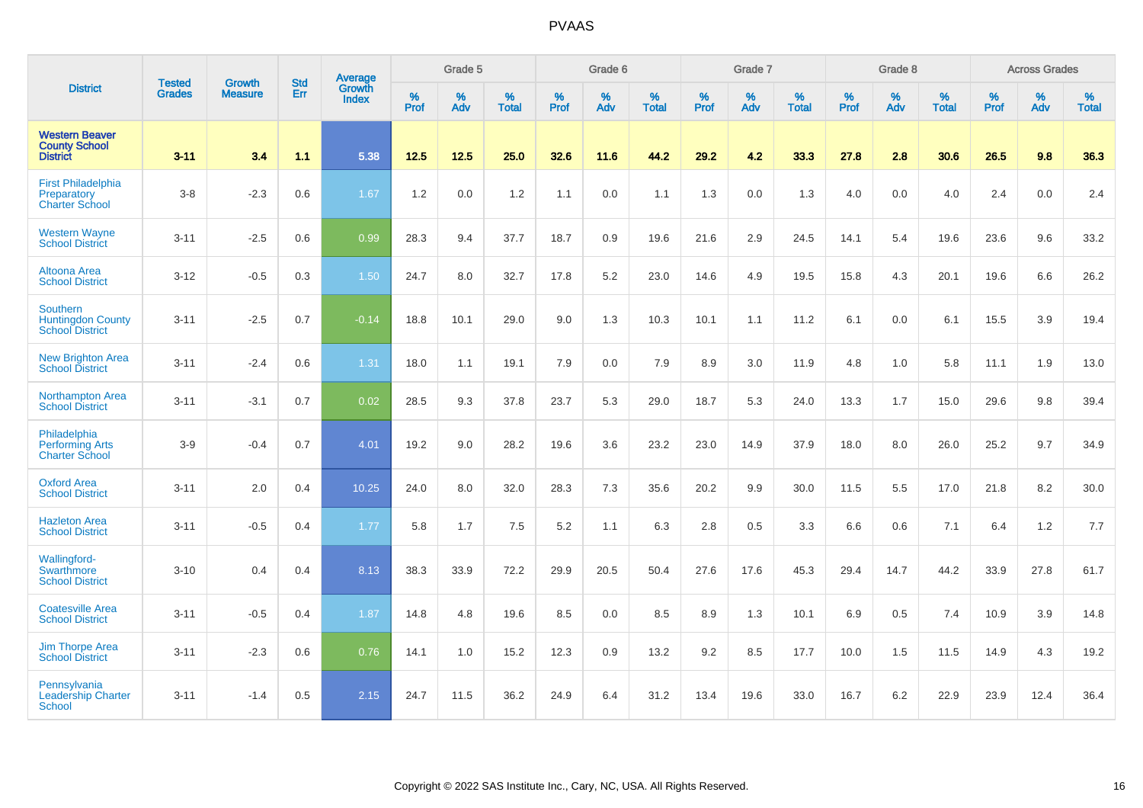|                                                                       |                                |                                 | <b>Std</b> | Average                       |                  | Grade 5  |                   |           | Grade 6  |                   |           | Grade 7  |                   |           | Grade 8  |                   |           | <b>Across Grades</b> |                   |
|-----------------------------------------------------------------------|--------------------------------|---------------------------------|------------|-------------------------------|------------------|----------|-------------------|-----------|----------|-------------------|-----------|----------|-------------------|-----------|----------|-------------------|-----------|----------------------|-------------------|
| <b>District</b>                                                       | <b>Tested</b><br><b>Grades</b> | <b>Growth</b><br><b>Measure</b> | Err        | <b>Growth</b><br><b>Index</b> | %<br><b>Prof</b> | %<br>Adv | %<br><b>Total</b> | %<br>Prof | %<br>Adv | %<br><b>Total</b> | %<br>Prof | %<br>Adv | %<br><b>Total</b> | %<br>Prof | %<br>Adv | %<br><b>Total</b> | %<br>Prof | %<br>Adv             | %<br><b>Total</b> |
| <b>Western Beaver</b><br><b>County School</b><br><b>District</b>      | $3 - 11$                       | 3.4                             | 1.1        | 5.38                          | 12.5             | 12.5     | 25.0              | 32.6      | 11.6     | 44.2              | 29.2      | 4.2      | 33.3              | 27.8      | 2.8      | 30.6              | 26.5      | 9.8                  | 36.3              |
| <b>First Philadelphia</b><br>Preparatory<br><b>Charter School</b>     | $3 - 8$                        | $-2.3$                          | 0.6        | 1.67                          | 1.2              | 0.0      | 1.2               | 1.1       | 0.0      | 1.1               | 1.3       | 0.0      | 1.3               | 4.0       | 0.0      | 4.0               | 2.4       | 0.0                  | 2.4               |
| <b>Western Wayne</b><br><b>School District</b>                        | $3 - 11$                       | $-2.5$                          | 0.6        | 0.99                          | 28.3             | 9.4      | 37.7              | 18.7      | 0.9      | 19.6              | 21.6      | 2.9      | 24.5              | 14.1      | 5.4      | 19.6              | 23.6      | 9.6                  | 33.2              |
| <b>Altoona Area</b><br><b>School District</b>                         | $3 - 12$                       | $-0.5$                          | 0.3        | 1.50                          | 24.7             | 8.0      | 32.7              | 17.8      | 5.2      | 23.0              | 14.6      | 4.9      | 19.5              | 15.8      | 4.3      | 20.1              | 19.6      | 6.6                  | 26.2              |
| <b>Southern</b><br><b>Huntingdon County</b><br><b>School District</b> | $3 - 11$                       | $-2.5$                          | 0.7        | $-0.14$                       | 18.8             | 10.1     | 29.0              | $9.0\,$   | 1.3      | 10.3              | 10.1      | 1.1      | 11.2              | 6.1       | 0.0      | 6.1               | 15.5      | 3.9                  | 19.4              |
| <b>New Brighton Area</b><br><b>School District</b>                    | $3 - 11$                       | $-2.4$                          | 0.6        | 1.31                          | 18.0             | 1.1      | 19.1              | 7.9       | 0.0      | 7.9               | 8.9       | 3.0      | 11.9              | 4.8       | 1.0      | 5.8               | 11.1      | 1.9                  | 13.0              |
| Northampton Area<br><b>School District</b>                            | $3 - 11$                       | $-3.1$                          | 0.7        | 0.02                          | 28.5             | 9.3      | 37.8              | 23.7      | 5.3      | 29.0              | 18.7      | 5.3      | 24.0              | 13.3      | 1.7      | 15.0              | 29.6      | 9.8                  | 39.4              |
| Philadelphia<br><b>Performing Arts</b><br><b>Charter School</b>       | $3-9$                          | $-0.4$                          | 0.7        | 4.01                          | 19.2             | 9.0      | 28.2              | 19.6      | 3.6      | 23.2              | 23.0      | 14.9     | 37.9              | 18.0      | 8.0      | 26.0              | 25.2      | 9.7                  | 34.9              |
| <b>Oxford Area</b><br><b>School District</b>                          | $3 - 11$                       | 2.0                             | 0.4        | 10.25                         | 24.0             | 8.0      | 32.0              | 28.3      | 7.3      | 35.6              | 20.2      | 9.9      | 30.0              | 11.5      | 5.5      | 17.0              | 21.8      | 8.2                  | 30.0              |
| <b>Hazleton Area</b><br><b>School District</b>                        | $3 - 11$                       | $-0.5$                          | 0.4        | 1.77                          | 5.8              | 1.7      | 7.5               | 5.2       | 1.1      | 6.3               | 2.8       | 0.5      | 3.3               | 6.6       | 0.6      | 7.1               | 6.4       | 1.2                  | 7.7               |
| <b>Wallingford-</b><br><b>Swarthmore</b><br><b>School District</b>    | $3 - 10$                       | 0.4                             | 0.4        | 8.13                          | 38.3             | 33.9     | 72.2              | 29.9      | 20.5     | 50.4              | 27.6      | 17.6     | 45.3              | 29.4      | 14.7     | 44.2              | 33.9      | 27.8                 | 61.7              |
| <b>Coatesville Area</b><br><b>School District</b>                     | $3 - 11$                       | $-0.5$                          | 0.4        | 1.87                          | 14.8             | 4.8      | 19.6              | 8.5       | 0.0      | 8.5               | 8.9       | 1.3      | 10.1              | 6.9       | 0.5      | 7.4               | 10.9      | 3.9                  | 14.8              |
| <b>Jim Thorpe Area</b><br><b>School District</b>                      | $3 - 11$                       | $-2.3$                          | 0.6        | 0.76                          | 14.1             | 1.0      | 15.2              | 12.3      | 0.9      | 13.2              | 9.2       | 8.5      | 17.7              | 10.0      | 1.5      | 11.5              | 14.9      | 4.3                  | 19.2              |
| Pennsylvania<br><b>Leadership Charter</b><br><b>School</b>            | $3 - 11$                       | $-1.4$                          | 0.5        | 2.15                          | 24.7             | 11.5     | 36.2              | 24.9      | 6.4      | 31.2              | 13.4      | 19.6     | 33.0              | 16.7      | 6.2      | 22.9              | 23.9      | 12.4                 | 36.4              |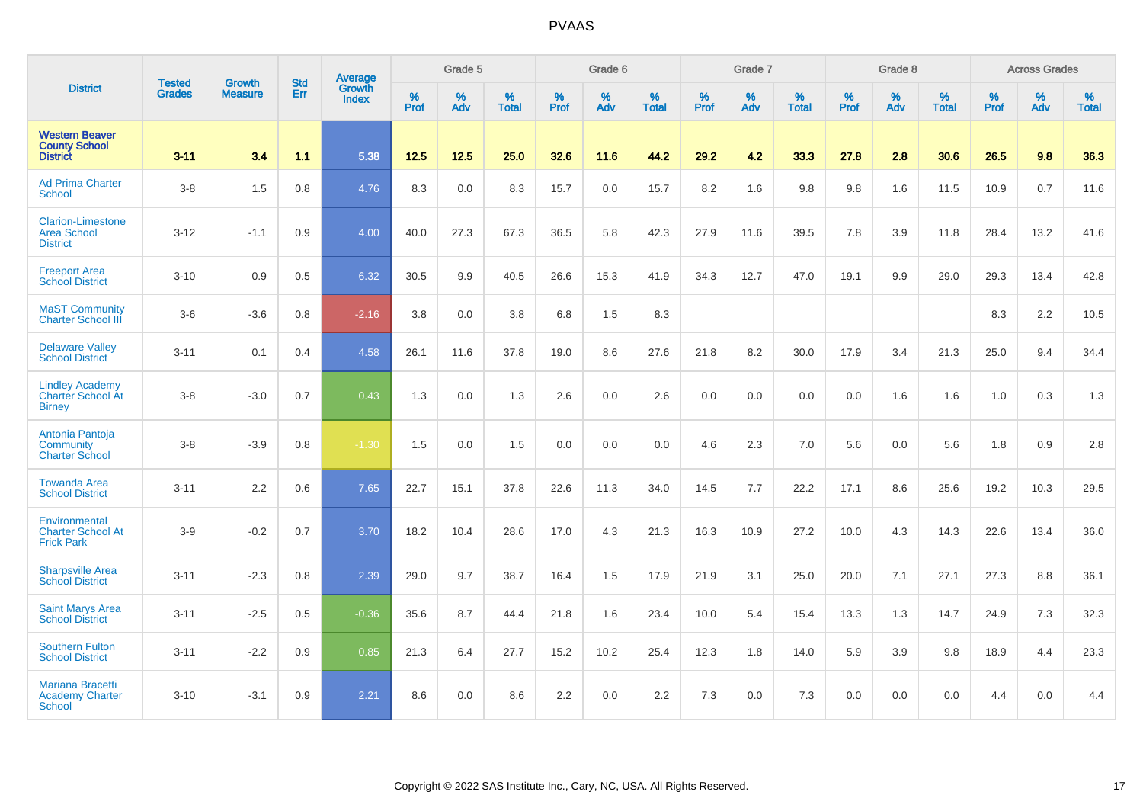|                                                                     |                                |                                 | <b>Std</b> | Average                       |           | Grade 5  |                   |           | Grade 6  |                   |           | Grade 7  |                   |           | Grade 8  |                   |           | <b>Across Grades</b> |                   |
|---------------------------------------------------------------------|--------------------------------|---------------------------------|------------|-------------------------------|-----------|----------|-------------------|-----------|----------|-------------------|-----------|----------|-------------------|-----------|----------|-------------------|-----------|----------------------|-------------------|
| <b>District</b>                                                     | <b>Tested</b><br><b>Grades</b> | <b>Growth</b><br><b>Measure</b> | Err        | <b>Growth</b><br><b>Index</b> | %<br>Prof | %<br>Adv | %<br><b>Total</b> | %<br>Prof | %<br>Adv | %<br><b>Total</b> | %<br>Prof | %<br>Adv | %<br><b>Total</b> | %<br>Prof | %<br>Adv | %<br><b>Total</b> | %<br>Prof | %<br>Adv             | %<br><b>Total</b> |
| <b>Western Beaver</b><br><b>County School</b><br><b>District</b>    | $3 - 11$                       | 3.4                             | 1.1        | 5.38                          | $12.5$    | 12.5     | 25.0              | 32.6      | 11.6     | 44.2              | 29.2      | 4.2      | 33.3              | 27.8      | 2.8      | 30.6              | 26.5      | 9.8                  | 36.3              |
| <b>Ad Prima Charter</b><br>School                                   | $3-8$                          | 1.5                             | 0.8        | 4.76                          | 8.3       | 0.0      | 8.3               | 15.7      | 0.0      | 15.7              | 8.2       | 1.6      | 9.8               | 9.8       | 1.6      | 11.5              | 10.9      | 0.7                  | 11.6              |
| <b>Clarion-Limestone</b><br><b>Area School</b><br><b>District</b>   | $3 - 12$                       | $-1.1$                          | 0.9        | 4.00                          | 40.0      | 27.3     | 67.3              | 36.5      | 5.8      | 42.3              | 27.9      | 11.6     | 39.5              | 7.8       | 3.9      | 11.8              | 28.4      | 13.2                 | 41.6              |
| <b>Freeport Area</b><br><b>School District</b>                      | $3 - 10$                       | 0.9                             | 0.5        | 6.32                          | 30.5      | 9.9      | 40.5              | 26.6      | 15.3     | 41.9              | 34.3      | 12.7     | 47.0              | 19.1      | 9.9      | 29.0              | 29.3      | 13.4                 | 42.8              |
| <b>MaST Community</b><br><b>Charter School III</b>                  | $3-6$                          | $-3.6$                          | 0.8        | $-2.16$                       | 3.8       | 0.0      | 3.8               | 6.8       | 1.5      | 8.3               |           |          |                   |           |          |                   | 8.3       | 2.2                  | 10.5              |
| <b>Delaware Valley</b><br><b>School District</b>                    | $3 - 11$                       | 0.1                             | 0.4        | 4.58                          | 26.1      | 11.6     | 37.8              | 19.0      | 8.6      | 27.6              | 21.8      | 8.2      | 30.0              | 17.9      | 3.4      | 21.3              | 25.0      | 9.4                  | 34.4              |
| <b>Lindley Academy</b><br><b>Charter School At</b><br><b>Birney</b> | $3-8$                          | $-3.0$                          | 0.7        | 0.43                          | 1.3       | 0.0      | 1.3               | 2.6       | 0.0      | 2.6               | 0.0       | 0.0      | 0.0               | 0.0       | 1.6      | 1.6               | 1.0       | 0.3                  | 1.3               |
| Antonia Pantoja<br>Community<br><b>Charter School</b>               | $3-8$                          | $-3.9$                          | 0.8        | $-1.30$                       | 1.5       | 0.0      | 1.5               | 0.0       | 0.0      | 0.0               | 4.6       | 2.3      | 7.0               | 5.6       | 0.0      | 5.6               | 1.8       | 0.9                  | 2.8               |
| <b>Towanda Area</b><br><b>School District</b>                       | $3 - 11$                       | 2.2                             | 0.6        | 7.65                          | 22.7      | 15.1     | 37.8              | 22.6      | 11.3     | 34.0              | 14.5      | 7.7      | 22.2              | 17.1      | 8.6      | 25.6              | 19.2      | 10.3                 | 29.5              |
| Environmental<br><b>Charter School At</b><br><b>Frick Park</b>      | $3-9$                          | $-0.2$                          | 0.7        | 3.70                          | 18.2      | 10.4     | 28.6              | 17.0      | 4.3      | 21.3              | 16.3      | 10.9     | 27.2              | 10.0      | 4.3      | 14.3              | 22.6      | 13.4                 | 36.0              |
| <b>Sharpsville Area</b><br><b>School District</b>                   | $3 - 11$                       | $-2.3$                          | 0.8        | 2.39                          | 29.0      | 9.7      | 38.7              | 16.4      | 1.5      | 17.9              | 21.9      | 3.1      | 25.0              | 20.0      | 7.1      | 27.1              | 27.3      | 8.8                  | 36.1              |
| <b>Saint Marys Area</b><br><b>School District</b>                   | $3 - 11$                       | $-2.5$                          | 0.5        | $-0.36$                       | 35.6      | 8.7      | 44.4              | 21.8      | 1.6      | 23.4              | 10.0      | 5.4      | 15.4              | 13.3      | 1.3      | 14.7              | 24.9      | 7.3                  | 32.3              |
| <b>Southern Fulton</b><br><b>School District</b>                    | $3 - 11$                       | $-2.2$                          | 0.9        | 0.85                          | 21.3      | 6.4      | 27.7              | 15.2      | 10.2     | 25.4              | 12.3      | 1.8      | 14.0              | 5.9       | 3.9      | 9.8               | 18.9      | 4.4                  | 23.3              |
| <b>Mariana Bracetti</b><br><b>Academy Charter</b><br><b>School</b>  | $3 - 10$                       | $-3.1$                          | 0.9        | 2.21                          | 8.6       | 0.0      | 8.6               | 2.2       | 0.0      | 2.2               | 7.3       | 0.0      | 7.3               | 0.0       | 0.0      | 0.0               | 4.4       | 0.0                  | 4.4               |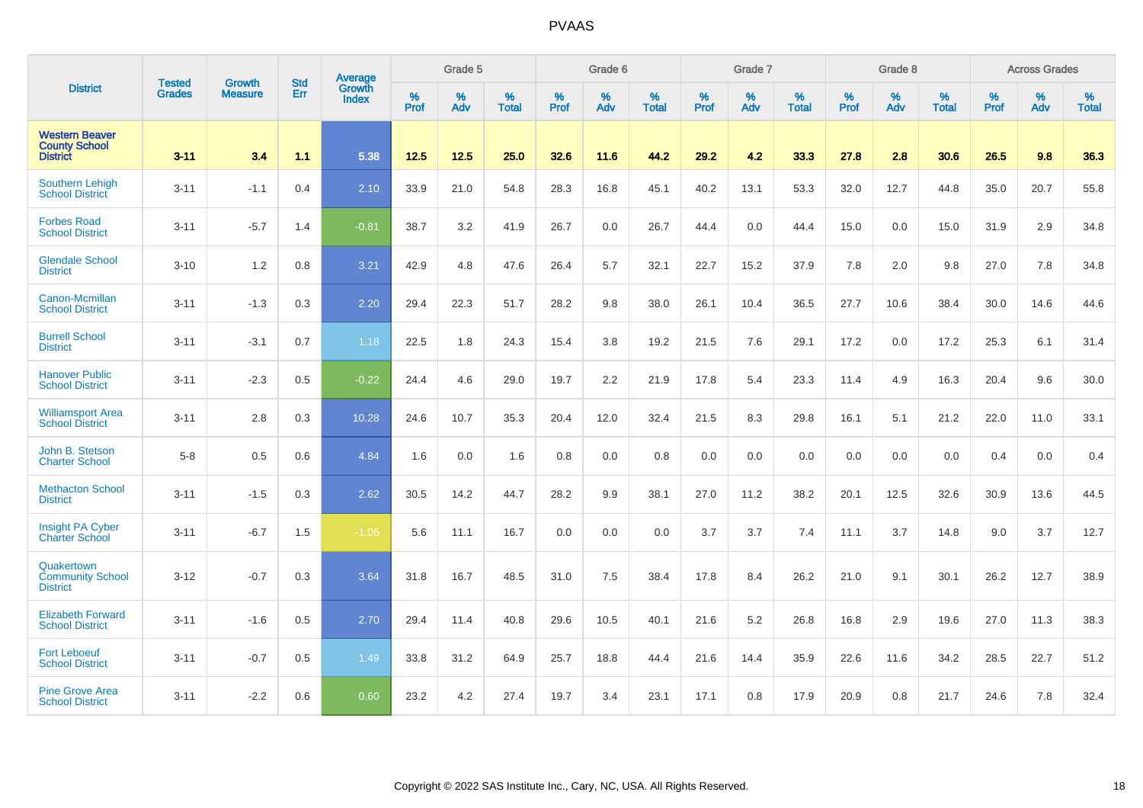|                                                                  | <b>Tested</b> | <b>Growth</b>  | <b>Std</b> | Average                |                  | Grade 5  |                   |           | Grade 6  |                   |           | Grade 7  |                   |           | Grade 8  |                   |           | <b>Across Grades</b> |                   |
|------------------------------------------------------------------|---------------|----------------|------------|------------------------|------------------|----------|-------------------|-----------|----------|-------------------|-----------|----------|-------------------|-----------|----------|-------------------|-----------|----------------------|-------------------|
| <b>District</b>                                                  | <b>Grades</b> | <b>Measure</b> | Err        | Growth<br><b>Index</b> | %<br><b>Prof</b> | %<br>Adv | %<br><b>Total</b> | %<br>Prof | %<br>Adv | %<br><b>Total</b> | %<br>Prof | %<br>Adv | %<br><b>Total</b> | %<br>Prof | %<br>Adv | %<br><b>Total</b> | %<br>Prof | %<br>Adv             | %<br><b>Total</b> |
| <b>Western Beaver</b><br><b>County School</b><br><b>District</b> | $3 - 11$      | 3.4            | 1.1        | 5.38                   | 12.5             | 12.5     | 25.0              | 32.6      | 11.6     | 44.2              | 29.2      | 4.2      | 33.3              | 27.8      | 2.8      | 30.6              | 26.5      | 9.8                  | 36.3              |
| <b>Southern Lehigh</b><br><b>School District</b>                 | $3 - 11$      | $-1.1$         | 0.4        | 2.10                   | 33.9             | 21.0     | 54.8              | 28.3      | 16.8     | 45.1              | 40.2      | 13.1     | 53.3              | 32.0      | 12.7     | 44.8              | 35.0      | 20.7                 | 55.8              |
| <b>Forbes Road</b><br><b>School District</b>                     | $3 - 11$      | $-5.7$         | 1.4        | $-0.81$                | 38.7             | 3.2      | 41.9              | 26.7      | 0.0      | 26.7              | 44.4      | 0.0      | 44.4              | 15.0      | 0.0      | 15.0              | 31.9      | 2.9                  | 34.8              |
| <b>Glendale School</b><br><b>District</b>                        | $3 - 10$      | 1.2            | 0.8        | 3.21                   | 42.9             | 4.8      | 47.6              | 26.4      | 5.7      | 32.1              | 22.7      | 15.2     | 37.9              | 7.8       | 2.0      | 9.8               | 27.0      | 7.8                  | 34.8              |
| Canon-Mcmillan<br><b>School District</b>                         | $3 - 11$      | $-1.3$         | 0.3        | 2.20                   | 29.4             | 22.3     | 51.7              | 28.2      | 9.8      | 38.0              | 26.1      | 10.4     | 36.5              | 27.7      | 10.6     | 38.4              | 30.0      | 14.6                 | 44.6              |
| <b>Burrell School</b><br><b>District</b>                         | $3 - 11$      | $-3.1$         | 0.7        | 1.18                   | 22.5             | 1.8      | 24.3              | 15.4      | 3.8      | 19.2              | 21.5      | 7.6      | 29.1              | 17.2      | 0.0      | 17.2              | 25.3      | 6.1                  | 31.4              |
| <b>Hanover Public</b><br><b>School District</b>                  | $3 - 11$      | $-2.3$         | 0.5        | $-0.22$                | 24.4             | 4.6      | 29.0              | 19.7      | 2.2      | 21.9              | 17.8      | 5.4      | 23.3              | 11.4      | 4.9      | 16.3              | 20.4      | 9.6                  | 30.0              |
| <b>Williamsport Area</b><br><b>School District</b>               | $3 - 11$      | 2.8            | 0.3        | 10.28                  | 24.6             | 10.7     | 35.3              | 20.4      | 12.0     | 32.4              | 21.5      | 8.3      | 29.8              | 16.1      | 5.1      | 21.2              | 22.0      | 11.0                 | 33.1              |
| John B. Stetson<br><b>Charter School</b>                         | $5-8$         | 0.5            | 0.6        | 4.84                   | 1.6              | 0.0      | 1.6               | 0.8       | 0.0      | 0.8               | 0.0       | 0.0      | 0.0               | 0.0       | 0.0      | 0.0               | 0.4       | 0.0                  | 0.4               |
| <b>Methacton School</b><br><b>District</b>                       | $3 - 11$      | $-1.5$         | 0.3        | 2.62                   | 30.5             | 14.2     | 44.7              | 28.2      | 9.9      | 38.1              | 27.0      | 11.2     | 38.2              | 20.1      | 12.5     | 32.6              | 30.9      | 13.6                 | 44.5              |
| Insight PA Cyber<br><b>Charter School</b>                        | $3 - 11$      | $-6.7$         | 1.5        | $-1.06$                | 5.6              | 11.1     | 16.7              | 0.0       | 0.0      | 0.0               | 3.7       | 3.7      | 7.4               | 11.1      | 3.7      | 14.8              | 9.0       | 3.7                  | 12.7              |
| Quakertown<br><b>Community School</b><br><b>District</b>         | $3 - 12$      | $-0.7$         | 0.3        | 3.64                   | 31.8             | 16.7     | 48.5              | 31.0      | 7.5      | 38.4              | 17.8      | 8.4      | 26.2              | 21.0      | 9.1      | 30.1              | 26.2      | 12.7                 | 38.9              |
| <b>Elizabeth Forward</b><br><b>School District</b>               | $3 - 11$      | $-1.6$         | 0.5        | 2.70                   | 29.4             | 11.4     | 40.8              | 29.6      | 10.5     | 40.1              | 21.6      | 5.2      | 26.8              | 16.8      | 2.9      | 19.6              | 27.0      | 11.3                 | 38.3              |
| <b>Fort Leboeuf</b><br><b>School District</b>                    | $3 - 11$      | $-0.7$         | 0.5        | 1.49                   | 33.8             | 31.2     | 64.9              | 25.7      | 18.8     | 44.4              | 21.6      | 14.4     | 35.9              | 22.6      | 11.6     | 34.2              | 28.5      | 22.7                 | 51.2              |
| <b>Pine Grove Area</b><br><b>School District</b>                 | $3 - 11$      | $-2.2$         | 0.6        | 0.60                   | 23.2             | 4.2      | 27.4              | 19.7      | 3.4      | 23.1              | 17.1      | 0.8      | 17.9              | 20.9      | 0.8      | 21.7              | 24.6      | 7.8                  | 32.4              |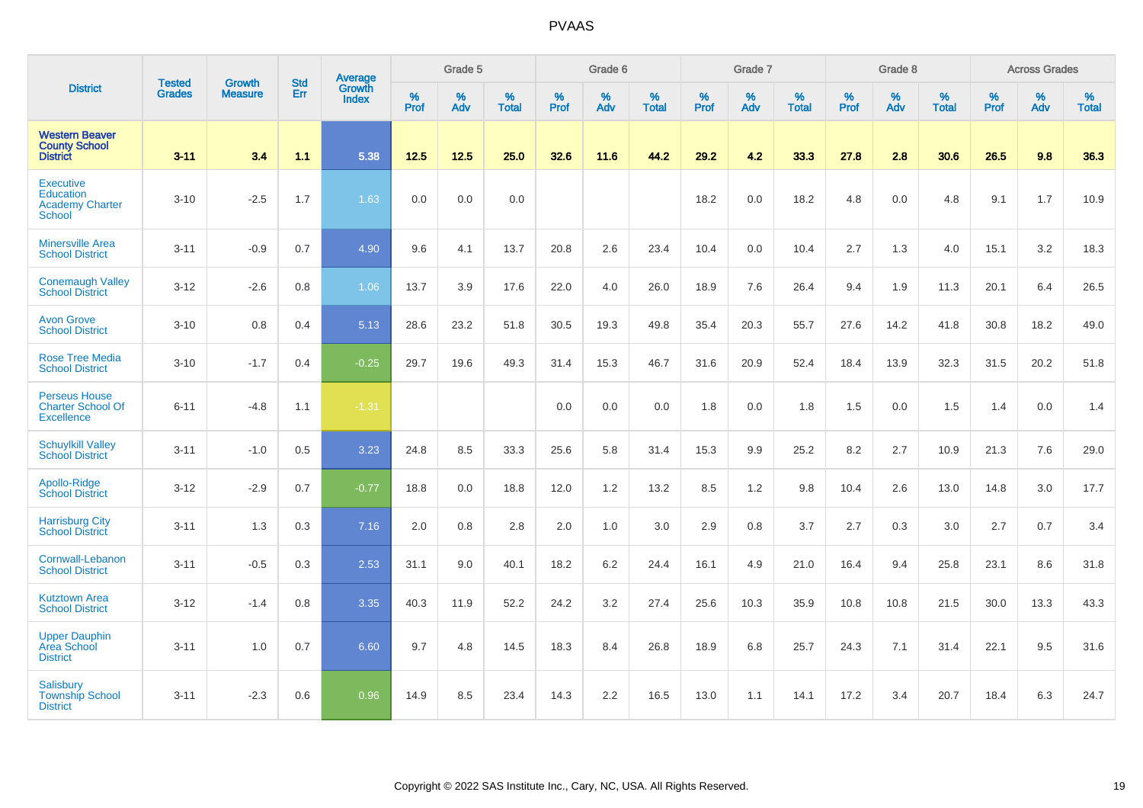|                                                                          | <b>Tested</b> | <b>Growth</b>  | <b>Std</b> | Average                |                     | Grade 5  |                   |                  | Grade 6  |                   |                     | Grade 7  |                   |                     | Grade 8  |                   |           | <b>Across Grades</b> |                   |
|--------------------------------------------------------------------------|---------------|----------------|------------|------------------------|---------------------|----------|-------------------|------------------|----------|-------------------|---------------------|----------|-------------------|---------------------|----------|-------------------|-----------|----------------------|-------------------|
| <b>District</b>                                                          | <b>Grades</b> | <b>Measure</b> | Err        | Growth<br><b>Index</b> | $\%$<br><b>Prof</b> | %<br>Adv | %<br><b>Total</b> | %<br><b>Prof</b> | %<br>Adv | %<br><b>Total</b> | $\%$<br><b>Prof</b> | %<br>Adv | %<br><b>Total</b> | $\%$<br><b>Prof</b> | %<br>Adv | %<br><b>Total</b> | %<br>Prof | %<br>Adv             | %<br><b>Total</b> |
| <b>Western Beaver</b><br><b>County School</b><br><b>District</b>         | $3 - 11$      | 3.4            | 1.1        | 5.38                   | 12.5                | $12.5$   | 25.0              | 32.6             | 11.6     | 44.2              | 29.2                | 4.2      | 33.3              | 27.8                | 2.8      | 30.6              | 26.5      | 9.8                  | 36.3              |
| <b>Executive</b><br><b>Education</b><br><b>Academy Charter</b><br>School | $3 - 10$      | $-2.5$         | 1.7        | 1.63                   | 0.0                 | 0.0      | 0.0               |                  |          |                   | 18.2                | 0.0      | 18.2              | 4.8                 | 0.0      | 4.8               | 9.1       | 1.7                  | 10.9              |
| <b>Minersville Area</b><br><b>School District</b>                        | $3 - 11$      | $-0.9$         | 0.7        | 4.90                   | 9.6                 | 4.1      | 13.7              | 20.8             | 2.6      | 23.4              | 10.4                | 0.0      | 10.4              | 2.7                 | 1.3      | 4.0               | 15.1      | 3.2                  | 18.3              |
| <b>Conemaugh Valley</b><br><b>School District</b>                        | $3 - 12$      | $-2.6$         | 0.8        | 1.06                   | 13.7                | 3.9      | 17.6              | 22.0             | 4.0      | 26.0              | 18.9                | 7.6      | 26.4              | 9.4                 | 1.9      | 11.3              | 20.1      | 6.4                  | 26.5              |
| <b>Avon Grove</b><br><b>School District</b>                              | $3 - 10$      | 0.8            | 0.4        | 5.13                   | 28.6                | 23.2     | 51.8              | 30.5             | 19.3     | 49.8              | 35.4                | 20.3     | 55.7              | 27.6                | 14.2     | 41.8              | 30.8      | 18.2                 | 49.0              |
| <b>Rose Tree Media</b><br><b>School District</b>                         | $3 - 10$      | $-1.7$         | 0.4        | $-0.25$                | 29.7                | 19.6     | 49.3              | 31.4             | 15.3     | 46.7              | 31.6                | 20.9     | 52.4              | 18.4                | 13.9     | 32.3              | 31.5      | 20.2                 | 51.8              |
| <b>Perseus House</b><br><b>Charter School Of</b><br><b>Excellence</b>    | $6 - 11$      | $-4.8$         | 1.1        | $-1.31$                |                     |          |                   | 0.0              | 0.0      | 0.0               | 1.8                 | 0.0      | 1.8               | 1.5                 | 0.0      | 1.5               | 1.4       | 0.0                  | 1.4               |
| <b>Schuylkill Valley</b><br><b>School District</b>                       | $3 - 11$      | $-1.0$         | 0.5        | 3.23                   | 24.8                | 8.5      | 33.3              | 25.6             | 5.8      | 31.4              | 15.3                | 9.9      | 25.2              | 8.2                 | 2.7      | 10.9              | 21.3      | 7.6                  | 29.0              |
| Apollo-Ridge<br><b>School District</b>                                   | $3 - 12$      | $-2.9$         | 0.7        | $-0.77$                | 18.8                | 0.0      | 18.8              | 12.0             | 1.2      | 13.2              | 8.5                 | 1.2      | 9.8               | 10.4                | 2.6      | 13.0              | 14.8      | 3.0                  | 17.7              |
| <b>Harrisburg City</b><br><b>School District</b>                         | $3 - 11$      | 1.3            | 0.3        | 7.16                   | 2.0                 | 0.8      | 2.8               | 2.0              | 1.0      | 3.0               | 2.9                 | 0.8      | 3.7               | 2.7                 | 0.3      | 3.0               | 2.7       | 0.7                  | 3.4               |
| Cornwall-Lebanon<br><b>School District</b>                               | $3 - 11$      | $-0.5$         | 0.3        | 2.53                   | 31.1                | 9.0      | 40.1              | 18.2             | 6.2      | 24.4              | 16.1                | 4.9      | 21.0              | 16.4                | 9.4      | 25.8              | 23.1      | 8.6                  | 31.8              |
| <b>Kutztown Area</b><br><b>School District</b>                           | $3 - 12$      | $-1.4$         | 0.8        | 3.35                   | 40.3                | 11.9     | 52.2              | 24.2             | 3.2      | 27.4              | 25.6                | 10.3     | 35.9              | 10.8                | 10.8     | 21.5              | 30.0      | 13.3                 | 43.3              |
| <b>Upper Dauphin</b><br>Area School<br><b>District</b>                   | $3 - 11$      | 1.0            | 0.7        | 6.60                   | 9.7                 | 4.8      | 14.5              | 18.3             | 8.4      | 26.8              | 18.9                | 6.8      | 25.7              | 24.3                | 7.1      | 31.4              | 22.1      | 9.5                  | 31.6              |
| <b>Salisbury</b><br><b>Township School</b><br><b>District</b>            | $3 - 11$      | $-2.3$         | 0.6        | 0.96                   | 14.9                | 8.5      | 23.4              | 14.3             | 2.2      | 16.5              | 13.0                | 1.1      | 14.1              | 17.2                | 3.4      | 20.7              | 18.4      | 6.3                  | 24.7              |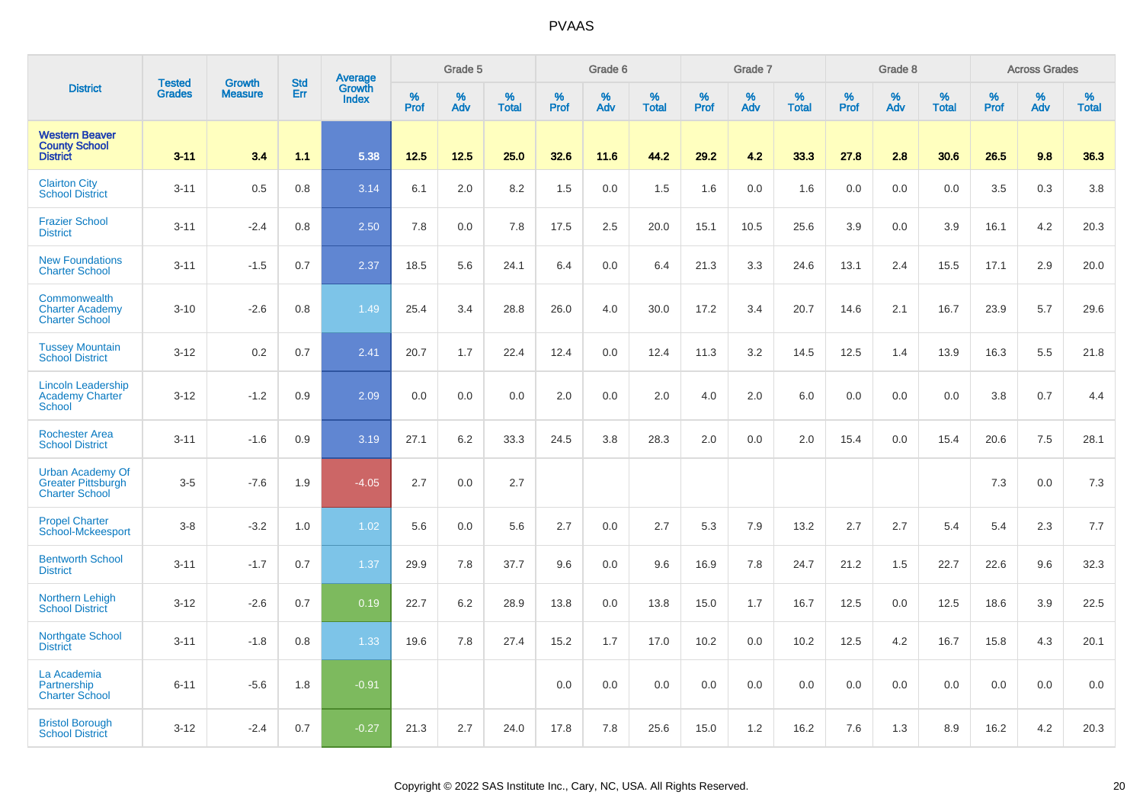|                                                                               | <b>Tested</b> | <b>Growth</b>  | <b>Std</b> | <b>Average</b><br>Growth |                     | Grade 5  |                   |           | Grade 6  |                   |           | Grade 7  |                   |           | Grade 8  |                   |              | <b>Across Grades</b> |                   |
|-------------------------------------------------------------------------------|---------------|----------------|------------|--------------------------|---------------------|----------|-------------------|-----------|----------|-------------------|-----------|----------|-------------------|-----------|----------|-------------------|--------------|----------------------|-------------------|
| <b>District</b>                                                               | <b>Grades</b> | <b>Measure</b> | Err        | Index                    | $\%$<br><b>Prof</b> | %<br>Adv | %<br><b>Total</b> | %<br>Prof | %<br>Adv | %<br><b>Total</b> | %<br>Prof | %<br>Adv | %<br><b>Total</b> | %<br>Prof | %<br>Adv | %<br><b>Total</b> | $\%$<br>Prof | %<br>Adv             | %<br><b>Total</b> |
| <b>Western Beaver</b><br><b>County School</b><br><b>District</b>              | $3 - 11$      | 3.4            | 1.1        | 5.38                     | 12.5                | 12.5     | 25.0              | 32.6      | 11.6     | 44.2              | 29.2      | 4.2      | 33.3              | 27.8      | 2.8      | 30.6              | 26.5         | 9.8                  | 36.3              |
| <b>Clairton City</b><br><b>School District</b>                                | $3 - 11$      | 0.5            | 0.8        | 3.14                     | 6.1                 | 2.0      | 8.2               | 1.5       | 0.0      | 1.5               | 1.6       | 0.0      | 1.6               | 0.0       | 0.0      | 0.0               | 3.5          | 0.3                  | 3.8               |
| <b>Frazier School</b><br><b>District</b>                                      | $3 - 11$      | $-2.4$         | 0.8        | 2.50                     | 7.8                 | 0.0      | 7.8               | 17.5      | 2.5      | 20.0              | 15.1      | 10.5     | 25.6              | 3.9       | 0.0      | 3.9               | 16.1         | 4.2                  | 20.3              |
| <b>New Foundations</b><br><b>Charter School</b>                               | $3 - 11$      | $-1.5$         | 0.7        | 2.37                     | 18.5                | 5.6      | 24.1              | 6.4       | 0.0      | 6.4               | 21.3      | 3.3      | 24.6              | 13.1      | 2.4      | 15.5              | 17.1         | 2.9                  | 20.0              |
| Commonwealth<br><b>Charter Academy</b><br><b>Charter School</b>               | $3 - 10$      | $-2.6$         | 0.8        | 1.49                     | 25.4                | 3.4      | 28.8              | 26.0      | 4.0      | 30.0              | 17.2      | 3.4      | 20.7              | 14.6      | 2.1      | 16.7              | 23.9         | 5.7                  | 29.6              |
| <b>Tussey Mountain</b><br><b>School District</b>                              | $3 - 12$      | 0.2            | 0.7        | 2.41                     | 20.7                | 1.7      | 22.4              | 12.4      | 0.0      | 12.4              | 11.3      | 3.2      | 14.5              | 12.5      | 1.4      | 13.9              | 16.3         | 5.5                  | 21.8              |
| <b>Lincoln Leadership</b><br><b>Academy Charter</b><br><b>School</b>          | $3 - 12$      | $-1.2$         | 0.9        | 2.09                     | 0.0                 | 0.0      | 0.0               | 2.0       | 0.0      | 2.0               | 4.0       | 2.0      | 6.0               | 0.0       | 0.0      | 0.0               | 3.8          | 0.7                  | 4.4               |
| <b>Rochester Area</b><br><b>School District</b>                               | $3 - 11$      | $-1.6$         | 0.9        | 3.19                     | 27.1                | 6.2      | 33.3              | 24.5      | 3.8      | 28.3              | 2.0       | 0.0      | 2.0               | 15.4      | 0.0      | 15.4              | 20.6         | 7.5                  | 28.1              |
| <b>Urban Academy Of</b><br><b>Greater Pittsburgh</b><br><b>Charter School</b> | $3-5$         | $-7.6$         | 1.9        | $-4.05$                  | 2.7                 | 0.0      | 2.7               |           |          |                   |           |          |                   |           |          |                   | 7.3          | 0.0                  | 7.3               |
| <b>Propel Charter</b><br>School-Mckeesport                                    | $3-8$         | $-3.2$         | 1.0        | 1.02                     | 5.6                 | 0.0      | 5.6               | 2.7       | 0.0      | 2.7               | 5.3       | 7.9      | 13.2              | 2.7       | 2.7      | 5.4               | 5.4          | 2.3                  | 7.7               |
| <b>Bentworth School</b><br><b>District</b>                                    | $3 - 11$      | $-1.7$         | 0.7        | 1.37                     | 29.9                | 7.8      | 37.7              | 9.6       | 0.0      | 9.6               | 16.9      | 7.8      | 24.7              | 21.2      | 1.5      | 22.7              | 22.6         | 9.6                  | 32.3              |
| Northern Lehigh<br><b>School District</b>                                     | $3 - 12$      | $-2.6$         | 0.7        | 0.19                     | 22.7                | 6.2      | 28.9              | 13.8      | 0.0      | 13.8              | 15.0      | 1.7      | 16.7              | 12.5      | 0.0      | 12.5              | 18.6         | 3.9                  | 22.5              |
| <b>Northgate School</b><br><b>District</b>                                    | $3 - 11$      | $-1.8$         | 0.8        | 1.33                     | 19.6                | 7.8      | 27.4              | 15.2      | 1.7      | 17.0              | 10.2      | 0.0      | 10.2              | 12.5      | 4.2      | 16.7              | 15.8         | 4.3                  | 20.1              |
| La Academia<br>Partnership<br><b>Charter School</b>                           | $6 - 11$      | $-5.6$         | 1.8        | $-0.91$                  |                     |          |                   | 0.0       | 0.0      | 0.0               | 0.0       | 0.0      | 0.0               | 0.0       | 0.0      | 0.0               | 0.0          | 0.0                  | 0.0               |
| <b>Bristol Borough</b><br><b>School District</b>                              | $3 - 12$      | $-2.4$         | 0.7        | $-0.27$                  | 21.3                | 2.7      | 24.0              | 17.8      | 7.8      | 25.6              | 15.0      | 1.2      | 16.2              | 7.6       | 1.3      | 8.9               | 16.2         | 4.2                  | 20.3              |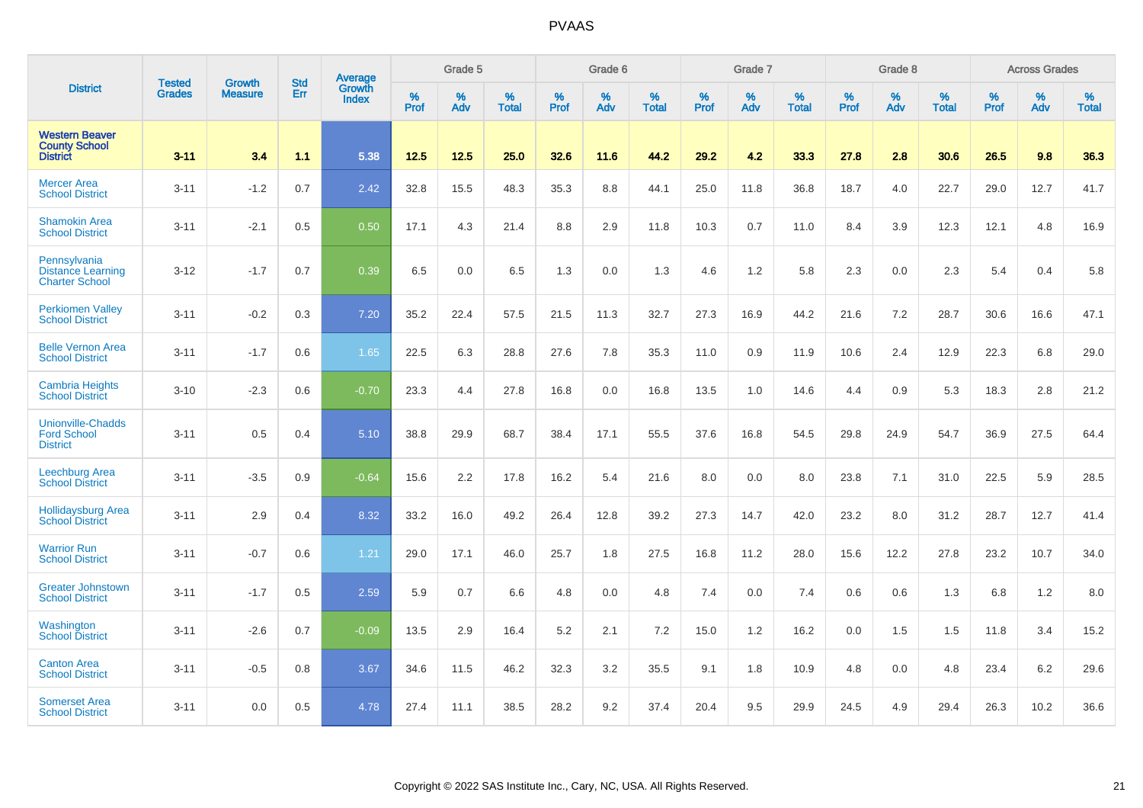|                                                                   | <b>Tested</b> | <b>Growth</b>  | <b>Std</b> | Average                       |           | Grade 5  |                   |           | Grade 6  |                   |           | Grade 7  |                   |           | Grade 8  |                   |           | <b>Across Grades</b> |                   |
|-------------------------------------------------------------------|---------------|----------------|------------|-------------------------------|-----------|----------|-------------------|-----------|----------|-------------------|-----------|----------|-------------------|-----------|----------|-------------------|-----------|----------------------|-------------------|
| <b>District</b>                                                   | <b>Grades</b> | <b>Measure</b> | Err        | <b>Growth</b><br><b>Index</b> | %<br>Prof | %<br>Adv | %<br><b>Total</b> | %<br>Prof | %<br>Adv | %<br><b>Total</b> | %<br>Prof | %<br>Adv | %<br><b>Total</b> | %<br>Prof | %<br>Adv | %<br><b>Total</b> | %<br>Prof | %<br>Adv             | %<br><b>Total</b> |
| <b>Western Beaver</b><br><b>County School</b><br><b>District</b>  | $3 - 11$      | 3.4            | 1.1        | 5.38                          | 12.5      | 12.5     | 25.0              | 32.6      | 11.6     | 44.2              | 29.2      | 4.2      | 33.3              | 27.8      | 2.8      | 30.6              | 26.5      | 9.8                  | 36.3              |
| <b>Mercer Area</b><br><b>School District</b>                      | $3 - 11$      | $-1.2$         | 0.7        | 2.42                          | 32.8      | 15.5     | 48.3              | 35.3      | 8.8      | 44.1              | 25.0      | 11.8     | 36.8              | 18.7      | 4.0      | 22.7              | 29.0      | 12.7                 | 41.7              |
| <b>Shamokin Area</b><br><b>School District</b>                    | $3 - 11$      | $-2.1$         | 0.5        | 0.50                          | 17.1      | 4.3      | 21.4              | 8.8       | 2.9      | 11.8              | 10.3      | 0.7      | 11.0              | 8.4       | 3.9      | 12.3              | 12.1      | 4.8                  | 16.9              |
| Pennsylvania<br><b>Distance Learning</b><br><b>Charter School</b> | $3 - 12$      | $-1.7$         | 0.7        | 0.39                          | 6.5       | 0.0      | 6.5               | 1.3       | 0.0      | 1.3               | 4.6       | 1.2      | 5.8               | 2.3       | 0.0      | 2.3               | 5.4       | 0.4                  | 5.8               |
| <b>Perkiomen Valley</b><br><b>School District</b>                 | $3 - 11$      | $-0.2$         | 0.3        | 7.20                          | 35.2      | 22.4     | 57.5              | 21.5      | 11.3     | 32.7              | 27.3      | 16.9     | 44.2              | 21.6      | 7.2      | 28.7              | 30.6      | 16.6                 | 47.1              |
| <b>Belle Vernon Area</b><br><b>School District</b>                | $3 - 11$      | $-1.7$         | 0.6        | 1.65                          | 22.5      | 6.3      | 28.8              | 27.6      | 7.8      | 35.3              | 11.0      | 0.9      | 11.9              | 10.6      | 2.4      | 12.9              | 22.3      | 6.8                  | 29.0              |
| <b>Cambria Heights</b><br><b>School District</b>                  | $3 - 10$      | $-2.3$         | 0.6        | $-0.70$                       | 23.3      | 4.4      | 27.8              | 16.8      | 0.0      | 16.8              | 13.5      | 1.0      | 14.6              | 4.4       | 0.9      | 5.3               | 18.3      | 2.8                  | 21.2              |
| <b>Unionville-Chadds</b><br><b>Ford School</b><br><b>District</b> | $3 - 11$      | 0.5            | 0.4        | 5.10                          | 38.8      | 29.9     | 68.7              | 38.4      | 17.1     | 55.5              | 37.6      | 16.8     | 54.5              | 29.8      | 24.9     | 54.7              | 36.9      | 27.5                 | 64.4              |
| Leechburg Area<br><b>School District</b>                          | $3 - 11$      | $-3.5$         | 0.9        | $-0.64$                       | 15.6      | 2.2      | 17.8              | 16.2      | 5.4      | 21.6              | 8.0       | 0.0      | 8.0               | 23.8      | 7.1      | 31.0              | 22.5      | 5.9                  | 28.5              |
| <b>Hollidaysburg Area</b><br><b>School District</b>               | $3 - 11$      | 2.9            | 0.4        | 8.32                          | 33.2      | 16.0     | 49.2              | 26.4      | 12.8     | 39.2              | 27.3      | 14.7     | 42.0              | 23.2      | 8.0      | 31.2              | 28.7      | 12.7                 | 41.4              |
| <b>Warrior Run</b><br><b>School District</b>                      | $3 - 11$      | $-0.7$         | 0.6        | 1.21                          | 29.0      | 17.1     | 46.0              | 25.7      | 1.8      | 27.5              | 16.8      | 11.2     | 28.0              | 15.6      | 12.2     | 27.8              | 23.2      | 10.7                 | 34.0              |
| <b>Greater Johnstown</b><br><b>School District</b>                | $3 - 11$      | $-1.7$         | 0.5        | 2.59                          | 5.9       | 0.7      | 6.6               | 4.8       | 0.0      | 4.8               | 7.4       | 0.0      | 7.4               | 0.6       | 0.6      | 1.3               | 6.8       | 1.2                  | 8.0               |
| Washington<br><b>School District</b>                              | $3 - 11$      | $-2.6$         | 0.7        | $-0.09$                       | 13.5      | 2.9      | 16.4              | 5.2       | 2.1      | 7.2               | 15.0      | 1.2      | 16.2              | 0.0       | 1.5      | 1.5               | 11.8      | 3.4                  | 15.2              |
| <b>Canton Area</b><br><b>School District</b>                      | $3 - 11$      | $-0.5$         | 0.8        | 3.67                          | 34.6      | 11.5     | 46.2              | 32.3      | 3.2      | 35.5              | 9.1       | 1.8      | 10.9              | 4.8       | 0.0      | 4.8               | 23.4      | 6.2                  | 29.6              |
| <b>Somerset Area</b><br><b>School District</b>                    | $3 - 11$      | 0.0            | 0.5        | 4.78                          | 27.4      | 11.1     | 38.5              | 28.2      | 9.2      | 37.4              | 20.4      | 9.5      | 29.9              | 24.5      | 4.9      | 29.4              | 26.3      | 10.2                 | 36.6              |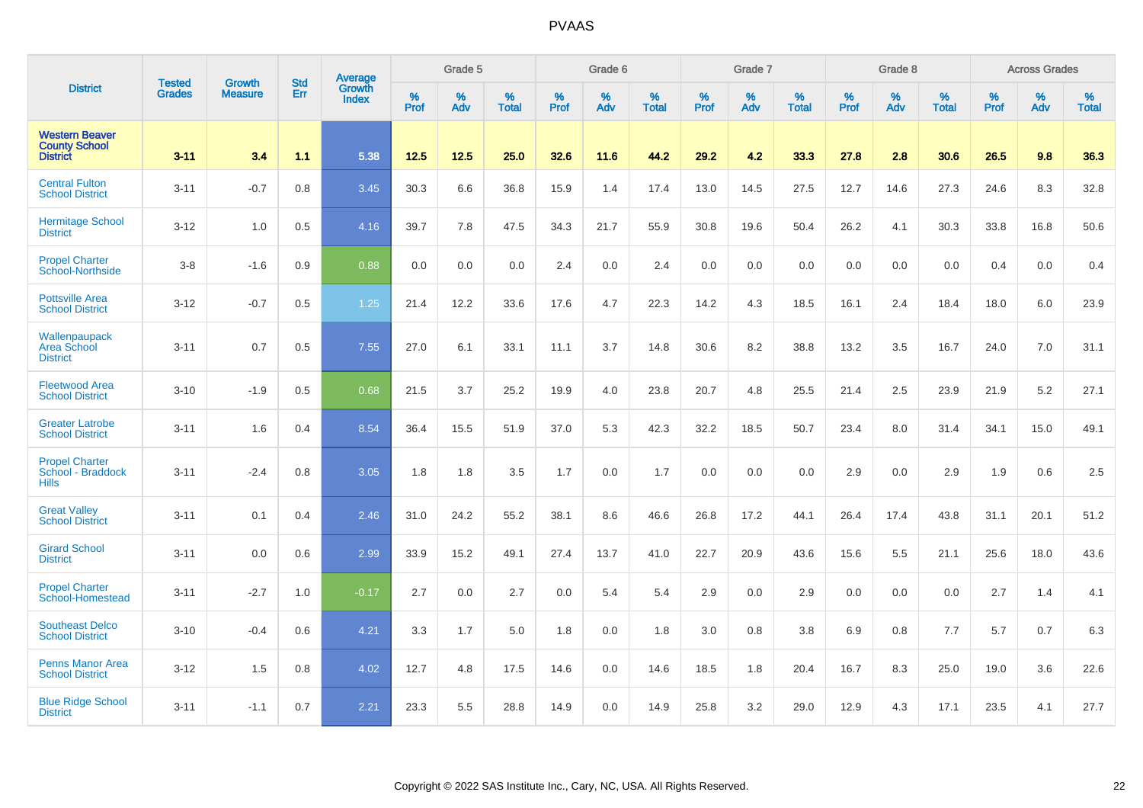|                                                                  | <b>Tested</b> | <b>Growth</b>  | <b>Std</b> | Average                |              | Grade 5  |                   |           | Grade 6  |                   |           | Grade 7  |                   |           | Grade 8  |                   |           | <b>Across Grades</b> |                   |
|------------------------------------------------------------------|---------------|----------------|------------|------------------------|--------------|----------|-------------------|-----------|----------|-------------------|-----------|----------|-------------------|-----------|----------|-------------------|-----------|----------------------|-------------------|
| <b>District</b>                                                  | <b>Grades</b> | <b>Measure</b> | Err        | Growth<br><b>Index</b> | $\%$<br>Prof | %<br>Adv | %<br><b>Total</b> | %<br>Prof | %<br>Adv | %<br><b>Total</b> | %<br>Prof | %<br>Adv | %<br><b>Total</b> | %<br>Prof | %<br>Adv | %<br><b>Total</b> | %<br>Prof | %<br>Adv             | %<br><b>Total</b> |
| <b>Western Beaver</b><br><b>County School</b><br><b>District</b> | $3 - 11$      | 3.4            | 1.1        | 5.38                   | 12.5         | 12.5     | 25.0              | 32.6      | 11.6     | 44.2              | 29.2      | 4.2      | 33.3              | 27.8      | 2.8      | 30.6              | 26.5      | 9.8                  | 36.3              |
| <b>Central Fulton</b><br><b>School District</b>                  | $3 - 11$      | $-0.7$         | 0.8        | 3.45                   | 30.3         | 6.6      | 36.8              | 15.9      | 1.4      | 17.4              | 13.0      | 14.5     | 27.5              | 12.7      | 14.6     | 27.3              | 24.6      | 8.3                  | 32.8              |
| <b>Hermitage School</b><br><b>District</b>                       | $3 - 12$      | 1.0            | 0.5        | 4.16                   | 39.7         | 7.8      | 47.5              | 34.3      | 21.7     | 55.9              | 30.8      | 19.6     | 50.4              | 26.2      | 4.1      | 30.3              | 33.8      | 16.8                 | 50.6              |
| <b>Propel Charter</b><br>School-Northside                        | $3-8$         | $-1.6$         | 0.9        | 0.88                   | 0.0          | 0.0      | 0.0               | 2.4       | 0.0      | 2.4               | 0.0       | 0.0      | 0.0               | 0.0       | 0.0      | 0.0               | 0.4       | 0.0                  | 0.4               |
| <b>Pottsville Area</b><br><b>School District</b>                 | $3 - 12$      | $-0.7$         | 0.5        | 1.25                   | 21.4         | 12.2     | 33.6              | 17.6      | 4.7      | 22.3              | 14.2      | 4.3      | 18.5              | 16.1      | 2.4      | 18.4              | 18.0      | 6.0                  | 23.9              |
| Wallenpaupack<br>Area School<br><b>District</b>                  | $3 - 11$      | 0.7            | 0.5        | 7.55                   | 27.0         | 6.1      | 33.1              | 11.1      | 3.7      | 14.8              | 30.6      | 8.2      | 38.8              | 13.2      | 3.5      | 16.7              | 24.0      | 7.0                  | 31.1              |
| <b>Fleetwood Area</b><br><b>School District</b>                  | $3 - 10$      | $-1.9$         | 0.5        | 0.68                   | 21.5         | 3.7      | 25.2              | 19.9      | 4.0      | 23.8              | 20.7      | 4.8      | 25.5              | 21.4      | 2.5      | 23.9              | 21.9      | 5.2                  | 27.1              |
| <b>Greater Latrobe</b><br><b>School District</b>                 | $3 - 11$      | 1.6            | 0.4        | 8.54                   | 36.4         | 15.5     | 51.9              | 37.0      | 5.3      | 42.3              | 32.2      | 18.5     | 50.7              | 23.4      | 8.0      | 31.4              | 34.1      | 15.0                 | 49.1              |
| <b>Propel Charter</b><br>School - Braddock<br><b>Hills</b>       | $3 - 11$      | $-2.4$         | 0.8        | 3.05                   | 1.8          | 1.8      | 3.5               | 1.7       | 0.0      | 1.7               | 0.0       | 0.0      | 0.0               | 2.9       | 0.0      | 2.9               | 1.9       | 0.6                  | 2.5               |
| <b>Great Valley</b><br><b>School District</b>                    | $3 - 11$      | 0.1            | 0.4        | 2.46                   | 31.0         | 24.2     | 55.2              | 38.1      | 8.6      | 46.6              | 26.8      | 17.2     | 44.1              | 26.4      | 17.4     | 43.8              | 31.1      | 20.1                 | 51.2              |
| <b>Girard School</b><br><b>District</b>                          | $3 - 11$      | 0.0            | 0.6        | 2.99                   | 33.9         | 15.2     | 49.1              | 27.4      | 13.7     | 41.0              | 22.7      | 20.9     | 43.6              | 15.6      | 5.5      | 21.1              | 25.6      | 18.0                 | 43.6              |
| <b>Propel Charter</b><br>School-Homestead                        | $3 - 11$      | $-2.7$         | 1.0        | $-0.17$                | 2.7          | 0.0      | 2.7               | 0.0       | 5.4      | 5.4               | 2.9       | 0.0      | 2.9               | 0.0       | 0.0      | 0.0               | 2.7       | 1.4                  | 4.1               |
| <b>Southeast Delco</b><br><b>School District</b>                 | $3 - 10$      | $-0.4$         | 0.6        | 4.21                   | 3.3          | 1.7      | 5.0               | 1.8       | 0.0      | 1.8               | 3.0       | 0.8      | 3.8               | 6.9       | 0.8      | 7.7               | 5.7       | 0.7                  | 6.3               |
| <b>Penns Manor Area</b><br><b>School District</b>                | $3 - 12$      | 1.5            | 0.8        | 4.02                   | 12.7         | 4.8      | 17.5              | 14.6      | 0.0      | 14.6              | 18.5      | 1.8      | 20.4              | 16.7      | 8.3      | 25.0              | 19.0      | 3.6                  | 22.6              |
| <b>Blue Ridge School</b><br><b>District</b>                      | $3 - 11$      | $-1.1$         | 0.7        | 2.21                   | 23.3         | 5.5      | 28.8              | 14.9      | 0.0      | 14.9              | 25.8      | 3.2      | 29.0              | 12.9      | 4.3      | 17.1              | 23.5      | 4.1                  | 27.7              |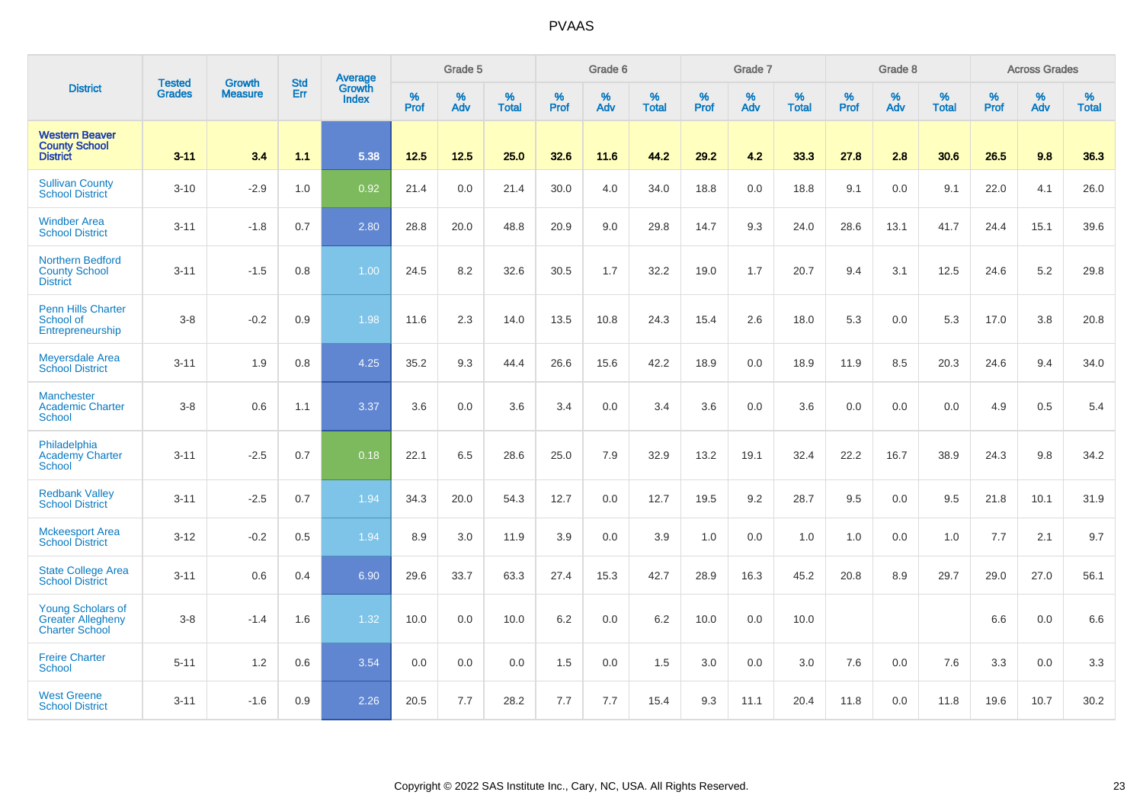|                                                                               |                                |                                 | <b>Std</b> | Average                       |           | Grade 5  |                   |           | Grade 6  |                   |           | Grade 7  |                   |           | Grade 8  |                   |           | <b>Across Grades</b> |                   |
|-------------------------------------------------------------------------------|--------------------------------|---------------------------------|------------|-------------------------------|-----------|----------|-------------------|-----------|----------|-------------------|-----------|----------|-------------------|-----------|----------|-------------------|-----------|----------------------|-------------------|
| <b>District</b>                                                               | <b>Tested</b><br><b>Grades</b> | <b>Growth</b><br><b>Measure</b> | Err        | <b>Growth</b><br><b>Index</b> | %<br>Prof | %<br>Adv | %<br><b>Total</b> | %<br>Prof | %<br>Adv | %<br><b>Total</b> | %<br>Prof | %<br>Adv | %<br><b>Total</b> | %<br>Prof | %<br>Adv | %<br><b>Total</b> | %<br>Prof | %<br>Adv             | %<br><b>Total</b> |
| <b>Western Beaver</b><br><b>County School</b><br><b>District</b>              | $3 - 11$                       | 3.4                             | 1.1        | 5.38                          | 12.5      | 12.5     | 25.0              | 32.6      | 11.6     | 44.2              | 29.2      | 4.2      | 33.3              | 27.8      | 2.8      | 30.6              | 26.5      | 9.8                  | 36.3              |
| <b>Sullivan County</b><br><b>School District</b>                              | $3 - 10$                       | $-2.9$                          | 1.0        | 0.92                          | 21.4      | 0.0      | 21.4              | 30.0      | 4.0      | 34.0              | 18.8      | 0.0      | 18.8              | 9.1       | 0.0      | 9.1               | 22.0      | 4.1                  | 26.0              |
| <b>Windber Area</b><br><b>School District</b>                                 | $3 - 11$                       | $-1.8$                          | 0.7        | 2.80                          | 28.8      | 20.0     | 48.8              | 20.9      | 9.0      | 29.8              | 14.7      | 9.3      | 24.0              | 28.6      | 13.1     | 41.7              | 24.4      | 15.1                 | 39.6              |
| <b>Northern Bedford</b><br><b>County School</b><br><b>District</b>            | $3 - 11$                       | $-1.5$                          | 0.8        | 1.00                          | 24.5      | 8.2      | 32.6              | 30.5      | 1.7      | 32.2              | 19.0      | 1.7      | 20.7              | 9.4       | 3.1      | 12.5              | 24.6      | $5.2\,$              | 29.8              |
| <b>Penn Hills Charter</b><br>School of<br>Entrepreneurship                    | $3-8$                          | $-0.2$                          | 0.9        | 1.98                          | 11.6      | 2.3      | 14.0              | 13.5      | 10.8     | 24.3              | 15.4      | 2.6      | 18.0              | 5.3       | 0.0      | 5.3               | 17.0      | 3.8                  | 20.8              |
| <b>Meyersdale Area</b><br><b>School District</b>                              | $3 - 11$                       | 1.9                             | 0.8        | 4.25                          | 35.2      | 9.3      | 44.4              | 26.6      | 15.6     | 42.2              | 18.9      | 0.0      | 18.9              | 11.9      | 8.5      | 20.3              | 24.6      | 9.4                  | 34.0              |
| <b>Manchester</b><br><b>Academic Charter</b><br>School                        | $3 - 8$                        | 0.6                             | 1.1        | 3.37                          | 3.6       | 0.0      | 3.6               | 3.4       | 0.0      | 3.4               | 3.6       | 0.0      | 3.6               | 0.0       | 0.0      | 0.0               | 4.9       | 0.5                  | 5.4               |
| Philadelphia<br><b>Academy Charter</b><br>School                              | $3 - 11$                       | $-2.5$                          | 0.7        | 0.18                          | 22.1      | 6.5      | 28.6              | 25.0      | 7.9      | 32.9              | 13.2      | 19.1     | 32.4              | 22.2      | 16.7     | 38.9              | 24.3      | 9.8                  | 34.2              |
| <b>Redbank Valley</b><br><b>School District</b>                               | $3 - 11$                       | $-2.5$                          | 0.7        | 1.94                          | 34.3      | 20.0     | 54.3              | 12.7      | 0.0      | 12.7              | 19.5      | 9.2      | 28.7              | 9.5       | 0.0      | 9.5               | 21.8      | 10.1                 | 31.9              |
| <b>Mckeesport Area</b><br><b>School District</b>                              | $3 - 12$                       | $-0.2$                          | 0.5        | 1.94                          | 8.9       | 3.0      | 11.9              | 3.9       | 0.0      | 3.9               | 1.0       | 0.0      | 1.0               | 1.0       | 0.0      | 1.0               | 7.7       | 2.1                  | 9.7               |
| <b>State College Area</b><br><b>School District</b>                           | $3 - 11$                       | 0.6                             | 0.4        | 6.90                          | 29.6      | 33.7     | 63.3              | 27.4      | 15.3     | 42.7              | 28.9      | 16.3     | 45.2              | 20.8      | 8.9      | 29.7              | 29.0      | 27.0                 | 56.1              |
| <b>Young Scholars of</b><br><b>Greater Allegheny</b><br><b>Charter School</b> | $3-8$                          | $-1.4$                          | 1.6        | 1.32                          | 10.0      | 0.0      | 10.0              | 6.2       | 0.0      | 6.2               | 10.0      | 0.0      | 10.0              |           |          |                   | 6.6       | 0.0                  | 6.6               |
| <b>Freire Charter</b><br><b>School</b>                                        | $5 - 11$                       | 1.2                             | 0.6        | 3.54                          | 0.0       | 0.0      | 0.0               | 1.5       | 0.0      | 1.5               | 3.0       | 0.0      | 3.0               | 7.6       | 0.0      | 7.6               | 3.3       | 0.0                  | 3.3               |
| <b>West Greene</b><br><b>School District</b>                                  | $3 - 11$                       | $-1.6$                          | 0.9        | 2.26                          | 20.5      | 7.7      | 28.2              | 7.7       | 7.7      | 15.4              | 9.3       | 11.1     | 20.4              | 11.8      | 0.0      | 11.8              | 19.6      | 10.7                 | 30.2              |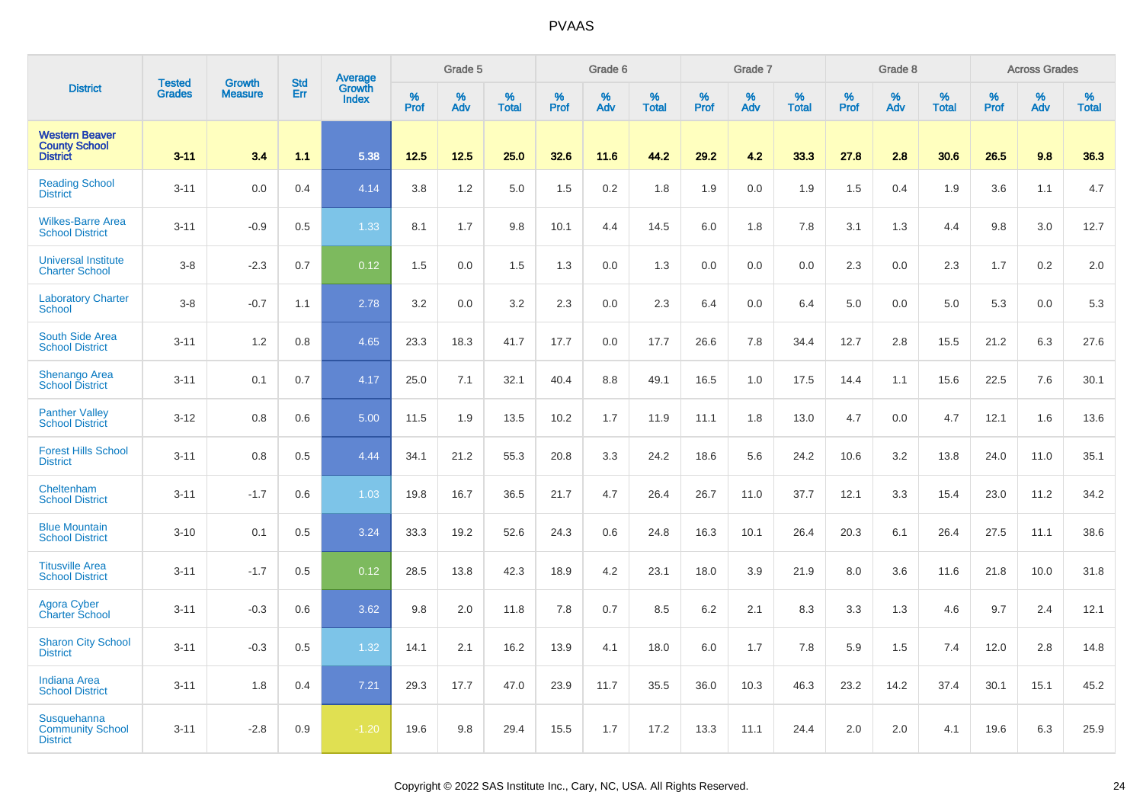|                                                                  | <b>Tested</b> | <b>Growth</b>  | <b>Std</b> |                                          |              | Grade 5  |                   |                  | Grade 6  |                   |              | Grade 7  |                   |              | Grade 8  |                   |              | <b>Across Grades</b> |                   |
|------------------------------------------------------------------|---------------|----------------|------------|------------------------------------------|--------------|----------|-------------------|------------------|----------|-------------------|--------------|----------|-------------------|--------------|----------|-------------------|--------------|----------------------|-------------------|
| <b>District</b>                                                  | <b>Grades</b> | <b>Measure</b> | Err        | <b>Average</b><br>Growth<br><b>Index</b> | $\%$<br>Prof | %<br>Adv | %<br><b>Total</b> | %<br><b>Prof</b> | %<br>Adv | %<br><b>Total</b> | $\%$<br>Prof | %<br>Adv | %<br><b>Total</b> | $\%$<br>Prof | %<br>Adv | %<br><b>Total</b> | $\%$<br>Prof | %<br>Adv             | %<br><b>Total</b> |
| <b>Western Beaver</b><br><b>County School</b><br><b>District</b> | $3 - 11$      | 3.4            | 1.1        | 5.38                                     | 12.5         | 12.5     | 25.0              | 32.6             | 11.6     | 44.2              | 29.2         | 4.2      | 33.3              | 27.8         | 2.8      | 30.6              | 26.5         | 9.8                  | 36.3              |
| <b>Reading School</b><br><b>District</b>                         | $3 - 11$      | 0.0            | 0.4        | 4.14                                     | 3.8          | 1.2      | 5.0               | 1.5              | 0.2      | 1.8               | 1.9          | 0.0      | 1.9               | 1.5          | 0.4      | 1.9               | 3.6          | 1.1                  | 4.7               |
| <b>Wilkes-Barre Area</b><br><b>School District</b>               | $3 - 11$      | $-0.9$         | 0.5        | 1.33                                     | 8.1          | 1.7      | 9.8               | 10.1             | 4.4      | 14.5              | 6.0          | 1.8      | 7.8               | 3.1          | 1.3      | 4.4               | 9.8          | 3.0                  | 12.7              |
| <b>Universal Institute</b><br><b>Charter School</b>              | $3 - 8$       | $-2.3$         | 0.7        | 0.12                                     | 1.5          | 0.0      | 1.5               | 1.3              | 0.0      | 1.3               | 0.0          | 0.0      | 0.0               | 2.3          | 0.0      | 2.3               | 1.7          | 0.2                  | 2.0               |
| <b>Laboratory Charter</b><br><b>School</b>                       | $3 - 8$       | $-0.7$         | 1.1        | 2.78                                     | 3.2          | 0.0      | 3.2               | 2.3              | 0.0      | 2.3               | 6.4          | 0.0      | 6.4               | 5.0          | 0.0      | 5.0               | 5.3          | 0.0                  | 5.3               |
| <b>South Side Area</b><br><b>School District</b>                 | $3 - 11$      | 1.2            | 0.8        | 4.65                                     | 23.3         | 18.3     | 41.7              | 17.7             | 0.0      | 17.7              | 26.6         | 7.8      | 34.4              | 12.7         | 2.8      | 15.5              | 21.2         | 6.3                  | 27.6              |
| <b>Shenango Area</b><br><b>School District</b>                   | $3 - 11$      | 0.1            | 0.7        | 4.17                                     | 25.0         | 7.1      | 32.1              | 40.4             | 8.8      | 49.1              | 16.5         | 1.0      | 17.5              | 14.4         | 1.1      | 15.6              | 22.5         | 7.6                  | 30.1              |
| <b>Panther Valley</b><br><b>School District</b>                  | $3 - 12$      | 0.8            | 0.6        | 5.00                                     | 11.5         | 1.9      | 13.5              | 10.2             | 1.7      | 11.9              | 11.1         | 1.8      | 13.0              | 4.7          | 0.0      | 4.7               | 12.1         | 1.6                  | 13.6              |
| <b>Forest Hills School</b><br><b>District</b>                    | $3 - 11$      | 0.8            | 0.5        | 4.44                                     | 34.1         | 21.2     | 55.3              | 20.8             | 3.3      | 24.2              | 18.6         | 5.6      | 24.2              | 10.6         | 3.2      | 13.8              | 24.0         | 11.0                 | 35.1              |
| Cheltenham<br><b>School District</b>                             | $3 - 11$      | $-1.7$         | 0.6        | 1.03                                     | 19.8         | 16.7     | 36.5              | 21.7             | 4.7      | 26.4              | 26.7         | 11.0     | 37.7              | 12.1         | 3.3      | 15.4              | 23.0         | 11.2                 | 34.2              |
| <b>Blue Mountain</b><br><b>School District</b>                   | $3 - 10$      | 0.1            | 0.5        | 3.24                                     | 33.3         | 19.2     | 52.6              | 24.3             | 0.6      | 24.8              | 16.3         | 10.1     | 26.4              | 20.3         | 6.1      | 26.4              | 27.5         | 11.1                 | 38.6              |
| <b>Titusville Area</b><br><b>School District</b>                 | $3 - 11$      | $-1.7$         | 0.5        | 0.12                                     | 28.5         | 13.8     | 42.3              | 18.9             | 4.2      | 23.1              | 18.0         | 3.9      | 21.9              | 8.0          | 3.6      | 11.6              | 21.8         | 10.0                 | 31.8              |
| <b>Agora Cyber</b><br><b>Charter School</b>                      | $3 - 11$      | $-0.3$         | 0.6        | 3.62                                     | 9.8          | 2.0      | 11.8              | 7.8              | 0.7      | 8.5               | 6.2          | 2.1      | 8.3               | 3.3          | 1.3      | 4.6               | 9.7          | 2.4                  | 12.1              |
| <b>Sharon City School</b><br><b>District</b>                     | $3 - 11$      | $-0.3$         | 0.5        | 1.32                                     | 14.1         | 2.1      | 16.2              | 13.9             | 4.1      | 18.0              | 6.0          | 1.7      | 7.8               | 5.9          | 1.5      | 7.4               | 12.0         | 2.8                  | 14.8              |
| <b>Indiana Area</b><br><b>School District</b>                    | $3 - 11$      | 1.8            | 0.4        | 7.21                                     | 29.3         | 17.7     | 47.0              | 23.9             | 11.7     | 35.5              | 36.0         | 10.3     | 46.3              | 23.2         | 14.2     | 37.4              | 30.1         | 15.1                 | 45.2              |
| Susquehanna<br><b>Community School</b><br><b>District</b>        | $3 - 11$      | $-2.8$         | 0.9        | $-1.20$                                  | 19.6         | 9.8      | 29.4              | 15.5             | 1.7      | 17.2              | 13.3         | 11.1     | 24.4              | 2.0          | 2.0      | 4.1               | 19.6         | 6.3                  | 25.9              |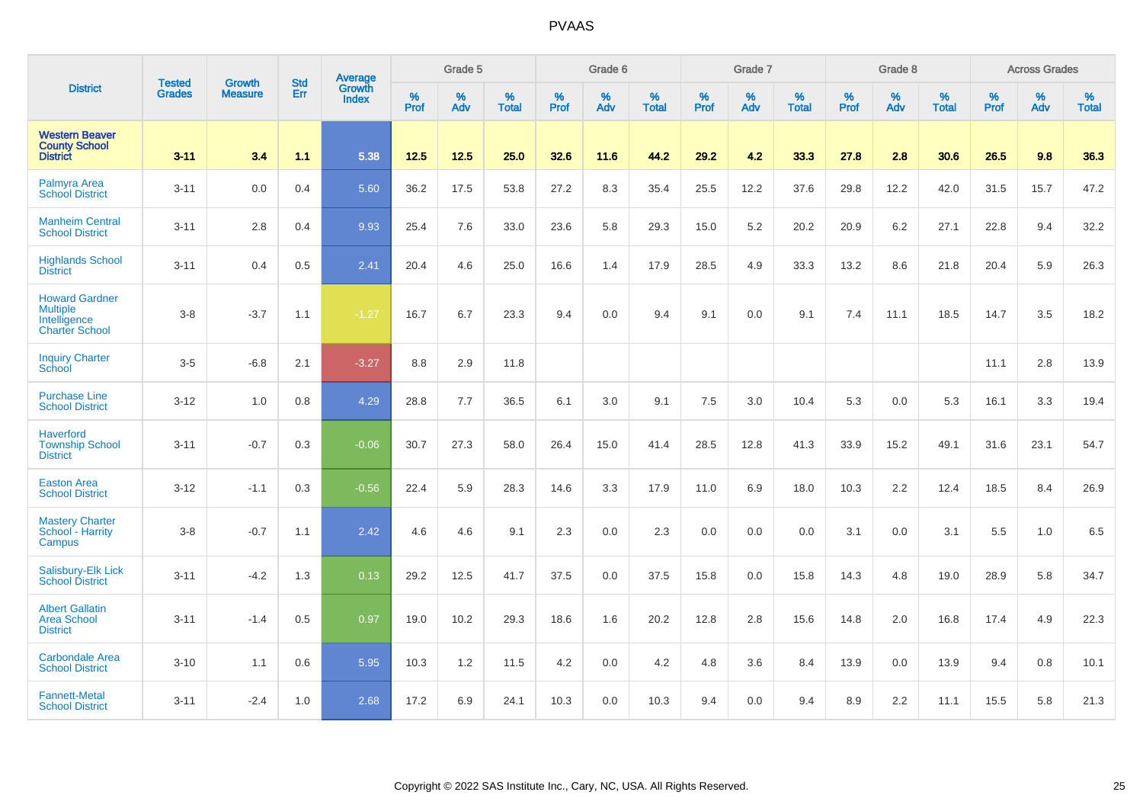|                                                                                   | <b>Tested</b> | <b>Growth</b>  | <b>Std</b> | Average                |                     | Grade 5  |                   |              | Grade 6  |                   |              | Grade 7  |                   |              | Grade 8  |                   |                  | <b>Across Grades</b> |                   |
|-----------------------------------------------------------------------------------|---------------|----------------|------------|------------------------|---------------------|----------|-------------------|--------------|----------|-------------------|--------------|----------|-------------------|--------------|----------|-------------------|------------------|----------------------|-------------------|
| <b>District</b>                                                                   | <b>Grades</b> | <b>Measure</b> | Err        | Growth<br><b>Index</b> | $\%$<br><b>Prof</b> | %<br>Adv | %<br><b>Total</b> | $\%$<br>Prof | %<br>Adv | %<br><b>Total</b> | $\%$<br>Prof | %<br>Adv | %<br><b>Total</b> | $\%$<br>Prof | %<br>Adv | %<br><b>Total</b> | %<br><b>Prof</b> | %<br>Adv             | %<br><b>Total</b> |
| <b>Western Beaver</b><br><b>County School</b><br><b>District</b>                  | $3 - 11$      | 3.4            | 1.1        | 5.38                   | 12.5                | 12.5     | 25.0              | 32.6         | 11.6     | 44.2              | 29.2         | 4.2      | 33.3              | 27.8         | 2.8      | 30.6              | 26.5             | 9.8                  | 36.3              |
| Palmyra Area<br><b>School District</b>                                            | $3 - 11$      | 0.0            | 0.4        | 5.60                   | 36.2                | 17.5     | 53.8              | 27.2         | 8.3      | 35.4              | 25.5         | 12.2     | 37.6              | 29.8         | 12.2     | 42.0              | 31.5             | 15.7                 | 47.2              |
| <b>Manheim Central</b><br><b>School District</b>                                  | $3 - 11$      | 2.8            | 0.4        | 9.93                   | 25.4                | 7.6      | 33.0              | 23.6         | 5.8      | 29.3              | 15.0         | 5.2      | 20.2              | 20.9         | 6.2      | 27.1              | 22.8             | 9.4                  | 32.2              |
| <b>Highlands School</b><br><b>District</b>                                        | $3 - 11$      | 0.4            | 0.5        | 2.41                   | 20.4                | 4.6      | 25.0              | 16.6         | 1.4      | 17.9              | 28.5         | 4.9      | 33.3              | 13.2         | 8.6      | 21.8              | 20.4             | 5.9                  | 26.3              |
| <b>Howard Gardner</b><br><b>Multiple</b><br>Intelligence<br><b>Charter School</b> | $3-8$         | $-3.7$         | 1.1        | $-1.27$                | 16.7                | 6.7      | 23.3              | 9.4          | 0.0      | 9.4               | 9.1          | 0.0      | 9.1               | 7.4          | 11.1     | 18.5              | 14.7             | 3.5                  | 18.2              |
| <b>Inquiry Charter</b><br>School                                                  | $3-5$         | $-6.8$         | 2.1        | $-3.27$                | 8.8                 | 2.9      | 11.8              |              |          |                   |              |          |                   |              |          |                   | 11.1             | 2.8                  | 13.9              |
| <b>Purchase Line</b><br><b>School District</b>                                    | $3 - 12$      | 1.0            | 0.8        | 4.29                   | 28.8                | 7.7      | 36.5              | 6.1          | 3.0      | 9.1               | 7.5          | 3.0      | 10.4              | 5.3          | 0.0      | 5.3               | 16.1             | 3.3                  | 19.4              |
| <b>Haverford</b><br><b>Township School</b><br><b>District</b>                     | $3 - 11$      | $-0.7$         | 0.3        | $-0.06$                | 30.7                | 27.3     | 58.0              | 26.4         | 15.0     | 41.4              | 28.5         | 12.8     | 41.3              | 33.9         | 15.2     | 49.1              | 31.6             | 23.1                 | 54.7              |
| <b>Easton Area</b><br><b>School District</b>                                      | $3 - 12$      | $-1.1$         | 0.3        | $-0.56$                | 22.4                | 5.9      | 28.3              | 14.6         | 3.3      | 17.9              | 11.0         | 6.9      | 18.0              | 10.3         | 2.2      | 12.4              | 18.5             | 8.4                  | 26.9              |
| <b>Mastery Charter</b><br>School - Harrity<br>Campus                              | $3 - 8$       | $-0.7$         | 1.1        | 2.42                   | 4.6                 | 4.6      | 9.1               | 2.3          | 0.0      | 2.3               | 0.0          | 0.0      | 0.0               | 3.1          | 0.0      | 3.1               | 5.5              | 1.0                  | 6.5               |
| Salisbury-Elk Lick<br><b>School District</b>                                      | $3 - 11$      | $-4.2$         | 1.3        | 0.13                   | 29.2                | 12.5     | 41.7              | 37.5         | 0.0      | 37.5              | 15.8         | 0.0      | 15.8              | 14.3         | 4.8      | 19.0              | 28.9             | 5.8                  | 34.7              |
| <b>Albert Gallatin</b><br><b>Area School</b><br><b>District</b>                   | $3 - 11$      | $-1.4$         | 0.5        | 0.97                   | 19.0                | 10.2     | 29.3              | 18.6         | 1.6      | 20.2              | 12.8         | 2.8      | 15.6              | 14.8         | 2.0      | 16.8              | 17.4             | 4.9                  | 22.3              |
| <b>Carbondale Area</b><br><b>School District</b>                                  | $3 - 10$      | 1.1            | 0.6        | 5.95                   | 10.3                | 1.2      | 11.5              | 4.2          | 0.0      | 4.2               | 4.8          | 3.6      | 8.4               | 13.9         | 0.0      | 13.9              | 9.4              | 0.8                  | 10.1              |
| <b>Fannett-Metal</b><br><b>School District</b>                                    | $3 - 11$      | $-2.4$         | 1.0        | 2.68                   | 17.2                | 6.9      | 24.1              | 10.3         | 0.0      | 10.3              | 9.4          | 0.0      | 9.4               | 8.9          | 2.2      | 11.1              | 15.5             | 5.8                  | 21.3              |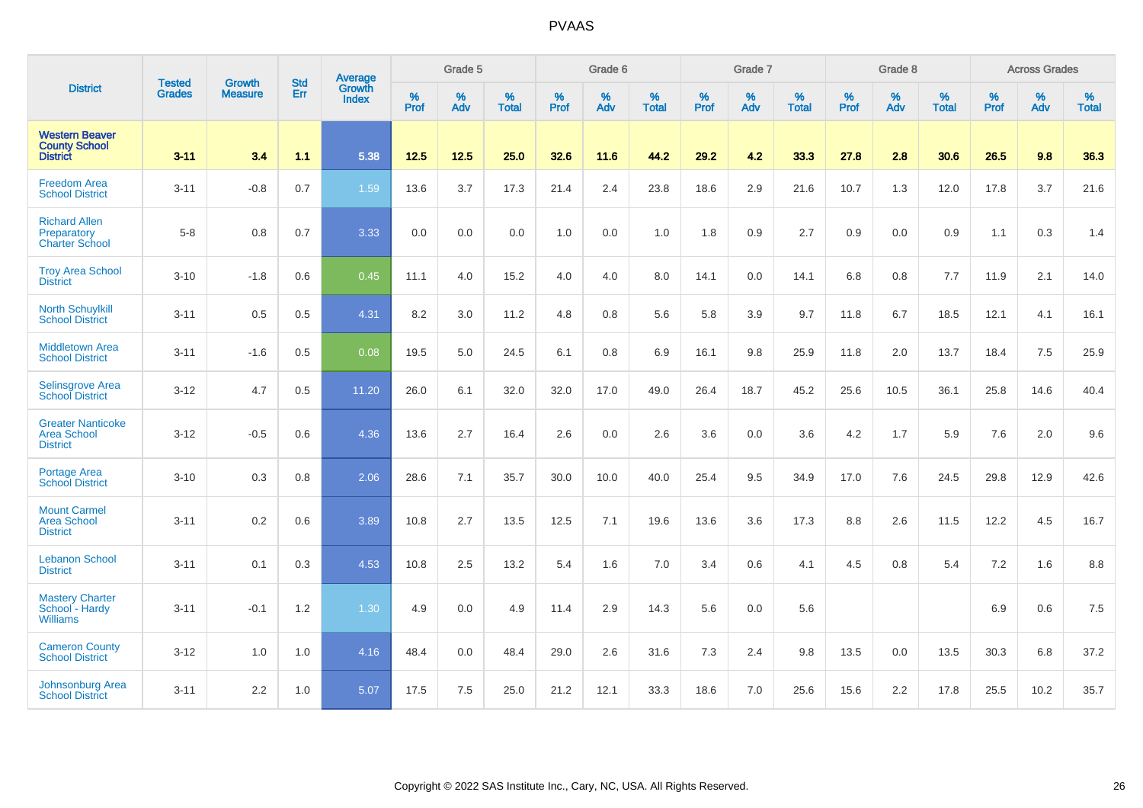|                                                                   | <b>Tested</b> | <b>Growth</b>  | <b>Std</b> | Average                |                     | Grade 5  |                   |                     | Grade 6  |                   |                     | Grade 7  |                   |                     | Grade 8     |                   |                     | <b>Across Grades</b> |                   |
|-------------------------------------------------------------------|---------------|----------------|------------|------------------------|---------------------|----------|-------------------|---------------------|----------|-------------------|---------------------|----------|-------------------|---------------------|-------------|-------------------|---------------------|----------------------|-------------------|
| <b>District</b>                                                   | <b>Grades</b> | <b>Measure</b> | Err        | Growth<br><b>Index</b> | $\%$<br><b>Prof</b> | %<br>Adv | %<br><b>Total</b> | $\%$<br><b>Prof</b> | %<br>Adv | %<br><b>Total</b> | $\%$<br><b>Prof</b> | %<br>Adv | %<br><b>Total</b> | $\%$<br><b>Prof</b> | $\%$<br>Adv | %<br><b>Total</b> | $\%$<br><b>Prof</b> | %<br>Adv             | %<br><b>Total</b> |
| <b>Western Beaver</b><br><b>County School</b><br><b>District</b>  | $3 - 11$      | 3.4            | 1.1        | 5.38                   | $12.5$              | 12.5     | 25.0              | 32.6                | 11.6     | 44.2              | 29.2                | 4.2      | 33.3              | 27.8                | 2.8         | 30.6              | 26.5                | 9.8                  | 36.3              |
| <b>Freedom Area</b><br><b>School District</b>                     | $3 - 11$      | $-0.8$         | 0.7        | 1.59                   | 13.6                | 3.7      | 17.3              | 21.4                | 2.4      | 23.8              | 18.6                | 2.9      | 21.6              | 10.7                | 1.3         | 12.0              | 17.8                | 3.7                  | 21.6              |
| <b>Richard Allen</b><br>Preparatory<br><b>Charter School</b>      | $5-8$         | 0.8            | 0.7        | 3.33                   | 0.0                 | 0.0      | 0.0               | $1.0$               | $0.0\,$  | 1.0               | 1.8                 | 0.9      | 2.7               | $0.9\,$             | 0.0         | 0.9               | 1.1                 | 0.3                  | 1.4               |
| <b>Troy Area School</b><br><b>District</b>                        | $3 - 10$      | $-1.8$         | 0.6        | 0.45                   | 11.1                | 4.0      | 15.2              | 4.0                 | 4.0      | 8.0               | 14.1                | 0.0      | 14.1              | 6.8                 | 0.8         | 7.7               | 11.9                | 2.1                  | 14.0              |
| <b>North Schuylkill</b><br><b>School District</b>                 | $3 - 11$      | 0.5            | 0.5        | 4.31                   | 8.2                 | 3.0      | 11.2              | 4.8                 | 0.8      | 5.6               | 5.8                 | 3.9      | 9.7               | 11.8                | 6.7         | 18.5              | 12.1                | 4.1                  | 16.1              |
| <b>Middletown Area</b><br><b>School District</b>                  | $3 - 11$      | $-1.6$         | 0.5        | 0.08                   | 19.5                | 5.0      | 24.5              | 6.1                 | 0.8      | 6.9               | 16.1                | 9.8      | 25.9              | 11.8                | 2.0         | 13.7              | 18.4                | 7.5                  | 25.9              |
| <b>Selinsgrove Area</b><br><b>School</b> District                 | $3 - 12$      | 4.7            | 0.5        | 11.20                  | 26.0                | 6.1      | 32.0              | 32.0                | 17.0     | 49.0              | 26.4                | 18.7     | 45.2              | 25.6                | 10.5        | 36.1              | 25.8                | 14.6                 | 40.4              |
| <b>Greater Nanticoke</b><br><b>Area School</b><br><b>District</b> | $3 - 12$      | $-0.5$         | 0.6        | 4.36                   | 13.6                | 2.7      | 16.4              | 2.6                 | 0.0      | 2.6               | 3.6                 | 0.0      | 3.6               | 4.2                 | 1.7         | 5.9               | 7.6                 | 2.0                  | 9.6               |
| Portage Area<br><b>School District</b>                            | $3 - 10$      | 0.3            | 0.8        | 2.06                   | 28.6                | 7.1      | 35.7              | 30.0                | 10.0     | 40.0              | 25.4                | 9.5      | 34.9              | 17.0                | 7.6         | 24.5              | 29.8                | 12.9                 | 42.6              |
| <b>Mount Carmel</b><br><b>Area School</b><br><b>District</b>      | $3 - 11$      | 0.2            | 0.6        | 3.89                   | 10.8                | 2.7      | 13.5              | 12.5                | 7.1      | 19.6              | 13.6                | 3.6      | 17.3              | 8.8                 | 2.6         | 11.5              | 12.2                | 4.5                  | 16.7              |
| <b>Lebanon School</b><br><b>District</b>                          | $3 - 11$      | 0.1            | 0.3        | 4.53                   | 10.8                | 2.5      | 13.2              | 5.4                 | 1.6      | 7.0               | 3.4                 | 0.6      | 4.1               | 4.5                 | 0.8         | 5.4               | 7.2                 | 1.6                  | $8.8\,$           |
| <b>Mastery Charter</b><br>School - Hardy<br><b>Williams</b>       | $3 - 11$      | $-0.1$         | 1.2        | 1.30                   | 4.9                 | 0.0      | 4.9               | 11.4                | 2.9      | 14.3              | 5.6                 | 0.0      | 5.6               |                     |             |                   | 6.9                 | 0.6                  | $7.5\,$           |
| <b>Cameron County</b><br><b>School District</b>                   | $3 - 12$      | 1.0            | 1.0        | 4.16                   | 48.4                | 0.0      | 48.4              | 29.0                | 2.6      | 31.6              | 7.3                 | 2.4      | 9.8               | 13.5                | 0.0         | 13.5              | 30.3                | 6.8                  | 37.2              |
| Johnsonburg Area<br><b>School District</b>                        | $3 - 11$      | 2.2            | 1.0        | 5.07                   | 17.5                | 7.5      | 25.0              | 21.2                | 12.1     | 33.3              | 18.6                | 7.0      | 25.6              | 15.6                | 2.2         | 17.8              | 25.5                | 10.2                 | 35.7              |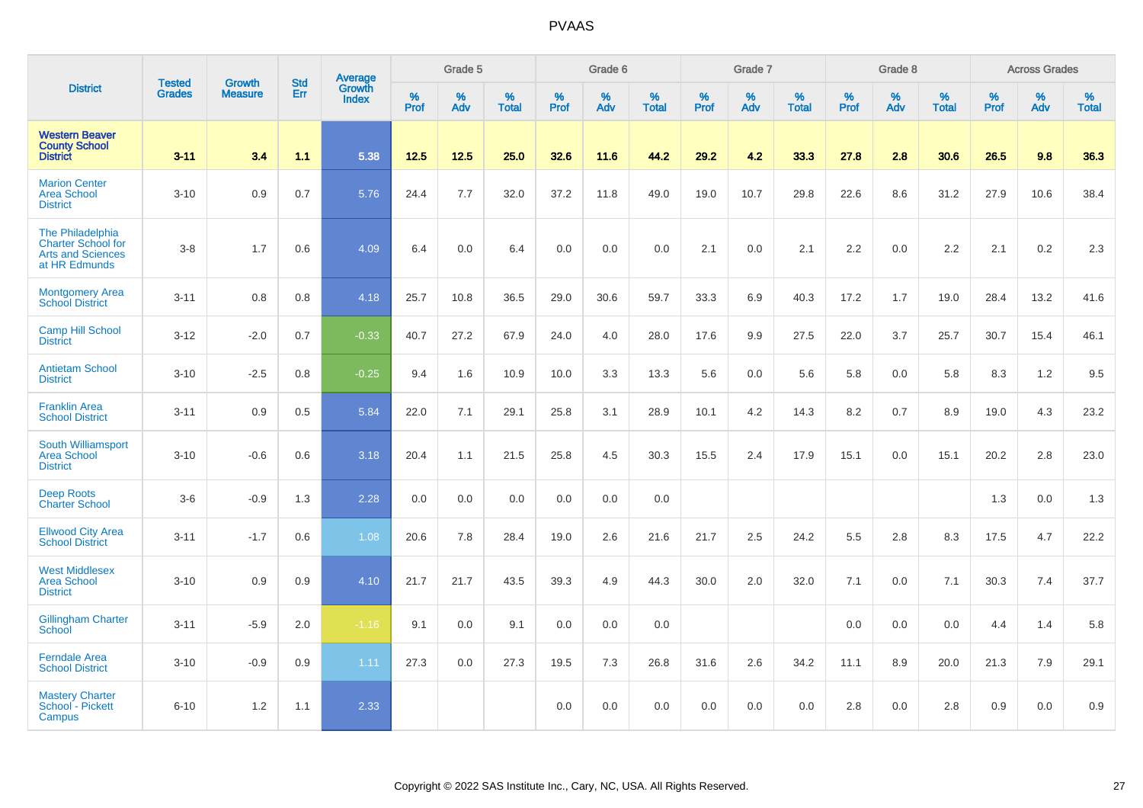|                                                                                     | <b>Tested</b> | <b>Growth</b>  | <b>Std</b> | Average                |                  | Grade 5  |                   |           | Grade 6  |                   |           | Grade 7  |                   |           | Grade 8  |                   |           | <b>Across Grades</b> |                   |
|-------------------------------------------------------------------------------------|---------------|----------------|------------|------------------------|------------------|----------|-------------------|-----------|----------|-------------------|-----------|----------|-------------------|-----------|----------|-------------------|-----------|----------------------|-------------------|
| <b>District</b>                                                                     | <b>Grades</b> | <b>Measure</b> | Err        | Growth<br><b>Index</b> | %<br><b>Prof</b> | %<br>Adv | %<br><b>Total</b> | %<br>Prof | %<br>Adv | %<br><b>Total</b> | %<br>Prof | %<br>Adv | %<br><b>Total</b> | %<br>Prof | %<br>Adv | %<br><b>Total</b> | %<br>Prof | %<br>Adv             | %<br><b>Total</b> |
| <b>Western Beaver</b><br><b>County School</b><br><b>District</b>                    | $3 - 11$      | 3.4            | 1.1        | 5.38                   | 12.5             | $12.5$   | 25.0              | 32.6      | 11.6     | 44.2              | 29.2      | 4.2      | 33.3              | 27.8      | 2.8      | 30.6              | 26.5      | 9.8                  | 36.3              |
| <b>Marion Center</b><br><b>Area School</b><br><b>District</b>                       | $3 - 10$      | 0.9            | 0.7        | 5.76                   | 24.4             | 7.7      | 32.0              | 37.2      | 11.8     | 49.0              | 19.0      | 10.7     | 29.8              | 22.6      | 8.6      | 31.2              | 27.9      | 10.6                 | 38.4              |
| The Philadelphia<br><b>Charter School for</b><br>Arts and Sciences<br>at HR Edmunds | $3 - 8$       | 1.7            | 0.6        | 4.09                   | 6.4              | 0.0      | 6.4               | 0.0       | 0.0      | 0.0               | 2.1       | 0.0      | 2.1               | 2.2       | 0.0      | 2.2               | 2.1       | 0.2                  | 2.3               |
| <b>Montgomery Area</b><br><b>School District</b>                                    | $3 - 11$      | 0.8            | 0.8        | 4.18                   | 25.7             | 10.8     | 36.5              | 29.0      | 30.6     | 59.7              | 33.3      | 6.9      | 40.3              | 17.2      | 1.7      | 19.0              | 28.4      | 13.2                 | 41.6              |
| <b>Camp Hill School</b><br><b>District</b>                                          | $3 - 12$      | $-2.0$         | 0.7        | $-0.33$                | 40.7             | 27.2     | 67.9              | 24.0      | 4.0      | 28.0              | 17.6      | 9.9      | 27.5              | 22.0      | 3.7      | 25.7              | 30.7      | 15.4                 | 46.1              |
| <b>Antietam School</b><br><b>District</b>                                           | $3 - 10$      | $-2.5$         | 0.8        | $-0.25$                | 9.4              | 1.6      | 10.9              | 10.0      | 3.3      | 13.3              | 5.6       | 0.0      | 5.6               | 5.8       | 0.0      | 5.8               | 8.3       | 1.2                  | 9.5               |
| <b>Franklin Area</b><br><b>School District</b>                                      | $3 - 11$      | 0.9            | 0.5        | 5.84                   | 22.0             | 7.1      | 29.1              | 25.8      | 3.1      | 28.9              | 10.1      | 4.2      | 14.3              | 8.2       | 0.7      | 8.9               | 19.0      | 4.3                  | 23.2              |
| South Williamsport<br><b>Area School</b><br><b>District</b>                         | $3 - 10$      | $-0.6$         | 0.6        | 3.18                   | 20.4             | 1.1      | 21.5              | 25.8      | 4.5      | 30.3              | 15.5      | 2.4      | 17.9              | 15.1      | 0.0      | 15.1              | 20.2      | 2.8                  | 23.0              |
| <b>Deep Roots</b><br><b>Charter School</b>                                          | $3-6$         | $-0.9$         | 1.3        | 2.28                   | 0.0              | 0.0      | 0.0               | 0.0       | 0.0      | 0.0               |           |          |                   |           |          |                   | 1.3       | 0.0                  | 1.3               |
| <b>Ellwood City Area</b><br><b>School District</b>                                  | $3 - 11$      | $-1.7$         | 0.6        | 1.08                   | 20.6             | 7.8      | 28.4              | 19.0      | 2.6      | 21.6              | 21.7      | 2.5      | 24.2              | 5.5       | 2.8      | 8.3               | 17.5      | 4.7                  | 22.2              |
| <b>West Middlesex</b><br><b>Area School</b><br><b>District</b>                      | $3 - 10$      | 0.9            | 0.9        | 4.10                   | 21.7             | 21.7     | 43.5              | 39.3      | 4.9      | 44.3              | 30.0      | 2.0      | 32.0              | 7.1       | 0.0      | 7.1               | 30.3      | 7.4                  | 37.7              |
| <b>Gillingham Charter</b><br>School                                                 | $3 - 11$      | $-5.9$         | 2.0        | $-1.16$                | 9.1              | 0.0      | 9.1               | 0.0       | 0.0      | 0.0               |           |          |                   | 0.0       | 0.0      | 0.0               | 4.4       | 1.4                  | 5.8               |
| <b>Ferndale Area</b><br><b>School District</b>                                      | $3 - 10$      | $-0.9$         | 0.9        | 1.11                   | 27.3             | 0.0      | 27.3              | 19.5      | 7.3      | 26.8              | 31.6      | 2.6      | 34.2              | 11.1      | 8.9      | 20.0              | 21.3      | 7.9                  | 29.1              |
| <b>Mastery Charter</b><br>School - Pickett<br>Campus                                | $6 - 10$      | 1.2            | 1.1        | 2.33                   |                  |          |                   | 0.0       | 0.0      | 0.0               | 0.0       | 0.0      | 0.0               | 2.8       | 0.0      | 2.8               | 0.9       | $0.0\,$              | 0.9               |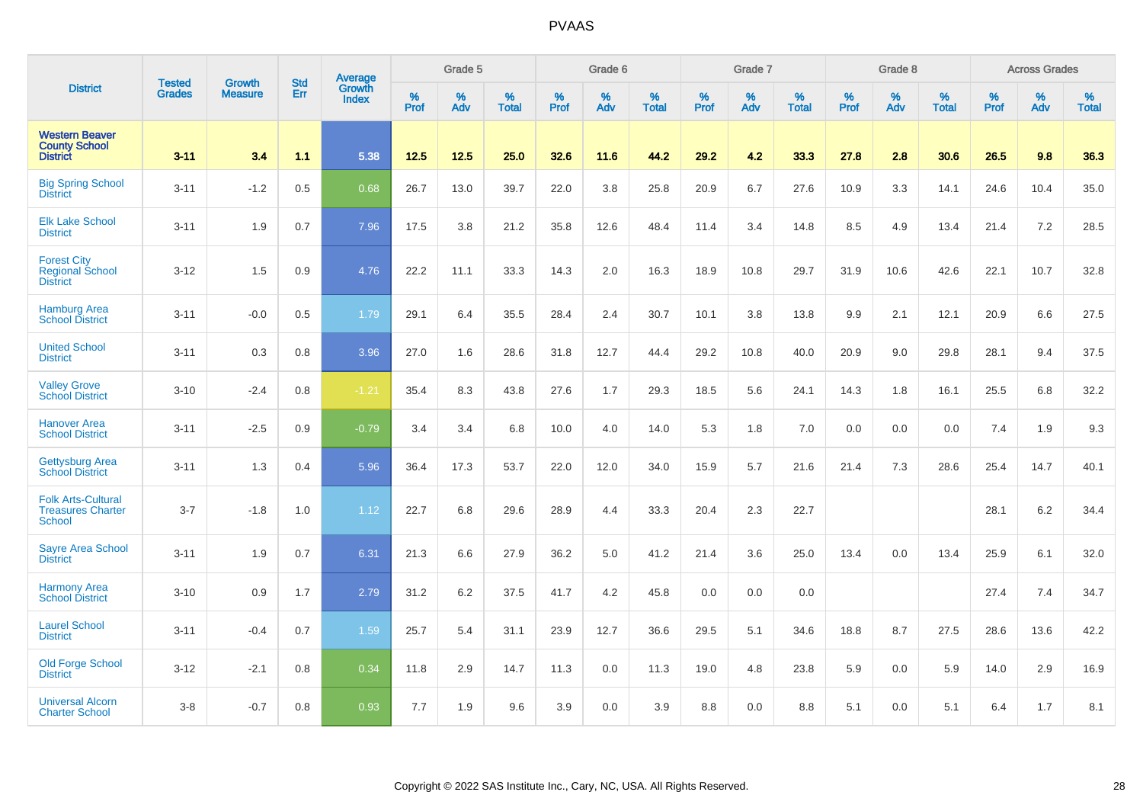|                                                                        |                                |                                 | <b>Std</b> | Average                       |              | Grade 5  |                   |           | Grade 6  |                   |           | Grade 7  |                   |           | Grade 8  |                   |           | <b>Across Grades</b> |                   |
|------------------------------------------------------------------------|--------------------------------|---------------------------------|------------|-------------------------------|--------------|----------|-------------------|-----------|----------|-------------------|-----------|----------|-------------------|-----------|----------|-------------------|-----------|----------------------|-------------------|
| <b>District</b>                                                        | <b>Tested</b><br><b>Grades</b> | <b>Growth</b><br><b>Measure</b> | Err        | <b>Growth</b><br><b>Index</b> | $\%$<br>Prof | %<br>Adv | %<br><b>Total</b> | %<br>Prof | %<br>Adv | %<br><b>Total</b> | %<br>Prof | %<br>Adv | %<br><b>Total</b> | %<br>Prof | %<br>Adv | %<br><b>Total</b> | %<br>Prof | %<br>Adv             | %<br><b>Total</b> |
| <b>Western Beaver</b><br><b>County School</b><br><b>District</b>       | $3 - 11$                       | 3.4                             | 1.1        | 5.38                          | 12.5         | 12.5     | 25.0              | 32.6      | 11.6     | 44.2              | 29.2      | 4.2      | 33.3              | 27.8      | 2.8      | 30.6              | 26.5      | 9.8                  | 36.3              |
| <b>Big Spring School</b><br><b>District</b>                            | $3 - 11$                       | $-1.2$                          | 0.5        | 0.68                          | 26.7         | 13.0     | 39.7              | 22.0      | 3.8      | 25.8              | 20.9      | 6.7      | 27.6              | 10.9      | 3.3      | 14.1              | 24.6      | 10.4                 | 35.0              |
| <b>Elk Lake School</b><br><b>District</b>                              | $3 - 11$                       | 1.9                             | 0.7        | 7.96                          | 17.5         | 3.8      | 21.2              | 35.8      | 12.6     | 48.4              | 11.4      | 3.4      | 14.8              | 8.5       | 4.9      | 13.4              | 21.4      | 7.2                  | 28.5              |
| <b>Forest City</b><br><b>Regional School</b><br><b>District</b>        | $3 - 12$                       | 1.5                             | 0.9        | 4.76                          | 22.2         | 11.1     | 33.3              | 14.3      | 2.0      | 16.3              | 18.9      | 10.8     | 29.7              | 31.9      | 10.6     | 42.6              | 22.1      | 10.7                 | 32.8              |
| <b>Hamburg Area</b><br><b>School District</b>                          | $3 - 11$                       | $-0.0$                          | 0.5        | 1.79                          | 29.1         | 6.4      | 35.5              | 28.4      | 2.4      | 30.7              | 10.1      | 3.8      | 13.8              | 9.9       | 2.1      | 12.1              | 20.9      | 6.6                  | 27.5              |
| <b>United School</b><br><b>District</b>                                | $3 - 11$                       | 0.3                             | 0.8        | 3.96                          | 27.0         | 1.6      | 28.6              | 31.8      | 12.7     | 44.4              | 29.2      | 10.8     | 40.0              | 20.9      | 9.0      | 29.8              | 28.1      | 9.4                  | 37.5              |
| <b>Valley Grove</b><br><b>School District</b>                          | $3 - 10$                       | $-2.4$                          | 0.8        | $-1.21$                       | 35.4         | 8.3      | 43.8              | 27.6      | 1.7      | 29.3              | 18.5      | 5.6      | 24.1              | 14.3      | 1.8      | 16.1              | 25.5      | 6.8                  | 32.2              |
| <b>Hanover Area</b><br><b>School District</b>                          | $3 - 11$                       | $-2.5$                          | 0.9        | $-0.79$                       | 3.4          | 3.4      | 6.8               | 10.0      | 4.0      | 14.0              | 5.3       | 1.8      | 7.0               | 0.0       | 0.0      | 0.0               | 7.4       | 1.9                  | 9.3               |
| <b>Gettysburg Area</b><br><b>School District</b>                       | $3 - 11$                       | 1.3                             | 0.4        | 5.96                          | 36.4         | 17.3     | 53.7              | 22.0      | 12.0     | 34.0              | 15.9      | 5.7      | 21.6              | 21.4      | 7.3      | 28.6              | 25.4      | 14.7                 | 40.1              |
| <b>Folk Arts-Cultural</b><br><b>Treasures Charter</b><br><b>School</b> | $3 - 7$                        | $-1.8$                          | 1.0        | 1.12                          | 22.7         | 6.8      | 29.6              | 28.9      | 4.4      | 33.3              | 20.4      | 2.3      | 22.7              |           |          |                   | 28.1      | $6.2\,$              | 34.4              |
| <b>Sayre Area School</b><br><b>District</b>                            | $3 - 11$                       | 1.9                             | 0.7        | 6.31                          | 21.3         | 6.6      | 27.9              | 36.2      | 5.0      | 41.2              | 21.4      | 3.6      | 25.0              | 13.4      | 0.0      | 13.4              | 25.9      | 6.1                  | 32.0              |
| <b>Harmony Area</b><br><b>School District</b>                          | $3 - 10$                       | 0.9                             | 1.7        | 2.79                          | 31.2         | 6.2      | 37.5              | 41.7      | 4.2      | 45.8              | 0.0       | 0.0      | 0.0               |           |          |                   | 27.4      | 7.4                  | 34.7              |
| <b>Laurel School</b><br><b>District</b>                                | $3 - 11$                       | $-0.4$                          | 0.7        | 1.59                          | 25.7         | 5.4      | 31.1              | 23.9      | 12.7     | 36.6              | 29.5      | 5.1      | 34.6              | 18.8      | 8.7      | 27.5              | 28.6      | 13.6                 | 42.2              |
| Old Forge School<br><b>District</b>                                    | $3 - 12$                       | $-2.1$                          | 0.8        | 0.34                          | 11.8         | 2.9      | 14.7              | 11.3      | 0.0      | 11.3              | 19.0      | 4.8      | 23.8              | 5.9       | 0.0      | 5.9               | 14.0      | 2.9                  | 16.9              |
| <b>Universal Alcorn</b><br><b>Charter School</b>                       | $3-8$                          | $-0.7$                          | 0.8        | 0.93                          | 7.7          | 1.9      | 9.6               | 3.9       | 0.0      | 3.9               | 8.8       | 0.0      | 8.8               | 5.1       | 0.0      | 5.1               | 6.4       | 1.7                  | 8.1               |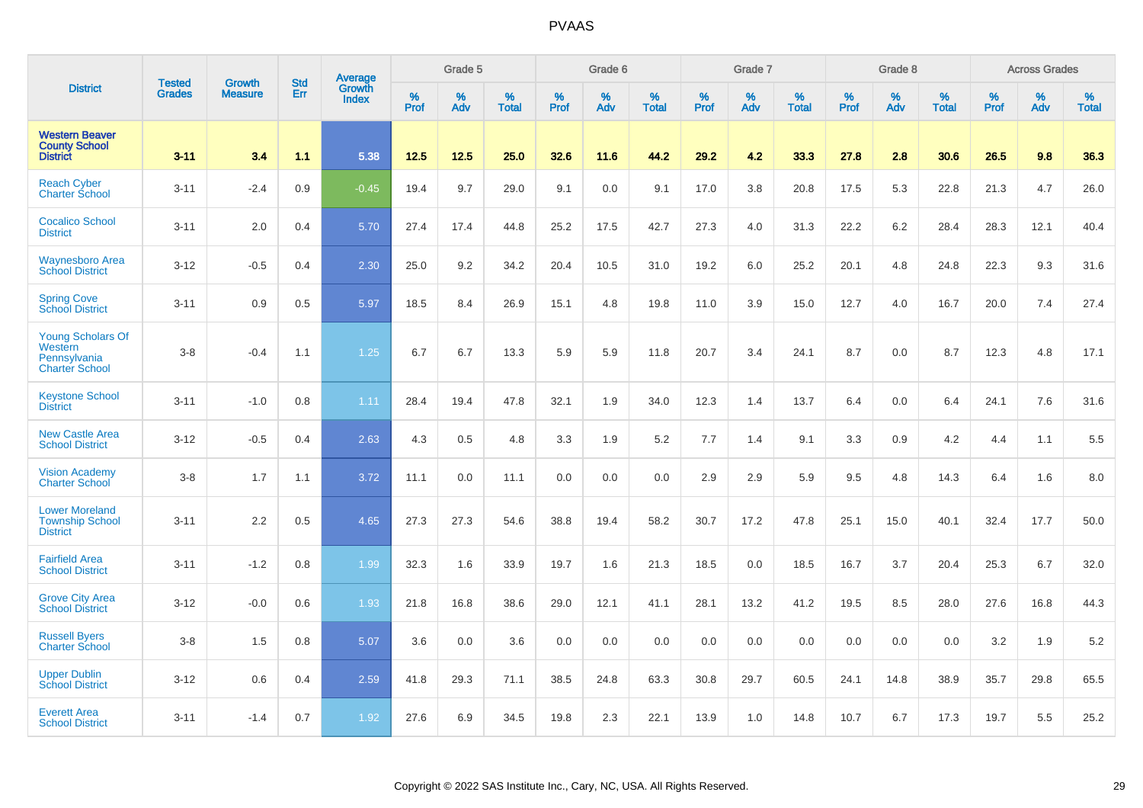|                                                                              |                                | <b>Growth</b>  | <b>Std</b> | Average         |              | Grade 5  |                   |           | Grade 6  |                   |           | Grade 7  |                   |           | Grade 8  |                   |              | <b>Across Grades</b> |                   |
|------------------------------------------------------------------------------|--------------------------------|----------------|------------|-----------------|--------------|----------|-------------------|-----------|----------|-------------------|-----------|----------|-------------------|-----------|----------|-------------------|--------------|----------------------|-------------------|
| <b>District</b>                                                              | <b>Tested</b><br><b>Grades</b> | <b>Measure</b> | Err        | Growth<br>Index | $\%$<br>Prof | %<br>Adv | %<br><b>Total</b> | %<br>Prof | %<br>Adv | %<br><b>Total</b> | %<br>Prof | %<br>Adv | %<br><b>Total</b> | %<br>Prof | %<br>Adv | %<br><b>Total</b> | $\%$<br>Prof | %<br>Adv             | %<br><b>Total</b> |
| <b>Western Beaver</b><br><b>County School</b><br><b>District</b>             | $3 - 11$                       | 3.4            | 1.1        | 5.38            | 12.5         | 12.5     | 25.0              | 32.6      | 11.6     | 44.2              | 29.2      | 4.2      | 33.3              | 27.8      | 2.8      | 30.6              | 26.5         | 9.8                  | 36.3              |
| <b>Reach Cyber</b><br><b>Charter School</b>                                  | $3 - 11$                       | $-2.4$         | 0.9        | $-0.45$         | 19.4         | 9.7      | 29.0              | 9.1       | 0.0      | 9.1               | 17.0      | 3.8      | 20.8              | 17.5      | 5.3      | 22.8              | 21.3         | 4.7                  | 26.0              |
| <b>Cocalico School</b><br><b>District</b>                                    | $3 - 11$                       | 2.0            | 0.4        | 5.70            | 27.4         | 17.4     | 44.8              | 25.2      | 17.5     | 42.7              | 27.3      | 4.0      | 31.3              | 22.2      | 6.2      | 28.4              | 28.3         | 12.1                 | 40.4              |
| <b>Waynesboro Area</b><br><b>School District</b>                             | $3 - 12$                       | $-0.5$         | 0.4        | 2.30            | 25.0         | 9.2      | 34.2              | 20.4      | 10.5     | 31.0              | 19.2      | 6.0      | 25.2              | 20.1      | 4.8      | 24.8              | 22.3         | 9.3                  | 31.6              |
| <b>Spring Cove</b><br><b>School District</b>                                 | $3 - 11$                       | 0.9            | 0.5        | 5.97            | 18.5         | 8.4      | 26.9              | 15.1      | 4.8      | 19.8              | 11.0      | 3.9      | 15.0              | 12.7      | 4.0      | 16.7              | 20.0         | 7.4                  | 27.4              |
| <b>Young Scholars Of</b><br>Western<br>Pennsylvania<br><b>Charter School</b> | $3-8$                          | $-0.4$         | 1.1        | 1.25            | 6.7          | 6.7      | 13.3              | 5.9       | 5.9      | 11.8              | 20.7      | 3.4      | 24.1              | 8.7       | 0.0      | 8.7               | 12.3         | 4.8                  | 17.1              |
| <b>Keystone School</b><br><b>District</b>                                    | $3 - 11$                       | $-1.0$         | 0.8        | 1.11            | 28.4         | 19.4     | 47.8              | 32.1      | 1.9      | 34.0              | 12.3      | 1.4      | 13.7              | 6.4       | 0.0      | 6.4               | 24.1         | 7.6                  | 31.6              |
| <b>New Castle Area</b><br><b>School District</b>                             | $3 - 12$                       | $-0.5$         | 0.4        | 2.63            | 4.3          | 0.5      | 4.8               | 3.3       | 1.9      | 5.2               | 7.7       | 1.4      | 9.1               | 3.3       | 0.9      | 4.2               | 4.4          | 1.1                  | 5.5               |
| <b>Vision Academy</b><br><b>Charter School</b>                               | $3-8$                          | 1.7            | 1.1        | 3.72            | 11.1         | 0.0      | 11.1              | 0.0       | 0.0      | 0.0               | 2.9       | 2.9      | 5.9               | 9.5       | 4.8      | 14.3              | 6.4          | 1.6                  | 8.0               |
| <b>Lower Moreland</b><br><b>Township School</b><br><b>District</b>           | $3 - 11$                       | 2.2            | 0.5        | 4.65            | 27.3         | 27.3     | 54.6              | 38.8      | 19.4     | 58.2              | 30.7      | 17.2     | 47.8              | 25.1      | 15.0     | 40.1              | 32.4         | 17.7                 | 50.0              |
| <b>Fairfield Area</b><br><b>School District</b>                              | $3 - 11$                       | $-1.2$         | 0.8        | 1.99            | 32.3         | 1.6      | 33.9              | 19.7      | 1.6      | 21.3              | 18.5      | 0.0      | 18.5              | 16.7      | 3.7      | 20.4              | 25.3         | 6.7                  | 32.0              |
| <b>Grove City Area</b><br><b>School District</b>                             | $3 - 12$                       | $-0.0$         | 0.6        | 1.93            | 21.8         | 16.8     | 38.6              | 29.0      | 12.1     | 41.1              | 28.1      | 13.2     | 41.2              | 19.5      | 8.5      | 28.0              | 27.6         | 16.8                 | 44.3              |
| <b>Russell Byers</b><br><b>Charter School</b>                                | $3-8$                          | 1.5            | 0.8        | 5.07            | 3.6          | 0.0      | 3.6               | 0.0       | 0.0      | 0.0               | 0.0       | 0.0      | 0.0               | 0.0       | 0.0      | 0.0               | 3.2          | 1.9                  | 5.2               |
| <b>Upper Dublin</b><br><b>School District</b>                                | $3 - 12$                       | 0.6            | 0.4        | 2.59            | 41.8         | 29.3     | 71.1              | 38.5      | 24.8     | 63.3              | 30.8      | 29.7     | 60.5              | 24.1      | 14.8     | 38.9              | 35.7         | 29.8                 | 65.5              |
| <b>Everett Area</b><br><b>School District</b>                                | $3 - 11$                       | $-1.4$         | 0.7        | 1.92            | 27.6         | 6.9      | 34.5              | 19.8      | 2.3      | 22.1              | 13.9      | 1.0      | 14.8              | 10.7      | 6.7      | 17.3              | 19.7         | 5.5                  | 25.2              |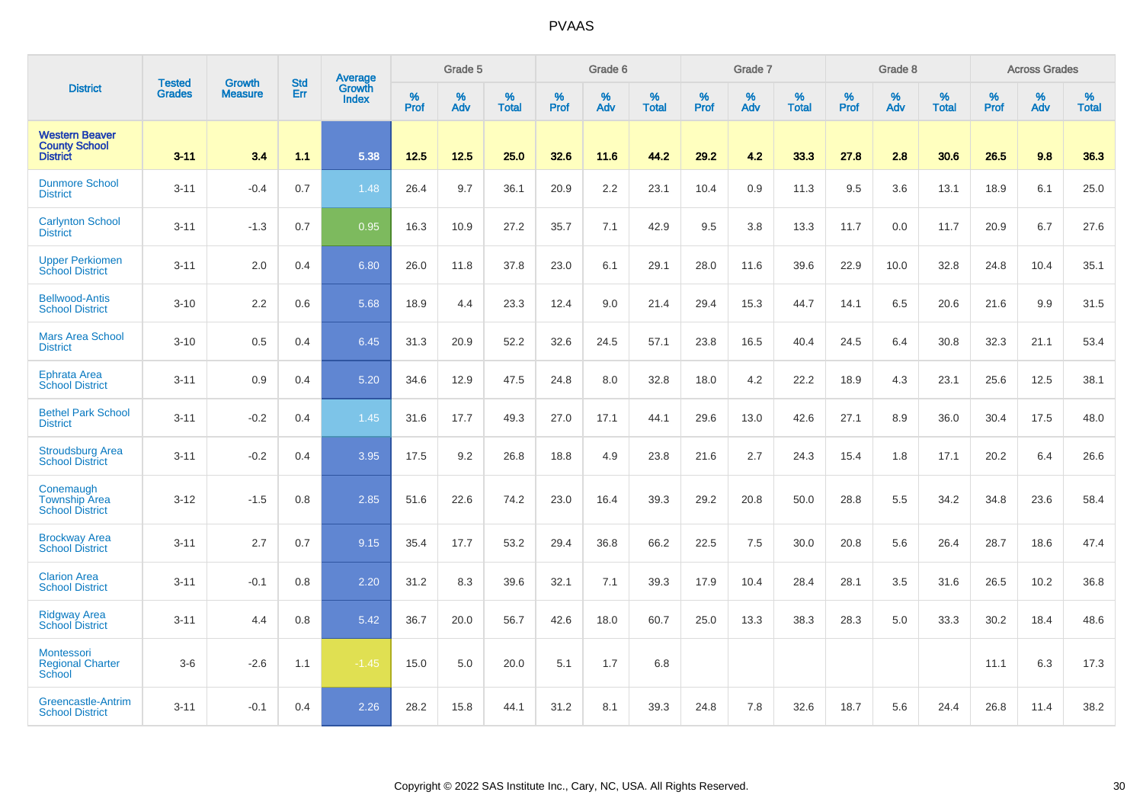|                                                                  | <b>Tested</b> | <b>Growth</b>  | <b>Std</b> | Average                |           | Grade 5  |                   |           | Grade 6  |                   |           | Grade 7  |                   |           | Grade 8  |                   |           | <b>Across Grades</b> |                   |
|------------------------------------------------------------------|---------------|----------------|------------|------------------------|-----------|----------|-------------------|-----------|----------|-------------------|-----------|----------|-------------------|-----------|----------|-------------------|-----------|----------------------|-------------------|
| <b>District</b>                                                  | <b>Grades</b> | <b>Measure</b> | Err        | <b>Growth</b><br>Index | %<br>Prof | %<br>Adv | %<br><b>Total</b> | %<br>Prof | %<br>Adv | %<br><b>Total</b> | %<br>Prof | %<br>Adv | %<br><b>Total</b> | %<br>Prof | %<br>Adv | %<br><b>Total</b> | %<br>Prof | %<br>Adv             | %<br><b>Total</b> |
| <b>Western Beaver</b><br><b>County School</b><br><b>District</b> | $3 - 11$      | 3.4            | 1.1        | 5.38                   | 12.5      | 12.5     | 25.0              | 32.6      | 11.6     | 44.2              | 29.2      | 4.2      | 33.3              | 27.8      | 2.8      | 30.6              | 26.5      | 9.8                  | 36.3              |
| <b>Dunmore School</b><br><b>District</b>                         | $3 - 11$      | $-0.4$         | 0.7        | 1.48                   | 26.4      | 9.7      | 36.1              | 20.9      | 2.2      | 23.1              | 10.4      | 0.9      | 11.3              | 9.5       | 3.6      | 13.1              | 18.9      | 6.1                  | 25.0              |
| <b>Carlynton School</b><br><b>District</b>                       | $3 - 11$      | $-1.3$         | 0.7        | 0.95                   | 16.3      | 10.9     | 27.2              | 35.7      | 7.1      | 42.9              | 9.5       | 3.8      | 13.3              | 11.7      | 0.0      | 11.7              | 20.9      | 6.7                  | 27.6              |
| <b>Upper Perkiomen</b><br><b>School District</b>                 | $3 - 11$      | 2.0            | 0.4        | 6.80                   | 26.0      | 11.8     | 37.8              | 23.0      | 6.1      | 29.1              | 28.0      | 11.6     | 39.6              | 22.9      | 10.0     | 32.8              | 24.8      | 10.4                 | 35.1              |
| <b>Bellwood-Antis</b><br><b>School District</b>                  | $3 - 10$      | 2.2            | 0.6        | 5.68                   | 18.9      | 4.4      | 23.3              | 12.4      | 9.0      | 21.4              | 29.4      | 15.3     | 44.7              | 14.1      | 6.5      | 20.6              | 21.6      | 9.9                  | 31.5              |
| <b>Mars Area School</b><br><b>District</b>                       | $3 - 10$      | 0.5            | 0.4        | 6.45                   | 31.3      | 20.9     | 52.2              | 32.6      | 24.5     | 57.1              | 23.8      | 16.5     | 40.4              | 24.5      | 6.4      | 30.8              | 32.3      | 21.1                 | 53.4              |
| <b>Ephrata Area</b><br><b>School District</b>                    | $3 - 11$      | 0.9            | 0.4        | 5.20                   | 34.6      | 12.9     | 47.5              | 24.8      | 8.0      | 32.8              | 18.0      | 4.2      | 22.2              | 18.9      | 4.3      | 23.1              | 25.6      | 12.5                 | 38.1              |
| <b>Bethel Park School</b><br><b>District</b>                     | $3 - 11$      | $-0.2$         | 0.4        | 1.45                   | 31.6      | 17.7     | 49.3              | 27.0      | 17.1     | 44.1              | 29.6      | 13.0     | 42.6              | 27.1      | 8.9      | 36.0              | 30.4      | 17.5                 | 48.0              |
| <b>Stroudsburg Area</b><br><b>School District</b>                | $3 - 11$      | $-0.2$         | 0.4        | 3.95                   | 17.5      | 9.2      | 26.8              | 18.8      | 4.9      | 23.8              | 21.6      | 2.7      | 24.3              | 15.4      | 1.8      | 17.1              | 20.2      | 6.4                  | 26.6              |
| Conemaugh<br><b>Township Area</b><br><b>School District</b>      | $3 - 12$      | $-1.5$         | 0.8        | 2.85                   | 51.6      | 22.6     | 74.2              | 23.0      | 16.4     | 39.3              | 29.2      | 20.8     | 50.0              | 28.8      | 5.5      | 34.2              | 34.8      | 23.6                 | 58.4              |
| <b>Brockway Area</b><br><b>School District</b>                   | $3 - 11$      | 2.7            | 0.7        | 9.15                   | 35.4      | 17.7     | 53.2              | 29.4      | 36.8     | 66.2              | 22.5      | 7.5      | 30.0              | 20.8      | 5.6      | 26.4              | 28.7      | 18.6                 | 47.4              |
| <b>Clarion Area</b><br><b>School District</b>                    | $3 - 11$      | $-0.1$         | 0.8        | 2.20                   | 31.2      | 8.3      | 39.6              | 32.1      | 7.1      | 39.3              | 17.9      | 10.4     | 28.4              | 28.1      | 3.5      | 31.6              | 26.5      | 10.2                 | 36.8              |
| <b>Ridgway Area</b><br><b>School District</b>                    | $3 - 11$      | 4.4            | 0.8        | 5.42                   | 36.7      | 20.0     | 56.7              | 42.6      | 18.0     | 60.7              | 25.0      | 13.3     | 38.3              | 28.3      | 5.0      | 33.3              | 30.2      | 18.4                 | 48.6              |
| Montessori<br><b>Regional Charter</b><br>School                  | $3-6$         | $-2.6$         | 1.1        | $-1.45$                | 15.0      | 5.0      | 20.0              | 5.1       | 1.7      | 6.8               |           |          |                   |           |          |                   | 11.1      | 6.3                  | 17.3              |
| Greencastle-Antrim<br><b>School District</b>                     | $3 - 11$      | $-0.1$         | 0.4        | 2.26                   | 28.2      | 15.8     | 44.1              | 31.2      | 8.1      | 39.3              | 24.8      | 7.8      | 32.6              | 18.7      | 5.6      | 24.4              | 26.8      | 11.4                 | 38.2              |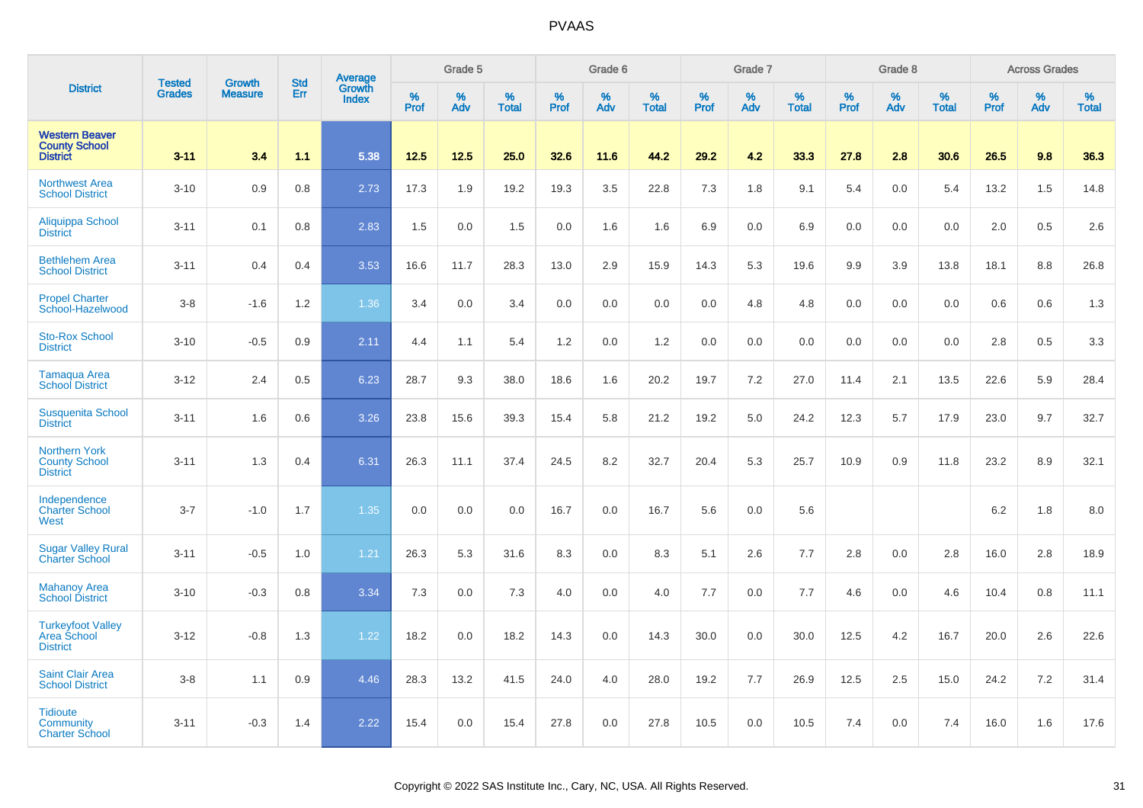|                                                                  |                                |                                 | <b>Std</b> |                                          |                  | Grade 5  |                   |           | Grade 6  |                   |           | Grade 7  |                   |                  | Grade 8  |                   |                  | <b>Across Grades</b> |                   |
|------------------------------------------------------------------|--------------------------------|---------------------------------|------------|------------------------------------------|------------------|----------|-------------------|-----------|----------|-------------------|-----------|----------|-------------------|------------------|----------|-------------------|------------------|----------------------|-------------------|
| <b>District</b>                                                  | <b>Tested</b><br><b>Grades</b> | <b>Growth</b><br><b>Measure</b> | Err        | <b>Average</b><br>Growth<br><b>Index</b> | %<br><b>Prof</b> | %<br>Adv | %<br><b>Total</b> | %<br>Prof | %<br>Adv | %<br><b>Total</b> | %<br>Prof | %<br>Adv | %<br><b>Total</b> | %<br><b>Prof</b> | %<br>Adv | %<br><b>Total</b> | %<br><b>Prof</b> | %<br>Adv             | %<br><b>Total</b> |
| <b>Western Beaver</b><br><b>County School</b><br><b>District</b> | $3 - 11$                       | 3.4                             | 1.1        | 5.38                                     | 12.5             | 12.5     | 25.0              | 32.6      | 11.6     | 44.2              | 29.2      | 4.2      | 33.3              | 27.8             | 2.8      | 30.6              | 26.5             | 9.8                  | 36.3              |
| <b>Northwest Area</b><br><b>School District</b>                  | $3 - 10$                       | 0.9                             | 0.8        | 2.73                                     | 17.3             | 1.9      | 19.2              | 19.3      | 3.5      | 22.8              | 7.3       | 1.8      | 9.1               | 5.4              | 0.0      | 5.4               | 13.2             | 1.5                  | 14.8              |
| Aliquippa School<br><b>District</b>                              | $3 - 11$                       | 0.1                             | 0.8        | 2.83                                     | 1.5              | 0.0      | 1.5               | 0.0       | 1.6      | 1.6               | 6.9       | 0.0      | 6.9               | 0.0              | 0.0      | 0.0               | 2.0              | 0.5                  | 2.6               |
| <b>Bethlehem Area</b><br><b>School District</b>                  | $3 - 11$                       | 0.4                             | 0.4        | 3.53                                     | 16.6             | 11.7     | 28.3              | 13.0      | 2.9      | 15.9              | 14.3      | 5.3      | 19.6              | 9.9              | 3.9      | 13.8              | 18.1             | 8.8                  | 26.8              |
| <b>Propel Charter</b><br>School-Hazelwood                        | $3-8$                          | $-1.6$                          | 1.2        | 1.36                                     | 3.4              | 0.0      | 3.4               | 0.0       | 0.0      | 0.0               | 0.0       | 4.8      | 4.8               | 0.0              | 0.0      | 0.0               | 0.6              | 0.6                  | 1.3               |
| <b>Sto-Rox School</b><br><b>District</b>                         | $3 - 10$                       | $-0.5$                          | 0.9        | 2.11                                     | 4.4              | 1.1      | 5.4               | 1.2       | 0.0      | 1.2               | 0.0       | 0.0      | 0.0               | 0.0              | 0.0      | 0.0               | 2.8              | 0.5                  | 3.3               |
| <b>Tamaqua Area</b><br><b>School District</b>                    | $3 - 12$                       | 2.4                             | 0.5        | 6.23                                     | 28.7             | 9.3      | 38.0              | 18.6      | 1.6      | 20.2              | 19.7      | 7.2      | 27.0              | 11.4             | 2.1      | 13.5              | 22.6             | 5.9                  | 28.4              |
| <b>Susquenita School</b><br><b>District</b>                      | $3 - 11$                       | 1.6                             | 0.6        | 3.26                                     | 23.8             | 15.6     | 39.3              | 15.4      | 5.8      | 21.2              | 19.2      | 5.0      | 24.2              | 12.3             | 5.7      | 17.9              | 23.0             | 9.7                  | 32.7              |
| <b>Northern York</b><br><b>County School</b><br><b>District</b>  | $3 - 11$                       | 1.3                             | 0.4        | 6.31                                     | 26.3             | 11.1     | 37.4              | 24.5      | 8.2      | 32.7              | 20.4      | 5.3      | 25.7              | 10.9             | 0.9      | 11.8              | 23.2             | 8.9                  | 32.1              |
| Independence<br><b>Charter School</b><br>West                    | $3 - 7$                        | $-1.0$                          | 1.7        | 1.35                                     | 0.0              | 0.0      | 0.0               | 16.7      | 0.0      | 16.7              | 5.6       | 0.0      | 5.6               |                  |          |                   | 6.2              | 1.8                  | 8.0               |
| <b>Sugar Valley Rural</b><br><b>Charter School</b>               | $3 - 11$                       | $-0.5$                          | 1.0        | 1.21                                     | 26.3             | 5.3      | 31.6              | 8.3       | 0.0      | 8.3               | 5.1       | 2.6      | 7.7               | 2.8              | 0.0      | 2.8               | 16.0             | 2.8                  | 18.9              |
| <b>Mahanoy Area</b><br><b>School District</b>                    | $3 - 10$                       | $-0.3$                          | 0.8        | 3.34                                     | 7.3              | 0.0      | 7.3               | 4.0       | 0.0      | 4.0               | 7.7       | 0.0      | 7.7               | 4.6              | 0.0      | 4.6               | 10.4             | 0.8                  | 11.1              |
| <b>Turkeyfoot Valley</b><br>Area School<br><b>District</b>       | $3 - 12$                       | $-0.8$                          | 1.3        | 1.22                                     | 18.2             | 0.0      | 18.2              | 14.3      | 0.0      | 14.3              | 30.0      | 0.0      | 30.0              | 12.5             | 4.2      | 16.7              | 20.0             | 2.6                  | 22.6              |
| <b>Saint Clair Area</b><br><b>School District</b>                | $3-8$                          | 1.1                             | 0.9        | 4.46                                     | 28.3             | 13.2     | 41.5              | 24.0      | 4.0      | 28.0              | 19.2      | 7.7      | 26.9              | 12.5             | 2.5      | 15.0              | 24.2             | 7.2                  | 31.4              |
| <b>Tidioute</b><br>Community<br><b>Charter School</b>            | $3 - 11$                       | $-0.3$                          | 1.4        | 2.22                                     | 15.4             | 0.0      | 15.4              | 27.8      | 0.0      | 27.8              | 10.5      | 0.0      | 10.5              | 7.4              | 0.0      | 7.4               | 16.0             | 1.6                  | 17.6              |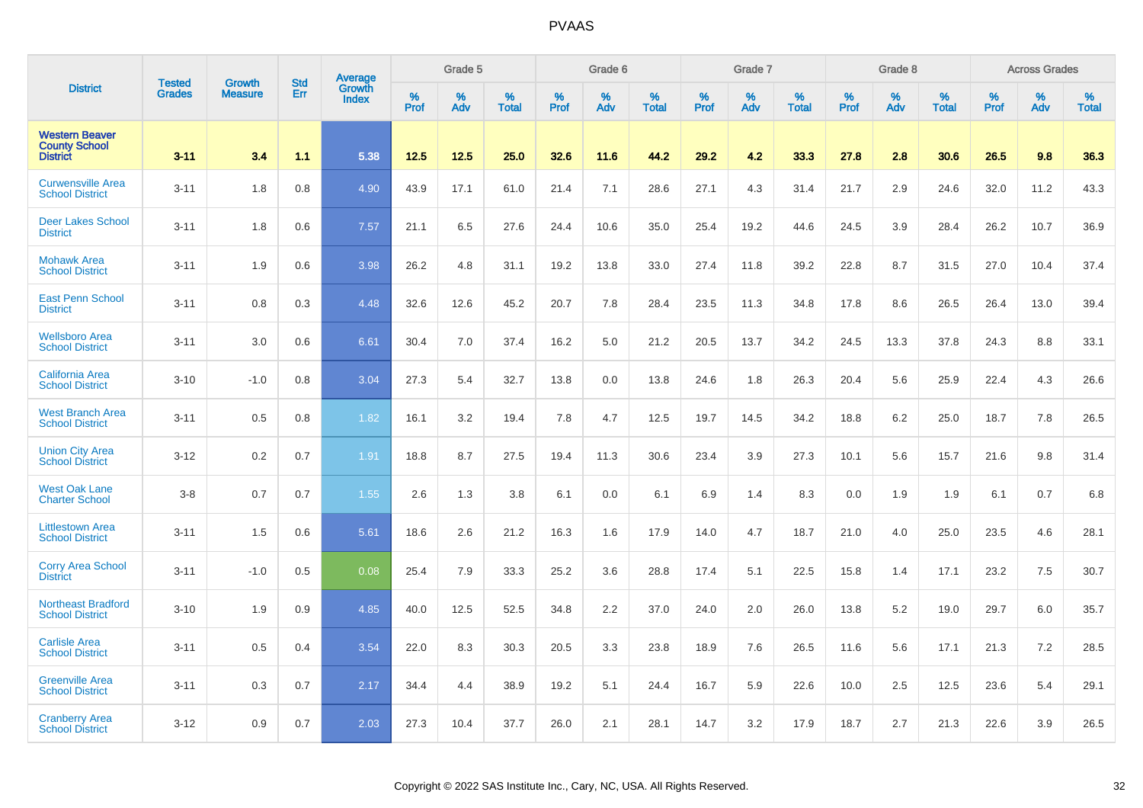|                                                                  |                         | <b>Growth</b>  | <b>Std</b> | Average                |                     | Grade 5  |                   |                     | Grade 6  |                      |                     | Grade 7     |                      |                     | Grade 8     |                   |                     | <b>Across Grades</b> |                   |
|------------------------------------------------------------------|-------------------------|----------------|------------|------------------------|---------------------|----------|-------------------|---------------------|----------|----------------------|---------------------|-------------|----------------------|---------------------|-------------|-------------------|---------------------|----------------------|-------------------|
| <b>District</b>                                                  | <b>Tested</b><br>Grades | <b>Measure</b> | Err        | Growth<br><b>Index</b> | $\%$<br><b>Prof</b> | %<br>Adv | %<br><b>Total</b> | $\%$<br><b>Prof</b> | %<br>Adv | $\%$<br><b>Total</b> | $\%$<br><b>Prof</b> | $\%$<br>Adv | $\%$<br><b>Total</b> | $\%$<br><b>Prof</b> | $\%$<br>Adv | %<br><b>Total</b> | $\%$<br><b>Prof</b> | %<br>Adv             | %<br><b>Total</b> |
| <b>Western Beaver</b><br><b>County School</b><br><b>District</b> | $3 - 11$                | 3.4            | 1.1        | 5.38                   | 12.5                | 12.5     | 25.0              | 32.6                | 11.6     | 44.2                 | 29.2                | 4.2         | 33.3                 | 27.8                | 2.8         | 30.6              | 26.5                | 9.8                  | 36.3              |
| <b>Curwensville Area</b><br><b>School District</b>               | $3 - 11$                | 1.8            | 0.8        | 4.90                   | 43.9                | 17.1     | 61.0              | 21.4                | 7.1      | 28.6                 | 27.1                | 4.3         | 31.4                 | 21.7                | 2.9         | 24.6              | 32.0                | 11.2                 | 43.3              |
| <b>Deer Lakes School</b><br><b>District</b>                      | $3 - 11$                | 1.8            | 0.6        | 7.57                   | 21.1                | 6.5      | 27.6              | 24.4                | 10.6     | 35.0                 | 25.4                | 19.2        | 44.6                 | 24.5                | 3.9         | 28.4              | 26.2                | 10.7                 | 36.9              |
| <b>Mohawk Area</b><br><b>School District</b>                     | $3 - 11$                | 1.9            | 0.6        | 3.98                   | 26.2                | 4.8      | 31.1              | 19.2                | 13.8     | 33.0                 | 27.4                | 11.8        | 39.2                 | 22.8                | 8.7         | 31.5              | 27.0                | 10.4                 | 37.4              |
| <b>East Penn School</b><br><b>District</b>                       | $3 - 11$                | 0.8            | 0.3        | 4.48                   | 32.6                | 12.6     | 45.2              | 20.7                | 7.8      | 28.4                 | 23.5                | 11.3        | 34.8                 | 17.8                | 8.6         | 26.5              | 26.4                | 13.0                 | 39.4              |
| <b>Wellsboro Area</b><br><b>School District</b>                  | $3 - 11$                | 3.0            | 0.6        | 6.61                   | 30.4                | 7.0      | 37.4              | 16.2                | 5.0      | 21.2                 | 20.5                | 13.7        | 34.2                 | 24.5                | 13.3        | 37.8              | 24.3                | 8.8                  | 33.1              |
| <b>California Area</b><br><b>School District</b>                 | $3 - 10$                | $-1.0$         | 0.8        | 3.04                   | 27.3                | 5.4      | 32.7              | 13.8                | 0.0      | 13.8                 | 24.6                | 1.8         | 26.3                 | 20.4                | 5.6         | 25.9              | 22.4                | 4.3                  | 26.6              |
| <b>West Branch Area</b><br><b>School District</b>                | $3 - 11$                | 0.5            | 0.8        | 1.82                   | 16.1                | 3.2      | 19.4              | 7.8                 | 4.7      | 12.5                 | 19.7                | 14.5        | 34.2                 | 18.8                | 6.2         | 25.0              | 18.7                | 7.8                  | 26.5              |
| <b>Union City Area</b><br><b>School District</b>                 | $3-12$                  | 0.2            | 0.7        | 1.91                   | 18.8                | 8.7      | 27.5              | 19.4                | 11.3     | 30.6                 | 23.4                | 3.9         | 27.3                 | 10.1                | 5.6         | 15.7              | 21.6                | 9.8                  | 31.4              |
| <b>West Oak Lane</b><br><b>Charter School</b>                    | $3 - 8$                 | 0.7            | 0.7        | 1.55                   | 2.6                 | 1.3      | 3.8               | 6.1                 | 0.0      | 6.1                  | 6.9                 | 1.4         | 8.3                  | 0.0                 | 1.9         | 1.9               | 6.1                 | 0.7                  | 6.8               |
| <b>Littlestown Area</b><br><b>School District</b>                | $3 - 11$                | 1.5            | 0.6        | 5.61                   | 18.6                | 2.6      | 21.2              | 16.3                | 1.6      | 17.9                 | 14.0                | 4.7         | 18.7                 | 21.0                | 4.0         | 25.0              | 23.5                | 4.6                  | 28.1              |
| <b>Corry Area School</b><br><b>District</b>                      | $3 - 11$                | $-1.0$         | 0.5        | 0.08                   | 25.4                | 7.9      | 33.3              | 25.2                | 3.6      | 28.8                 | 17.4                | 5.1         | 22.5                 | 15.8                | 1.4         | 17.1              | 23.2                | 7.5                  | 30.7              |
| <b>Northeast Bradford</b><br><b>School District</b>              | $3 - 10$                | 1.9            | 0.9        | 4.85                   | 40.0                | 12.5     | 52.5              | 34.8                | 2.2      | 37.0                 | 24.0                | 2.0         | 26.0                 | 13.8                | 5.2         | 19.0              | 29.7                | 6.0                  | 35.7              |
| <b>Carlisle Area</b><br><b>School District</b>                   | $3 - 11$                | 0.5            | 0.4        | 3.54                   | 22.0                | 8.3      | 30.3              | 20.5                | 3.3      | 23.8                 | 18.9                | 7.6         | 26.5                 | 11.6                | 5.6         | 17.1              | 21.3                | 7.2                  | 28.5              |
| <b>Greenville Area</b><br><b>School District</b>                 | $3 - 11$                | 0.3            | 0.7        | 2.17                   | 34.4                | 4.4      | 38.9              | 19.2                | 5.1      | 24.4                 | 16.7                | 5.9         | 22.6                 | 10.0                | 2.5         | 12.5              | 23.6                | 5.4                  | 29.1              |
| <b>Cranberry Area</b><br><b>School District</b>                  | $3 - 12$                | 0.9            | 0.7        | 2.03                   | 27.3                | 10.4     | 37.7              | 26.0                | 2.1      | 28.1                 | 14.7                | 3.2         | 17.9                 | 18.7                | 2.7         | 21.3              | 22.6                | 3.9                  | 26.5              |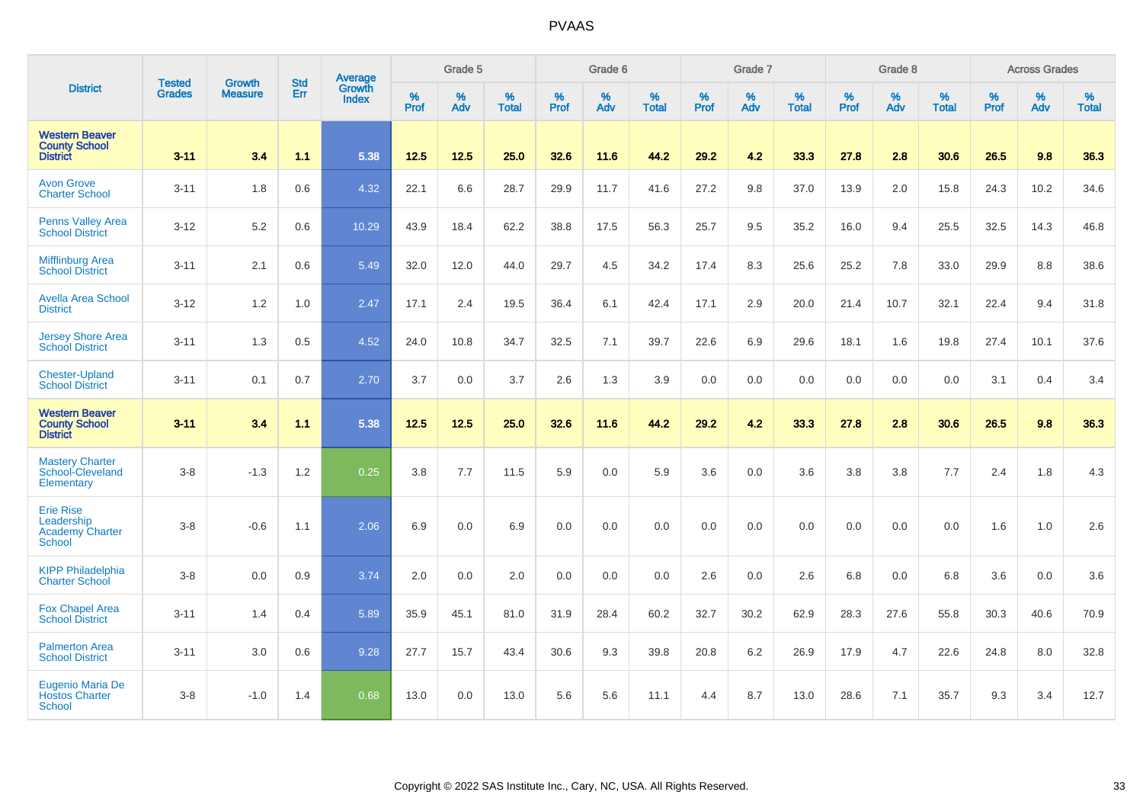|                                                                           |                                |                                 | <b>Std</b> | Average                       |           | Grade 5  |                   |           | Grade 6  |                   |           | Grade 7  |                   |           | Grade 8  |                   |           | <b>Across Grades</b> |                   |
|---------------------------------------------------------------------------|--------------------------------|---------------------------------|------------|-------------------------------|-----------|----------|-------------------|-----------|----------|-------------------|-----------|----------|-------------------|-----------|----------|-------------------|-----------|----------------------|-------------------|
| <b>District</b>                                                           | <b>Tested</b><br><b>Grades</b> | <b>Growth</b><br><b>Measure</b> | <b>Err</b> | <b>Growth</b><br><b>Index</b> | %<br>Prof | %<br>Adv | %<br><b>Total</b> | %<br>Prof | %<br>Adv | %<br><b>Total</b> | %<br>Prof | %<br>Adv | %<br><b>Total</b> | %<br>Prof | %<br>Adv | %<br><b>Total</b> | %<br>Prof | %<br>Adv             | %<br><b>Total</b> |
| <b>Western Beaver</b><br><b>County School</b><br><b>District</b>          | $3 - 11$                       | 3.4                             | 1.1        | 5.38                          | 12.5      | 12.5     | 25.0              | 32.6      | 11.6     | 44.2              | 29.2      | 4.2      | 33.3              | 27.8      | 2.8      | 30.6              | 26.5      | 9.8                  | 36.3              |
| <b>Avon Grove</b><br><b>Charter School</b>                                | $3 - 11$                       | 1.8                             | 0.6        | 4.32                          | 22.1      | 6.6      | 28.7              | 29.9      | 11.7     | 41.6              | 27.2      | 9.8      | 37.0              | 13.9      | 2.0      | 15.8              | 24.3      | 10.2                 | 34.6              |
| <b>Penns Valley Area</b><br><b>School District</b>                        | $3 - 12$                       | 5.2                             | 0.6        | 10.29                         | 43.9      | 18.4     | 62.2              | 38.8      | 17.5     | 56.3              | 25.7      | 9.5      | 35.2              | 16.0      | 9.4      | 25.5              | 32.5      | 14.3                 | 46.8              |
| <b>Mifflinburg Area</b><br><b>School District</b>                         | $3 - 11$                       | 2.1                             | 0.6        | 5.49                          | 32.0      | 12.0     | 44.0              | 29.7      | 4.5      | 34.2              | 17.4      | 8.3      | 25.6              | 25.2      | 7.8      | 33.0              | 29.9      | 8.8                  | 38.6              |
| <b>Avella Area School</b><br><b>District</b>                              | $3 - 12$                       | 1.2                             | 1.0        | 2.47                          | 17.1      | 2.4      | 19.5              | 36.4      | 6.1      | 42.4              | 17.1      | 2.9      | 20.0              | 21.4      | 10.7     | 32.1              | 22.4      | 9.4                  | 31.8              |
| <b>Jersey Shore Area</b><br><b>School District</b>                        | $3 - 11$                       | 1.3                             | 0.5        | 4.52                          | 24.0      | 10.8     | 34.7              | 32.5      | 7.1      | 39.7              | 22.6      | 6.9      | 29.6              | 18.1      | 1.6      | 19.8              | 27.4      | 10.1                 | 37.6              |
| <b>Chester-Upland</b><br><b>School District</b>                           | $3 - 11$                       | 0.1                             | 0.7        | 2.70                          | 3.7       | 0.0      | 3.7               | 2.6       | 1.3      | 3.9               | 0.0       | 0.0      | 0.0               | 0.0       | 0.0      | 0.0               | 3.1       | 0.4                  | 3.4               |
| <b>Western Beaver</b><br><b>County School</b><br><b>District</b>          | 3.11                           | 3.4                             | $1.1$      | 5.38                          | 12.5      | $12.5$   | 25.0              | 32.6      | 11.6     | 44.2              | 29.2      | 4.2      | 33.3              | 27.8      | 2.8      | 30.6              | 26.5      | 9.8                  | 36.3              |
| <b>Mastery Charter</b><br>School-Cleveland<br>Elementary                  | $3 - 8$                        | $-1.3$                          | 1.2        | 0.25                          | 3.8       | 7.7      | 11.5              | 5.9       | 0.0      | 5.9               | 3.6       | 0.0      | 3.6               | 3.8       | 3.8      | 7.7               | 2.4       | 1.8                  | 4.3               |
| <b>Erie Rise</b><br>Leadership<br><b>Academy Charter</b><br><b>School</b> | $3-8$                          | $-0.6$                          | 1.1        | 2.06                          | 6.9       | 0.0      | 6.9               | 0.0       | 0.0      | 0.0               | 0.0       | 0.0      | 0.0               | 0.0       | 0.0      | 0.0               | 1.6       | 1.0                  | 2.6               |
| <b>KIPP Philadelphia</b><br><b>Charter School</b>                         | $3 - 8$                        | 0.0                             | 0.9        | 3.74                          | 2.0       | 0.0      | 2.0               | 0.0       | 0.0      | 0.0               | 2.6       | 0.0      | 2.6               | 6.8       | 0.0      | 6.8               | 3.6       | 0.0                  | 3.6               |
| <b>Fox Chapel Area</b><br><b>School District</b>                          | $3 - 11$                       | 1.4                             | 0.4        | 5.89                          | 35.9      | 45.1     | 81.0              | 31.9      | 28.4     | 60.2              | 32.7      | 30.2     | 62.9              | 28.3      | 27.6     | 55.8              | 30.3      | 40.6                 | 70.9              |
| <b>Palmerton Area</b><br><b>School District</b>                           | $3 - 11$                       | 3.0                             | 0.6        | 9.28                          | 27.7      | 15.7     | 43.4              | 30.6      | 9.3      | 39.8              | 20.8      | 6.2      | 26.9              | 17.9      | 4.7      | 22.6              | 24.8      | 8.0                  | 32.8              |
| Eugenio Maria De<br><b>Hostos Charter</b><br><b>School</b>                | $3 - 8$                        | $-1.0$                          | 1.4        | 0.68                          | 13.0      | 0.0      | 13.0              | 5.6       | 5.6      | 11.1              | 4.4       | 8.7      | 13.0              | 28.6      | 7.1      | 35.7              | 9.3       | 3.4                  | 12.7              |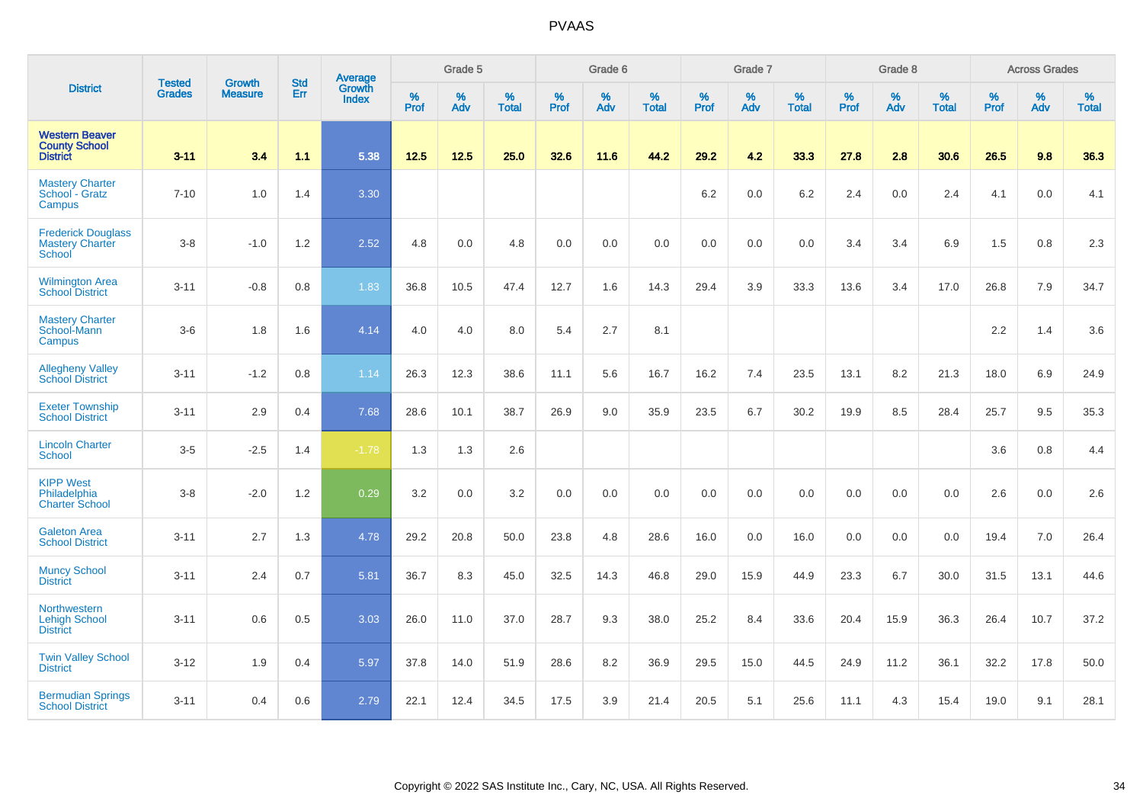|                                                                  |                                |                                 | <b>Std</b> | Average                |              | Grade 5  |                   |           | Grade 6  |                   |           | Grade 7  |                   |           | Grade 8  |                   |           | <b>Across Grades</b> |                   |
|------------------------------------------------------------------|--------------------------------|---------------------------------|------------|------------------------|--------------|----------|-------------------|-----------|----------|-------------------|-----------|----------|-------------------|-----------|----------|-------------------|-----------|----------------------|-------------------|
| <b>District</b>                                                  | <b>Tested</b><br><b>Grades</b> | <b>Growth</b><br><b>Measure</b> | Err        | Growth<br><b>Index</b> | $\%$<br>Prof | %<br>Adv | %<br><b>Total</b> | %<br>Prof | %<br>Adv | %<br><b>Total</b> | %<br>Prof | %<br>Adv | %<br><b>Total</b> | %<br>Prof | %<br>Adv | %<br><b>Total</b> | %<br>Prof | %<br>Adv             | %<br><b>Total</b> |
| <b>Western Beaver</b><br><b>County School</b><br><b>District</b> | $3 - 11$                       | 3.4                             | 1.1        | 5.38                   | 12.5         | $12.5$   | 25.0              | 32.6      | 11.6     | 44.2              | 29.2      | 4.2      | 33.3              | 27.8      | 2.8      | 30.6              | 26.5      | 9.8                  | 36.3              |
| <b>Mastery Charter</b><br>School - Gratz<br>Campus               | $7 - 10$                       | 1.0                             | 1.4        | 3.30                   |              |          |                   |           |          |                   | 6.2       | 0.0      | 6.2               | 2.4       | 0.0      | 2.4               | 4.1       | 0.0                  | 4.1               |
| <b>Frederick Douglass</b><br><b>Mastery Charter</b><br>School    | $3-8$                          | $-1.0$                          | 1.2        | 2.52                   | 4.8          | 0.0      | 4.8               | 0.0       | 0.0      | 0.0               | 0.0       | 0.0      | 0.0               | 3.4       | 3.4      | 6.9               | 1.5       | 0.8                  | 2.3               |
| <b>Wilmington Area</b><br><b>School District</b>                 | $3 - 11$                       | $-0.8$                          | 0.8        | 1.83                   | 36.8         | 10.5     | 47.4              | 12.7      | 1.6      | 14.3              | 29.4      | 3.9      | 33.3              | 13.6      | 3.4      | 17.0              | 26.8      | 7.9                  | 34.7              |
| <b>Mastery Charter</b><br>School-Mann<br>Campus                  | $3-6$                          | 1.8                             | 1.6        | 4.14                   | 4.0          | 4.0      | 8.0               | 5.4       | 2.7      | 8.1               |           |          |                   |           |          |                   | 2.2       | 1.4                  | 3.6               |
| <b>Allegheny Valley</b><br><b>School District</b>                | $3 - 11$                       | $-1.2$                          | 0.8        | 1.14                   | 26.3         | 12.3     | 38.6              | 11.1      | 5.6      | 16.7              | 16.2      | 7.4      | 23.5              | 13.1      | 8.2      | 21.3              | 18.0      | 6.9                  | 24.9              |
| <b>Exeter Township</b><br><b>School District</b>                 | $3 - 11$                       | 2.9                             | 0.4        | 7.68                   | 28.6         | 10.1     | 38.7              | 26.9      | 9.0      | 35.9              | 23.5      | 6.7      | 30.2              | 19.9      | 8.5      | 28.4              | 25.7      | 9.5                  | 35.3              |
| <b>Lincoln Charter</b><br><b>School</b>                          | $3-5$                          | $-2.5$                          | 1.4        | $-1.78$                | 1.3          | 1.3      | 2.6               |           |          |                   |           |          |                   |           |          |                   | 3.6       | 0.8                  | 4.4               |
| <b>KIPP West</b><br>Philadelphia<br><b>Charter School</b>        | $3-8$                          | $-2.0$                          | 1.2        | 0.29                   | 3.2          | 0.0      | 3.2               | 0.0       | 0.0      | 0.0               | 0.0       | 0.0      | 0.0               | 0.0       | 0.0      | 0.0               | 2.6       | 0.0                  | 2.6               |
| <b>Galeton Area</b><br><b>School District</b>                    | $3 - 11$                       | 2.7                             | 1.3        | 4.78                   | 29.2         | 20.8     | 50.0              | 23.8      | 4.8      | 28.6              | 16.0      | 0.0      | 16.0              | 0.0       | 0.0      | 0.0               | 19.4      | 7.0                  | 26.4              |
| <b>Muncy School</b><br><b>District</b>                           | $3 - 11$                       | 2.4                             | 0.7        | 5.81                   | 36.7         | 8.3      | 45.0              | 32.5      | 14.3     | 46.8              | 29.0      | 15.9     | 44.9              | 23.3      | 6.7      | 30.0              | 31.5      | 13.1                 | 44.6              |
| <b>Northwestern</b><br><b>Lehigh School</b><br><b>District</b>   | $3 - 11$                       | 0.6                             | 0.5        | 3.03                   | 26.0         | 11.0     | 37.0              | 28.7      | 9.3      | 38.0              | 25.2      | 8.4      | 33.6              | 20.4      | 15.9     | 36.3              | 26.4      | 10.7                 | 37.2              |
| <b>Twin Valley School</b><br><b>District</b>                     | $3 - 12$                       | 1.9                             | 0.4        | 5.97                   | 37.8         | 14.0     | 51.9              | 28.6      | 8.2      | 36.9              | 29.5      | 15.0     | 44.5              | 24.9      | 11.2     | 36.1              | 32.2      | 17.8                 | 50.0              |
| <b>Bermudian Springs</b><br><b>School District</b>               | $3 - 11$                       | 0.4                             | 0.6        | 2.79                   | 22.1         | 12.4     | 34.5              | 17.5      | 3.9      | 21.4              | 20.5      | 5.1      | 25.6              | 11.1      | 4.3      | 15.4              | 19.0      | 9.1                  | 28.1              |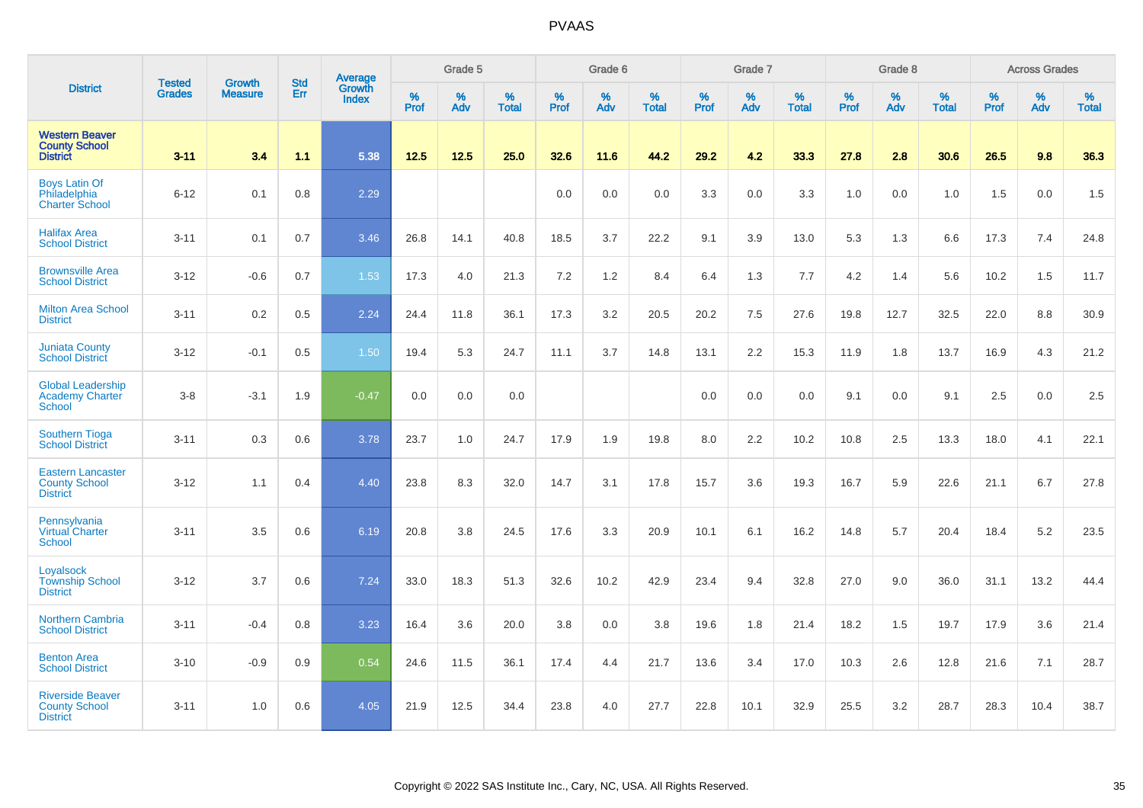|                                                                     |                         |                                 |                   | Average                |              | Grade 5  |                      |              | Grade 6  |                   |              | Grade 7  |                   |              | Grade 8     |                      |              | <b>Across Grades</b> |                   |
|---------------------------------------------------------------------|-------------------------|---------------------------------|-------------------|------------------------|--------------|----------|----------------------|--------------|----------|-------------------|--------------|----------|-------------------|--------------|-------------|----------------------|--------------|----------------------|-------------------|
| <b>District</b>                                                     | <b>Tested</b><br>Grades | <b>Growth</b><br><b>Measure</b> | <b>Std</b><br>Err | Growth<br><b>Index</b> | $\%$<br>Prof | %<br>Adv | $\%$<br><b>Total</b> | $\%$<br>Prof | %<br>Adv | %<br><b>Total</b> | $\%$<br>Prof | %<br>Adv | %<br><b>Total</b> | $\%$<br>Prof | $\%$<br>Adv | $\%$<br><b>Total</b> | $\%$<br>Prof | %<br>Adv             | %<br><b>Total</b> |
| <b>Western Beaver</b><br><b>County School</b><br><b>District</b>    | $3 - 11$                | 3.4                             | 1.1               | 5.38                   | $12.5$       | 12.5     | 25.0                 | 32.6         | 11.6     | 44.2              | 29.2         | 4.2      | 33.3              | 27.8         | 2.8         | 30.6                 | 26.5         | 9.8                  | 36.3              |
| <b>Boys Latin Of</b><br>Philadelphia<br><b>Charter School</b>       | $6 - 12$                | 0.1                             | 0.8               | 2.29                   |              |          |                      | 0.0          | 0.0      | 0.0               | 3.3          | 0.0      | 3.3               | 1.0          | 0.0         | 1.0                  | 1.5          | 0.0                  | 1.5               |
| <b>Halifax Area</b><br><b>School District</b>                       | $3 - 11$                | 0.1                             | 0.7               | 3.46                   | 26.8         | 14.1     | 40.8                 | 18.5         | 3.7      | 22.2              | 9.1          | 3.9      | 13.0              | 5.3          | 1.3         | 6.6                  | 17.3         | 7.4                  | 24.8              |
| <b>Brownsville Area</b><br><b>School District</b>                   | $3 - 12$                | $-0.6$                          | 0.7               | 1.53                   | 17.3         | 4.0      | 21.3                 | 7.2          | 1.2      | 8.4               | 6.4          | 1.3      | 7.7               | 4.2          | 1.4         | 5.6                  | 10.2         | 1.5                  | 11.7              |
| <b>Milton Area School</b><br><b>District</b>                        | $3 - 11$                | 0.2                             | 0.5               | 2.24                   | 24.4         | 11.8     | 36.1                 | 17.3         | 3.2      | 20.5              | 20.2         | 7.5      | 27.6              | 19.8         | 12.7        | 32.5                 | 22.0         | 8.8                  | 30.9              |
| <b>Juniata County</b><br><b>School District</b>                     | $3 - 12$                | $-0.1$                          | 0.5               | 1.50                   | 19.4         | 5.3      | 24.7                 | 11.1         | 3.7      | 14.8              | 13.1         | 2.2      | 15.3              | 11.9         | 1.8         | 13.7                 | 16.9         | 4.3                  | 21.2              |
| <b>Global Leadership</b><br><b>Academy Charter</b><br>School        | $3-8$                   | $-3.1$                          | 1.9               | $-0.47$                | 0.0          | 0.0      | 0.0                  |              |          |                   | 0.0          | 0.0      | 0.0               | 9.1          | 0.0         | 9.1                  | 2.5          | 0.0                  | 2.5               |
| <b>Southern Tioga</b><br><b>School District</b>                     | $3 - 11$                | 0.3                             | 0.6               | 3.78                   | 23.7         | 1.0      | 24.7                 | 17.9         | 1.9      | 19.8              | 8.0          | 2.2      | 10.2              | 10.8         | 2.5         | 13.3                 | 18.0         | 4.1                  | 22.1              |
| <b>Eastern Lancaster</b><br><b>County School</b><br><b>District</b> | $3 - 12$                | 1.1                             | 0.4               | 4.40                   | 23.8         | 8.3      | 32.0                 | 14.7         | 3.1      | 17.8              | 15.7         | 3.6      | 19.3              | 16.7         | 5.9         | 22.6                 | 21.1         | 6.7                  | 27.8              |
| Pennsylvania<br>Virtual Charter<br><b>School</b>                    | $3 - 11$                | 3.5                             | 0.6               | 6.19                   | 20.8         | 3.8      | 24.5                 | 17.6         | 3.3      | 20.9              | 10.1         | 6.1      | 16.2              | 14.8         | 5.7         | 20.4                 | 18.4         | 5.2                  | 23.5              |
| Loyalsock<br><b>Township School</b><br><b>District</b>              | $3 - 12$                | 3.7                             | 0.6               | 7.24                   | 33.0         | 18.3     | 51.3                 | 32.6         | 10.2     | 42.9              | 23.4         | 9.4      | 32.8              | 27.0         | 9.0         | 36.0                 | 31.1         | 13.2                 | 44.4              |
| <b>Northern Cambria</b><br><b>School District</b>                   | $3 - 11$                | $-0.4$                          | 0.8               | 3.23                   | 16.4         | 3.6      | 20.0                 | 3.8          | 0.0      | 3.8               | 19.6         | 1.8      | 21.4              | 18.2         | 1.5         | 19.7                 | 17.9         | 3.6                  | 21.4              |
| <b>Benton Area</b><br><b>School District</b>                        | $3 - 10$                | $-0.9$                          | 0.9               | 0.54                   | 24.6         | 11.5     | 36.1                 | 17.4         | 4.4      | 21.7              | 13.6         | 3.4      | 17.0              | 10.3         | 2.6         | 12.8                 | 21.6         | 7.1                  | 28.7              |
| <b>Riverside Beaver</b><br><b>County School</b><br><b>District</b>  | $3 - 11$                | 1.0                             | 0.6               | 4.05                   | 21.9         | 12.5     | 34.4                 | 23.8         | 4.0      | 27.7              | 22.8         | 10.1     | 32.9              | 25.5         | 3.2         | 28.7                 | 28.3         | 10.4                 | 38.7              |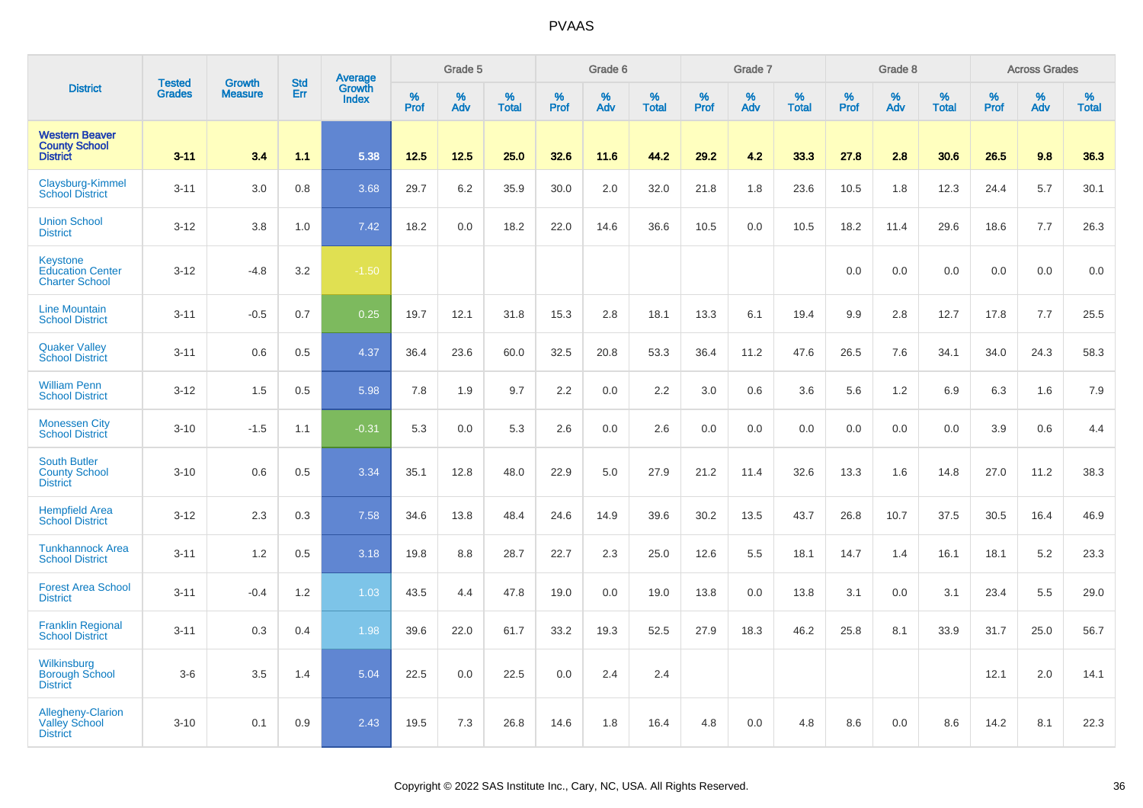|                                                                     |                                |                                 | <b>Std</b> | Average                |              | Grade 5  |                   |           | Grade 6  |                   |           | Grade 7  |                   |           | Grade 8  |                   |           | <b>Across Grades</b> |                   |
|---------------------------------------------------------------------|--------------------------------|---------------------------------|------------|------------------------|--------------|----------|-------------------|-----------|----------|-------------------|-----------|----------|-------------------|-----------|----------|-------------------|-----------|----------------------|-------------------|
| <b>District</b>                                                     | <b>Tested</b><br><b>Grades</b> | <b>Growth</b><br><b>Measure</b> | Err        | Growth<br><b>Index</b> | $\%$<br>Prof | %<br>Adv | %<br><b>Total</b> | %<br>Prof | %<br>Adv | %<br><b>Total</b> | %<br>Prof | %<br>Adv | %<br><b>Total</b> | %<br>Prof | %<br>Adv | %<br><b>Total</b> | %<br>Prof | %<br>Adv             | %<br><b>Total</b> |
| <b>Western Beaver</b><br><b>County School</b><br><b>District</b>    | $3 - 11$                       | 3.4                             | 1.1        | 5.38                   | $12.5$       | 12.5     | 25.0              | 32.6      | 11.6     | 44.2              | 29.2      | 4.2      | 33.3              | 27.8      | 2.8      | 30.6              | 26.5      | 9.8                  | 36.3              |
| Claysburg-Kimmel<br><b>School District</b>                          | $3 - 11$                       | 3.0                             | 0.8        | 3.68                   | 29.7         | 6.2      | 35.9              | 30.0      | 2.0      | 32.0              | 21.8      | 1.8      | 23.6              | 10.5      | 1.8      | 12.3              | 24.4      | 5.7                  | 30.1              |
| <b>Union School</b><br><b>District</b>                              | $3 - 12$                       | 3.8                             | 1.0        | 7.42                   | 18.2         | 0.0      | 18.2              | 22.0      | 14.6     | 36.6              | 10.5      | 0.0      | 10.5              | 18.2      | 11.4     | 29.6              | 18.6      | 7.7                  | 26.3              |
| Keystone<br><b>Education Center</b><br><b>Charter School</b>        | $3 - 12$                       | $-4.8$                          | 3.2        | $-1.50$                |              |          |                   |           |          |                   |           |          |                   | 0.0       | 0.0      | 0.0               | 0.0       | 0.0                  | 0.0               |
| <b>Line Mountain</b><br><b>School District</b>                      | $3 - 11$                       | $-0.5$                          | 0.7        | 0.25                   | 19.7         | 12.1     | 31.8              | 15.3      | 2.8      | 18.1              | 13.3      | 6.1      | 19.4              | 9.9       | 2.8      | 12.7              | 17.8      | 7.7                  | 25.5              |
| <b>Quaker Valley</b><br><b>School District</b>                      | $3 - 11$                       | 0.6                             | 0.5        | 4.37                   | 36.4         | 23.6     | 60.0              | 32.5      | 20.8     | 53.3              | 36.4      | 11.2     | 47.6              | 26.5      | 7.6      | 34.1              | 34.0      | 24.3                 | 58.3              |
| <b>William Penn</b><br><b>School District</b>                       | $3 - 12$                       | 1.5                             | 0.5        | 5.98                   | 7.8          | 1.9      | 9.7               | 2.2       | 0.0      | 2.2               | 3.0       | 0.6      | 3.6               | 5.6       | 1.2      | 6.9               | 6.3       | 1.6                  | 7.9               |
| <b>Monessen City</b><br><b>School District</b>                      | $3 - 10$                       | $-1.5$                          | 1.1        | $-0.31$                | 5.3          | 0.0      | 5.3               | 2.6       | 0.0      | 2.6               | 0.0       | 0.0      | 0.0               | 0.0       | 0.0      | 0.0               | 3.9       | 0.6                  | 4.4               |
| <b>South Butler</b><br><b>County School</b><br><b>District</b>      | $3 - 10$                       | 0.6                             | 0.5        | 3.34                   | 35.1         | 12.8     | 48.0              | 22.9      | 5.0      | 27.9              | 21.2      | 11.4     | 32.6              | 13.3      | 1.6      | 14.8              | 27.0      | 11.2                 | 38.3              |
| <b>Hempfield Area</b><br><b>School District</b>                     | $3 - 12$                       | 2.3                             | 0.3        | 7.58                   | 34.6         | 13.8     | 48.4              | 24.6      | 14.9     | 39.6              | 30.2      | 13.5     | 43.7              | 26.8      | 10.7     | 37.5              | 30.5      | 16.4                 | 46.9              |
| <b>Tunkhannock Area</b><br><b>School District</b>                   | $3 - 11$                       | 1.2                             | 0.5        | 3.18                   | 19.8         | 8.8      | 28.7              | 22.7      | $2.3\,$  | 25.0              | 12.6      | 5.5      | 18.1              | 14.7      | 1.4      | 16.1              | 18.1      | 5.2                  | 23.3              |
| <b>Forest Area School</b><br><b>District</b>                        | $3 - 11$                       | $-0.4$                          | 1.2        | 1.03                   | 43.5         | 4.4      | 47.8              | 19.0      | 0.0      | 19.0              | 13.8      | 0.0      | 13.8              | 3.1       | 0.0      | 3.1               | 23.4      | 5.5                  | 29.0              |
| <b>Franklin Regional</b><br><b>School District</b>                  | $3 - 11$                       | 0.3                             | 0.4        | 1.98                   | 39.6         | 22.0     | 61.7              | 33.2      | 19.3     | 52.5              | 27.9      | 18.3     | 46.2              | 25.8      | 8.1      | 33.9              | 31.7      | 25.0                 | 56.7              |
| Wilkinsburg<br><b>Borough School</b><br><b>District</b>             | $3-6$                          | 3.5                             | 1.4        | 5.04                   | 22.5         | 0.0      | 22.5              | 0.0       | 2.4      | 2.4               |           |          |                   |           |          |                   | 12.1      | 2.0                  | 14.1              |
| <b>Allegheny-Clarion</b><br><b>Valley School</b><br><b>District</b> | $3 - 10$                       | 0.1                             | 0.9        | 2.43                   | 19.5         | 7.3      | 26.8              | 14.6      | 1.8      | 16.4              | 4.8       | 0.0      | 4.8               | 8.6       | 0.0      | 8.6               | 14.2      | 8.1                  | 22.3              |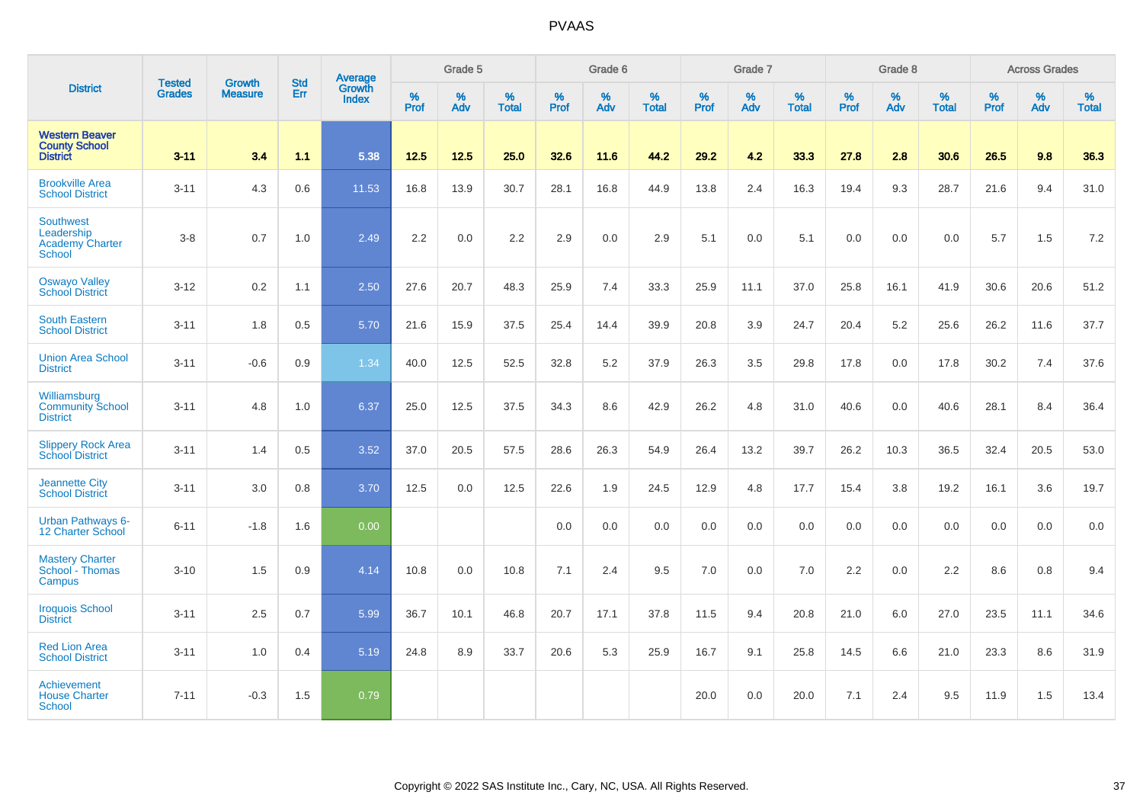|                                                                  |                                |                                 | <b>Std</b> | Average                       |              | Grade 5  |                   |           | Grade 6  |                   |           | Grade 7  |                   |           | Grade 8  |                   |           | <b>Across Grades</b> |                   |
|------------------------------------------------------------------|--------------------------------|---------------------------------|------------|-------------------------------|--------------|----------|-------------------|-----------|----------|-------------------|-----------|----------|-------------------|-----------|----------|-------------------|-----------|----------------------|-------------------|
| <b>District</b>                                                  | <b>Tested</b><br><b>Grades</b> | <b>Growth</b><br><b>Measure</b> | Err        | <b>Growth</b><br><b>Index</b> | $\%$<br>Prof | %<br>Adv | %<br><b>Total</b> | %<br>Prof | %<br>Adv | %<br><b>Total</b> | %<br>Prof | %<br>Adv | %<br><b>Total</b> | %<br>Prof | %<br>Adv | %<br><b>Total</b> | %<br>Prof | %<br>Adv             | %<br><b>Total</b> |
| <b>Western Beaver</b><br><b>County School</b><br><b>District</b> | $3 - 11$                       | 3.4                             | 1.1        | 5.38                          | $12.5$       | 12.5     | 25.0              | 32.6      | 11.6     | 44.2              | 29.2      | 4.2      | 33.3              | 27.8      | 2.8      | 30.6              | 26.5      | 9.8                  | 36.3              |
| <b>Brookville Area</b><br><b>School District</b>                 | $3 - 11$                       | 4.3                             | 0.6        | 11.53                         | 16.8         | 13.9     | 30.7              | 28.1      | 16.8     | 44.9              | 13.8      | 2.4      | 16.3              | 19.4      | 9.3      | 28.7              | 21.6      | 9.4                  | 31.0              |
| Southwest<br>Leadership<br><b>Academy Charter</b><br>School      | $3 - 8$                        | 0.7                             | 1.0        | 2.49                          | 2.2          | 0.0      | 2.2               | 2.9       | 0.0      | 2.9               | 5.1       | 0.0      | 5.1               | 0.0       | 0.0      | 0.0               | 5.7       | 1.5                  | 7.2               |
| <b>Oswayo Valley</b><br><b>School District</b>                   | $3 - 12$                       | 0.2                             | 1.1        | 2.50                          | 27.6         | 20.7     | 48.3              | 25.9      | 7.4      | 33.3              | 25.9      | 11.1     | 37.0              | 25.8      | 16.1     | 41.9              | 30.6      | 20.6                 | 51.2              |
| <b>South Eastern</b><br><b>School District</b>                   | $3 - 11$                       | 1.8                             | 0.5        | 5.70                          | 21.6         | 15.9     | 37.5              | 25.4      | 14.4     | 39.9              | 20.8      | 3.9      | 24.7              | 20.4      | 5.2      | 25.6              | 26.2      | 11.6                 | 37.7              |
| <b>Union Area School</b><br><b>District</b>                      | $3 - 11$                       | $-0.6$                          | 0.9        | 1.34                          | 40.0         | 12.5     | 52.5              | 32.8      | 5.2      | 37.9              | 26.3      | 3.5      | 29.8              | 17.8      | 0.0      | 17.8              | 30.2      | 7.4                  | 37.6              |
| Williamsburg<br><b>Community School</b><br><b>District</b>       | $3 - 11$                       | 4.8                             | 1.0        | 6.37                          | 25.0         | 12.5     | 37.5              | 34.3      | 8.6      | 42.9              | 26.2      | 4.8      | 31.0              | 40.6      | 0.0      | 40.6              | 28.1      | 8.4                  | 36.4              |
| <b>Slippery Rock Area</b><br><b>School District</b>              | $3 - 11$                       | 1.4                             | 0.5        | 3.52                          | 37.0         | 20.5     | 57.5              | 28.6      | 26.3     | 54.9              | 26.4      | 13.2     | 39.7              | 26.2      | 10.3     | 36.5              | 32.4      | 20.5                 | 53.0              |
| <b>Jeannette City</b><br><b>School District</b>                  | $3 - 11$                       | 3.0                             | 0.8        | 3.70                          | 12.5         | 0.0      | 12.5              | 22.6      | 1.9      | 24.5              | 12.9      | 4.8      | 17.7              | 15.4      | 3.8      | 19.2              | 16.1      | 3.6                  | 19.7              |
| <b>Urban Pathways 6-</b><br>12 Charter School                    | $6 - 11$                       | $-1.8$                          | 1.6        | 0.00                          |              |          |                   | 0.0       | 0.0      | 0.0               | 0.0       | 0.0      | 0.0               | 0.0       | 0.0      | 0.0               | 0.0       | 0.0                  | 0.0               |
| <b>Mastery Charter</b><br>School - Thomas<br>Campus              | $3 - 10$                       | 1.5                             | 0.9        | 4.14                          | 10.8         | 0.0      | 10.8              | 7.1       | 2.4      | 9.5               | 7.0       | 0.0      | 7.0               | 2.2       | 0.0      | 2.2               | 8.6       | 0.8                  | 9.4               |
| <b>Iroquois School</b><br><b>District</b>                        | $3 - 11$                       | 2.5                             | 0.7        | 5.99                          | 36.7         | 10.1     | 46.8              | 20.7      | 17.1     | 37.8              | 11.5      | 9.4      | 20.8              | 21.0      | 6.0      | 27.0              | 23.5      | 11.1                 | 34.6              |
| <b>Red Lion Area</b><br><b>School District</b>                   | $3 - 11$                       | 1.0                             | 0.4        | 5.19                          | 24.8         | 8.9      | 33.7              | 20.6      | 5.3      | 25.9              | 16.7      | 9.1      | 25.8              | 14.5      | 6.6      | 21.0              | 23.3      | 8.6                  | 31.9              |
| Achievement<br><b>House Charter</b><br>School                    | $7 - 11$                       | $-0.3$                          | 1.5        | 0.79                          |              |          |                   |           |          |                   | 20.0      | 0.0      | 20.0              | 7.1       | 2.4      | 9.5               | 11.9      | 1.5                  | 13.4              |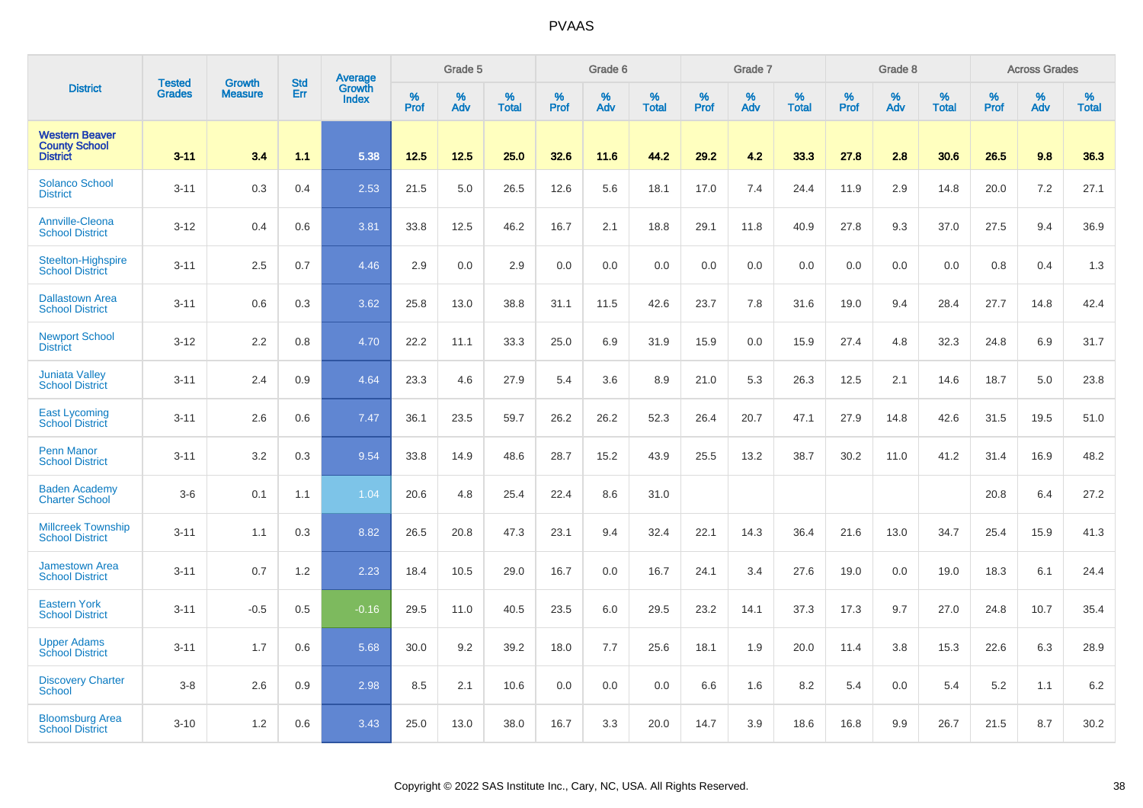|                                                                  |                         | <b>Growth</b>  | <b>Std</b> | Average                |                     | Grade 5  |                      |              | Grade 6  |                      |                     | Grade 7     |                      |                     | Grade 8     |                      |              | <b>Across Grades</b> |                   |
|------------------------------------------------------------------|-------------------------|----------------|------------|------------------------|---------------------|----------|----------------------|--------------|----------|----------------------|---------------------|-------------|----------------------|---------------------|-------------|----------------------|--------------|----------------------|-------------------|
| <b>District</b>                                                  | <b>Tested</b><br>Grades | <b>Measure</b> | Err        | Growth<br><b>Index</b> | $\%$<br><b>Prof</b> | %<br>Adv | $\%$<br><b>Total</b> | $\%$<br>Prof | %<br>Adv | $\%$<br><b>Total</b> | $\%$<br><b>Prof</b> | $\%$<br>Adv | $\%$<br><b>Total</b> | $\%$<br><b>Prof</b> | $\%$<br>Adv | $\%$<br><b>Total</b> | $\%$<br>Prof | %<br>Adv             | %<br><b>Total</b> |
| <b>Western Beaver</b><br><b>County School</b><br><b>District</b> | $3 - 11$                | 3.4            | 1.1        | 5.38                   | 12.5                | 12.5     | 25.0                 | 32.6         | 11.6     | 44.2                 | 29.2                | 4.2         | 33.3                 | 27.8                | 2.8         | 30.6                 | 26.5         | 9.8                  | 36.3              |
| <b>Solanco School</b><br><b>District</b>                         | $3 - 11$                | 0.3            | 0.4        | 2.53                   | 21.5                | 5.0      | 26.5                 | 12.6         | 5.6      | 18.1                 | 17.0                | 7.4         | 24.4                 | 11.9                | 2.9         | 14.8                 | 20.0         | 7.2                  | 27.1              |
| Annville-Cleona<br><b>School District</b>                        | $3 - 12$                | 0.4            | 0.6        | 3.81                   | 33.8                | 12.5     | 46.2                 | 16.7         | 2.1      | 18.8                 | 29.1                | 11.8        | 40.9                 | 27.8                | 9.3         | 37.0                 | 27.5         | 9.4                  | 36.9              |
| Steelton-Highspire<br><b>School District</b>                     | $3 - 11$                | 2.5            | 0.7        | 4.46                   | 2.9                 | 0.0      | 2.9                  | 0.0          | 0.0      | 0.0                  | 0.0                 | 0.0         | 0.0                  | 0.0                 | 0.0         | 0.0                  | 0.8          | 0.4                  | 1.3               |
| <b>Dallastown Area</b><br><b>School District</b>                 | $3 - 11$                | 0.6            | 0.3        | 3.62                   | 25.8                | 13.0     | 38.8                 | 31.1         | 11.5     | 42.6                 | 23.7                | 7.8         | 31.6                 | 19.0                | 9.4         | 28.4                 | 27.7         | 14.8                 | 42.4              |
| <b>Newport School</b><br><b>District</b>                         | $3 - 12$                | 2.2            | 0.8        | 4.70                   | 22.2                | 11.1     | 33.3                 | 25.0         | 6.9      | 31.9                 | 15.9                | 0.0         | 15.9                 | 27.4                | 4.8         | 32.3                 | 24.8         | 6.9                  | 31.7              |
| <b>Juniata Valley</b><br><b>School District</b>                  | $3 - 11$                | 2.4            | 0.9        | 4.64                   | 23.3                | 4.6      | 27.9                 | 5.4          | 3.6      | 8.9                  | 21.0                | 5.3         | 26.3                 | 12.5                | 2.1         | 14.6                 | 18.7         | 5.0                  | 23.8              |
| <b>East Lycoming</b><br><b>School District</b>                   | $3 - 11$                | 2.6            | 0.6        | 7.47                   | 36.1                | 23.5     | 59.7                 | 26.2         | 26.2     | 52.3                 | 26.4                | 20.7        | 47.1                 | 27.9                | 14.8        | 42.6                 | 31.5         | 19.5                 | 51.0              |
| <b>Penn Manor</b><br><b>School District</b>                      | $3 - 11$                | 3.2            | 0.3        | 9.54                   | 33.8                | 14.9     | 48.6                 | 28.7         | 15.2     | 43.9                 | 25.5                | 13.2        | 38.7                 | 30.2                | 11.0        | 41.2                 | 31.4         | 16.9                 | 48.2              |
| <b>Baden Academy</b><br><b>Charter School</b>                    | $3-6$                   | 0.1            | 1.1        | 1.04                   | 20.6                | 4.8      | 25.4                 | 22.4         | 8.6      | 31.0                 |                     |             |                      |                     |             |                      | 20.8         | 6.4                  | 27.2              |
| <b>Millcreek Township</b><br><b>School District</b>              | $3 - 11$                | 1.1            | 0.3        | 8.82                   | 26.5                | 20.8     | 47.3                 | 23.1         | 9.4      | 32.4                 | 22.1                | 14.3        | 36.4                 | 21.6                | 13.0        | 34.7                 | 25.4         | 15.9                 | 41.3              |
| <b>Jamestown Area</b><br><b>School District</b>                  | $3 - 11$                | 0.7            | 1.2        | 2.23                   | 18.4                | 10.5     | 29.0                 | 16.7         | 0.0      | 16.7                 | 24.1                | 3.4         | 27.6                 | 19.0                | 0.0         | 19.0                 | 18.3         | 6.1                  | 24.4              |
| <b>Eastern York</b><br><b>School District</b>                    | $3 - 11$                | $-0.5$         | 0.5        | $-0.16$                | 29.5                | 11.0     | 40.5                 | 23.5         | 6.0      | 29.5                 | 23.2                | 14.1        | 37.3                 | 17.3                | 9.7         | 27.0                 | 24.8         | 10.7                 | 35.4              |
| <b>Upper Adams</b><br><b>School District</b>                     | $3 - 11$                | 1.7            | 0.6        | 5.68                   | 30.0                | 9.2      | 39.2                 | 18.0         | 7.7      | 25.6                 | 18.1                | 1.9         | 20.0                 | 11.4                | 3.8         | 15.3                 | 22.6         | 6.3                  | 28.9              |
| <b>Discovery Charter</b><br><b>School</b>                        | $3-8$                   | 2.6            | 0.9        | 2.98                   | 8.5                 | 2.1      | 10.6                 | 0.0          | 0.0      | 0.0                  | 6.6                 | 1.6         | 8.2                  | 5.4                 | 0.0         | 5.4                  | 5.2          | 1.1                  | 6.2               |
| <b>Bloomsburg Area</b><br><b>School District</b>                 | $3 - 10$                | 1.2            | 0.6        | 3.43                   | 25.0                | 13.0     | 38.0                 | 16.7         | 3.3      | 20.0                 | 14.7                | 3.9         | 18.6                 | 16.8                | 9.9         | 26.7                 | 21.5         | 8.7                  | 30.2              |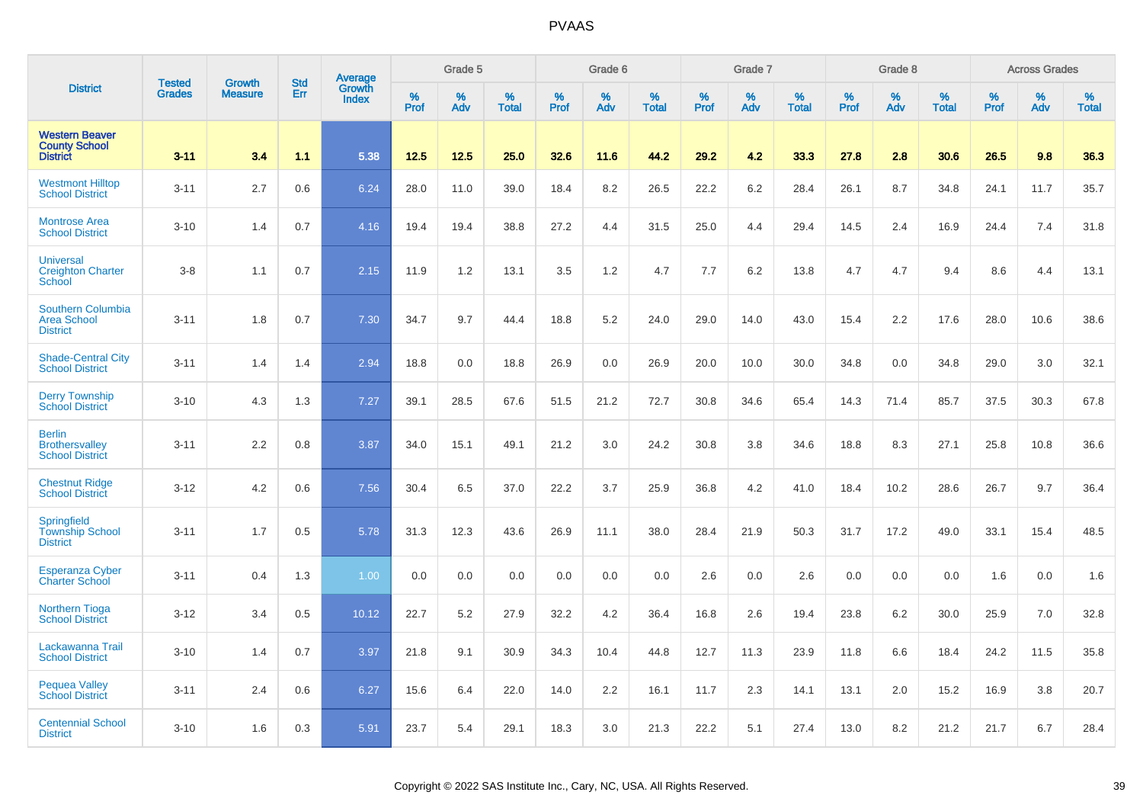|                                                                   | <b>Tested</b> | <b>Growth</b>  | <b>Std</b> | <b>Average</b><br>Growth |                     | Grade 5  |                   |           | Grade 6  |                   |           | Grade 7  |                   |                  | Grade 8  |                   |           | <b>Across Grades</b> |                   |
|-------------------------------------------------------------------|---------------|----------------|------------|--------------------------|---------------------|----------|-------------------|-----------|----------|-------------------|-----------|----------|-------------------|------------------|----------|-------------------|-----------|----------------------|-------------------|
| <b>District</b>                                                   | <b>Grades</b> | <b>Measure</b> | Err        | <b>Index</b>             | $\%$<br><b>Prof</b> | %<br>Adv | %<br><b>Total</b> | %<br>Prof | %<br>Adv | %<br><b>Total</b> | %<br>Prof | %<br>Adv | %<br><b>Total</b> | %<br><b>Prof</b> | %<br>Adv | %<br><b>Total</b> | %<br>Prof | %<br>Adv             | %<br><b>Total</b> |
| <b>Western Beaver</b><br><b>County School</b><br><b>District</b>  | $3 - 11$      | 3.4            | 1.1        | 5.38                     | 12.5                | 12.5     | 25.0              | 32.6      | 11.6     | 44.2              | 29.2      | 4.2      | 33.3              | 27.8             | 2.8      | 30.6              | 26.5      | 9.8                  | 36.3              |
| <b>Westmont Hilltop</b><br><b>School District</b>                 | $3 - 11$      | 2.7            | 0.6        | 6.24                     | 28.0                | 11.0     | 39.0              | 18.4      | 8.2      | 26.5              | 22.2      | 6.2      | 28.4              | 26.1             | 8.7      | 34.8              | 24.1      | 11.7                 | 35.7              |
| <b>Montrose Area</b><br><b>School District</b>                    | $3 - 10$      | 1.4            | 0.7        | 4.16                     | 19.4                | 19.4     | 38.8              | 27.2      | 4.4      | 31.5              | 25.0      | 4.4      | 29.4              | 14.5             | 2.4      | 16.9              | 24.4      | 7.4                  | 31.8              |
| <b>Universal</b><br><b>Creighton Charter</b><br>School            | $3-8$         | 1.1            | 0.7        | 2.15                     | 11.9                | 1.2      | 13.1              | 3.5       | 1.2      | 4.7               | 7.7       | 6.2      | 13.8              | 4.7              | 4.7      | 9.4               | 8.6       | 4.4                  | 13.1              |
| <b>Southern Columbia</b><br><b>Area School</b><br><b>District</b> | $3 - 11$      | 1.8            | 0.7        | 7.30                     | 34.7                | 9.7      | 44.4              | 18.8      | 5.2      | 24.0              | 29.0      | 14.0     | 43.0              | 15.4             | 2.2      | 17.6              | 28.0      | 10.6                 | 38.6              |
| <b>Shade-Central City</b><br><b>School District</b>               | $3 - 11$      | 1.4            | 1.4        | 2.94                     | 18.8                | 0.0      | 18.8              | 26.9      | 0.0      | 26.9              | 20.0      | 10.0     | 30.0              | 34.8             | 0.0      | 34.8              | 29.0      | 3.0                  | 32.1              |
| <b>Derry Township</b><br><b>School District</b>                   | $3 - 10$      | 4.3            | 1.3        | 7.27                     | 39.1                | 28.5     | 67.6              | 51.5      | 21.2     | 72.7              | 30.8      | 34.6     | 65.4              | 14.3             | 71.4     | 85.7              | 37.5      | 30.3                 | 67.8              |
| <b>Berlin</b><br><b>Brothersvalley</b><br><b>School District</b>  | $3 - 11$      | 2.2            | 0.8        | 3.87                     | 34.0                | 15.1     | 49.1              | 21.2      | 3.0      | 24.2              | 30.8      | 3.8      | 34.6              | 18.8             | 8.3      | 27.1              | 25.8      | 10.8                 | 36.6              |
| <b>Chestnut Ridge</b><br><b>School District</b>                   | $3 - 12$      | 4.2            | 0.6        | 7.56                     | 30.4                | 6.5      | 37.0              | 22.2      | 3.7      | 25.9              | 36.8      | 4.2      | 41.0              | 18.4             | 10.2     | 28.6              | 26.7      | 9.7                  | 36.4              |
| Springfield<br><b>Township School</b><br><b>District</b>          | $3 - 11$      | 1.7            | 0.5        | 5.78                     | 31.3                | 12.3     | 43.6              | 26.9      | 11.1     | 38.0              | 28.4      | 21.9     | 50.3              | 31.7             | 17.2     | 49.0              | 33.1      | 15.4                 | 48.5              |
| <b>Esperanza Cyber</b><br><b>Charter School</b>                   | $3 - 11$      | 0.4            | 1.3        | 1.00                     | 0.0                 | 0.0      | 0.0               | 0.0       | 0.0      | 0.0               | 2.6       | 0.0      | 2.6               | 0.0              | 0.0      | 0.0               | 1.6       | 0.0                  | 1.6               |
| <b>Northern Tioga</b><br><b>School District</b>                   | $3 - 12$      | 3.4            | 0.5        | 10.12                    | 22.7                | 5.2      | 27.9              | 32.2      | 4.2      | 36.4              | 16.8      | 2.6      | 19.4              | 23.8             | 6.2      | 30.0              | 25.9      | 7.0                  | 32.8              |
| Lackawanna Trail<br><b>School District</b>                        | $3 - 10$      | 1.4            | 0.7        | 3.97                     | 21.8                | 9.1      | 30.9              | 34.3      | 10.4     | 44.8              | 12.7      | 11.3     | 23.9              | 11.8             | 6.6      | 18.4              | 24.2      | 11.5                 | 35.8              |
| <b>Pequea Valley</b><br><b>School District</b>                    | $3 - 11$      | 2.4            | 0.6        | 6.27                     | 15.6                | 6.4      | 22.0              | 14.0      | 2.2      | 16.1              | 11.7      | 2.3      | 14.1              | 13.1             | 2.0      | 15.2              | 16.9      | 3.8                  | 20.7              |
| <b>Centennial School</b><br><b>District</b>                       | $3 - 10$      | 1.6            | 0.3        | 5.91                     | 23.7                | 5.4      | 29.1              | 18.3      | 3.0      | 21.3              | 22.2      | 5.1      | 27.4              | 13.0             | 8.2      | 21.2              | 21.7      | 6.7                  | 28.4              |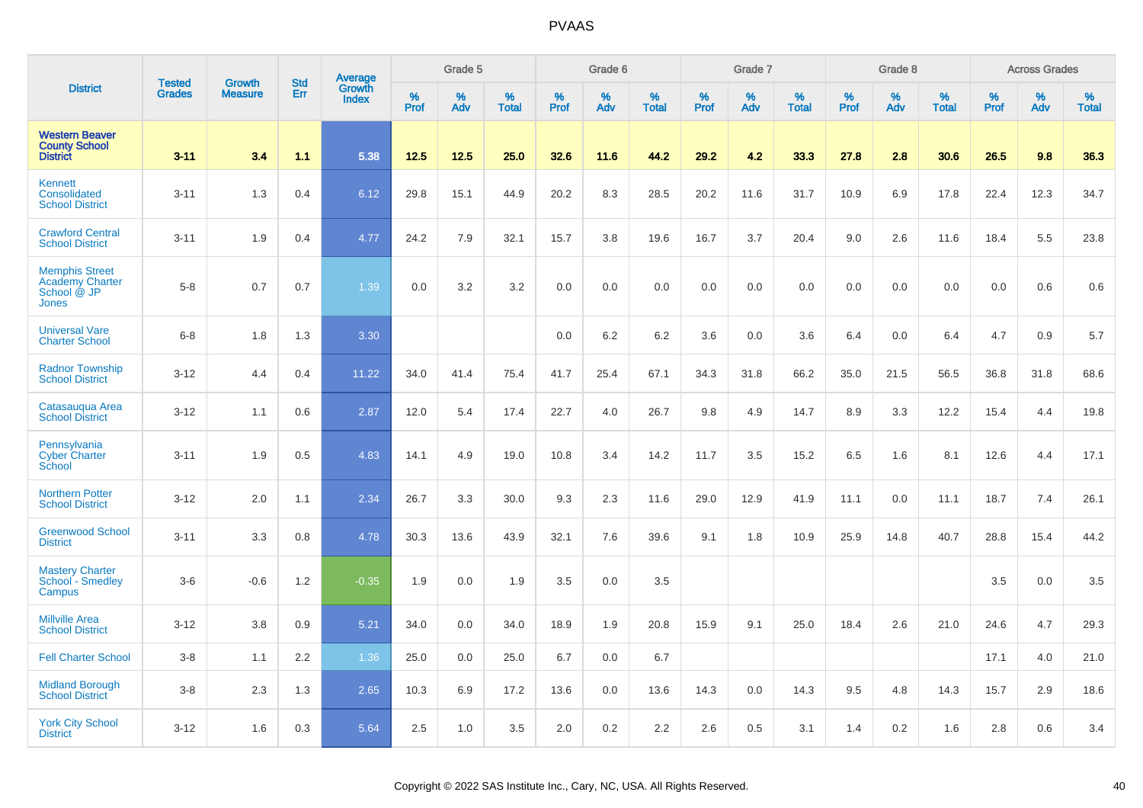|                                                                                | <b>Tested</b> | <b>Growth</b>  | <b>Std</b> | Average                |              | Grade 5  |                   |           | Grade 6  |                   |           | Grade 7  |                   |           | Grade 8  |                   |           | <b>Across Grades</b> |                   |
|--------------------------------------------------------------------------------|---------------|----------------|------------|------------------------|--------------|----------|-------------------|-----------|----------|-------------------|-----------|----------|-------------------|-----------|----------|-------------------|-----------|----------------------|-------------------|
| <b>District</b>                                                                | <b>Grades</b> | <b>Measure</b> | Err        | Growth<br><b>Index</b> | $\%$<br>Prof | %<br>Adv | %<br><b>Total</b> | %<br>Prof | %<br>Adv | %<br><b>Total</b> | %<br>Prof | %<br>Adv | %<br><b>Total</b> | %<br>Prof | %<br>Adv | %<br><b>Total</b> | %<br>Prof | %<br>Adv             | %<br><b>Total</b> |
| <b>Western Beaver</b><br><b>County School</b><br><b>District</b>               | $3 - 11$      | 3.4            | 1.1        | 5.38                   | 12.5         | 12.5     | 25.0              | 32.6      | 11.6     | 44.2              | 29.2      | 4.2      | 33.3              | 27.8      | 2.8      | 30.6              | 26.5      | 9.8                  | 36.3              |
| <b>Kennett</b><br>Consolidated<br><b>School District</b>                       | $3 - 11$      | 1.3            | 0.4        | 6.12                   | 29.8         | 15.1     | 44.9              | 20.2      | 8.3      | 28.5              | 20.2      | 11.6     | 31.7              | 10.9      | 6.9      | 17.8              | 22.4      | 12.3                 | 34.7              |
| <b>Crawford Central</b><br><b>School District</b>                              | $3 - 11$      | 1.9            | 0.4        | 4.77                   | 24.2         | 7.9      | 32.1              | 15.7      | 3.8      | 19.6              | 16.7      | 3.7      | 20.4              | 9.0       | 2.6      | 11.6              | 18.4      | 5.5                  | 23.8              |
| <b>Memphis Street</b><br><b>Academy Charter</b><br>School @ JP<br><b>Jones</b> | $5 - 8$       | 0.7            | 0.7        | 1.39                   | 0.0          | 3.2      | 3.2               | 0.0       | 0.0      | 0.0               | 0.0       | 0.0      | 0.0               | 0.0       | 0.0      | 0.0               | 0.0       | 0.6                  | 0.6               |
| <b>Universal Vare</b><br><b>Charter School</b>                                 | $6 - 8$       | 1.8            | 1.3        | 3.30                   |              |          |                   | 0.0       | 6.2      | 6.2               | 3.6       | 0.0      | 3.6               | 6.4       | 0.0      | 6.4               | 4.7       | 0.9                  | 5.7               |
| <b>Radnor Township</b><br><b>School District</b>                               | $3 - 12$      | 4.4            | 0.4        | 11.22                  | 34.0         | 41.4     | 75.4              | 41.7      | 25.4     | 67.1              | 34.3      | 31.8     | 66.2              | 35.0      | 21.5     | 56.5              | 36.8      | 31.8                 | 68.6              |
| Catasauqua Area<br><b>School District</b>                                      | $3 - 12$      | 1.1            | 0.6        | 2.87                   | 12.0         | 5.4      | 17.4              | 22.7      | 4.0      | 26.7              | 9.8       | 4.9      | 14.7              | 8.9       | 3.3      | 12.2              | 15.4      | 4.4                  | 19.8              |
| Pennsylvania<br><b>Cyber Charter</b><br>School                                 | $3 - 11$      | 1.9            | 0.5        | 4.83                   | 14.1         | 4.9      | 19.0              | 10.8      | 3.4      | 14.2              | 11.7      | 3.5      | 15.2              | 6.5       | 1.6      | 8.1               | 12.6      | 4.4                  | 17.1              |
| <b>Northern Potter</b><br><b>School District</b>                               | $3 - 12$      | 2.0            | 1.1        | 2.34                   | 26.7         | 3.3      | 30.0              | 9.3       | 2.3      | 11.6              | 29.0      | 12.9     | 41.9              | 11.1      | 0.0      | 11.1              | 18.7      | 7.4                  | 26.1              |
| <b>Greenwood School</b><br><b>District</b>                                     | $3 - 11$      | 3.3            | 0.8        | 4.78                   | 30.3         | 13.6     | 43.9              | 32.1      | 7.6      | 39.6              | 9.1       | 1.8      | 10.9              | 25.9      | 14.8     | 40.7              | 28.8      | 15.4                 | 44.2              |
| <b>Mastery Charter</b><br>School - Smedley<br>Campus                           | $3-6$         | $-0.6$         | 1.2        | $-0.35$                | 1.9          | 0.0      | 1.9               | 3.5       | 0.0      | 3.5               |           |          |                   |           |          |                   | 3.5       | 0.0                  | 3.5               |
| <b>Millville Area</b><br><b>School District</b>                                | $3 - 12$      | 3.8            | 0.9        | 5.21                   | 34.0         | 0.0      | 34.0              | 18.9      | 1.9      | 20.8              | 15.9      | 9.1      | 25.0              | 18.4      | 2.6      | 21.0              | 24.6      | 4.7                  | 29.3              |
| <b>Fell Charter School</b>                                                     | $3 - 8$       | 1.1            | 2.2        | 1.36                   | 25.0         | 0.0      | 25.0              | 6.7       | 0.0      | 6.7               |           |          |                   |           |          |                   | 17.1      | 4.0                  | 21.0              |
| <b>Midland Borough</b><br><b>School District</b>                               | $3-8$         | 2.3            | 1.3        | 2.65                   | 10.3         | 6.9      | 17.2              | 13.6      | 0.0      | 13.6              | 14.3      | 0.0      | 14.3              | 9.5       | 4.8      | 14.3              | 15.7      | 2.9                  | 18.6              |
| <b>York City School</b><br><b>District</b>                                     | $3 - 12$      | 1.6            | 0.3        | 5.64                   | 2.5          | 1.0      | 3.5               | 2.0       | 0.2      | 2.2               | 2.6       | 0.5      | 3.1               | 1.4       | 0.2      | 1.6               | 2.8       | 0.6                  | 3.4               |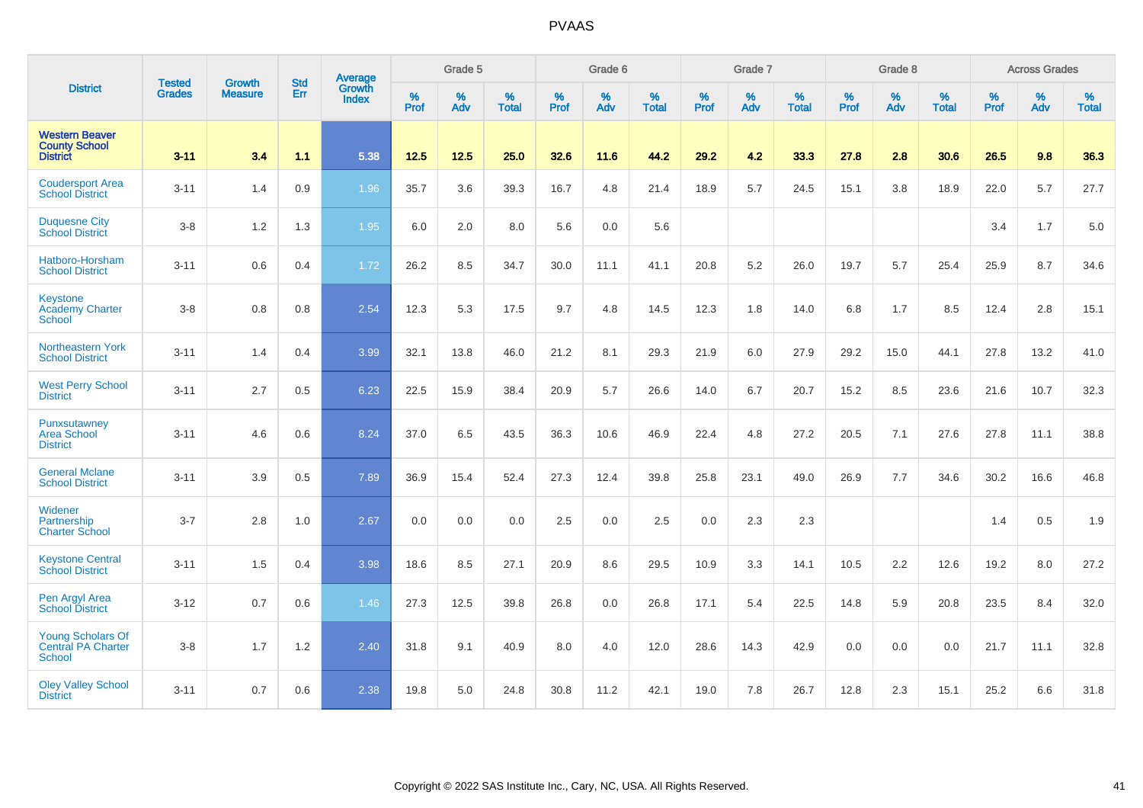|                                                                        |                                |                                 | <b>Std</b> | Average                |                     | Grade 5  |                      |                     | Grade 6  |                   |                     | Grade 7  |                   |                     | Grade 8     |                   |                     | <b>Across Grades</b> |                   |
|------------------------------------------------------------------------|--------------------------------|---------------------------------|------------|------------------------|---------------------|----------|----------------------|---------------------|----------|-------------------|---------------------|----------|-------------------|---------------------|-------------|-------------------|---------------------|----------------------|-------------------|
| <b>District</b>                                                        | <b>Tested</b><br><b>Grades</b> | <b>Growth</b><br><b>Measure</b> | Err        | Growth<br><b>Index</b> | $\%$<br><b>Prof</b> | %<br>Adv | $\%$<br><b>Total</b> | $\%$<br><b>Prof</b> | %<br>Adv | %<br><b>Total</b> | $\%$<br><b>Prof</b> | %<br>Adv | %<br><b>Total</b> | $\%$<br><b>Prof</b> | $\%$<br>Adv | %<br><b>Total</b> | $\%$<br><b>Prof</b> | %<br>Adv             | %<br><b>Total</b> |
| <b>Western Beaver</b><br><b>County School</b><br><b>District</b>       | $3 - 11$                       | 3.4                             | 1.1        | 5.38                   | $12.5$              | 12.5     | 25.0                 | 32.6                | 11.6     | 44.2              | 29.2                | 4.2      | 33.3              | 27.8                | 2.8         | 30.6              | 26.5                | 9.8                  | 36.3              |
| <b>Coudersport Area</b><br><b>School District</b>                      | $3 - 11$                       | 1.4                             | 0.9        | 1.96                   | 35.7                | 3.6      | 39.3                 | 16.7                | 4.8      | 21.4              | 18.9                | 5.7      | 24.5              | 15.1                | 3.8         | 18.9              | 22.0                | 5.7                  | 27.7              |
| <b>Duquesne City</b><br><b>School District</b>                         | $3-8$                          | 1.2                             | 1.3        | 1.95                   | 6.0                 | 2.0      | 8.0                  | 5.6                 | 0.0      | 5.6               |                     |          |                   |                     |             |                   | 3.4                 | 1.7                  | $5.0\,$           |
| Hatboro-Horsham<br><b>School District</b>                              | $3 - 11$                       | 0.6                             | 0.4        | 1.72                   | 26.2                | 8.5      | 34.7                 | 30.0                | 11.1     | 41.1              | 20.8                | 5.2      | 26.0              | 19.7                | 5.7         | 25.4              | 25.9                | 8.7                  | 34.6              |
| Keystone<br><b>Academy Charter</b><br><b>School</b>                    | $3-8$                          | 0.8                             | 0.8        | 2.54                   | 12.3                | 5.3      | 17.5                 | 9.7                 | 4.8      | 14.5              | 12.3                | 1.8      | 14.0              | 6.8                 | 1.7         | 8.5               | 12.4                | 2.8                  | 15.1              |
| Northeastern York<br><b>School District</b>                            | $3 - 11$                       | 1.4                             | 0.4        | 3.99                   | 32.1                | 13.8     | 46.0                 | 21.2                | 8.1      | 29.3              | 21.9                | 6.0      | 27.9              | 29.2                | 15.0        | 44.1              | 27.8                | 13.2                 | 41.0              |
| <b>West Perry School</b><br><b>District</b>                            | $3 - 11$                       | 2.7                             | 0.5        | 6.23                   | 22.5                | 15.9     | 38.4                 | 20.9                | 5.7      | 26.6              | 14.0                | 6.7      | 20.7              | 15.2                | 8.5         | 23.6              | 21.6                | 10.7                 | 32.3              |
| <b>Punxsutawney</b><br>Area School<br><b>District</b>                  | $3 - 11$                       | 4.6                             | 0.6        | 8.24                   | 37.0                | 6.5      | 43.5                 | 36.3                | 10.6     | 46.9              | 22.4                | 4.8      | 27.2              | 20.5                | 7.1         | 27.6              | 27.8                | 11.1                 | 38.8              |
| <b>General Mclane</b><br><b>School District</b>                        | $3 - 11$                       | 3.9                             | 0.5        | 7.89                   | 36.9                | 15.4     | 52.4                 | 27.3                | 12.4     | 39.8              | 25.8                | 23.1     | 49.0              | 26.9                | 7.7         | 34.6              | 30.2                | 16.6                 | 46.8              |
| Widener<br>Partnership<br><b>Charter School</b>                        | $3 - 7$                        | 2.8                             | 1.0        | 2.67                   | 0.0                 | 0.0      | 0.0                  | 2.5                 | 0.0      | 2.5               | 0.0                 | 2.3      | 2.3               |                     |             |                   | 1.4                 | 0.5                  | 1.9               |
| <b>Keystone Central</b><br><b>School District</b>                      | $3 - 11$                       | 1.5                             | 0.4        | 3.98                   | 18.6                | 8.5      | 27.1                 | 20.9                | 8.6      | 29.5              | 10.9                | 3.3      | 14.1              | 10.5                | 2.2         | 12.6              | 19.2                | 8.0                  | 27.2              |
| Pen Argyl Area<br><b>School District</b>                               | $3 - 12$                       | 0.7                             | 0.6        | 1.46                   | 27.3                | 12.5     | 39.8                 | 26.8                | 0.0      | 26.8              | 17.1                | 5.4      | 22.5              | 14.8                | 5.9         | 20.8              | 23.5                | 8.4                  | 32.0              |
| <b>Young Scholars Of</b><br><b>Central PA Charter</b><br><b>School</b> | $3-8$                          | 1.7                             | 1.2        | 2.40                   | 31.8                | 9.1      | 40.9                 | 8.0                 | 4.0      | 12.0              | 28.6                | 14.3     | 42.9              | 0.0                 | 0.0         | 0.0               | 21.7                | 11.1                 | 32.8              |
| <b>Oley Valley School</b><br><b>District</b>                           | $3 - 11$                       | 0.7                             | 0.6        | 2.38                   | 19.8                | 5.0      | 24.8                 | 30.8                | 11.2     | 42.1              | 19.0                | 7.8      | 26.7              | 12.8                | 2.3         | 15.1              | 25.2                | 6.6                  | 31.8              |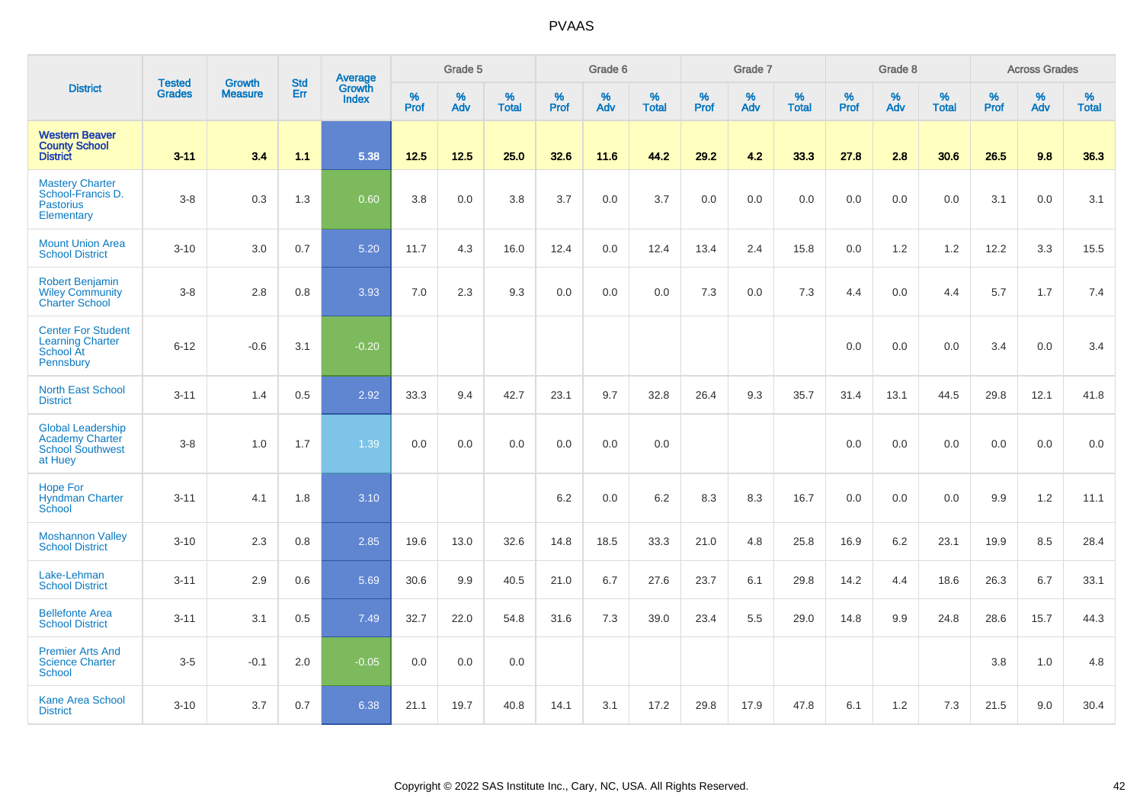|                                                                                          | <b>Tested</b> | <b>Growth</b>  | <b>Std</b> | Average         |              | Grade 5  |                   |           | Grade 6  |                   |           | Grade 7  |                   |           | Grade 8  |                   |           | <b>Across Grades</b> |                   |
|------------------------------------------------------------------------------------------|---------------|----------------|------------|-----------------|--------------|----------|-------------------|-----------|----------|-------------------|-----------|----------|-------------------|-----------|----------|-------------------|-----------|----------------------|-------------------|
| <b>District</b>                                                                          | <b>Grades</b> | <b>Measure</b> | Err        | Growth<br>Index | $\%$<br>Prof | %<br>Adv | %<br><b>Total</b> | %<br>Prof | %<br>Adv | %<br><b>Total</b> | %<br>Prof | %<br>Adv | %<br><b>Total</b> | %<br>Prof | %<br>Adv | %<br><b>Total</b> | %<br>Prof | %<br>Adv             | %<br><b>Total</b> |
| <b>Western Beaver</b><br><b>County School</b><br><b>District</b>                         | $3 - 11$      | 3.4            | 1.1        | 5.38            | $12.5$       | $12.5$   | 25.0              | 32.6      | 11.6     | 44.2              | 29.2      | 4.2      | 33.3              | 27.8      | 2.8      | 30.6              | 26.5      | 9.8                  | 36.3              |
| <b>Mastery Charter</b><br>School-Francis D.<br><b>Pastorius</b><br>Elementary            | $3-8$         | 0.3            | 1.3        | 0.60            | 3.8          | 0.0      | 3.8               | 3.7       | 0.0      | 3.7               | 0.0       | 0.0      | 0.0               | 0.0       | 0.0      | 0.0               | 3.1       | 0.0                  | 3.1               |
| <b>Mount Union Area</b><br><b>School District</b>                                        | $3 - 10$      | 3.0            | 0.7        | 5.20            | 11.7         | 4.3      | 16.0              | 12.4      | 0.0      | 12.4              | 13.4      | 2.4      | 15.8              | 0.0       | 1.2      | 1.2               | 12.2      | 3.3                  | 15.5              |
| <b>Robert Benjamin</b><br><b>Wiley Community</b><br><b>Charter School</b>                | $3 - 8$       | 2.8            | 0.8        | 3.93            | 7.0          | 2.3      | 9.3               | 0.0       | 0.0      | 0.0               | 7.3       | 0.0      | 7.3               | 4.4       | 0.0      | 4.4               | 5.7       | 1.7                  | 7.4               |
| <b>Center For Student</b><br><b>Learning Charter</b><br>School At<br>Pennsbury           | $6 - 12$      | $-0.6$         | 3.1        | $-0.20$         |              |          |                   |           |          |                   |           |          |                   | 0.0       | 0.0      | 0.0               | 3.4       | 0.0                  | 3.4               |
| <b>North East School</b><br><b>District</b>                                              | $3 - 11$      | 1.4            | 0.5        | 2.92            | 33.3         | 9.4      | 42.7              | 23.1      | 9.7      | 32.8              | 26.4      | 9.3      | 35.7              | 31.4      | 13.1     | 44.5              | 29.8      | 12.1                 | 41.8              |
| <b>Global Leadership</b><br><b>Academy Charter</b><br><b>School Southwest</b><br>at Huey | $3 - 8$       | 1.0            | 1.7        | 1.39            | 0.0          | 0.0      | 0.0               | 0.0       | 0.0      | 0.0               |           |          |                   | 0.0       | 0.0      | 0.0               | 0.0       | 0.0                  | 0.0               |
| <b>Hope For</b><br><b>Hyndman Charter</b><br>School                                      | $3 - 11$      | 4.1            | 1.8        | 3.10            |              |          |                   | 6.2       | 0.0      | $6.2\,$           | 8.3       | 8.3      | 16.7              | 0.0       | 0.0      | 0.0               | 9.9       | $1.2$                | 11.1              |
| <b>Moshannon Valley</b><br><b>School District</b>                                        | $3 - 10$      | 2.3            | 0.8        | 2.85            | 19.6         | 13.0     | 32.6              | 14.8      | 18.5     | 33.3              | 21.0      | 4.8      | 25.8              | 16.9      | 6.2      | 23.1              | 19.9      | 8.5                  | 28.4              |
| Lake-Lehman<br><b>School District</b>                                                    | $3 - 11$      | 2.9            | 0.6        | 5.69            | 30.6         | 9.9      | 40.5              | 21.0      | 6.7      | 27.6              | 23.7      | 6.1      | 29.8              | 14.2      | 4.4      | 18.6              | 26.3      | 6.7                  | 33.1              |
| <b>Bellefonte Area</b><br><b>School District</b>                                         | $3 - 11$      | 3.1            | 0.5        | 7.49            | 32.7         | 22.0     | 54.8              | 31.6      | 7.3      | 39.0              | 23.4      | 5.5      | 29.0              | 14.8      | 9.9      | 24.8              | 28.6      | 15.7                 | 44.3              |
| <b>Premier Arts And</b><br><b>Science Charter</b><br><b>School</b>                       | $3-5$         | $-0.1$         | 2.0        | $-0.05$         | 0.0          | 0.0      | 0.0               |           |          |                   |           |          |                   |           |          |                   | 3.8       | $1.0$                | 4.8               |
| <b>Kane Area School</b><br><b>District</b>                                               | $3 - 10$      | 3.7            | 0.7        | 6.38            | 21.1         | 19.7     | 40.8              | 14.1      | 3.1      | 17.2              | 29.8      | 17.9     | 47.8              | 6.1       | 1.2      | 7.3               | 21.5      | 9.0                  | 30.4              |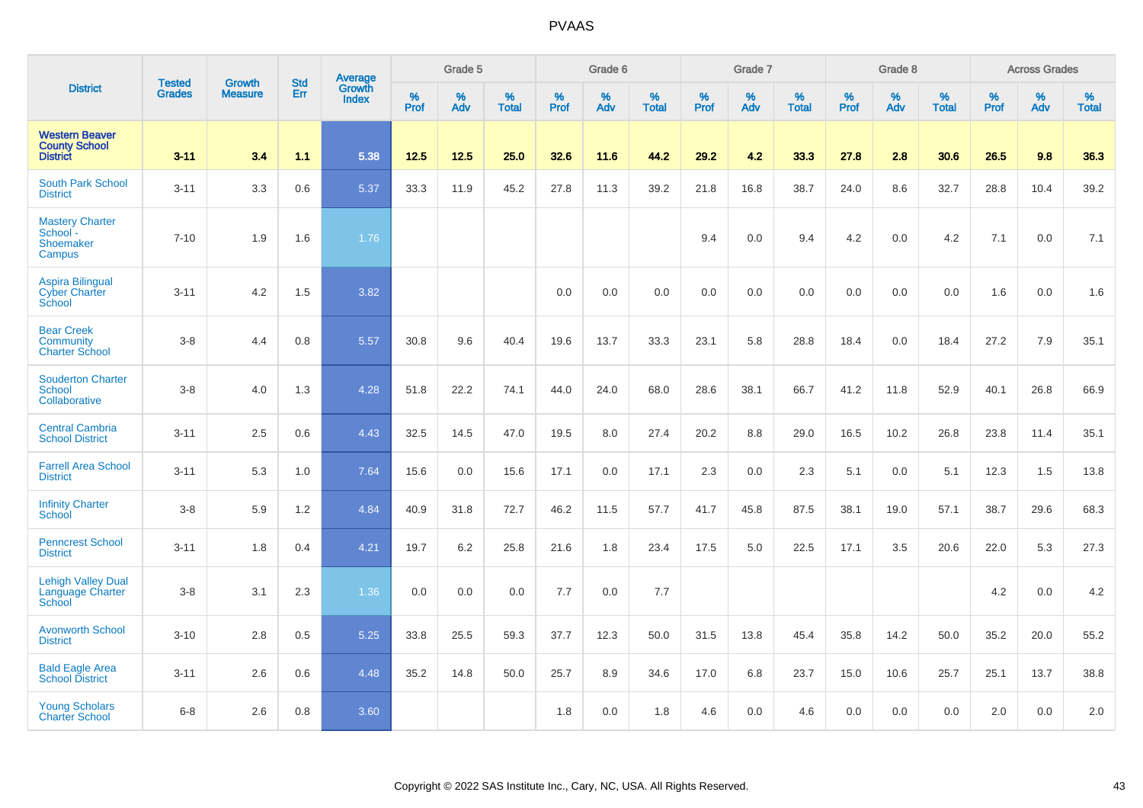|                                                                  |                                |                                 | <b>Std</b> | Average                |           | Grade 5  |                   |           | Grade 6  |                   |           | Grade 7  |                   |              | Grade 8  |                   |                  | <b>Across Grades</b> |                   |
|------------------------------------------------------------------|--------------------------------|---------------------------------|------------|------------------------|-----------|----------|-------------------|-----------|----------|-------------------|-----------|----------|-------------------|--------------|----------|-------------------|------------------|----------------------|-------------------|
| <b>District</b>                                                  | <b>Tested</b><br><b>Grades</b> | <b>Growth</b><br><b>Measure</b> | Err        | Growth<br><b>Index</b> | %<br>Prof | %<br>Adv | %<br><b>Total</b> | %<br>Prof | %<br>Adv | %<br><b>Total</b> | %<br>Prof | %<br>Adv | %<br><b>Total</b> | $\%$<br>Prof | %<br>Adv | %<br><b>Total</b> | %<br><b>Prof</b> | %<br>Adv             | %<br><b>Total</b> |
| <b>Western Beaver</b><br><b>County School</b><br><b>District</b> | $3 - 11$                       | 3.4                             | 1.1        | 5.38                   | 12.5      | 12.5     | 25.0              | 32.6      | 11.6     | 44.2              | 29.2      | 4.2      | 33.3              | 27.8         | 2.8      | 30.6              | 26.5             | 9.8                  | 36.3              |
| <b>South Park School</b><br><b>District</b>                      | $3 - 11$                       | 3.3                             | 0.6        | 5.37                   | 33.3      | 11.9     | 45.2              | 27.8      | 11.3     | 39.2              | 21.8      | 16.8     | 38.7              | 24.0         | 8.6      | 32.7              | 28.8             | 10.4                 | 39.2              |
| <b>Mastery Charter</b><br>School -<br>Shoemaker<br>Campus        | $7 - 10$                       | 1.9                             | 1.6        | 1.76                   |           |          |                   |           |          |                   | 9.4       | 0.0      | 9.4               | 4.2          | 0.0      | 4.2               | 7.1              | 0.0                  | 7.1               |
| <b>Aspira Bilingual</b><br><b>Cyber Charter</b><br>School        | $3 - 11$                       | 4.2                             | 1.5        | 3.82                   |           |          |                   | 0.0       | 0.0      | 0.0               | 0.0       | 0.0      | 0.0               | 0.0          | 0.0      | 0.0               | 1.6              | 0.0                  | 1.6               |
| <b>Bear Creek</b><br>Community<br><b>Charter School</b>          | $3 - 8$                        | 4.4                             | 0.8        | 5.57                   | 30.8      | 9.6      | 40.4              | 19.6      | 13.7     | 33.3              | 23.1      | 5.8      | 28.8              | 18.4         | 0.0      | 18.4              | 27.2             | 7.9                  | 35.1              |
| <b>Souderton Charter</b><br><b>School</b><br>Collaborative       | $3 - 8$                        | 4.0                             | 1.3        | 4.28                   | 51.8      | 22.2     | 74.1              | 44.0      | 24.0     | 68.0              | 28.6      | 38.1     | 66.7              | 41.2         | 11.8     | 52.9              | 40.1             | 26.8                 | 66.9              |
| <b>Central Cambria</b><br><b>School District</b>                 | $3 - 11$                       | 2.5                             | 0.6        | 4.43                   | 32.5      | 14.5     | 47.0              | 19.5      | 8.0      | 27.4              | 20.2      | 8.8      | 29.0              | 16.5         | 10.2     | 26.8              | 23.8             | 11.4                 | 35.1              |
| <b>Farrell Area School</b><br><b>District</b>                    | $3 - 11$                       | 5.3                             | 1.0        | 7.64                   | 15.6      | 0.0      | 15.6              | 17.1      | 0.0      | 17.1              | 2.3       | 0.0      | 2.3               | 5.1          | 0.0      | 5.1               | 12.3             | 1.5                  | 13.8              |
| <b>Infinity Charter</b><br>School                                | $3 - 8$                        | 5.9                             | 1.2        | 4.84                   | 40.9      | 31.8     | 72.7              | 46.2      | 11.5     | 57.7              | 41.7      | 45.8     | 87.5              | 38.1         | 19.0     | 57.1              | 38.7             | 29.6                 | 68.3              |
| <b>Penncrest School</b><br><b>District</b>                       | $3 - 11$                       | 1.8                             | 0.4        | 4.21                   | 19.7      | $6.2\,$  | 25.8              | 21.6      | 1.8      | 23.4              | 17.5      | 5.0      | 22.5              | 17.1         | 3.5      | 20.6              | 22.0             | 5.3                  | 27.3              |
| <b>Lehigh Valley Dual</b><br>Language Charter<br>School          | $3 - 8$                        | 3.1                             | 2.3        | 1.36                   | 0.0       | 0.0      | 0.0               | 7.7       | 0.0      | 7.7               |           |          |                   |              |          |                   | 4.2              | 0.0                  | 4.2               |
| <b>Avonworth School</b><br><b>District</b>                       | $3 - 10$                       | 2.8                             | 0.5        | 5.25                   | 33.8      | 25.5     | 59.3              | 37.7      | 12.3     | 50.0              | 31.5      | 13.8     | 45.4              | 35.8         | 14.2     | 50.0              | 35.2             | 20.0                 | 55.2              |
| <b>Bald Eagle Area</b><br><b>School District</b>                 | $3 - 11$                       | 2.6                             | 0.6        | 4.48                   | 35.2      | 14.8     | 50.0              | 25.7      | 8.9      | 34.6              | 17.0      | 6.8      | 23.7              | 15.0         | 10.6     | 25.7              | 25.1             | 13.7                 | 38.8              |
| <b>Young Scholars</b><br><b>Charter School</b>                   | $6 - 8$                        | 2.6                             | 0.8        | 3.60                   |           |          |                   | 1.8       | 0.0      | 1.8               | 4.6       | 0.0      | 4.6               | 0.0          | 0.0      | 0.0               | 2.0              | 0.0                  | 2.0               |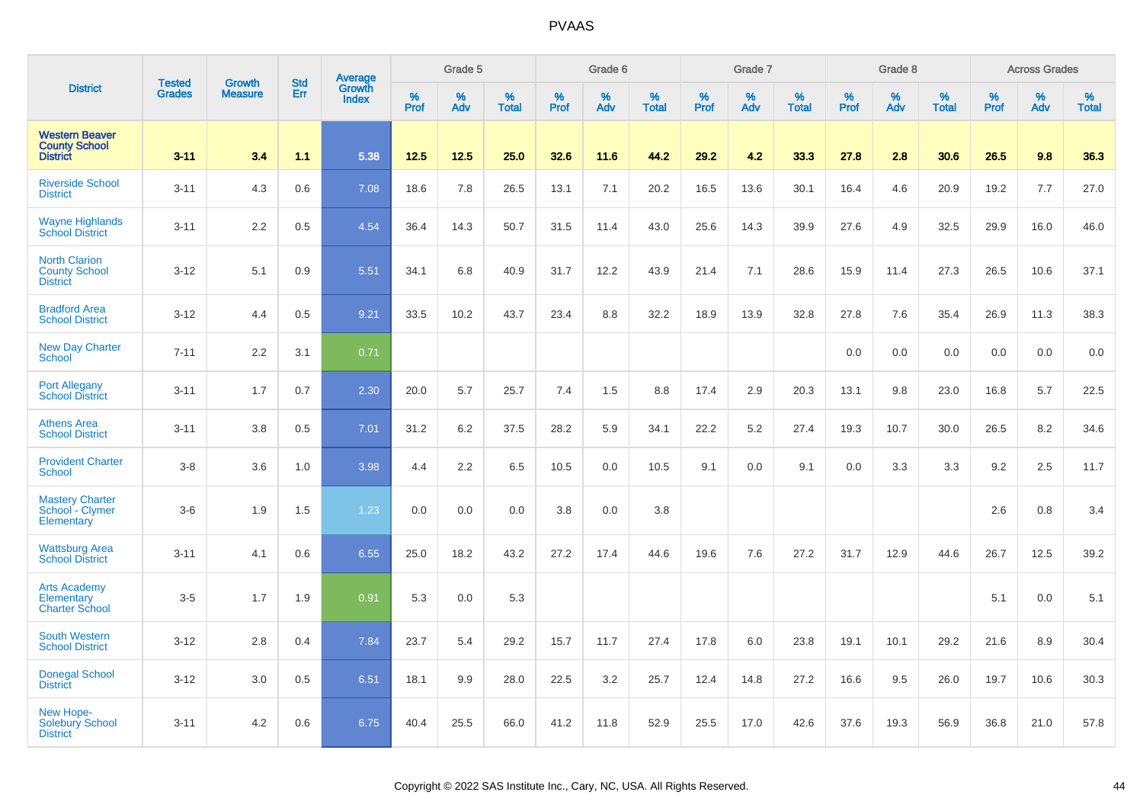|                                                                  |                                |                                 | <b>Std</b> |                                          |                  | Grade 5  |                   |           | Grade 6  |                   |           | Grade 7  |                   |                  | Grade 8  |                   |                  | <b>Across Grades</b> |                   |
|------------------------------------------------------------------|--------------------------------|---------------------------------|------------|------------------------------------------|------------------|----------|-------------------|-----------|----------|-------------------|-----------|----------|-------------------|------------------|----------|-------------------|------------------|----------------------|-------------------|
| <b>District</b>                                                  | <b>Tested</b><br><b>Grades</b> | <b>Growth</b><br><b>Measure</b> | Err        | <b>Average</b><br>Growth<br><b>Index</b> | %<br><b>Prof</b> | %<br>Adv | %<br><b>Total</b> | %<br>Prof | %<br>Adv | %<br><b>Total</b> | %<br>Prof | %<br>Adv | %<br><b>Total</b> | %<br><b>Prof</b> | %<br>Adv | %<br><b>Total</b> | %<br><b>Prof</b> | %<br>Adv             | %<br><b>Total</b> |
| <b>Western Beaver</b><br><b>County School</b><br><b>District</b> | $3 - 11$                       | 3.4                             | 1.1        | 5.38                                     | 12.5             | 12.5     | 25.0              | 32.6      | 11.6     | 44.2              | 29.2      | 4.2      | 33.3              | 27.8             | 2.8      | 30.6              | 26.5             | 9.8                  | 36.3              |
| <b>Riverside School</b><br><b>District</b>                       | $3 - 11$                       | 4.3                             | 0.6        | 7.08                                     | 18.6             | 7.8      | 26.5              | 13.1      | 7.1      | 20.2              | 16.5      | 13.6     | 30.1              | 16.4             | 4.6      | 20.9              | 19.2             | 7.7                  | 27.0              |
| <b>Wayne Highlands</b><br><b>School District</b>                 | $3 - 11$                       | 2.2                             | 0.5        | 4.54                                     | 36.4             | 14.3     | 50.7              | 31.5      | 11.4     | 43.0              | 25.6      | 14.3     | 39.9              | 27.6             | 4.9      | 32.5              | 29.9             | 16.0                 | 46.0              |
| <b>North Clarion</b><br><b>County School</b><br><b>District</b>  | $3 - 12$                       | 5.1                             | 0.9        | 5.51                                     | 34.1             | 6.8      | 40.9              | 31.7      | 12.2     | 43.9              | 21.4      | 7.1      | 28.6              | 15.9             | 11.4     | 27.3              | 26.5             | 10.6                 | 37.1              |
| <b>Bradford Area</b><br><b>School District</b>                   | $3 - 12$                       | 4.4                             | 0.5        | 9.21                                     | 33.5             | 10.2     | 43.7              | 23.4      | 8.8      | 32.2              | 18.9      | 13.9     | 32.8              | 27.8             | 7.6      | 35.4              | 26.9             | 11.3                 | 38.3              |
| <b>New Day Charter</b><br><b>School</b>                          | $7 - 11$                       | 2.2                             | 3.1        | 0.71                                     |                  |          |                   |           |          |                   |           |          |                   | 0.0              | 0.0      | 0.0               | 0.0              | 0.0                  | 0.0               |
| <b>Port Allegany</b><br><b>School District</b>                   | $3 - 11$                       | 1.7                             | 0.7        | 2.30                                     | 20.0             | 5.7      | 25.7              | 7.4       | 1.5      | 8.8               | 17.4      | 2.9      | 20.3              | 13.1             | 9.8      | 23.0              | 16.8             | 5.7                  | 22.5              |
| <b>Athens Area</b><br><b>School District</b>                     | $3 - 11$                       | 3.8                             | 0.5        | 7.01                                     | 31.2             | 6.2      | 37.5              | 28.2      | 5.9      | 34.1              | 22.2      | 5.2      | 27.4              | 19.3             | 10.7     | 30.0              | 26.5             | 8.2                  | 34.6              |
| <b>Provident Charter</b><br><b>School</b>                        | $3-8$                          | 3.6                             | 1.0        | 3.98                                     | 4.4              | 2.2      | 6.5               | 10.5      | 0.0      | 10.5              | 9.1       | 0.0      | 9.1               | 0.0              | 3.3      | 3.3               | 9.2              | 2.5                  | 11.7              |
| <b>Mastery Charter</b><br>School - Clymer<br>Elementary          | $3-6$                          | 1.9                             | 1.5        | 1.23                                     | 0.0              | 0.0      | 0.0               | 3.8       | 0.0      | 3.8               |           |          |                   |                  |          |                   | 2.6              | 0.8                  | 3.4               |
| <b>Wattsburg Area</b><br><b>School District</b>                  | $3 - 11$                       | 4.1                             | 0.6        | 6.55                                     | 25.0             | 18.2     | 43.2              | 27.2      | 17.4     | 44.6              | 19.6      | 7.6      | 27.2              | 31.7             | 12.9     | 44.6              | 26.7             | 12.5                 | 39.2              |
| <b>Arts Academy</b><br>Elementary<br><b>Charter School</b>       | $3-5$                          | 1.7                             | 1.9        | 0.91                                     | 5.3              | 0.0      | 5.3               |           |          |                   |           |          |                   |                  |          |                   | 5.1              | 0.0                  | 5.1               |
| <b>South Western</b><br><b>School District</b>                   | $3 - 12$                       | 2.8                             | 0.4        | 7.84                                     | 23.7             | 5.4      | 29.2              | 15.7      | 11.7     | 27.4              | 17.8      | 6.0      | 23.8              | 19.1             | 10.1     | 29.2              | 21.6             | 8.9                  | 30.4              |
| <b>Donegal School</b><br><b>District</b>                         | $3 - 12$                       | 3.0                             | 0.5        | 6.51                                     | 18.1             | 9.9      | 28.0              | 22.5      | 3.2      | 25.7              | 12.4      | 14.8     | 27.2              | 16.6             | 9.5      | 26.0              | 19.7             | 10.6                 | 30.3              |
| New Hope-<br><b>Solebury School</b><br><b>District</b>           | $3 - 11$                       | 4.2                             | 0.6        | 6.75                                     | 40.4             | 25.5     | 66.0              | 41.2      | 11.8     | 52.9              | 25.5      | 17.0     | 42.6              | 37.6             | 19.3     | 56.9              | 36.8             | 21.0                 | 57.8              |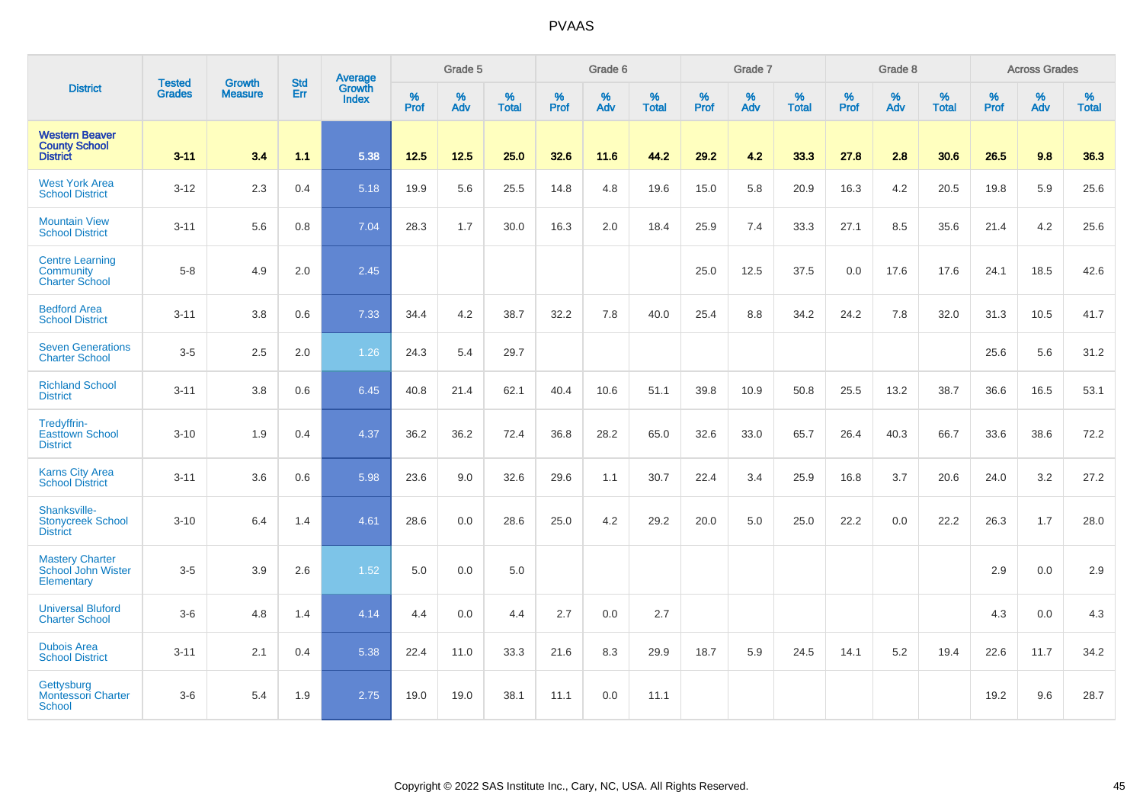|                                                                  | <b>Tested</b> | <b>Growth</b>  | <b>Std</b> | Average                |                     | Grade 5  |                   |           | Grade 6  |                   |           | Grade 7  |                   |           | Grade 8  |                   |                  | <b>Across Grades</b> |                   |
|------------------------------------------------------------------|---------------|----------------|------------|------------------------|---------------------|----------|-------------------|-----------|----------|-------------------|-----------|----------|-------------------|-----------|----------|-------------------|------------------|----------------------|-------------------|
| <b>District</b>                                                  | <b>Grades</b> | <b>Measure</b> | Err        | Growth<br><b>Index</b> | $\%$<br><b>Prof</b> | %<br>Adv | %<br><b>Total</b> | %<br>Prof | %<br>Adv | %<br><b>Total</b> | %<br>Prof | %<br>Adv | %<br><b>Total</b> | %<br>Prof | %<br>Adv | %<br><b>Total</b> | %<br><b>Prof</b> | %<br>Adv             | %<br><b>Total</b> |
| <b>Western Beaver</b><br><b>County School</b><br><b>District</b> | $3 - 11$      | 3.4            | 1.1        | 5.38                   | 12.5                | $12.5$   | 25.0              | 32.6      | 11.6     | 44.2              | 29.2      | 4.2      | 33.3              | 27.8      | 2.8      | 30.6              | 26.5             | 9.8                  | 36.3              |
| <b>West York Area</b><br><b>School District</b>                  | $3 - 12$      | 2.3            | 0.4        | 5.18                   | 19.9                | 5.6      | 25.5              | 14.8      | 4.8      | 19.6              | 15.0      | 5.8      | 20.9              | 16.3      | 4.2      | 20.5              | 19.8             | 5.9                  | 25.6              |
| <b>Mountain View</b><br><b>School District</b>                   | $3 - 11$      | 5.6            | 0.8        | 7.04                   | 28.3                | 1.7      | 30.0              | 16.3      | 2.0      | 18.4              | 25.9      | 7.4      | 33.3              | 27.1      | 8.5      | 35.6              | 21.4             | 4.2                  | 25.6              |
| <b>Centre Learning</b><br>Community<br><b>Charter School</b>     | $5 - 8$       | 4.9            | 2.0        | 2.45                   |                     |          |                   |           |          |                   | 25.0      | 12.5     | 37.5              | 0.0       | 17.6     | 17.6              | 24.1             | 18.5                 | 42.6              |
| <b>Bedford Area</b><br><b>School District</b>                    | $3 - 11$      | 3.8            | 0.6        | 7.33                   | 34.4                | 4.2      | 38.7              | 32.2      | 7.8      | 40.0              | 25.4      | 8.8      | 34.2              | 24.2      | 7.8      | 32.0              | 31.3             | 10.5                 | 41.7              |
| <b>Seven Generations</b><br><b>Charter School</b>                | $3-5$         | 2.5            | 2.0        | 1.26                   | 24.3                | 5.4      | 29.7              |           |          |                   |           |          |                   |           |          |                   | 25.6             | 5.6                  | 31.2              |
| <b>Richland School</b><br><b>District</b>                        | $3 - 11$      | 3.8            | 0.6        | 6.45                   | 40.8                | 21.4     | 62.1              | 40.4      | 10.6     | 51.1              | 39.8      | 10.9     | 50.8              | 25.5      | 13.2     | 38.7              | 36.6             | 16.5                 | 53.1              |
| Tredyffrin-<br><b>Easttown School</b><br><b>District</b>         | $3 - 10$      | 1.9            | 0.4        | 4.37                   | 36.2                | 36.2     | 72.4              | 36.8      | 28.2     | 65.0              | 32.6      | 33.0     | 65.7              | 26.4      | 40.3     | 66.7              | 33.6             | 38.6                 | 72.2              |
| <b>Karns City Area</b><br><b>School District</b>                 | $3 - 11$      | 3.6            | 0.6        | 5.98                   | 23.6                | 9.0      | 32.6              | 29.6      | 1.1      | 30.7              | 22.4      | 3.4      | 25.9              | 16.8      | 3.7      | 20.6              | 24.0             | 3.2                  | 27.2              |
| Shanksville-<br><b>Stonycreek School</b><br><b>District</b>      | $3 - 10$      | 6.4            | 1.4        | 4.61                   | 28.6                | 0.0      | 28.6              | 25.0      | 4.2      | 29.2              | 20.0      | 5.0      | 25.0              | 22.2      | 0.0      | 22.2              | 26.3             | 1.7                  | 28.0              |
| <b>Mastery Charter</b><br>School John Wister<br>Elementary       | $3-5$         | 3.9            | 2.6        | 1.52                   | 5.0                 | 0.0      | 5.0               |           |          |                   |           |          |                   |           |          |                   | 2.9              | 0.0                  | 2.9               |
| <b>Universal Bluford</b><br><b>Charter School</b>                | $3-6$         | 4.8            | 1.4        | 4.14                   | 4.4                 | 0.0      | 4.4               | 2.7       | 0.0      | 2.7               |           |          |                   |           |          |                   | 4.3              | 0.0                  | 4.3               |
| <b>Dubois Area</b><br><b>School District</b>                     | $3 - 11$      | 2.1            | 0.4        | 5.38                   | 22.4                | 11.0     | 33.3              | 21.6      | 8.3      | 29.9              | 18.7      | 5.9      | 24.5              | 14.1      | 5.2      | 19.4              | 22.6             | 11.7                 | 34.2              |
| Gettysburg<br><b>Montessori Charter</b><br><b>School</b>         | $3-6$         | 5.4            | 1.9        | 2.75                   | 19.0                | 19.0     | 38.1              | 11.1      | 0.0      | 11.1              |           |          |                   |           |          |                   | 19.2             | 9.6                  | 28.7              |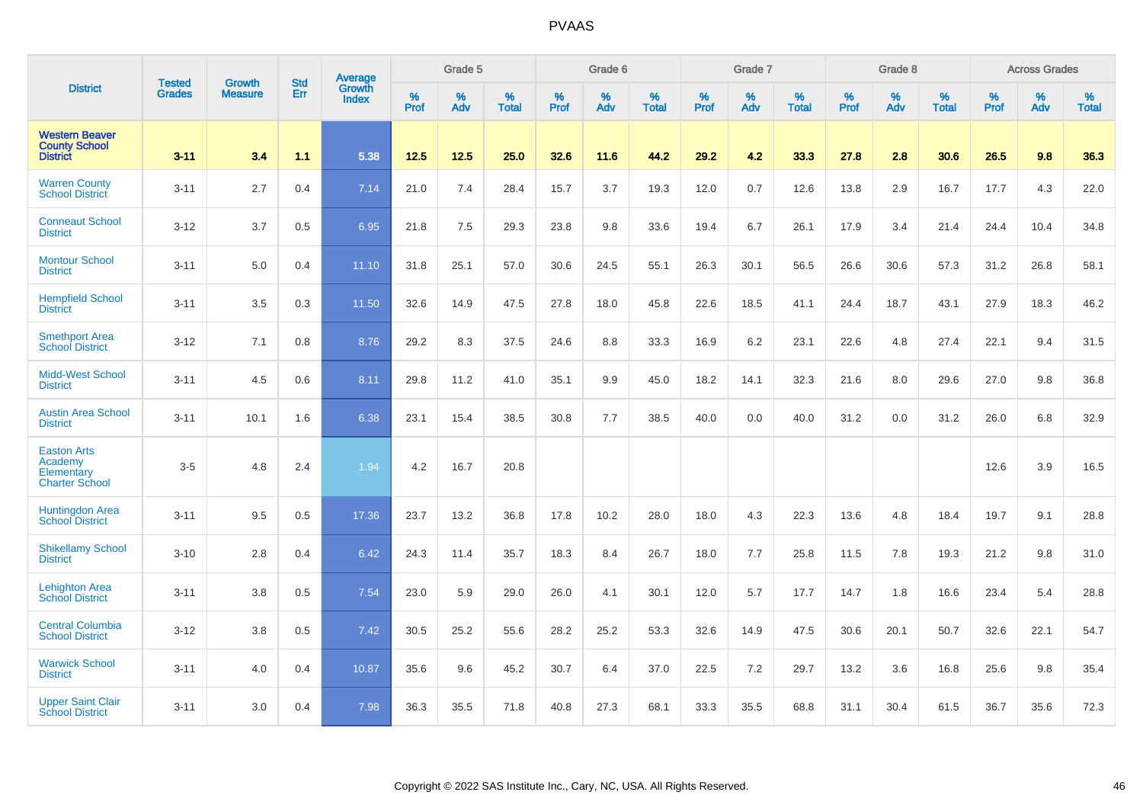|                                                                      | <b>Tested</b> | <b>Growth</b>  | <b>Std</b> | Average                |              | Grade 5  |                   |           | Grade 6  |                   |           | Grade 7  |                   |           | Grade 8  |                   |           | <b>Across Grades</b> |                   |
|----------------------------------------------------------------------|---------------|----------------|------------|------------------------|--------------|----------|-------------------|-----------|----------|-------------------|-----------|----------|-------------------|-----------|----------|-------------------|-----------|----------------------|-------------------|
| <b>District</b>                                                      | <b>Grades</b> | <b>Measure</b> | Err        | <b>Growth</b><br>Index | $\%$<br>Prof | %<br>Adv | %<br><b>Total</b> | %<br>Prof | %<br>Adv | %<br><b>Total</b> | %<br>Prof | %<br>Adv | %<br><b>Total</b> | %<br>Prof | %<br>Adv | %<br><b>Total</b> | %<br>Prof | %<br>Adv             | %<br><b>Total</b> |
| <b>Western Beaver</b><br><b>County School</b><br><b>District</b>     | $3 - 11$      | 3.4            | 1.1        | 5.38                   | 12.5         | 12.5     | 25.0              | 32.6      | 11.6     | 44.2              | 29.2      | 4.2      | 33.3              | 27.8      | 2.8      | 30.6              | 26.5      | 9.8                  | 36.3              |
| <b>Warren County</b><br><b>School District</b>                       | $3 - 11$      | 2.7            | 0.4        | 7.14                   | 21.0         | 7.4      | 28.4              | 15.7      | 3.7      | 19.3              | 12.0      | 0.7      | 12.6              | 13.8      | 2.9      | 16.7              | 17.7      | 4.3                  | 22.0              |
| <b>Conneaut School</b><br><b>District</b>                            | $3 - 12$      | 3.7            | 0.5        | 6.95                   | 21.8         | 7.5      | 29.3              | 23.8      | 9.8      | 33.6              | 19.4      | 6.7      | 26.1              | 17.9      | 3.4      | 21.4              | 24.4      | 10.4                 | 34.8              |
| <b>Montour School</b><br><b>District</b>                             | $3 - 11$      | 5.0            | 0.4        | 11.10                  | 31.8         | 25.1     | 57.0              | 30.6      | 24.5     | 55.1              | 26.3      | 30.1     | 56.5              | 26.6      | 30.6     | 57.3              | 31.2      | 26.8                 | 58.1              |
| <b>Hempfield School</b><br><b>District</b>                           | $3 - 11$      | 3.5            | 0.3        | 11.50                  | 32.6         | 14.9     | 47.5              | 27.8      | 18.0     | 45.8              | 22.6      | 18.5     | 41.1              | 24.4      | 18.7     | 43.1              | 27.9      | 18.3                 | 46.2              |
| <b>Smethport Area</b><br><b>School District</b>                      | $3 - 12$      | 7.1            | 0.8        | 8.76                   | 29.2         | 8.3      | 37.5              | 24.6      | 8.8      | 33.3              | 16.9      | 6.2      | 23.1              | 22.6      | 4.8      | 27.4              | 22.1      | 9.4                  | 31.5              |
| <b>Midd-West School</b><br><b>District</b>                           | $3 - 11$      | 4.5            | 0.6        | 8.11                   | 29.8         | 11.2     | 41.0              | 35.1      | 9.9      | 45.0              | 18.2      | 14.1     | 32.3              | 21.6      | 8.0      | 29.6              | 27.0      | 9.8                  | 36.8              |
| <b>Austin Area School</b><br><b>District</b>                         | $3 - 11$      | 10.1           | 1.6        | 6.38                   | 23.1         | 15.4     | 38.5              | 30.8      | 7.7      | 38.5              | 40.0      | 0.0      | 40.0              | 31.2      | 0.0      | 31.2              | 26.0      | 6.8                  | 32.9              |
| <b>Easton Arts</b><br>Academy<br>Elementary<br><b>Charter School</b> | $3-5$         | 4.8            | 2.4        | 1.94                   | 4.2          | 16.7     | 20.8              |           |          |                   |           |          |                   |           |          |                   | 12.6      | 3.9                  | 16.5              |
| <b>Huntingdon Area</b><br><b>School District</b>                     | $3 - 11$      | 9.5            | 0.5        | 17.36                  | 23.7         | 13.2     | 36.8              | 17.8      | 10.2     | 28.0              | 18.0      | 4.3      | 22.3              | 13.6      | 4.8      | 18.4              | 19.7      | 9.1                  | 28.8              |
| <b>Shikellamy School</b><br><b>District</b>                          | $3 - 10$      | 2.8            | 0.4        | 6.42                   | 24.3         | 11.4     | 35.7              | 18.3      | 8.4      | 26.7              | 18.0      | 7.7      | 25.8              | 11.5      | 7.8      | 19.3              | 21.2      | 9.8                  | 31.0              |
| <b>Lehighton Area</b><br><b>School District</b>                      | $3 - 11$      | 3.8            | 0.5        | 7.54                   | 23.0         | 5.9      | 29.0              | 26.0      | 4.1      | 30.1              | 12.0      | 5.7      | 17.7              | 14.7      | 1.8      | 16.6              | 23.4      | 5.4                  | 28.8              |
| <b>Central Columbia</b><br><b>School District</b>                    | $3 - 12$      | 3.8            | 0.5        | 7.42                   | 30.5         | 25.2     | 55.6              | 28.2      | 25.2     | 53.3              | 32.6      | 14.9     | 47.5              | 30.6      | 20.1     | 50.7              | 32.6      | 22.1                 | 54.7              |
| <b>Warwick School</b><br><b>District</b>                             | $3 - 11$      | 4.0            | 0.4        | 10.87                  | 35.6         | 9.6      | 45.2              | 30.7      | 6.4      | 37.0              | 22.5      | 7.2      | 29.7              | 13.2      | 3.6      | 16.8              | 25.6      | 9.8                  | 35.4              |
| <b>Upper Saint Clair</b><br><b>School District</b>                   | $3 - 11$      | 3.0            | 0.4        | 7.98                   | 36.3         | 35.5     | 71.8              | 40.8      | 27.3     | 68.1              | 33.3      | 35.5     | 68.8              | 31.1      | 30.4     | 61.5              | 36.7      | 35.6                 | 72.3              |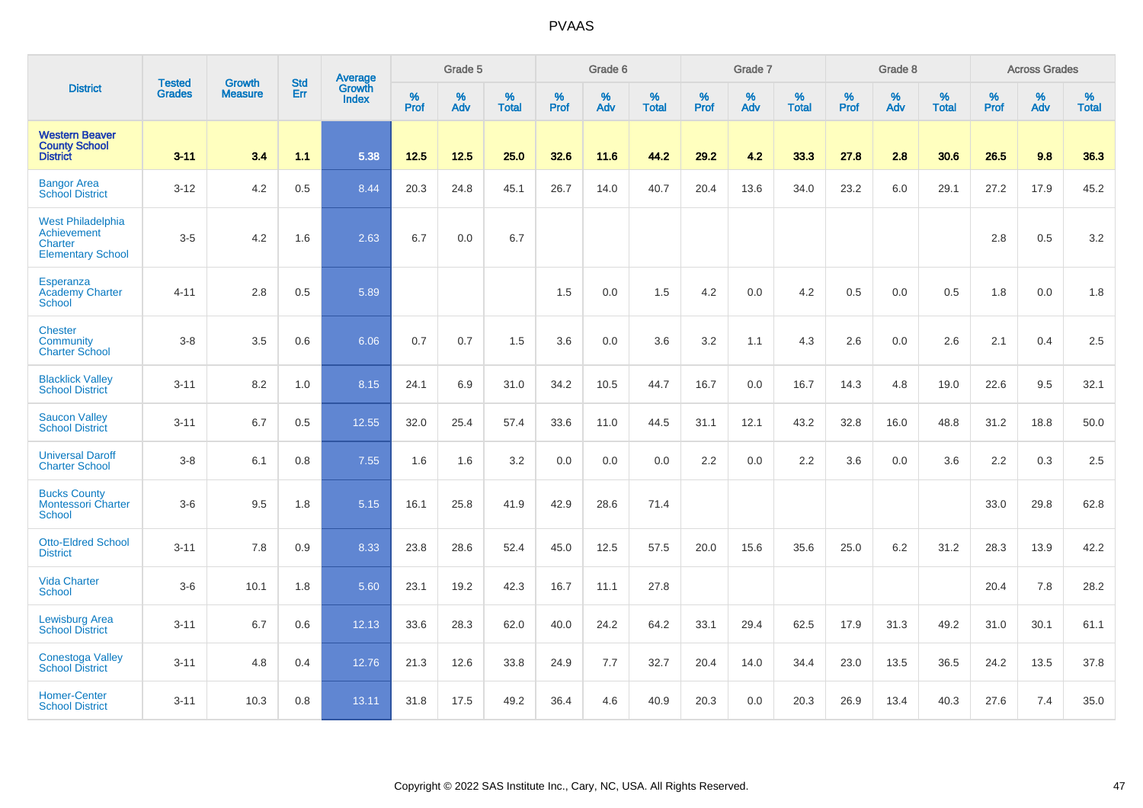|                                                                                | <b>Tested</b> | <b>Growth</b>  | <b>Std</b> | Average                |                     | Grade 5  |                   |              | Grade 6  |                   |              | Grade 7  |                   |              | Grade 8  |                   |                  | <b>Across Grades</b> |                   |
|--------------------------------------------------------------------------------|---------------|----------------|------------|------------------------|---------------------|----------|-------------------|--------------|----------|-------------------|--------------|----------|-------------------|--------------|----------|-------------------|------------------|----------------------|-------------------|
| <b>District</b>                                                                | <b>Grades</b> | <b>Measure</b> | Err        | Growth<br><b>Index</b> | $\%$<br><b>Prof</b> | %<br>Adv | %<br><b>Total</b> | $\%$<br>Prof | %<br>Adv | %<br><b>Total</b> | $\%$<br>Prof | %<br>Adv | %<br><b>Total</b> | $\%$<br>Prof | %<br>Adv | %<br><b>Total</b> | %<br><b>Prof</b> | %<br>Adv             | %<br><b>Total</b> |
| <b>Western Beaver</b><br><b>County School</b><br><b>District</b>               | $3 - 11$      | 3.4            | 1.1        | 5.38                   | 12.5                | 12.5     | 25.0              | 32.6         | 11.6     | 44.2              | 29.2         | 4.2      | 33.3              | 27.8         | 2.8      | 30.6              | 26.5             | 9.8                  | 36.3              |
| <b>Bangor Area</b><br><b>School District</b>                                   | $3 - 12$      | 4.2            | 0.5        | 8.44                   | 20.3                | 24.8     | 45.1              | 26.7         | 14.0     | 40.7              | 20.4         | 13.6     | 34.0              | 23.2         | 6.0      | 29.1              | 27.2             | 17.9                 | 45.2              |
| <b>West Philadelphia</b><br>Achievement<br>Charter<br><b>Elementary School</b> | $3-5$         | 4.2            | 1.6        | 2.63                   | 6.7                 | 0.0      | 6.7               |              |          |                   |              |          |                   |              |          |                   | 2.8              | 0.5                  | 3.2               |
| Esperanza<br><b>Academy Charter</b><br><b>School</b>                           | $4 - 11$      | 2.8            | 0.5        | 5.89                   |                     |          |                   | 1.5          | 0.0      | 1.5               | 4.2          | 0.0      | 4.2               | 0.5          | 0.0      | 0.5               | 1.8              | 0.0                  | 1.8               |
| <b>Chester</b><br>Community<br><b>Charter School</b>                           | $3-8$         | 3.5            | 0.6        | 6.06                   | 0.7                 | 0.7      | 1.5               | 3.6          | 0.0      | 3.6               | $3.2\,$      | 1.1      | 4.3               | 2.6          | 0.0      | 2.6               | 2.1              | 0.4                  | 2.5               |
| <b>Blacklick Valley</b><br><b>School District</b>                              | $3 - 11$      | 8.2            | 1.0        | 8.15                   | 24.1                | 6.9      | 31.0              | 34.2         | 10.5     | 44.7              | 16.7         | 0.0      | 16.7              | 14.3         | 4.8      | 19.0              | 22.6             | 9.5                  | 32.1              |
| <b>Saucon Valley</b><br><b>School District</b>                                 | $3 - 11$      | 6.7            | 0.5        | 12.55                  | 32.0                | 25.4     | 57.4              | 33.6         | 11.0     | 44.5              | 31.1         | 12.1     | 43.2              | 32.8         | 16.0     | 48.8              | 31.2             | 18.8                 | 50.0              |
| <b>Universal Daroff</b><br><b>Charter School</b>                               | $3-8$         | 6.1            | 0.8        | 7.55                   | 1.6                 | 1.6      | 3.2               | 0.0          | 0.0      | 0.0               | 2.2          | 0.0      | 2.2               | 3.6          | 0.0      | 3.6               | 2.2              | 0.3                  | 2.5               |
| <b>Bucks County</b><br><b>Montessori Charter</b><br>School                     | $3-6$         | 9.5            | 1.8        | 5.15                   | 16.1                | 25.8     | 41.9              | 42.9         | 28.6     | 71.4              |              |          |                   |              |          |                   | 33.0             | 29.8                 | 62.8              |
| <b>Otto-Eldred School</b><br><b>District</b>                                   | $3 - 11$      | 7.8            | 0.9        | 8.33                   | 23.8                | 28.6     | 52.4              | 45.0         | 12.5     | 57.5              | 20.0         | 15.6     | 35.6              | 25.0         | $6.2\,$  | 31.2              | 28.3             | 13.9                 | 42.2              |
| <b>Vida Charter</b><br><b>School</b>                                           | $3-6$         | 10.1           | 1.8        | 5.60                   | 23.1                | 19.2     | 42.3              | 16.7         | 11.1     | 27.8              |              |          |                   |              |          |                   | 20.4             | 7.8                  | 28.2              |
| <b>Lewisburg Area</b><br><b>School District</b>                                | $3 - 11$      | 6.7            | 0.6        | 12.13                  | 33.6                | 28.3     | 62.0              | 40.0         | 24.2     | 64.2              | 33.1         | 29.4     | 62.5              | 17.9         | 31.3     | 49.2              | 31.0             | 30.1                 | 61.1              |
| <b>Conestoga Valley</b><br><b>School District</b>                              | $3 - 11$      | 4.8            | 0.4        | 12.76                  | 21.3                | 12.6     | 33.8              | 24.9         | 7.7      | 32.7              | 20.4         | 14.0     | 34.4              | 23.0         | 13.5     | 36.5              | 24.2             | 13.5                 | 37.8              |
| <b>Homer-Center</b><br><b>School District</b>                                  | $3 - 11$      | 10.3           | 0.8        | 13.11                  | 31.8                | 17.5     | 49.2              | 36.4         | 4.6      | 40.9              | 20.3         | 0.0      | 20.3              | 26.9         | 13.4     | 40.3              | 27.6             | 7.4                  | 35.0              |